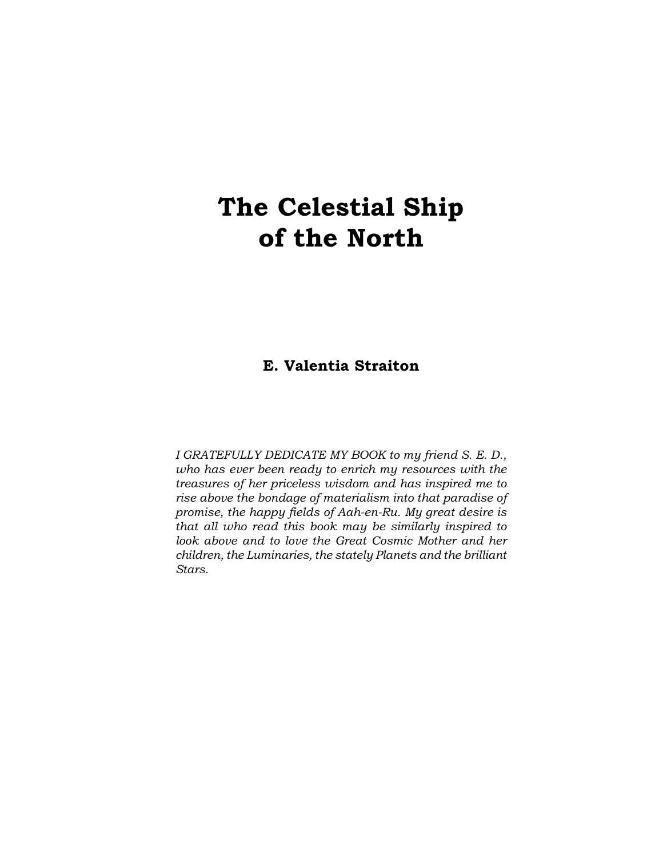# The Celestial Ship of the North

## E. Valentia Straiton

I GRATEFULLY DEDICATE MY BOOK to my friend S. E. D., who has ever been ready to enrich my resources with the treasures of her priceless wisdom and has inspired me to rise above the bondage of materialism into that paradise of promise, the happy fields of Aah-en-Ru. My great desire is that all who read this book may be similarly inspired to look above and to love the Great Cosmic Mother and her children, the Luminaries, the stately Planets and the brilliant Stars.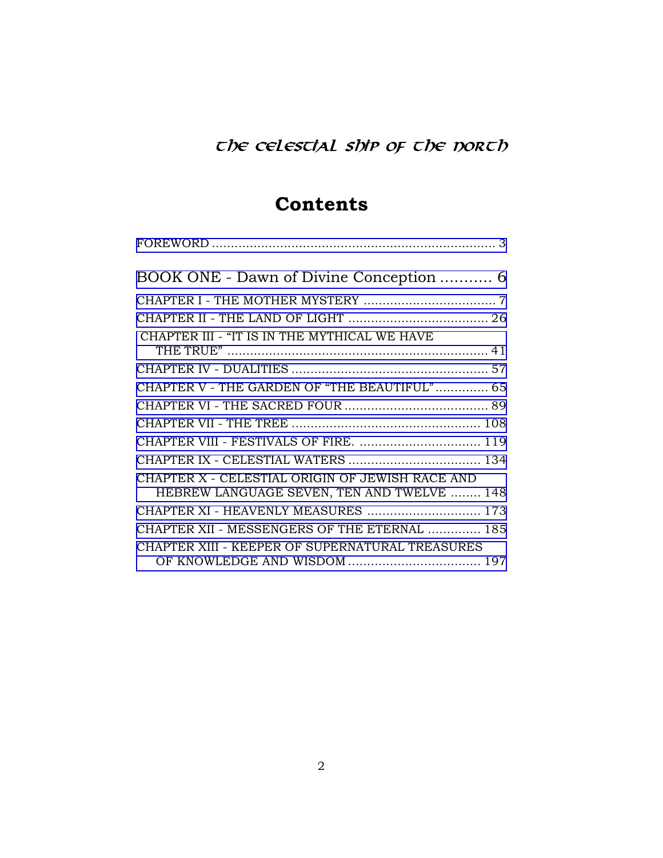# **Contents**

| BOOK ONE - Dawn of Divine Conception  6                                                       |
|-----------------------------------------------------------------------------------------------|
|                                                                                               |
|                                                                                               |
| CHAPTER III - "IT IS IN THE MYTHICAL WE HAVE                                                  |
|                                                                                               |
| CHAPTER V - THE GARDEN OF "THE BEAUTIFUL" 65                                                  |
|                                                                                               |
|                                                                                               |
| CHAPTER VIII - FESTIVALS OF FIRE.  119                                                        |
|                                                                                               |
| CHAPTER X - CELESTIAL ORIGIN OF JEWISH RACE AND<br>HEBREW LANGUAGE SEVEN, TEN AND TWELVE  148 |
| CHAPTER XI - HEAVENLY MEASURES  173                                                           |
| CHAPTER XII - MESSENGERS OF THE ETERNAL  185                                                  |
| CHAPTER XIII - KEEPER OF SUPERNATURAL TREASURES                                               |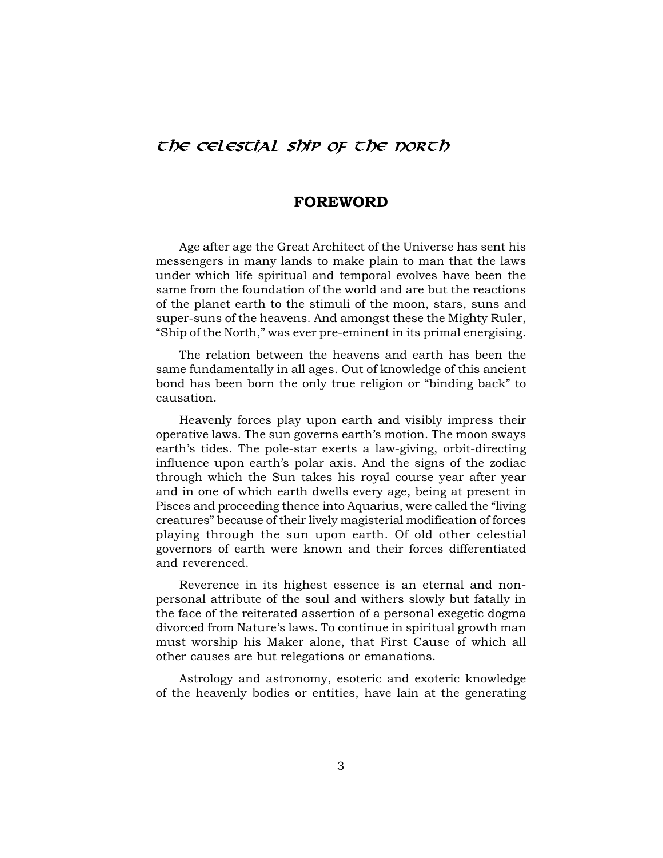#### **FOREWORD**

<span id="page-2-0"></span>Age after age the Great Architect of the Universe has sent his messengers in many lands to make plain to man that the laws under which life spiritual and temporal evolves have been the same from the foundation of the world and are but the reactions of the planet earth to the stimuli of the moon, stars, suns and super-suns of the heavens. And amongst these the Mighty Ruler, "Ship of the North," was ever pre-eminent in its primal energising.

The relation between the heavens and earth has been the same fundamentally in all ages. Out of knowledge of this ancient bond has been born the only true religion or "binding back" to causation.

Heavenly forces play upon earth and visibly impress their operative laws. The sun governs earth's motion. The moon sways earth's tides. The pole-star exerts a law-giving, orbit-directing influence upon earth's polar axis. And the signs of the zodiac through which the Sun takes his royal course year after year and in one of which earth dwells every age, being at present in Pisces and proceeding thence into Aquarius, were called the "living" creatures" because of their lively magisterial modification of forces playing through the sun upon earth. Of old other celestial governors of earth were known and their forces differentiated and reverenced.

Reverence in its highest essence is an eternal and nonpersonal attribute of the soul and withers slowly but fatally in the face of the reiterated assertion of a personal exegetic dogma divorced from Nature's laws. To continue in spiritual growth man must worship his Maker alone, that First Cause of which all other causes are but relegations or emanations.

Astrology and astronomy, esoteric and exoteric knowledge of the heavenly bodies or entities, have lain at the generating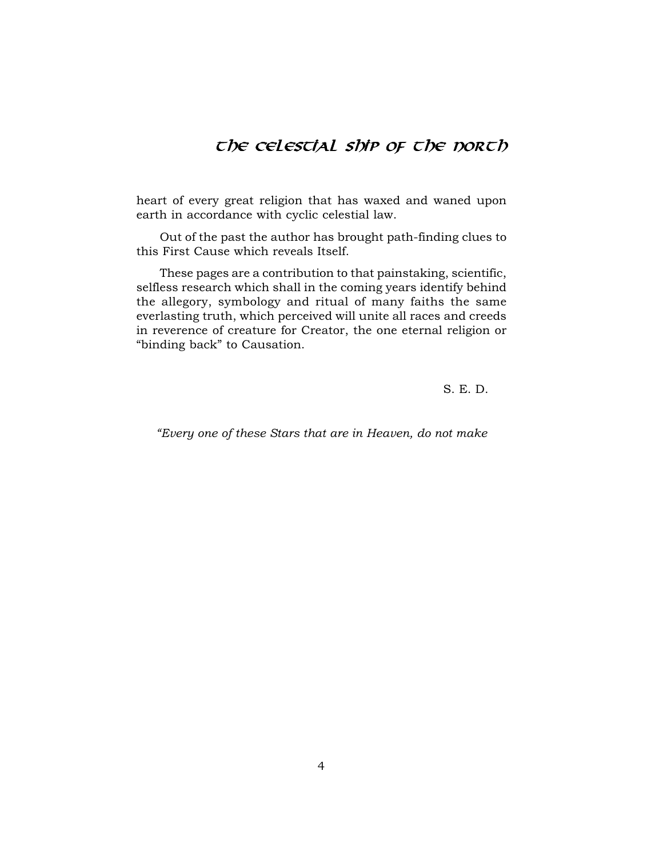heart of every great religion that has waxed and waned upon earth in accordance with cyclic celestial law.

Out of the past the author has brought path-finding clues to this First Cause which reveals Itself.

These pages are a contribution to that painstaking, scientific, selfless research which shall in the coming years identify behind the allegory, symbology and ritual of many faiths the same everlasting truth, which perceived will unite all races and creeds in reverence of creature for Creator, the one eternal religion or "binding back" to Causation.

S. E. D.

"Every one of these Stars that are in Heaven, do not make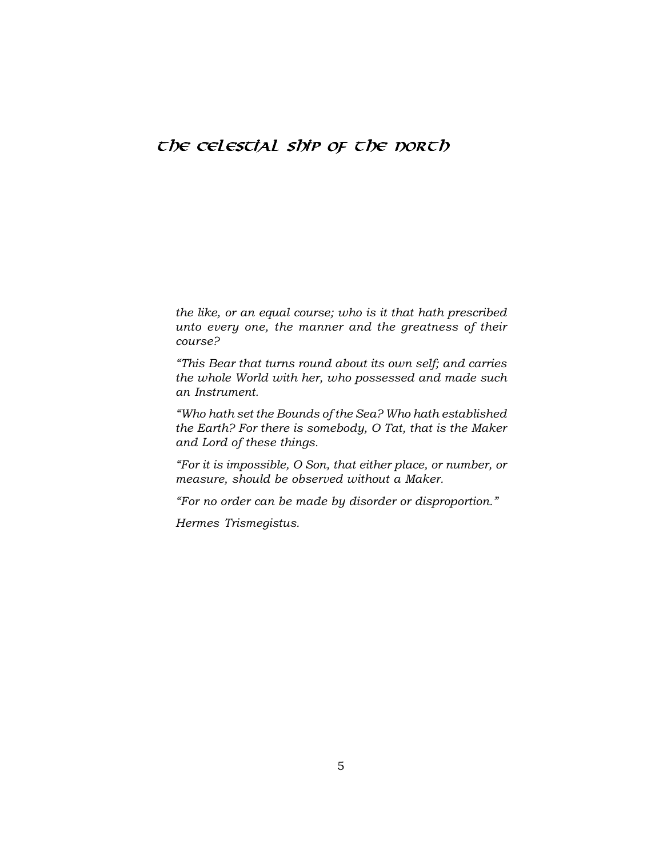the like, or an equal course; who is it that hath prescribed unto every one, the manner and the greatness of their course?

"This Bear that turns round about its own self; and carries the whole World with her, who possessed and made such an Instrument.

"Who hath set the Bounds of the Sea? Who hath established the Earth? For there is somebody, O Tat, that is the Maker and Lord of these things.

"For it is impossible, O Son, that either place, or number, or measure, should be observed without a Maker.

"For no order can be made by disorder or disproportion."

Hermes Trismegistus.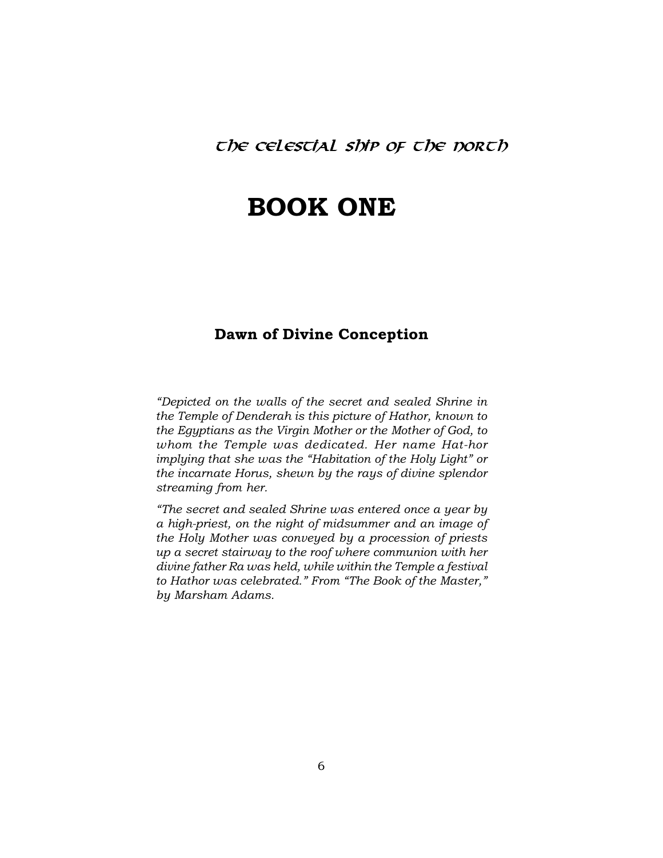# <span id="page-5-0"></span>**BOOK ONE**

#### **Dawn of Divine Conception**

"Depicted on the walls of the secret and sealed Shrine in the Temple of Denderah is this picture of Hathor, known to the Equptians as the Virgin Mother or the Mother of God, to whom the Temple was dedicated. Her name Hat-hor implying that she was the "Habitation of the Holy Light" or the incarnate Horus, shewn by the rays of divine splendor streaming from her.

"The secret and sealed Shrine was entered once a year by a high-priest, on the night of midsummer and an image of the Holy Mother was conveyed by a procession of priests up a secret stairway to the roof where communion with her divine father Ra was held, while within the Temple a festival to Hathor was celebrated." From "The Book of the Master," by Marsham Adams.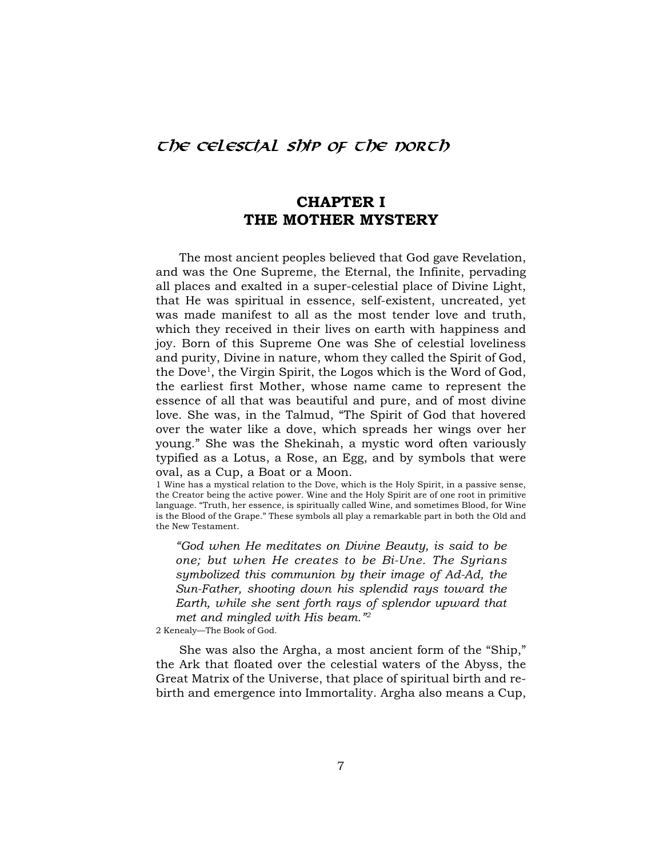## **CHAPTER I** THE MOTHER MYSTERY

<span id="page-6-0"></span>The most ancient peoples believed that God gave Revelation, and was the One Supreme, the Eternal, the Infinite, pervading all places and exalted in a super-celestial place of Divine Light, that He was spiritual in essence, self-existent, uncreated, yet was made manifest to all as the most tender love and truth, which they received in their lives on earth with happiness and joy. Born of this Supreme One was She of celestial loveliness and purity, Divine in nature, whom they called the Spirit of God, the Dove<sup>1</sup>, the Virgin Spirit, the Logos which is the Word of God, the earliest first Mother, whose name came to represent the essence of all that was beautiful and pure, and of most divine love. She was, in the Talmud, "The Spirit of God that hovered over the water like a dove, which spreads her wings over her young." She was the Shekinah, a mystic word often variously typified as a Lotus, a Rose, an Egg, and by symbols that were oval, as a Cup, a Boat or a Moon.

1 Wine has a mystical relation to the Dove, which is the Holy Spirit, in a passive sense, the Creator being the active power. Wine and the Holy Spirit are of one root in primitive language. "Truth, her essence, is spiritually called Wine, and sometimes Blood, for Wine is the Blood of the Grape." These symbols all play a remarkable part in both the Old and the New Testament.

"God when He meditates on Divine Beauty, is said to be one; but when He creates to be Bi-Une. The Syrians symbolized this communion by their image of Ad-Ad, the Sun-Father, shooting down his splendid rays toward the Earth, while she sent forth rays of splendor upward that met and minaled with His beam."<sup>2</sup>

2 Kenealy-The Book of God.

She was also the Argha, a most ancient form of the "Ship," the Ark that floated over the celestial waters of the Abyss, the Great Matrix of the Universe, that place of spiritual birth and rebirth and emergence into Immortality. Argha also means a Cup,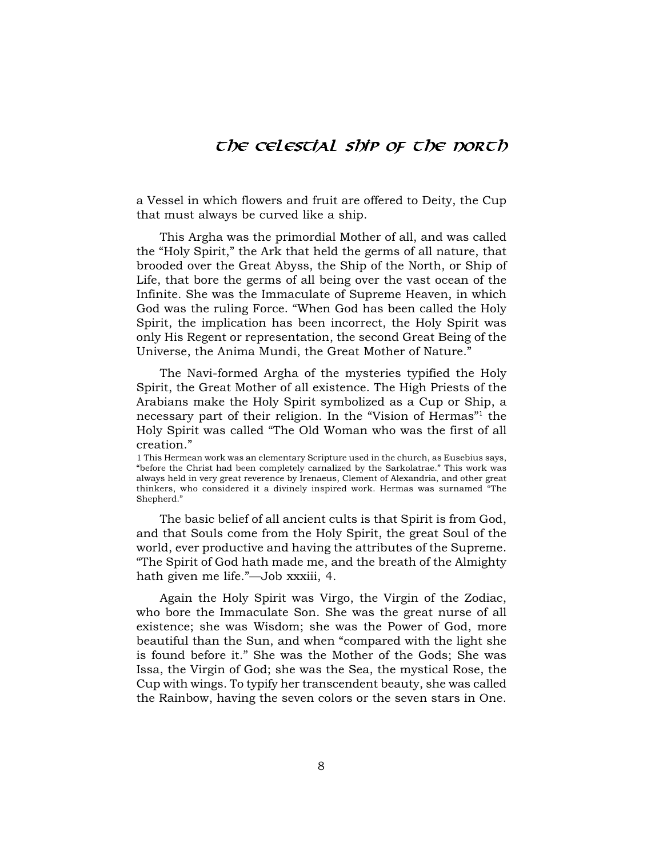a Vessel in which flowers and fruit are offered to Deity, the Cup that must always be curved like a ship.

This Argha was the primordial Mother of all, and was called the "Holy Spirit," the Ark that held the germs of all nature, that brooded over the Great Abyss, the Ship of the North, or Ship of Life, that bore the germs of all being over the vast ocean of the Infinite. She was the Immaculate of Supreme Heaven, in which God was the ruling Force. "When God has been called the Holy Spirit, the implication has been incorrect, the Holy Spirit was only His Regent or representation, the second Great Being of the Universe, the Anima Mundi, the Great Mother of Nature."

The Navi-formed Argha of the mysteries typified the Holy Spirit, the Great Mother of all existence. The High Priests of the Arabians make the Holy Spirit symbolized as a Cup or Ship, a necessary part of their religion. In the "Vision of Hermas"<sup>1</sup> the Holy Spirit was called "The Old Woman who was the first of all creation."

The basic belief of all ancient cults is that Spirit is from God, and that Souls come from the Holy Spirit, the great Soul of the world, ever productive and having the attributes of the Supreme. "The Spirit of God hath made me, and the breath of the Almighty hath given me life."—Job xxxiii, 4.

Again the Holy Spirit was Virgo, the Virgin of the Zodiac, who bore the Immaculate Son. She was the great nurse of all existence; she was Wisdom; she was the Power of God, more beautiful than the Sun, and when "compared with the light she is found before it." She was the Mother of the Gods; She was Issa, the Virgin of God; she was the Sea, the mystical Rose, the Cup with wings. To typify her transcendent beauty, she was called the Rainbow, having the seven colors or the seven stars in One.

<sup>1</sup> This Hermean work was an elementary Scripture used in the church, as Eusebius says, "before the Christ had been completely carnalized by the Sarkolatrae." This work was always held in very great reverence by Irenaeus, Clement of Alexandria, and other great thinkers, who considered it a divinely inspired work. Hermas was surnamed "The Shepherd."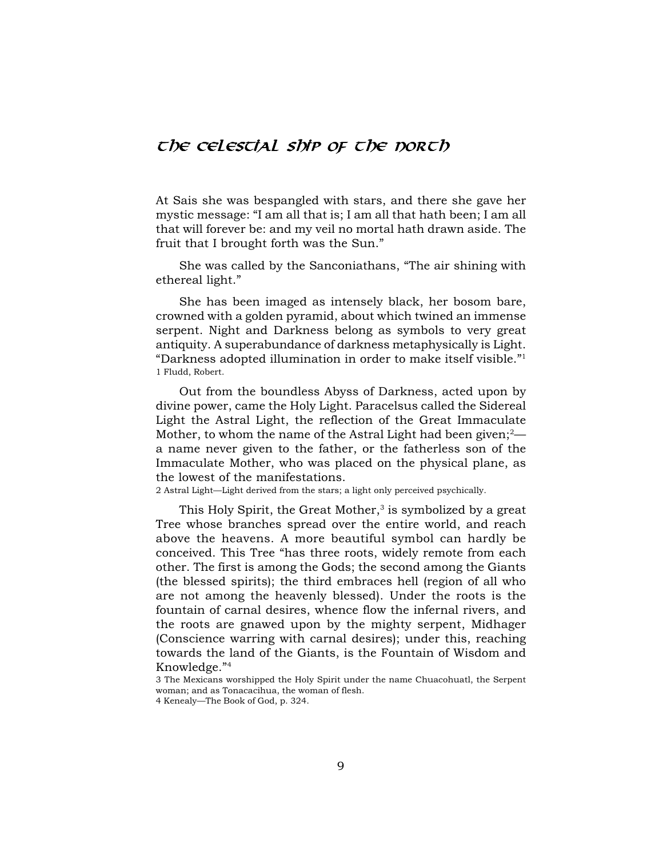At Sais she was bespangled with stars, and there she gave her mystic message: "I am all that is; I am all that hath been; I am all that will forever be: and my veil no mortal hath drawn aside. The fruit that I brought forth was the Sun."

She was called by the Sanconiathans, "The air shining with ethereal light."

She has been imaged as intensely black, her bosom bare, crowned with a golden pyramid, about which twined an immense serpent. Night and Darkness belong as symbols to very great antiquity. A superabundance of darkness metaphysically is Light. "Darkness adopted illumination in order to make itself visible."<sup>1</sup> 1 Fludd, Robert.

Out from the boundless Abyss of Darkness, acted upon by divine power, came the Holy Light. Paracelsus called the Sidereal Light the Astral Light, the reflection of the Great Immaculate Mother, to whom the name of the Astral Light had been given;<sup>2</sup> a name never given to the father, or the fatherless son of the Immaculate Mother, who was placed on the physical plane, as the lowest of the manifestations.

2 Astral Light—Light derived from the stars; a light only perceived psychically.

This Holy Spirit, the Great Mother,<sup>3</sup> is symbolized by a great Tree whose branches spread over the entire world, and reach above the heavens. A more beautiful symbol can hardly be conceived. This Tree "has three roots, widely remote from each other. The first is among the Gods; the second among the Giants (the blessed spirits); the third embraces hell (region of all who are not among the heavenly blessed). Under the roots is the fountain of carnal desires, whence flow the infernal rivers, and the roots are gnawed upon by the mighty serpent, Midhager (Conscience warring with carnal desires); under this, reaching towards the land of the Giants, is the Fountain of Wisdom and Knowledge."4

3 The Mexicans worshipped the Holy Spirit under the name Chuacohuatl, the Serpent woman; and as Tonacacihua, the woman of flesh. 4 Kenealy-The Book of God, p. 324.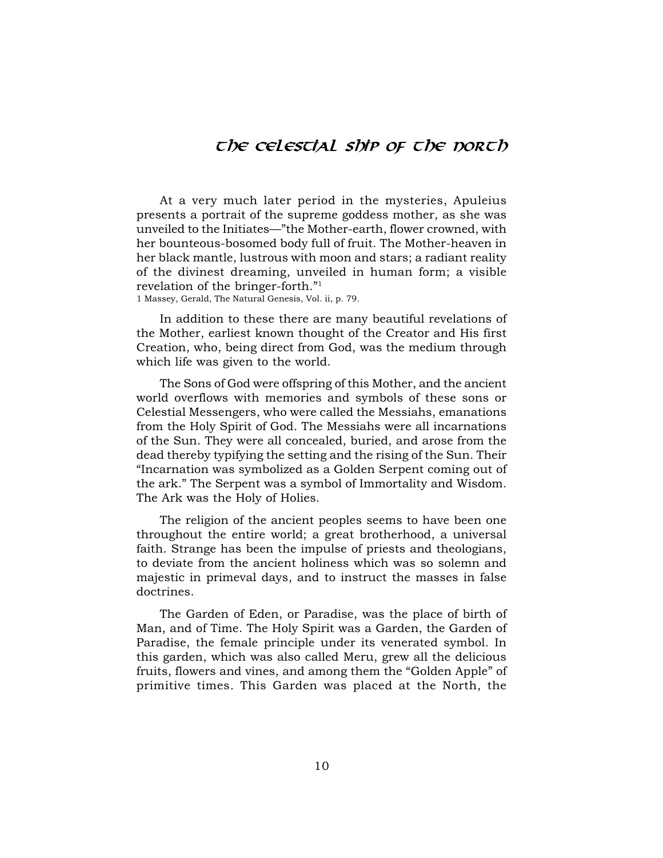At a very much later period in the mysteries, Apuleius presents a portrait of the supreme goddess mother, as she was unveiled to the Initiates-"the Mother-earth, flower crowned, with her bounteous-bosomed body full of fruit. The Mother-heaven in her black mantle, lustrous with moon and stars; a radiant reality of the divinest dreaming, unveiled in human form; a visible revelation of the bringer-forth."<sup>1</sup>

1 Massey, Gerald, The Natural Genesis, Vol. ii, p. 79.

In addition to these there are many beautiful revelations of the Mother, earliest known thought of the Creator and His first Creation, who, being direct from God, was the medium through which life was given to the world.

The Sons of God were offspring of this Mother, and the ancient world overflows with memories and symbols of these sons or Celestial Messengers, who were called the Messiahs, emanations from the Holy Spirit of God. The Messiahs were all incarnations of the Sun. They were all concealed, buried, and arose from the dead thereby typifying the setting and the rising of the Sun. Their "Incarnation was symbolized as a Golden Serpent coming out of the ark." The Serpent was a symbol of Immortality and Wisdom. The Ark was the Holy of Holies.

The religion of the ancient peoples seems to have been one throughout the entire world; a great brotherhood, a universal faith. Strange has been the impulse of priests and theologians, to deviate from the ancient holiness which was so solemn and majestic in primeval days, and to instruct the masses in false doctrines.

The Garden of Eden, or Paradise, was the place of birth of Man, and of Time. The Holy Spirit was a Garden, the Garden of Paradise, the female principle under its venerated symbol. In this garden, which was also called Meru, grew all the delicious fruits, flowers and vines, and among them the "Golden Apple" of primitive times. This Garden was placed at the North, the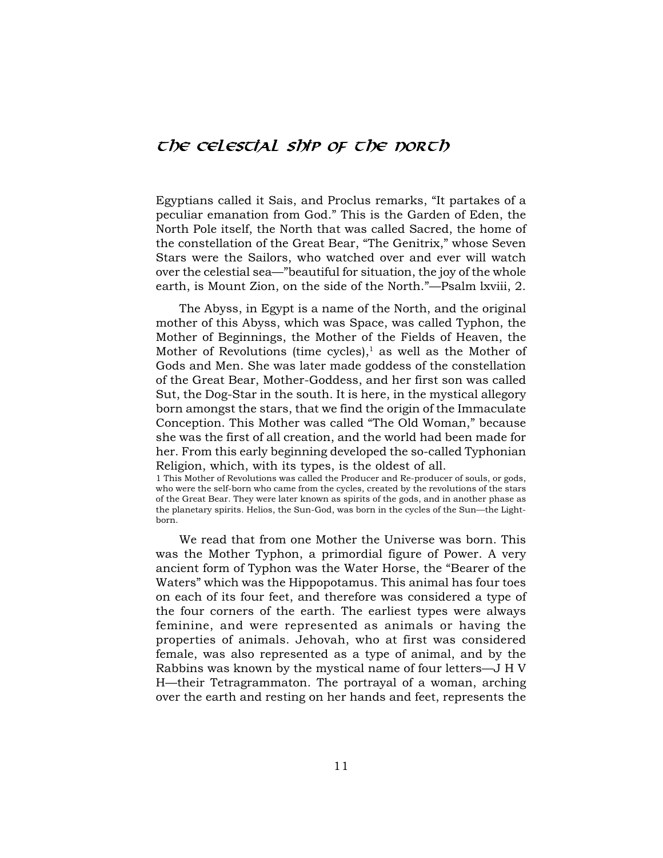Egyptians called it Sais, and Proclus remarks, "It partakes of a peculiar emanation from God." This is the Garden of Eden, the North Pole itself, the North that was called Sacred, the home of the constellation of the Great Bear, "The Genitrix," whose Seven Stars were the Sailors, who watched over and ever will watch over the celestial sea—"beautiful for situation, the joy of the whole earth, is Mount Zion, on the side of the North."—Psalm lxviii, 2.

The Abyss, in Egypt is a name of the North, and the original mother of this Abyss, which was Space, was called Typhon, the Mother of Beginnings, the Mother of the Fields of Heaven, the Mother of Revolutions (time cycles), $<sup>1</sup>$  as well as the Mother of</sup> Gods and Men. She was later made goddess of the constellation of the Great Bear, Mother-Goddess, and her first son was called Sut, the Dog-Star in the south. It is here, in the mystical allegory born amongst the stars, that we find the origin of the Immaculate Conception. This Mother was called "The Old Woman," because she was the first of all creation, and the world had been made for her. From this early beginning developed the so-called Typhonian Religion, which, with its types, is the oldest of all.

1 This Mother of Revolutions was called the Producer and Re-producer of souls, or gods, who were the self-born who came from the cycles, created by the revolutions of the stars of the Great Bear. They were later known as spirits of the gods, and in another phase as the planetary spirits. Helios, the Sun-God, was born in the cycles of the Sun—the Lightborn.

We read that from one Mother the Universe was born. This was the Mother Typhon, a primordial figure of Power. A very ancient form of Typhon was the Water Horse, the "Bearer of the Waters" which was the Hippopotamus. This animal has four toes on each of its four feet, and therefore was considered a type of the four corners of the earth. The earliest types were always feminine, and were represented as animals or having the properties of animals. Jehovah, who at first was considered female, was also represented as a type of animal, and by the Rabbins was known by the mystical name of four letters—J H V H—their Tetragrammaton. The portraval of a woman, arching over the earth and resting on her hands and feet, represents the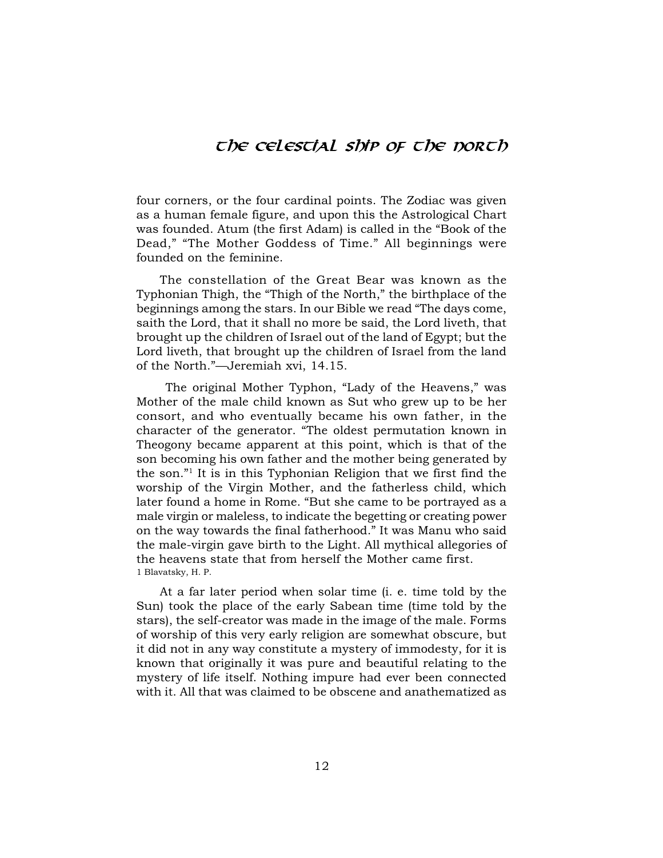four corners, or the four cardinal points. The Zodiac was given as a human female figure, and upon this the Astrological Chart was founded. Atum (the first Adam) is called in the "Book of the Dead," "The Mother Goddess of Time." All beginnings were founded on the feminine.

The constellation of the Great Bear was known as the Typhonian Thigh, the "Thigh of the North," the birthplace of the beginnings among the stars. In our Bible we read "The days come, saith the Lord, that it shall no more be said, the Lord liveth, that brought up the children of Israel out of the land of Egypt; but the Lord liveth, that brought up the children of Israel from the land of the North."-Jeremiah xvi, 14.15.

The original Mother Typhon, "Lady of the Heavens," was Mother of the male child known as Sut who grew up to be her consort, and who eventually became his own father, in the character of the generator. "The oldest permutation known in Theogony became apparent at this point, which is that of the son becoming his own father and the mother being generated by the son." It is in this Typhonian Religion that we first find the worship of the Virgin Mother, and the fatherless child, which later found a home in Rome. "But she came to be portrayed as a male virgin or maleless, to indicate the begetting or creating power on the way towards the final fatherhood." It was Manu who said the male-virgin gave birth to the Light. All mythical allegories of the heavens state that from herself the Mother came first. 1 Blavatsky, H. P.

At a far later period when solar time (i. e. time told by the Sun) took the place of the early Sabean time (time told by the stars), the self-creator was made in the image of the male. Forms of worship of this very early religion are somewhat obscure, but it did not in any way constitute a mystery of immodesty, for it is known that originally it was pure and beautiful relating to the mystery of life itself. Nothing impure had ever been connected with it. All that was claimed to be obscene and anathematized as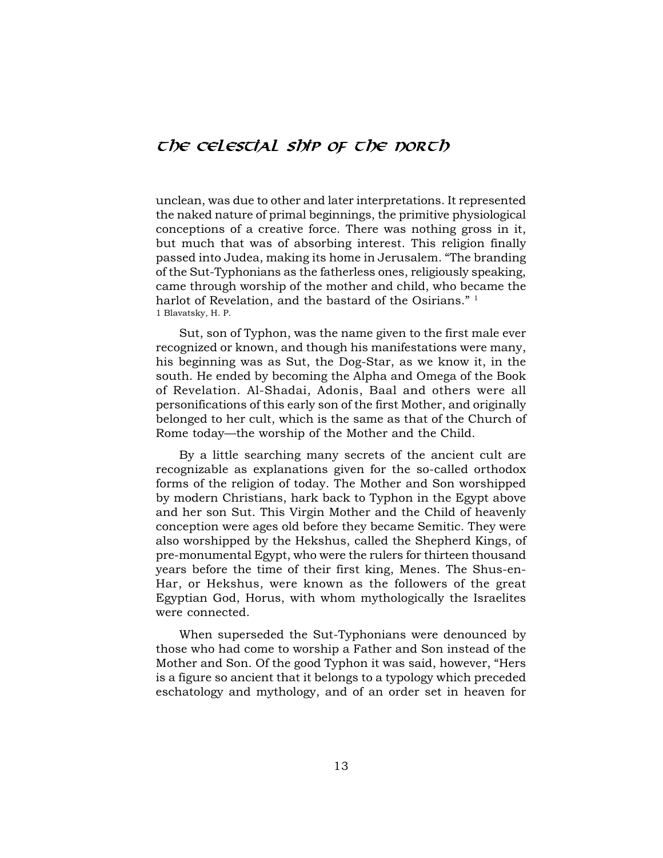unclean, was due to other and later interpretations. It represented the naked nature of primal beginnings, the primitive physiological conceptions of a creative force. There was nothing gross in it, but much that was of absorbing interest. This religion finally passed into Judea, making its home in Jerusalem. "The branding of the Sut-Typhonians as the fatherless ones, religiously speaking, came through worship of the mother and child, who became the harlot of Revelation, and the bastard of the Osirians." 1 1 Blavatsky, H. P.

Sut, son of Typhon, was the name given to the first male ever recognized or known, and though his manifestations were many, his beginning was as Sut, the Dog-Star, as we know it, in the south. He ended by becoming the Alpha and Omega of the Book of Revelation. Al-Shadai, Adonis, Baal and others were all personifications of this early son of the first Mother, and originally belonged to her cult, which is the same as that of the Church of Rome today—the worship of the Mother and the Child.

By a little searching many secrets of the ancient cult are recognizable as explanations given for the so-called orthodox forms of the religion of today. The Mother and Son worshipped by modern Christians, hark back to Typhon in the Egypt above and her son Sut. This Virgin Mother and the Child of heavenly conception were ages old before they became Semitic. They were also worshipped by the Hekshus, called the Shepherd Kings, of pre-monumental Egypt, who were the rulers for thirteen thousand years before the time of their first king, Menes. The Shus-en-Har, or Hekshus, were known as the followers of the great Egyptian God, Horus, with whom mythologically the Israelites were connected.

When superseded the Sut-Typhonians were denounced by those who had come to worship a Father and Son instead of the Mother and Son. Of the good Typhon it was said, however, "Hers is a figure so ancient that it belongs to a typology which preceded eschatology and mythology, and of an order set in heaven for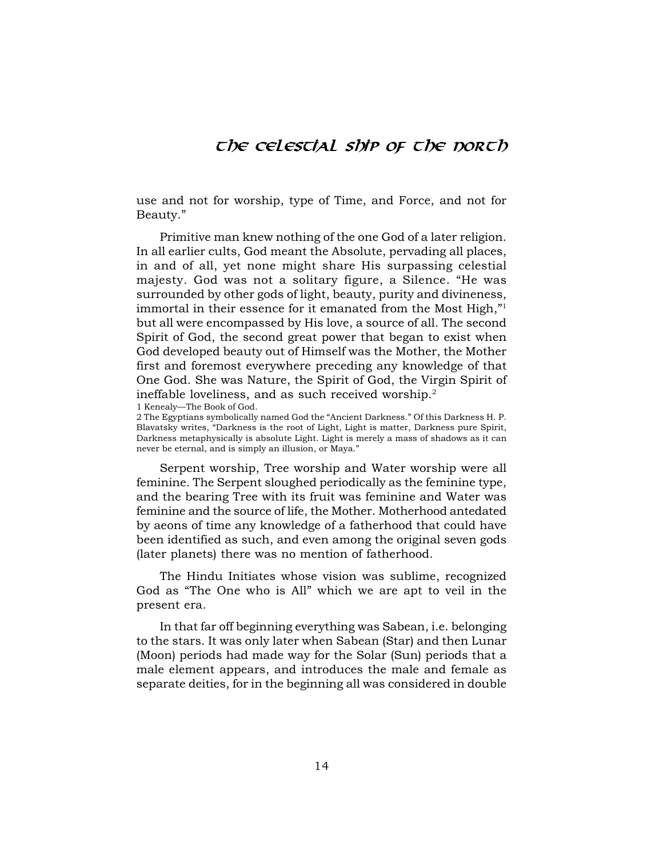use and not for worship, type of Time, and Force, and not for Beauty."

Primitive man knew nothing of the one God of a later religion. In all earlier cults, God meant the Absolute, pervading all places, in and of all, yet none might share His surpassing celestial majesty. God was not a solitary figure, a Silence. "He was surrounded by other gods of light, beauty, purity and divineness, immortal in their essence for it emanated from the Most High,"<sup>1</sup> but all were encompassed by His love, a source of all. The second Spirit of God, the second great power that began to exist when God developed beauty out of Himself was the Mother, the Mother first and foremost everywhere preceding any knowledge of that One God. She was Nature, the Spirit of God, the Virgin Spirit of ineffable loveliness, and as such received worship.<sup>2</sup>

1 Kenealy-The Book of God.

2 The Egyptians symbolically named God the "Ancient Darkness." Of this Darkness H. P. Blavatsky writes, "Darkness is the root of Light, Light is matter, Darkness pure Spirit, Darkness metaphysically is absolute Light. Light is merely a mass of shadows as it can never be eternal, and is simply an illusion, or Maya."

Serpent worship, Tree worship and Water worship were all feminine. The Serpent sloughed periodically as the feminine type, and the bearing Tree with its fruit was feminine and Water was feminine and the source of life, the Mother. Motherhood antedated by aeons of time any knowledge of a fatherhood that could have been identified as such, and even among the original seven gods (later planets) there was no mention of fatherhood.

The Hindu Initiates whose vision was sublime, recognized God as "The One who is All" which we are apt to veil in the present era.

In that far off beginning everything was Sabean, *i.e.* belonging to the stars. It was only later when Sabean (Star) and then Lunar (Moon) periods had made way for the Solar (Sun) periods that a male element appears, and introduces the male and female as separate deities, for in the beginning all was considered in double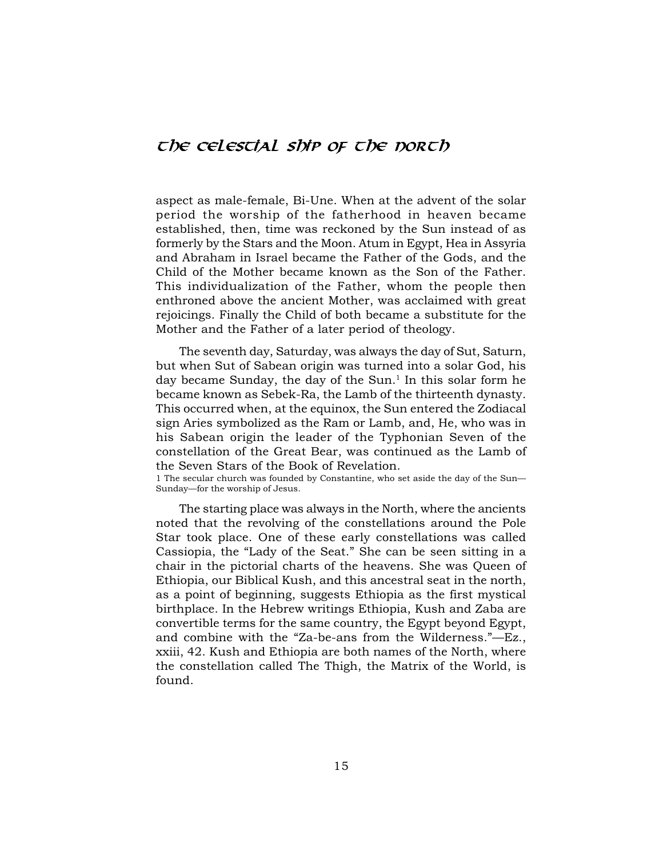aspect as male-female, Bi-Une. When at the advent of the solar period the worship of the fatherhood in heaven became established, then, time was reckoned by the Sun instead of as formerly by the Stars and the Moon. Atum in Egypt, Hea in Assyria and Abraham in Israel became the Father of the Gods, and the Child of the Mother became known as the Son of the Father. This individualization of the Father, whom the people then enthroned above the ancient Mother, was acclaimed with great rejoicings. Finally the Child of both became a substitute for the Mother and the Father of a later period of theology.

The seventh day, Saturday, was always the day of Sut, Saturn, but when Sut of Sabean origin was turned into a solar God, his day became Sunday, the day of the Sun.<sup>1</sup> In this solar form he became known as Sebek-Ra, the Lamb of the thirteenth dynasty. This occurred when, at the equinox, the Sun entered the Zodiacal sign Aries symbolized as the Ram or Lamb, and, He, who was in his Sabean origin the leader of the Typhonian Seven of the constellation of the Great Bear, was continued as the Lamb of the Seven Stars of the Book of Revelation.

1 The secular church was founded by Constantine, who set aside the day of the Sun-Sunday-for the worship of Jesus.

The starting place was always in the North, where the ancients noted that the revolving of the constellations around the Pole Star took place. One of these early constellations was called Cassiopia, the "Lady of the Seat." She can be seen sitting in a chair in the pictorial charts of the heavens. She was Queen of Ethiopia, our Biblical Kush, and this ancestral seat in the north, as a point of beginning, suggests Ethiopia as the first mystical birthplace. In the Hebrew writings Ethiopia, Kush and Zaba are convertible terms for the same country, the Egypt beyond Egypt, and combine with the "Za-be-ans from the Wilderness."—Ez., xxiii, 42. Kush and Ethiopia are both names of the North, where the constellation called The Thigh, the Matrix of the World, is found.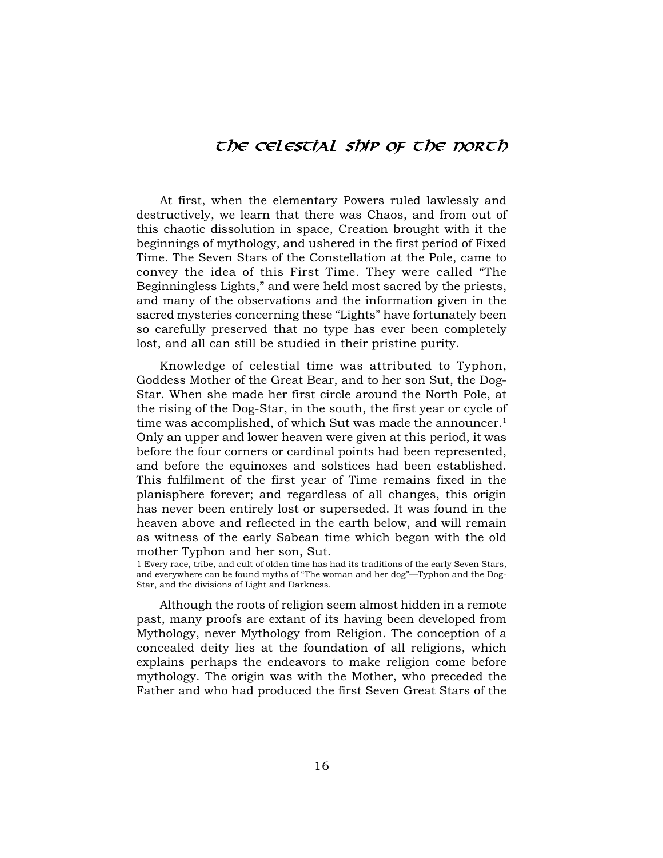At first, when the elementary Powers ruled lawlessly and destructively, we learn that there was Chaos, and from out of this chaotic dissolution in space, Creation brought with it the beginnings of mythology, and ushered in the first period of Fixed Time. The Seven Stars of the Constellation at the Pole, came to convey the idea of this First Time. They were called "The Beginningless Lights," and were held most sacred by the priests, and many of the observations and the information given in the sacred mysteries concerning these "Lights" have fortunately been so carefully preserved that no type has ever been completely lost, and all can still be studied in their pristine purity.

Knowledge of celestial time was attributed to Typhon, Goddess Mother of the Great Bear, and to her son Sut, the Dog-Star. When she made her first circle around the North Pole, at the rising of the Dog-Star, in the south, the first year or cycle of time was accomplished, of which Sut was made the announcer.<sup>1</sup> Only an upper and lower heaven were given at this period, it was before the four corners or cardinal points had been represented, and before the equinoxes and solstices had been established. This fulfilment of the first year of Time remains fixed in the planisphere forever; and regardless of all changes, this origin has never been entirely lost or superseded. It was found in the heaven above and reflected in the earth below, and will remain as witness of the early Sabean time which began with the old mother Typhon and her son, Sut.

1 Every race, tribe, and cult of olden time has had its traditions of the early Seven Stars, and everywhere can be found myths of "The woman and her dog"—Typhon and the Dog-Star, and the divisions of Light and Darkness.

Although the roots of religion seem almost hidden in a remote past, many proofs are extant of its having been developed from Mythology, never Mythology from Religion. The conception of a concealed deity lies at the foundation of all religions, which explains perhaps the endeavors to make religion come before mythology. The origin was with the Mother, who preceded the Father and who had produced the first Seven Great Stars of the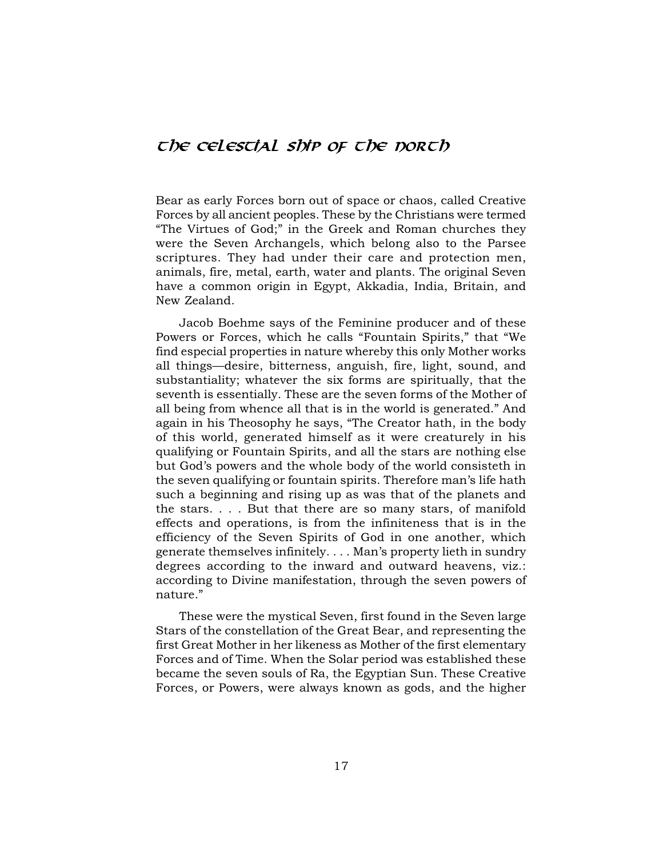Bear as early Forces born out of space or chaos, called Creative Forces by all ancient peoples. These by the Christians were termed "The Virtues of God;" in the Greek and Roman churches they were the Seven Archangels, which belong also to the Parsee scriptures. They had under their care and protection men, animals, fire, metal, earth, water and plants. The original Seven have a common origin in Egypt, Akkadia, India, Britain, and New Zealand.

Jacob Boehme says of the Feminine producer and of these Powers or Forces, which he calls "Fountain Spirits," that "We find especial properties in nature whereby this only Mother works all things—desire, bitterness, anguish, fire, light, sound, and substantiality; whatever the six forms are spiritually, that the seventh is essentially. These are the seven forms of the Mother of all being from whence all that is in the world is generated." And again in his Theosophy he says, "The Creator hath, in the body of this world, generated himself as it were creaturely in his qualifying or Fountain Spirits, and all the stars are nothing else but God's powers and the whole body of the world consisteth in the seven qualifying or fountain spirits. Therefore man's life hath such a beginning and rising up as was that of the planets and the stars... But that there are so many stars, of manifold effects and operations, is from the infiniteness that is in the efficiency of the Seven Spirits of God in one another, which generate themselves infinitely.... Man's property lieth in sundry degrees according to the inward and outward heavens, viz.: according to Divine manifestation, through the seven powers of nature."

These were the mystical Seven, first found in the Seven large Stars of the constellation of the Great Bear, and representing the first Great Mother in her likeness as Mother of the first elementary Forces and of Time. When the Solar period was established these became the seven souls of Ra, the Egyptian Sun. These Creative Forces, or Powers, were always known as gods, and the higher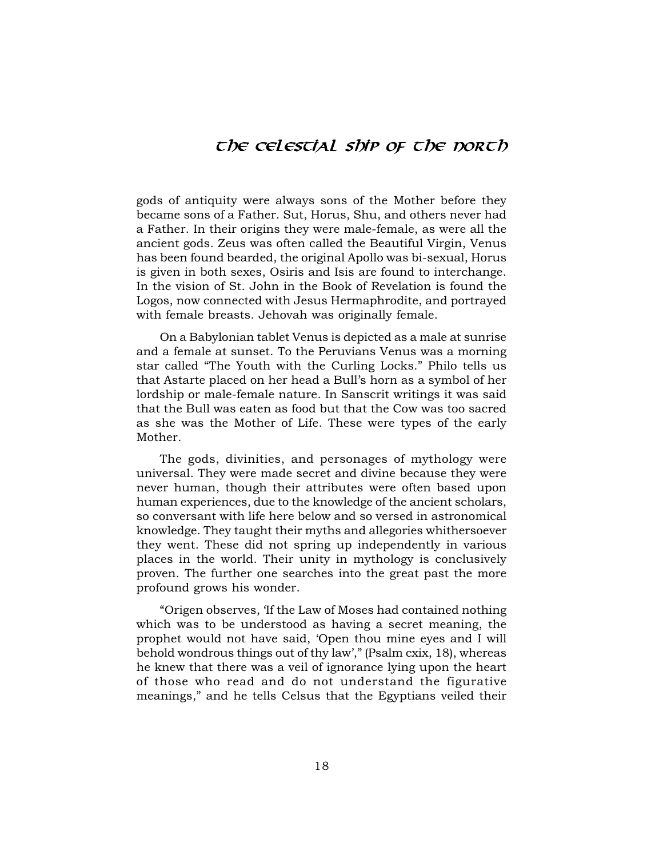gods of antiquity were always sons of the Mother before they became sons of a Father. Sut, Horus, Shu, and others never had a Father. In their origins they were male-female, as were all the ancient gods. Zeus was often called the Beautiful Virgin, Venus has been found bearded, the original Apollo was bi-sexual, Horus is given in both sexes, Osiris and Isis are found to interchange. In the vision of St. John in the Book of Revelation is found the Logos, now connected with Jesus Hermaphrodite, and portrayed with female breasts. Jehovah was originally female.

On a Babylonian tablet Venus is depicted as a male at sunrise and a female at sunset. To the Peruvians Venus was a morning star called "The Youth with the Curling Locks." Philo tells us that Astarte placed on her head a Bull's horn as a symbol of her lordship or male-female nature. In Sanscrit writings it was said that the Bull was eaten as food but that the Cow was too sacred as she was the Mother of Life. These were types of the early Mother.

The gods, divinities, and personages of mythology were universal. They were made secret and divine because they were never human, though their attributes were often based upon human experiences, due to the knowledge of the ancient scholars, so conversant with life here below and so versed in astronomical knowledge. They taught their myths and allegories whithersoever they went. These did not spring up independently in various places in the world. Their unity in mythology is conclusively proven. The further one searches into the great past the more profound grows his wonder.

"Origen observes, 'If the Law of Moses had contained nothing which was to be understood as having a secret meaning, the prophet would not have said, 'Open thou mine eyes and I will behold wondrous things out of thy law'," (Psalm cxix, 18), whereas he knew that there was a veil of ignorance lying upon the heart of those who read and do not understand the figurative meanings," and he tells Celsus that the Egyptians veiled their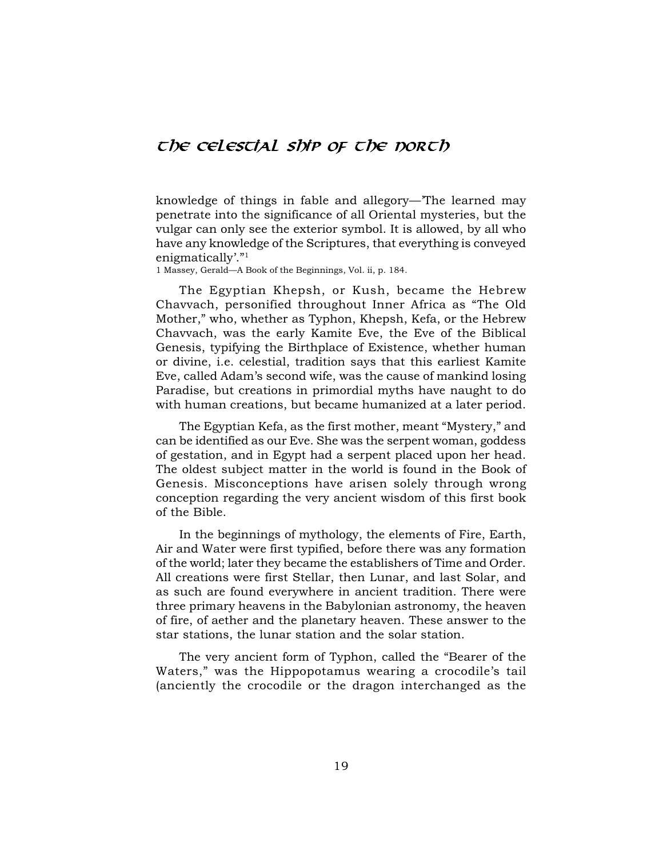knowledge of things in fable and allegory—The learned may penetrate into the significance of all Oriental mysteries, but the vulgar can only see the exterior symbol. It is allowed, by all who have any knowledge of the Scriptures, that everything is conveyed enigmatically'. $"$ <sup>1</sup>

1 Massey, Gerald—A Book of the Beginnings, Vol. ii, p. 184.

The Egyptian Khepsh, or Kush, became the Hebrew Chavvach, personified throughout Inner Africa as "The Old Mother," who, whether as Typhon, Khepsh, Kefa, or the Hebrew Chavvach, was the early Kamite Eve, the Eve of the Biblical Genesis, typifying the Birthplace of Existence, whether human or divine, *i.e.* celestial, tradition says that this earliest Kamite Eve, called Adam's second wife, was the cause of mankind losing Paradise, but creations in primordial myths have naught to do with human creations, but became humanized at a later period.

The Egyptian Kefa, as the first mother, meant "Mystery," and can be identified as our Eve. She was the serpent woman, goddess of gestation, and in Egypt had a serpent placed upon her head. The oldest subject matter in the world is found in the Book of Genesis. Misconceptions have arisen solely through wrong conception regarding the very ancient wisdom of this first book of the Bible.

In the beginnings of mythology, the elements of Fire, Earth, Air and Water were first typified, before there was any formation of the world; later they became the establishers of Time and Order. All creations were first Stellar, then Lunar, and last Solar, and as such are found everywhere in ancient tradition. There were three primary heavens in the Babylonian astronomy, the heaven of fire, of aether and the planetary heaven. These answer to the star stations, the lunar station and the solar station.

The very ancient form of Typhon, called the "Bearer of the Waters," was the Hippopotamus wearing a crocodile's tail (anciently the crocodile or the dragon interchanged as the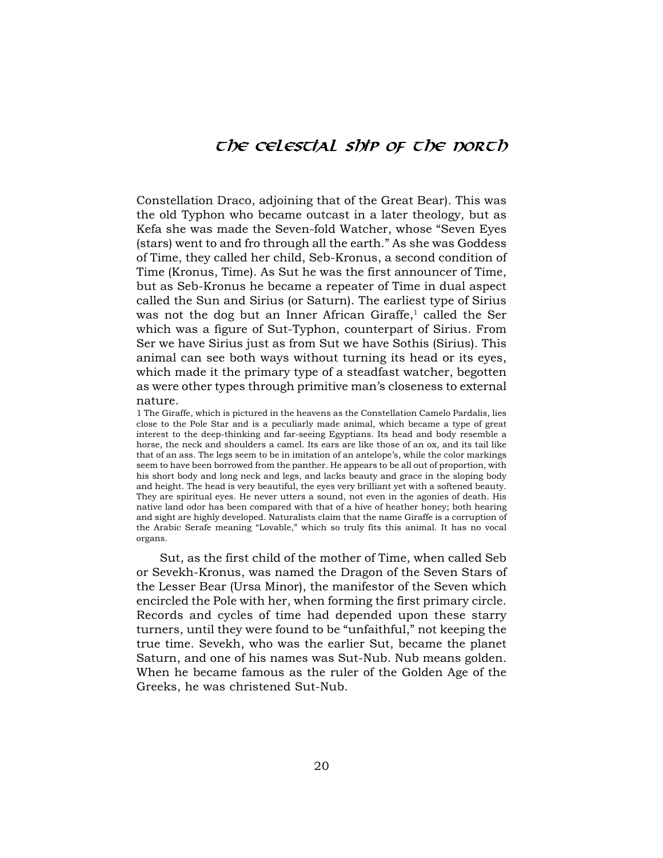Constellation Draco, adjoining that of the Great Bear). This was the old Typhon who became outcast in a later theology, but as Kefa she was made the Seven-fold Watcher, whose "Seven Eyes" (stars) went to and fro through all the earth." As she was Goddess of Time, they called her child, Seb-Kronus, a second condition of Time (Kronus, Time). As Sut he was the first announcer of Time, but as Seb-Kronus he became a repeater of Time in dual aspect called the Sun and Sirius (or Saturn). The earliest type of Sirius was not the dog but an Inner African Giraffe,<sup>1</sup> called the Ser which was a figure of Sut-Typhon, counterpart of Sirius. From Ser we have Sirius just as from Sut we have Sothis (Sirius). This animal can see both ways without turning its head or its eyes, which made it the primary type of a steadfast watcher, begotten as were other types through primitive man's closeness to external nature.

1 The Giraffe, which is pictured in the heavens as the Constellation Camelo Pardalis, lies close to the Pole Star and is a peculiarly made animal, which became a type of great interest to the deep-thinking and far-seeing Egyptians. Its head and body resemble a horse, the neck and shoulders a camel. Its ears are like those of an ox, and its tail like that of an ass. The legs seem to be in imitation of an antelope's, while the color markings seem to have been borrowed from the panther. He appears to be all out of proportion, with his short body and long neck and legs, and lacks beauty and grace in the sloping body and height. The head is very beautiful, the eyes very brilliant yet with a softened beauty. They are spiritual eyes. He never utters a sound, not even in the agonies of death. His native land odor has been compared with that of a hive of heather honey; both hearing and sight are highly developed. Naturalists claim that the name Giraffe is a corruption of the Arabic Serafe meaning "Lovable," which so truly fits this animal. It has no vocal organs.

Sut, as the first child of the mother of Time, when called Seb or Sevekh-Kronus, was named the Dragon of the Seven Stars of the Lesser Bear (Ursa Minor), the manifestor of the Seven which encircled the Pole with her, when forming the first primary circle. Records and cycles of time had depended upon these starry turners, until they were found to be "unfaithful," not keeping the true time. Sevekh, who was the earlier Sut, became the planet Saturn, and one of his names was Sut-Nub. Nub means golden. When he became famous as the ruler of the Golden Age of the Greeks, he was christened Sut-Nub.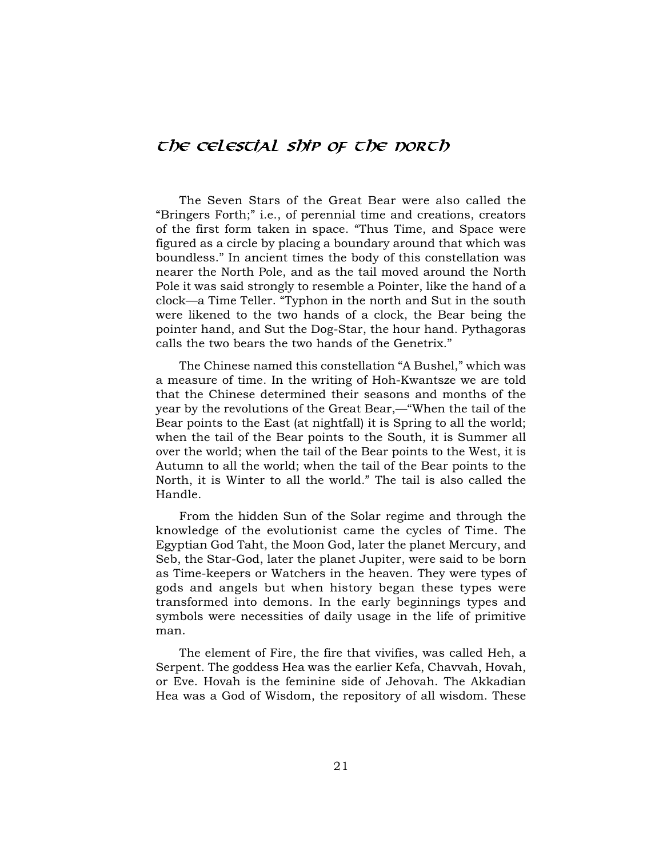The Seven Stars of the Great Bear were also called the "Bringers Forth;" i.e., of perennial time and creations, creators of the first form taken in space. "Thus Time, and Space were figured as a circle by placing a boundary around that which was boundless." In ancient times the body of this constellation was nearer the North Pole, and as the tail moved around the North Pole it was said strongly to resemble a Pointer, like the hand of a clock—a Time Teller. "Typhon in the north and Sut in the south were likened to the two hands of a clock, the Bear being the pointer hand, and Sut the Dog-Star, the hour hand. Pythagoras calls the two bears the two hands of the Genetrix."

The Chinese named this constellation "A Bushel," which was a measure of time. In the writing of Hoh-Kwantsze we are told that the Chinese determined their seasons and months of the year by the revolutions of the Great Bear,—"When the tail of the Bear points to the East (at nightfall) it is Spring to all the world; when the tail of the Bear points to the South, it is Summer all over the world; when the tail of the Bear points to the West, it is Autumn to all the world; when the tail of the Bear points to the North, it is Winter to all the world." The tail is also called the Handle.

From the hidden Sun of the Solar regime and through the knowledge of the evolutionist came the cycles of Time. The Egyptian God Taht, the Moon God, later the planet Mercury, and Seb, the Star-God, later the planet Jupiter, were said to be born as Time-keepers or Watchers in the heaven. They were types of gods and angels but when history began these types were transformed into demons. In the early beginnings types and symbols were necessities of daily usage in the life of primitive man.

The element of Fire, the fire that vivifies, was called Heh, a Serpent. The goddess Hea was the earlier Kefa, Chavvah, Hovah, or Eve. Hovah is the feminine side of Jehovah. The Akkadian Hea was a God of Wisdom, the repository of all wisdom. These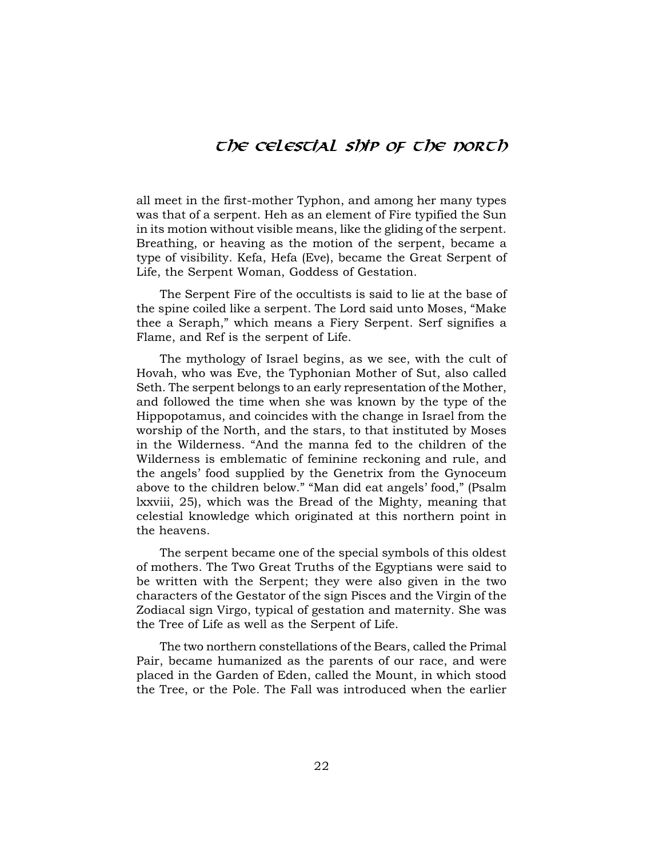all meet in the first-mother Typhon, and among her many types was that of a serpent. Heh as an element of Fire typified the Sun in its motion without visible means, like the gliding of the serpent. Breathing, or heaving as the motion of the serpent, became a type of visibility. Kefa, Hefa (Eve), became the Great Serpent of Life, the Serpent Woman, Goddess of Gestation.

The Serpent Fire of the occultists is said to lie at the base of the spine coiled like a serpent. The Lord said unto Moses, "Make thee a Seraph," which means a Fiery Serpent. Serf signifies a Flame, and Ref is the serpent of Life.

The mythology of Israel begins, as we see, with the cult of Hovah, who was Eve, the Typhonian Mother of Sut, also called Seth. The serpent belongs to an early representation of the Mother, and followed the time when she was known by the type of the Hippopotamus, and coincides with the change in Israel from the worship of the North, and the stars, to that instituted by Moses in the Wilderness. "And the manna fed to the children of the Wilderness is emblematic of feminine reckoning and rule, and the angels' food supplied by the Genetrix from the Gynoceum above to the children below." "Man did eat angels' food," (Psalm lxxviii, 25), which was the Bread of the Mighty, meaning that celestial knowledge which originated at this northern point in the heavens.

The serpent became one of the special symbols of this oldest of mothers. The Two Great Truths of the Egyptians were said to be written with the Serpent; they were also given in the two characters of the Gestator of the sign Pisces and the Virgin of the Zodiacal sign Virgo, typical of gestation and maternity. She was the Tree of Life as well as the Serpent of Life.

The two northern constellations of the Bears, called the Primal Pair, became humanized as the parents of our race, and were placed in the Garden of Eden, called the Mount, in which stood the Tree, or the Pole. The Fall was introduced when the earlier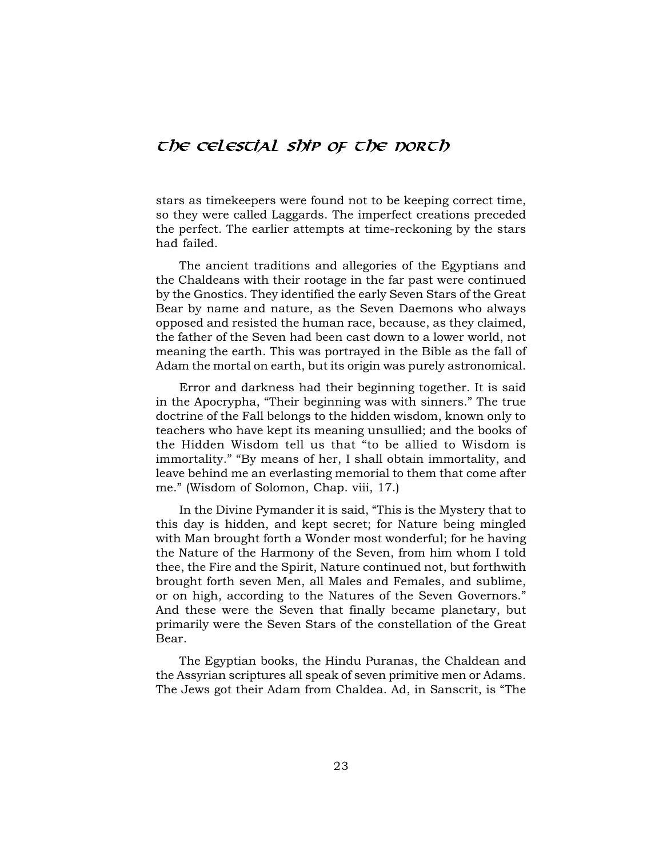stars as timekeepers were found not to be keeping correct time, so they were called Laggards. The imperfect creations preceded the perfect. The earlier attempts at time-reckoning by the stars had failed.

The ancient traditions and allegories of the Egyptians and the Chaldeans with their rootage in the far past were continued by the Gnostics. They identified the early Seven Stars of the Great Bear by name and nature, as the Seven Daemons who always opposed and resisted the human race, because, as they claimed, the father of the Seven had been cast down to a lower world, not meaning the earth. This was portrayed in the Bible as the fall of Adam the mortal on earth, but its origin was purely astronomical.

Error and darkness had their beginning together. It is said in the Apocrypha, "Their beginning was with sinners." The true doctrine of the Fall belongs to the hidden wisdom, known only to teachers who have kept its meaning unsullied; and the books of the Hidden Wisdom tell us that "to be allied to Wisdom is immortality." "By means of her, I shall obtain immortality, and leave behind me an everlasting memorial to them that come after me." (Wisdom of Solomon, Chap. viii, 17.)

In the Divine Pymander it is said, "This is the Mystery that to this day is hidden, and kept secret; for Nature being mingled with Man brought forth a Wonder most wonderful; for he having the Nature of the Harmony of the Seven, from him whom I told thee, the Fire and the Spirit, Nature continued not, but forthwith brought forth seven Men, all Males and Females, and sublime, or on high, according to the Natures of the Seven Governors." And these were the Seven that finally became planetary, but primarily were the Seven Stars of the constellation of the Great Bear.

The Egyptian books, the Hindu Puranas, the Chaldean and the Assyrian scriptures all speak of seven primitive men or Adams. The Jews got their Adam from Chaldea. Ad, in Sanscrit, is "The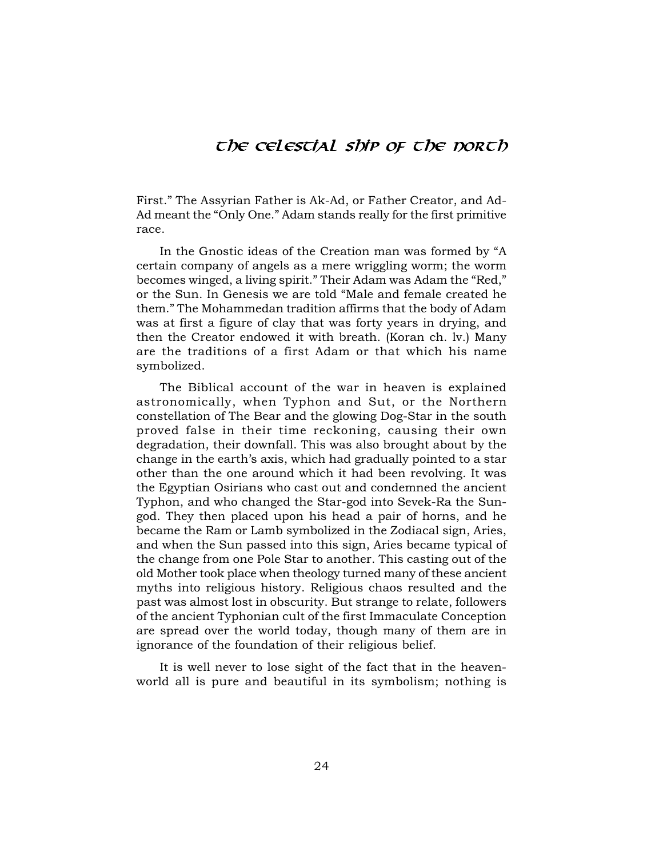First." The Assyrian Father is Ak-Ad, or Father Creator, and Ad-Ad meant the "Only One." Adam stands really for the first primitive race.

In the Gnostic ideas of the Creation man was formed by "A certain company of angels as a mere wriggling worm; the worm becomes winged, a living spirit." Their Adam was Adam the "Red," or the Sun. In Genesis we are told "Male and female created he them." The Mohammedan tradition affirms that the body of Adam was at first a figure of clay that was forty years in drying, and then the Creator endowed it with breath. (Koran ch. lv.) Many are the traditions of a first Adam or that which his name symbolized.

The Biblical account of the war in heaven is explained astronomically, when Typhon and Sut, or the Northern constellation of The Bear and the glowing Dog-Star in the south proved false in their time reckoning, causing their own degradation, their downfall. This was also brought about by the change in the earth's axis, which had gradually pointed to a star other than the one around which it had been revolving. It was the Egyptian Osirians who cast out and condemned the ancient Typhon, and who changed the Star-god into Sevek-Ra the Sungod. They then placed upon his head a pair of horns, and he became the Ram or Lamb symbolized in the Zodiacal sign, Aries, and when the Sun passed into this sign, Aries became typical of the change from one Pole Star to another. This casting out of the old Mother took place when theology turned many of these ancient myths into religious history. Religious chaos resulted and the past was almost lost in obscurity. But strange to relate, followers of the ancient Typhonian cult of the first Immaculate Conception are spread over the world today, though many of them are in ignorance of the foundation of their religious belief.

It is well never to lose sight of the fact that in the heavenworld all is pure and beautiful in its symbolism; nothing is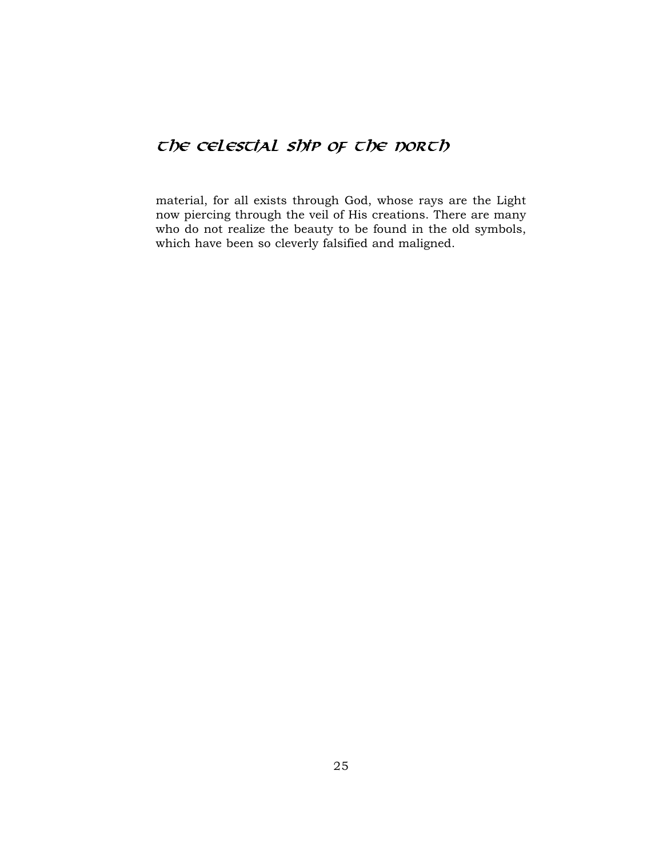material, for all exists through God, whose rays are the Light now piercing through the veil of His creations. There are many who do not realize the beauty to be found in the old symbols, which have been so cleverly falsified and maligned.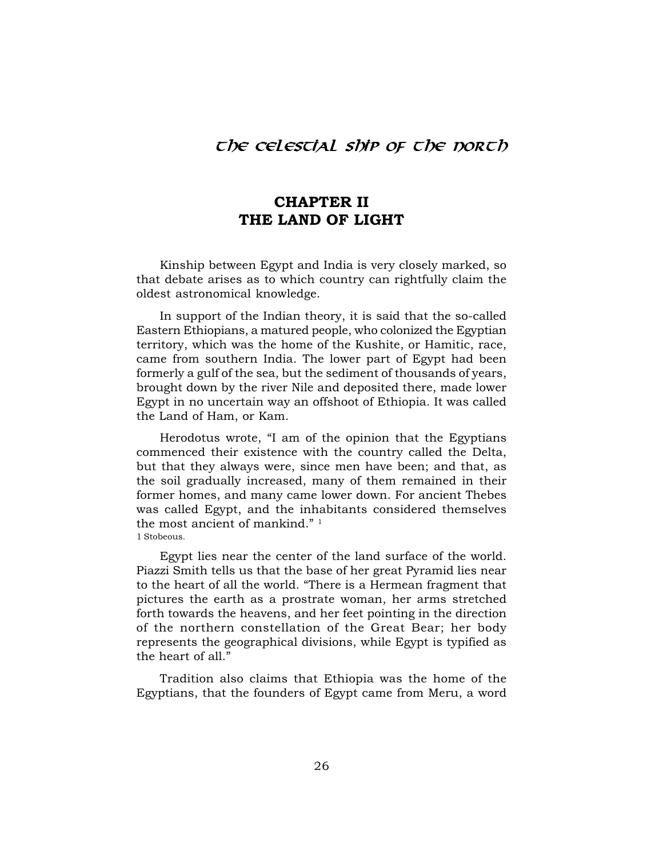### **CHAPTER II** THE LAND OF LIGHT

<span id="page-25-0"></span>Kinship between Egypt and India is very closely marked, so that debate arises as to which country can rightfully claim the oldest astronomical knowledge.

In support of the Indian theory, it is said that the so-called Eastern Ethiopians, a matured people, who colonized the Egyptian territory, which was the home of the Kushite, or Hamitic, race, came from southern India. The lower part of Egypt had been formerly a gulf of the sea, but the sediment of thousands of years, brought down by the river Nile and deposited there, made lower Egypt in no uncertain way an offshoot of Ethiopia. It was called the Land of Ham, or Kam.

Herodotus wrote, "I am of the opinion that the Egyptians commenced their existence with the country called the Delta, but that they always were, since men have been; and that, as the soil gradually increased, many of them remained in their former homes, and many came lower down. For ancient Thebes was called Egypt, and the inhabitants considered themselves the most ancient of mankind."  $1$ 1 Stobeous.

Egypt lies near the center of the land surface of the world. Piazzi Smith tells us that the base of her great Pyramid lies near to the heart of all the world. "There is a Hermean fragment that pictures the earth as a prostrate woman, her arms stretched forth towards the heavens, and her feet pointing in the direction of the northern constellation of the Great Bear; her body represents the geographical divisions, while Egypt is typified as the heart of all."

Tradition also claims that Ethiopia was the home of the Egyptians, that the founders of Egypt came from Meru, a word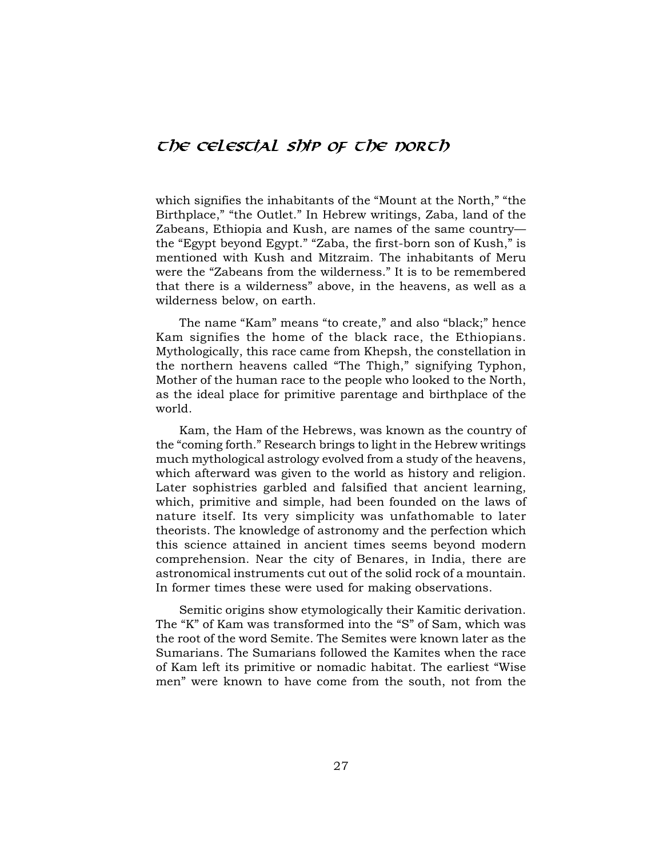which signifies the inhabitants of the "Mount at the North," "the Birthplace," "the Outlet." In Hebrew writings, Zaba, land of the Zabeans, Ethiopia and Kush, are names of the same countrythe "Egypt beyond Egypt." "Zaba, the first-born son of Kush," is mentioned with Kush and Mitzraim. The inhabitants of Meru were the "Zabeans from the wilderness." It is to be remembered that there is a wilderness" above, in the heavens, as well as a wilderness below, on earth.

The name "Kam" means "to create," and also "black;" hence Kam signifies the home of the black race, the Ethiopians. Mythologically, this race came from Khepsh, the constellation in the northern heavens called "The Thigh," signifying Typhon, Mother of the human race to the people who looked to the North, as the ideal place for primitive parentage and birthplace of the world.

Kam, the Ham of the Hebrews, was known as the country of the "coming forth." Research brings to light in the Hebrew writings much mythological astrology evolved from a study of the heavens, which afterward was given to the world as history and religion. Later sophistries garbled and falsified that ancient learning, which, primitive and simple, had been founded on the laws of nature itself. Its very simplicity was unfathomable to later theorists. The knowledge of astronomy and the perfection which this science attained in ancient times seems beyond modern comprehension. Near the city of Benares, in India, there are astronomical instruments cut out of the solid rock of a mountain. In former times these were used for making observations.

Semitic origins show etymologically their Kamitic derivation. The "K" of Kam was transformed into the "S" of Sam, which was the root of the word Semite. The Semites were known later as the Sumarians. The Sumarians followed the Kamites when the race of Kam left its primitive or nomadic habitat. The earliest "Wise men" were known to have come from the south, not from the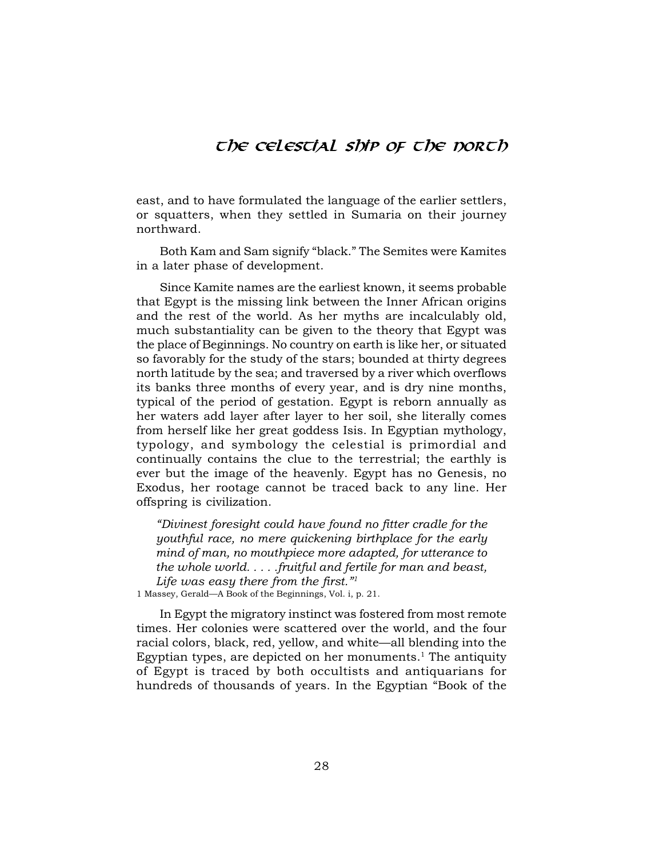east, and to have formulated the language of the earlier settlers, or squatters, when they settled in Sumaria on their journey northward.

Both Kam and Sam signify "black." The Semites were Kamites in a later phase of development.

Since Kamite names are the earliest known, it seems probable that Egypt is the missing link between the Inner African origins and the rest of the world. As her myths are incalculably old, much substantiality can be given to the theory that Egypt was the place of Beginnings. No country on earth is like her, or situated so favorably for the study of the stars; bounded at thirty degrees north latitude by the sea; and traversed by a river which overflows its banks three months of every year, and is dry nine months, typical of the period of gestation. Egypt is reborn annually as her waters add layer after layer to her soil, she literally comes from herself like her great goddess Isis. In Egyptian mythology, typology, and symbology the celestial is primordial and continually contains the clue to the terrestrial; the earthly is ever but the image of the heavenly. Egypt has no Genesis, no Exodus, her rootage cannot be traced back to any line. Her offspring is civilization.

"Divinest foresight could have found no fitter cradle for the youthful race, no mere quickening birthplace for the early mind of man, no mouthpiece more adapted, for utterance to the whole world. . . . . fruitful and fertile for man and beast, Life was easy there from the first." $1$ 

1 Massey, Gerald-A Book of the Beginnings, Vol. i, p. 21.

In Egypt the migratory instinct was fostered from most remote times. Her colonies were scattered over the world, and the four racial colors, black, red, yellow, and white—all blending into the Egyptian types, are depicted on her monuments.<sup>1</sup> The antiquity of Egypt is traced by both occultists and antiquarians for hundreds of thousands of years. In the Egyptian "Book of the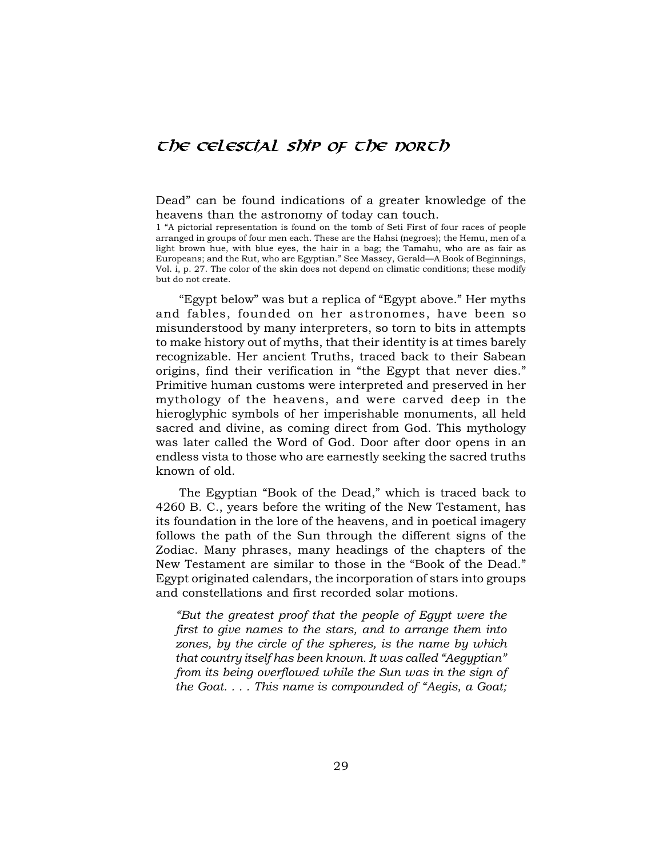Dead" can be found indications of a greater knowledge of the heavens than the astronomy of today can touch.

1 "A pictorial representation is found on the tomb of Seti First of four races of people arranged in groups of four men each. These are the Hahsi (negroes); the Hemu, men of a light brown hue, with blue eyes, the hair in a bag; the Tamahu, who are as fair as Europeans; and the Rut, who are Egyptian." See Massey, Gerald-A Book of Beginnings, Vol. i, p. 27. The color of the skin does not depend on climatic conditions; these modify but do not create.

"Egypt below" was but a replica of "Egypt above." Her myths and fables, founded on her astronomes, have been so misunderstood by many interpreters, so torn to bits in attempts to make history out of myths, that their identity is at times barely recognizable. Her ancient Truths, traced back to their Sabean origins, find their verification in "the Egypt that never dies." Primitive human customs were interpreted and preserved in her mythology of the heavens, and were carved deep in the hieroglyphic symbols of her imperishable monuments, all held sacred and divine, as coming direct from God. This mythology was later called the Word of God. Door after door opens in an endless vista to those who are earnestly seeking the sacred truths known of old.

The Egyptian "Book of the Dead," which is traced back to 4260 B. C., years before the writing of the New Testament, has its foundation in the lore of the heavens, and in poetical imagery follows the path of the Sun through the different signs of the Zodiac. Many phrases, many headings of the chapters of the New Testament are similar to those in the "Book of the Dead." Egypt originated calendars, the incorporation of stars into groups and constellations and first recorded solar motions.

"But the greatest proof that the people of Equpt were the first to give names to the stars, and to arrange them into zones, by the circle of the spheres, is the name by which that country itself has been known. It was called "Aequptian" from its being overflowed while the Sun was in the sign of the Goat.  $\ldots$  This name is compounded of "Aegis, a Goat;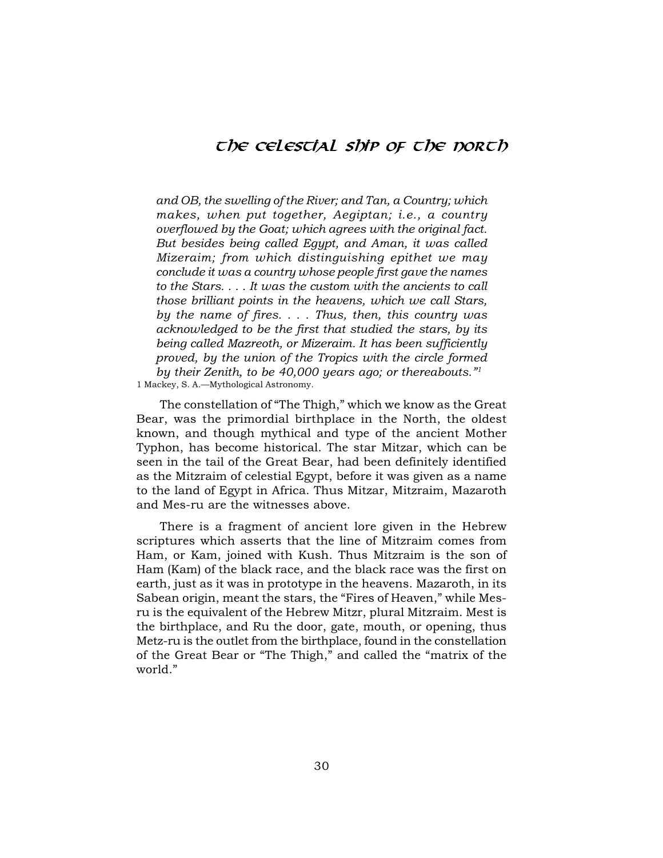and OB, the swelling of the River; and Tan, a Country; which makes, when put together, Aegiptan; i.e., a country overflowed by the Goat; which agrees with the original fact. But besides being called Egypt, and Aman, it was called Mizeraim; from which distinguishing epithet we may conclude it was a country whose people first gave the names to the Stars.... It was the custom with the ancients to call those brilliant points in the heavens, which we call Stars, by the name of fires.  $\ldots$  Thus, then, this country was acknowledged to be the first that studied the stars, by its being called Mazreoth, or Mizeraim. It has been sufficiently proved, by the union of the Tropics with the circle formed by their Zenith, to be 40,000 years ago; or thereabouts." 1 Mackey, S. A.-Mythological Astronomy.

The constellation of "The Thigh," which we know as the Great Bear, was the primordial birthplace in the North, the oldest known, and though mythical and type of the ancient Mother Typhon, has become historical. The star Mitzar, which can be seen in the tail of the Great Bear, had been definitely identified as the Mitzraim of celestial Egypt, before it was given as a name to the land of Egypt in Africa. Thus Mitzar, Mitzraim, Mazaroth and Mes-ru are the witnesses above.

There is a fragment of ancient lore given in the Hebrew scriptures which asserts that the line of Mitzraim comes from Ham, or Kam, joined with Kush. Thus Mitzraim is the son of Ham (Kam) of the black race, and the black race was the first on earth, just as it was in prototype in the heavens. Mazaroth, in its Sabean origin, meant the stars, the "Fires of Heaven," while Mesru is the equivalent of the Hebrew Mitzr, plural Mitzraim. Mest is the birthplace, and Ru the door, gate, mouth, or opening, thus Metz-ru is the outlet from the birthplace, found in the constellation of the Great Bear or "The Thigh," and called the "matrix of the world."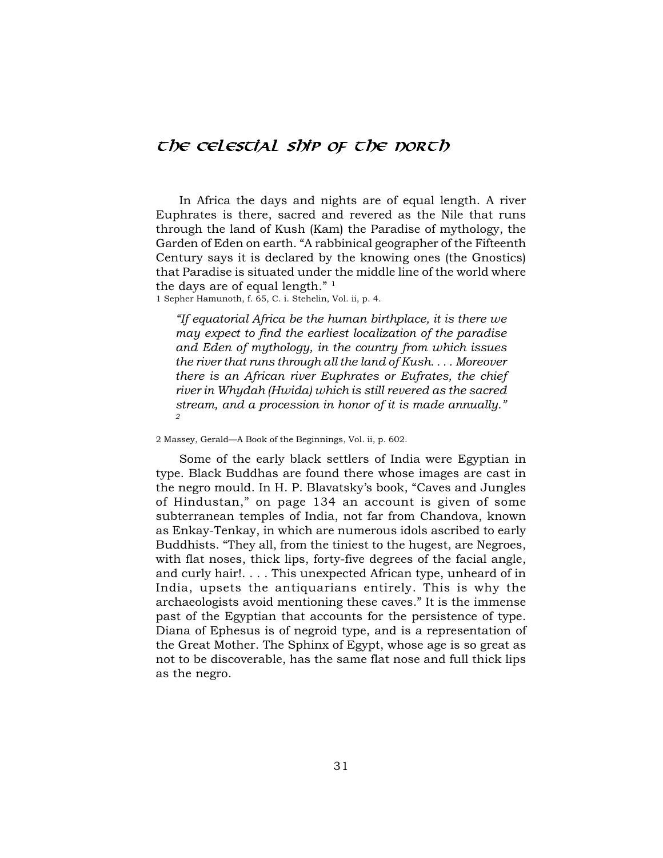In Africa the days and nights are of equal length. A river Euphrates is there, sacred and revered as the Nile that runs through the land of Kush (Kam) the Paradise of mythology, the Garden of Eden on earth. "A rabbinical geographer of the Fifteenth Century says it is declared by the knowing ones (the Gnostics) that Paradise is situated under the middle line of the world where the days are of equal length."  $1$ 

1 Sepher Hamunoth, f. 65, C. i. Stehelin, Vol. ii, p. 4.

"If equatorial Africa be the human birthplace, it is there we may expect to find the earliest localization of the paradise and Eden of mythology, in the country from which issues the river that runs through all the land of Kush.... Moreover there is an African river Euphrates or Eufrates, the chief river in Whydah (Hwida) which is still revered as the sacred stream, and a procession in honor of it is made annually."  $\overline{2}$ 

2 Massey, Gerald-A Book of the Beginnings, Vol. ii, p. 602.

Some of the early black settlers of India were Egyptian in type. Black Buddhas are found there whose images are cast in the negro mould. In H. P. Blavatsky's book, "Caves and Jungles of Hindustan," on page 134 an account is given of some subterranean temples of India, not far from Chandova, known as Enkay-Tenkay, in which are numerous idols ascribed to early Buddhists. "They all, from the tiniest to the hugest, are Negroes, with flat noses, thick lips, forty-five degrees of the facial angle, and curly hair!.... This unexpected African type, unheard of in India, upsets the antiquarians entirely. This is why the archaeologists avoid mentioning these caves." It is the immense past of the Egyptian that accounts for the persistence of type. Diana of Ephesus is of negroid type, and is a representation of the Great Mother. The Sphinx of Egypt, whose age is so great as not to be discoverable, has the same flat nose and full thick lips as the negro.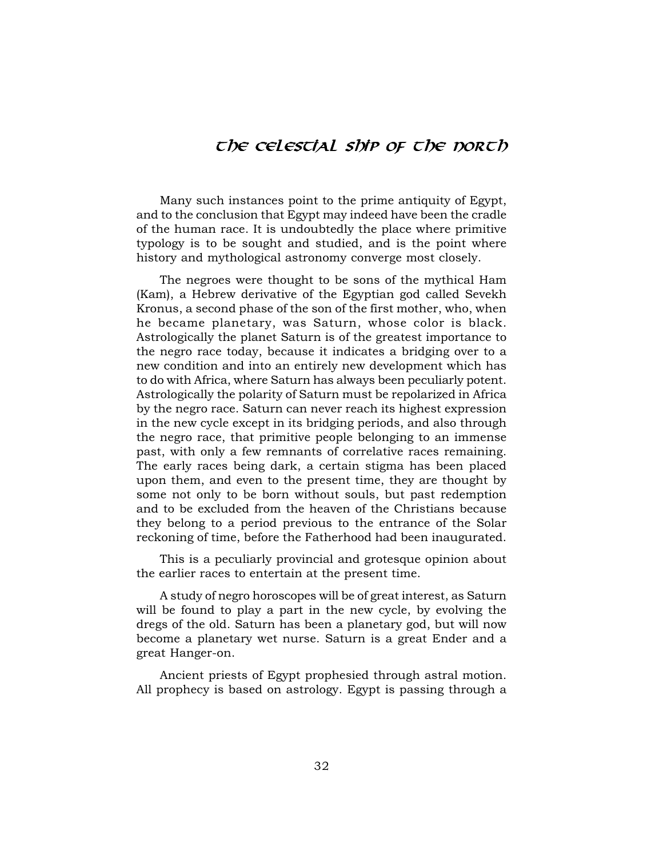Many such instances point to the prime antiquity of Egypt, and to the conclusion that Egypt may indeed have been the cradle of the human race. It is undoubtedly the place where primitive typology is to be sought and studied, and is the point where history and mythological astronomy converge most closely.

The negroes were thought to be sons of the mythical Ham (Kam), a Hebrew derivative of the Egyptian god called Sevekh Kronus, a second phase of the son of the first mother, who, when he became planetary, was Saturn, whose color is black. Astrologically the planet Saturn is of the greatest importance to the negro race today, because it indicates a bridging over to a new condition and into an entirely new development which has to do with Africa, where Saturn has always been peculiarly potent. Astrologically the polarity of Saturn must be repolarized in Africa by the negro race. Saturn can never reach its highest expression in the new cycle except in its bridging periods, and also through the negro race, that primitive people belonging to an immense past, with only a few remnants of correlative races remaining. The early races being dark, a certain stigma has been placed upon them, and even to the present time, they are thought by some not only to be born without souls, but past redemption and to be excluded from the heaven of the Christians because they belong to a period previous to the entrance of the Solar reckoning of time, before the Fatherhood had been inaugurated.

This is a peculiarly provincial and grotesque opinion about the earlier races to entertain at the present time.

A study of negro horoscopes will be of great interest, as Saturn will be found to play a part in the new cycle, by evolving the dregs of the old. Saturn has been a planetary god, but will now become a planetary wet nurse. Saturn is a great Ender and a great Hanger-on.

Ancient priests of Egypt prophesied through astral motion. All prophecy is based on astrology. Egypt is passing through a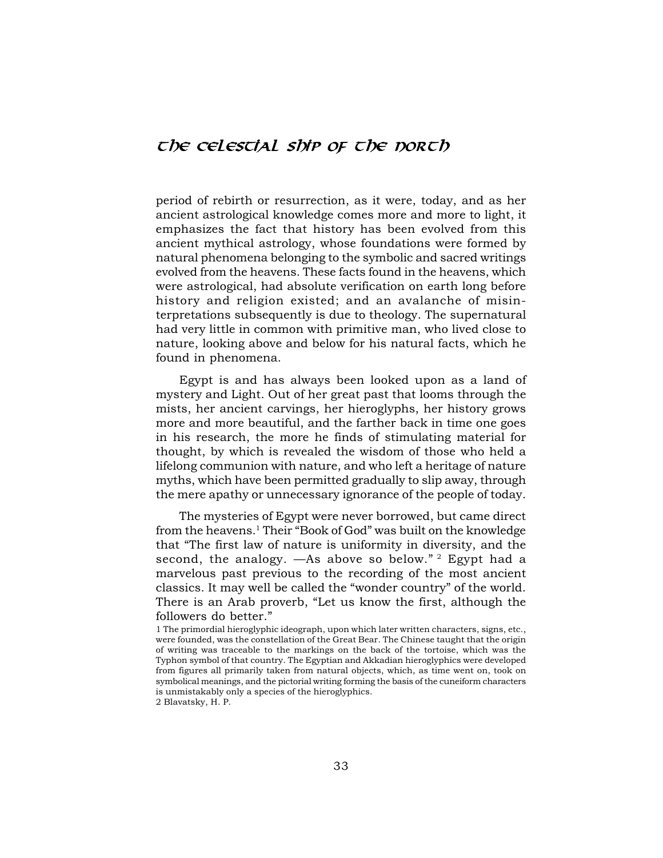period of rebirth or resurrection, as it were, today, and as her ancient astrological knowledge comes more and more to light, it emphasizes the fact that history has been evolved from this ancient mythical astrology, whose foundations were formed by natural phenomena belonging to the symbolic and sacred writings evolved from the heavens. These facts found in the heavens, which were astrological, had absolute verification on earth long before history and religion existed; and an avalanche of misinterpretations subsequently is due to theology. The supernatural had very little in common with primitive man, who lived close to nature, looking above and below for his natural facts, which he found in phenomena.

Egypt is and has always been looked upon as a land of mystery and Light. Out of her great past that looms through the mists, her ancient carvings, her hieroglyphs, her history grows more and more beautiful, and the farther back in time one goes in his research, the more he finds of stimulating material for thought, by which is revealed the wisdom of those who held a lifelong communion with nature, and who left a heritage of nature myths, which have been permitted gradually to slip away, through the mere apathy or unnecessary ignorance of the people of today.

The mysteries of Egypt were never borrowed, but came direct from the heavens.<sup>1</sup> Their "Book of God" was built on the knowledge that "The first law of nature is uniformity in diversity, and the second, the analogy.  $-As$  above so below."<sup>2</sup> Egypt had a marvelous past previous to the recording of the most ancient classics. It may well be called the "wonder country" of the world. There is an Arab proverb, "Let us know the first, although the followers do better."

<sup>1</sup> The primordial hieroglyphic ideograph, upon which later written characters, signs, etc., were founded, was the constellation of the Great Bear. The Chinese taught that the origin of writing was traceable to the markings on the back of the tortoise, which was the Typhon symbol of that country. The Egyptian and Akkadian hieroglyphics were developed from figures all primarily taken from natural objects, which, as time went on, took on symbolical meanings, and the pictorial writing forming the basis of the cuneiform characters is unmistakably only a species of the hieroglyphics. 2 Blavatsky, H. P.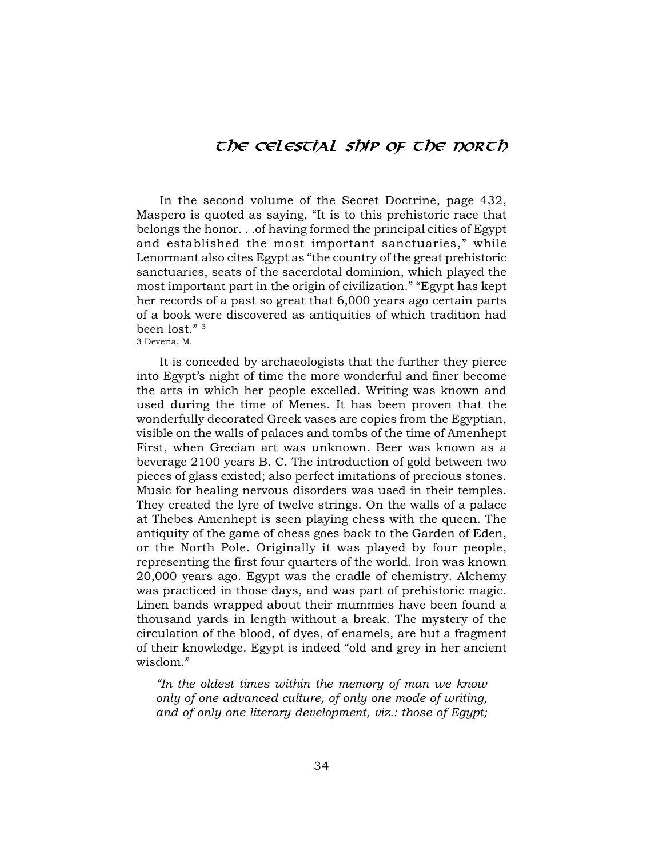In the second volume of the Secret Doctrine, page 432, Maspero is quoted as saying, "It is to this prehistoric race that belongs the honor... of having formed the principal cities of Egypt and established the most important sanctuaries," while Lenormant also cites Egypt as "the country of the great prehistoric sanctuaries, seats of the sacerdotal dominion, which played the most important part in the origin of civilization." "Egypt has kept her records of a past so great that 6,000 years ago certain parts of a book were discovered as antiquities of which tradition had been lost." 3

3 Deveria, M.

It is conceded by archaeologists that the further they pierce into Egypt's night of time the more wonderful and finer become the arts in which her people excelled. Writing was known and used during the time of Menes. It has been proven that the wonderfully decorated Greek vases are copies from the Egyptian, visible on the walls of palaces and tombs of the time of Amenhept First, when Grecian art was unknown. Beer was known as a beverage 2100 years B. C. The introduction of gold between two pieces of glass existed; also perfect imitations of precious stones. Music for healing nervous disorders was used in their temples. They created the lyre of twelve strings. On the walls of a palace at Thebes Amenhept is seen playing chess with the queen. The antiquity of the game of chess goes back to the Garden of Eden, or the North Pole. Originally it was played by four people, representing the first four quarters of the world. Iron was known 20,000 years ago. Egypt was the cradle of chemistry. Alchemy was practiced in those days, and was part of prehistoric magic. Linen bands wrapped about their mummies have been found a thousand yards in length without a break. The mystery of the circulation of the blood, of dyes, of enamels, are but a fragment of their knowledge. Egypt is indeed "old and grey in her ancient wisdom."

"In the oldest times within the memory of man we know only of one advanced culture, of only one mode of writing, and of only one literary development, viz.: those of Egypt;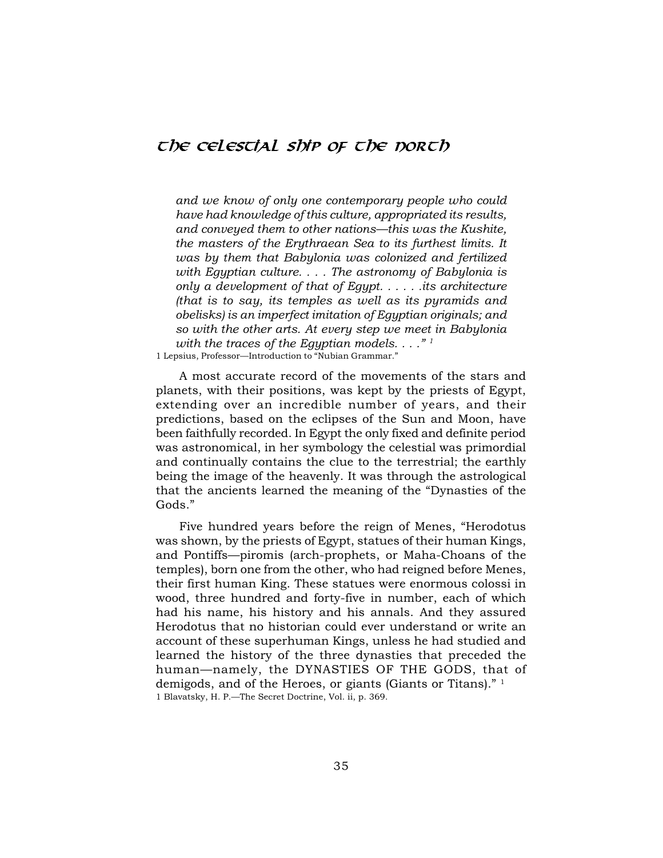and we know of only one contemporary people who could have had knowledge of this culture, appropriated its results, and conveyed them to other nations—this was the Kushite, the masters of the Erythraean Sea to its furthest limits. It was by them that Babylonia was colonized and fertilized with Egyptian culture.... The astronomy of Babylonia is only a development of that of Equpt.  $\dots$  its architecture (that is to say, its temples as well as its pyramids and obelisks) is an imperfect imitation of Eqyptian originals; and so with the other arts. At every step we meet in Babylonia with the traces of the Egyptian models.  $\ldots$ ." 1 Lepsius, Professor-Introduction to "Nubian Grammar."

A most accurate record of the movements of the stars and planets, with their positions, was kept by the priests of Egypt, extending over an incredible number of years, and their predictions, based on the eclipses of the Sun and Moon, have been faithfully recorded. In Egypt the only fixed and definite period was astronomical, in her symbology the celestial was primordial and continually contains the clue to the terrestrial; the earthly being the image of the heavenly. It was through the astrological that the ancients learned the meaning of the "Dynasties of the  $Gods."$ 

Five hundred years before the reign of Menes, "Herodotus was shown, by the priests of Egypt, statues of their human Kings, and Pontiffs--piromis (arch-prophets, or Maha-Choans of the temples), born one from the other, who had reigned before Menes, their first human King. These statues were enormous colossi in wood, three hundred and forty-five in number, each of which had his name, his history and his annals. And they assured Herodotus that no historian could ever understand or write an account of these superhuman Kings, unless he had studied and learned the history of the three dynasties that preceded the human-namely, the DYNASTIES OF THE GODS, that of demigods, and of the Heroes, or giants (Giants or Titans)." 1 1 Blavatsky, H. P.-The Secret Doctrine, Vol. ii, p. 369.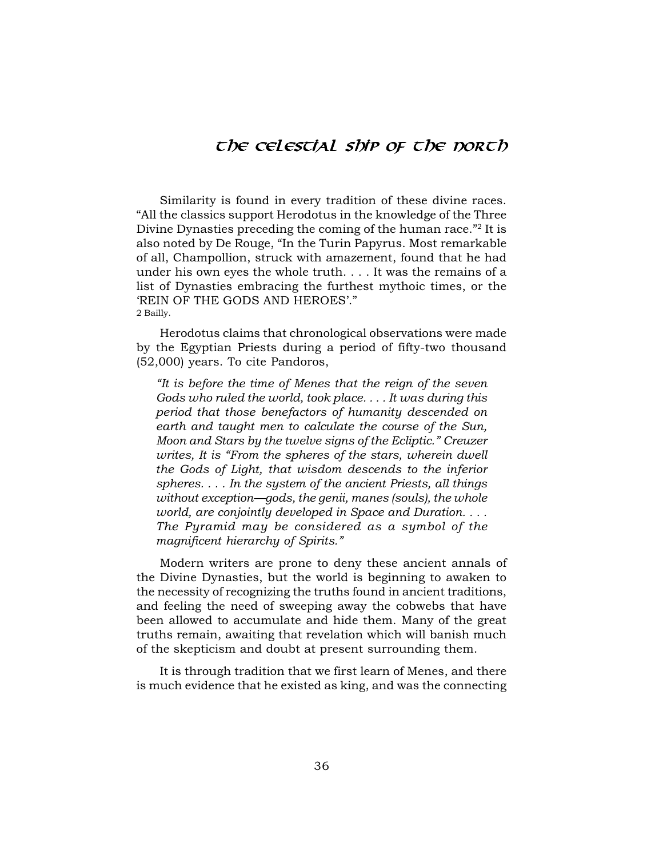Similarity is found in every tradition of these divine races. "All the classics support Herodotus in the knowledge of the Three Divine Dynasties preceding the coming of the human race."<sup>2</sup> It is also noted by De Rouge, "In the Turin Papyrus. Most remarkable of all, Champollion, struck with amazement, found that he had under his own eyes the whole truth.... It was the remains of a list of Dynasties embracing the furthest mythoic times, or the 'REIN OF THE GODS AND HEROES'." 2 Bailly.

Herodotus claims that chronological observations were made by the Egyptian Priests during a period of fifty-two thousand (52,000) years. To cite Pandoros,

"It is before the time of Menes that the reign of the seven Gods who ruled the world, took place.... It was during this period that those benefactors of humanity descended on earth and taught men to calculate the course of the Sun, Moon and Stars by the twelve signs of the Ecliptic." Creuzer writes, It is "From the spheres of the stars, wherein dwell the Gods of Light, that wisdom descends to the inferior spheres.  $\ldots$  In the system of the ancient Priests, all things without exception—gods, the genii, manes (souls), the whole world, are conjointly developed in Space and Duration.... The Pyramid may be considered as a symbol of the magnificent hierarchy of Spirits."

Modern writers are prone to deny these ancient annals of the Divine Dynasties, but the world is beginning to awaken to the necessity of recognizing the truths found in ancient traditions, and feeling the need of sweeping away the cobwebs that have been allowed to accumulate and hide them. Many of the great truths remain, awaiting that revelation which will banish much of the skepticism and doubt at present surrounding them.

It is through tradition that we first learn of Menes, and there is much evidence that he existed as king, and was the connecting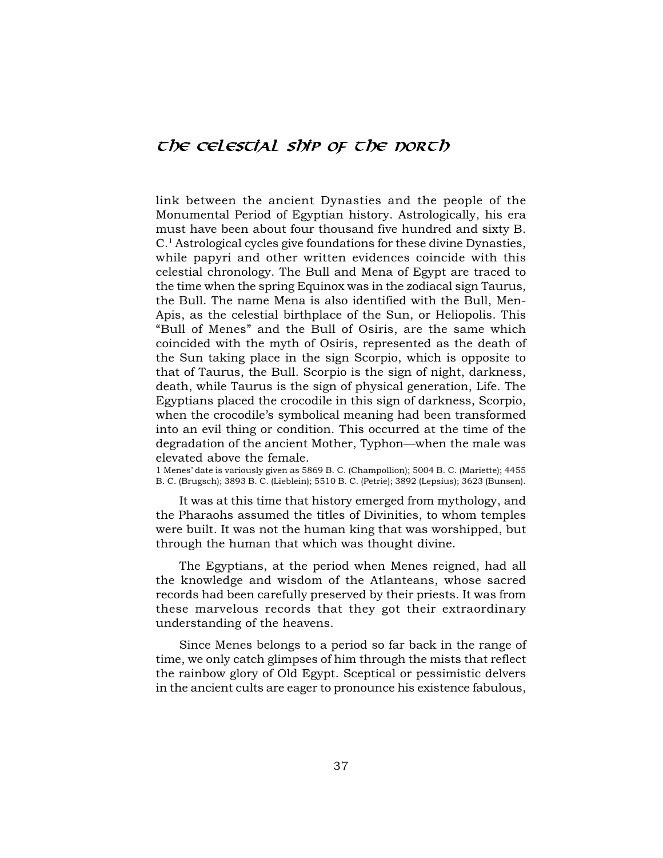link between the ancient Dynasties and the people of the Monumental Period of Egyptian history. Astrologically, his era must have been about four thousand five hundred and sixty B. C.<sup>1</sup> Astrological cycles give foundations for these divine Dynasties, while papyri and other written evidences coincide with this celestial chronology. The Bull and Mena of Egypt are traced to the time when the spring Equinox was in the zodiacal sign Taurus, the Bull. The name Mena is also identified with the Bull. Men-Apis, as the celestial birthplace of the Sun, or Heliopolis. This "Bull of Menes" and the Bull of Osiris, are the same which coincided with the myth of Osiris, represented as the death of the Sun taking place in the sign Scorpio, which is opposite to that of Taurus, the Bull. Scorpio is the sign of night, darkness, death, while Taurus is the sign of physical generation, Life. The Egyptians placed the crocodile in this sign of darkness, Scorpio, when the crocodile's symbolical meaning had been transformed into an evil thing or condition. This occurred at the time of the degradation of the ancient Mother, Typhon—when the male was elevated above the female.

1 Menes' date is variously given as 5869 B. C. (Champollion); 5004 B. C. (Mariette); 4455 B. C. (Brugsch); 3893 B. C. (Lieblein); 5510 B. C. (Petrie); 3892 (Lepsius); 3623 (Bunsen).

It was at this time that history emerged from mythology, and the Pharaohs assumed the titles of Divinities, to whom temples were built. It was not the human king that was worshipped, but through the human that which was thought divine.

The Egyptians, at the period when Menes reigned, had all the knowledge and wisdom of the Atlanteans, whose sacred records had been carefully preserved by their priests. It was from these marvelous records that they got their extraordinary understanding of the heavens.

Since Menes belongs to a period so far back in the range of time, we only catch glimpses of him through the mists that reflect the rainbow glory of Old Egypt. Sceptical or pessimistic delvers in the ancient cults are eager to pronounce his existence fabulous,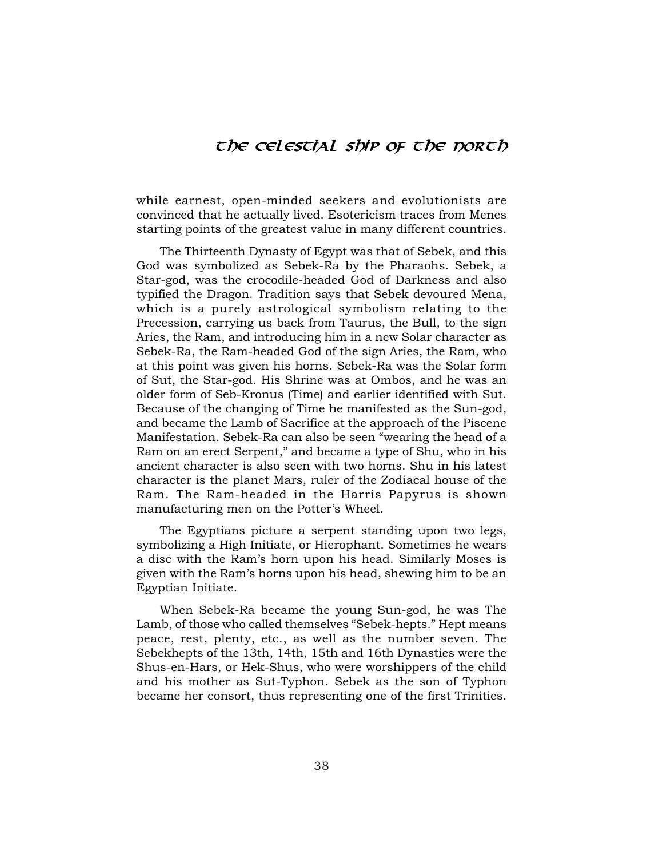while earnest, open-minded seekers and evolutionists are convinced that he actually lived. Esotericism traces from Menes starting points of the greatest value in many different countries.

The Thirteenth Dynasty of Egypt was that of Sebek, and this God was symbolized as Sebek-Ra by the Pharaohs. Sebek, a Star-god, was the crocodile-headed God of Darkness and also typified the Dragon. Tradition says that Sebek devoured Mena, which is a purely astrological symbolism relating to the Precession, carrying us back from Taurus, the Bull, to the sign Aries, the Ram, and introducing him in a new Solar character as Sebek-Ra, the Ram-headed God of the sign Aries, the Ram, who at this point was given his horns. Sebek-Ra was the Solar form of Sut, the Star-god. His Shrine was at Ombos, and he was an older form of Seb-Kronus (Time) and earlier identified with Sut. Because of the changing of Time he manifested as the Sun-god, and became the Lamb of Sacrifice at the approach of the Piscene Manifestation. Sebek-Ra can also be seen "wearing the head of a Ram on an erect Serpent," and became a type of Shu, who in his ancient character is also seen with two horns. Shu in his latest character is the planet Mars, ruler of the Zodiacal house of the Ram. The Ram-headed in the Harris Papyrus is shown manufacturing men on the Potter's Wheel.

The Egyptians picture a serpent standing upon two legs, symbolizing a High Initiate, or Hierophant. Sometimes he wears a disc with the Ram's horn upon his head. Similarly Moses is given with the Ram's horns upon his head, shewing him to be an Egyptian Initiate.

When Sebek-Ra became the young Sun-god, he was The Lamb, of those who called themselves "Sebek-hepts." Hept means peace, rest, plenty, etc., as well as the number seven. The Sebekhepts of the 13th, 14th, 15th and 16th Dynasties were the Shus-en-Hars, or Hek-Shus, who were worshippers of the child and his mother as Sut-Typhon. Sebek as the son of Typhon became her consort, thus representing one of the first Trinities.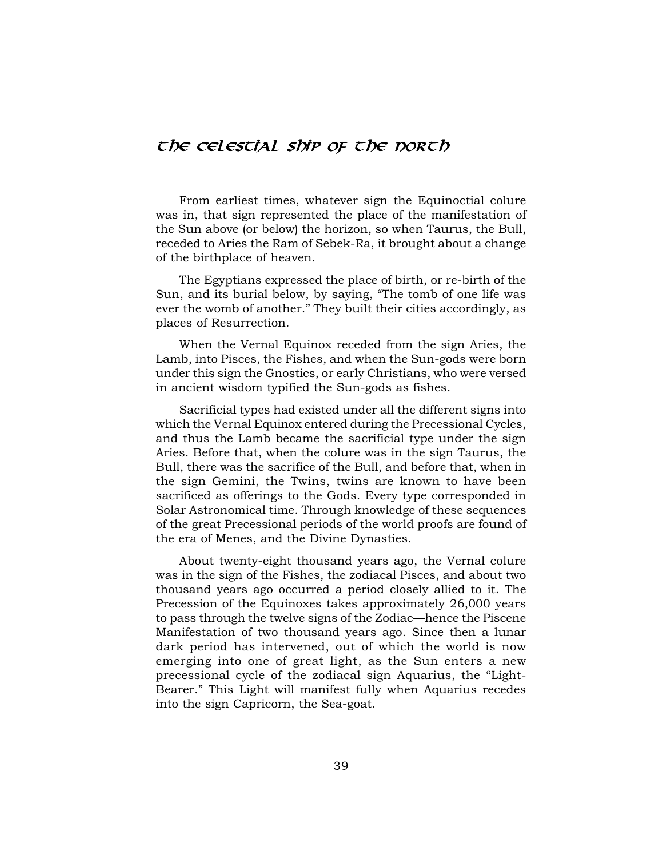From earliest times, whatever sign the Equinoctial colure was in, that sign represented the place of the manifestation of the Sun above (or below) the horizon, so when Taurus, the Bull, receded to Aries the Ram of Sebek-Ra, it brought about a change of the birthplace of heaven.

The Egyptians expressed the place of birth, or re-birth of the Sun, and its burial below, by saying, "The tomb of one life was ever the womb of another." They built their cities accordingly, as places of Resurrection.

When the Vernal Equinox receded from the sign Aries, the Lamb, into Pisces, the Fishes, and when the Sun-gods were born under this sign the Gnostics, or early Christians, who were versed in ancient wisdom typified the Sun-gods as fishes.

Sacrificial types had existed under all the different signs into which the Vernal Equinox entered during the Precessional Cycles, and thus the Lamb became the sacrificial type under the sign Aries. Before that, when the colure was in the sign Taurus, the Bull, there was the sacrifice of the Bull, and before that, when in the sign Gemini, the Twins, twins are known to have been sacrificed as offerings to the Gods. Every type corresponded in Solar Astronomical time. Through knowledge of these sequences of the great Precessional periods of the world proofs are found of the era of Menes, and the Divine Dynasties.

About twenty-eight thousand years ago, the Vernal colure was in the sign of the Fishes, the zodiacal Pisces, and about two thousand years ago occurred a period closely allied to it. The Precession of the Equinoxes takes approximately 26,000 years to pass through the twelve signs of the Zodiac—hence the Piscene Manifestation of two thousand years ago. Since then a lunar dark period has intervened, out of which the world is now emerging into one of great light, as the Sun enters a new precessional cycle of the zodiacal sign Aquarius, the "Light-Bearer." This Light will manifest fully when Aquarius recedes into the sign Capricorn, the Sea-goat.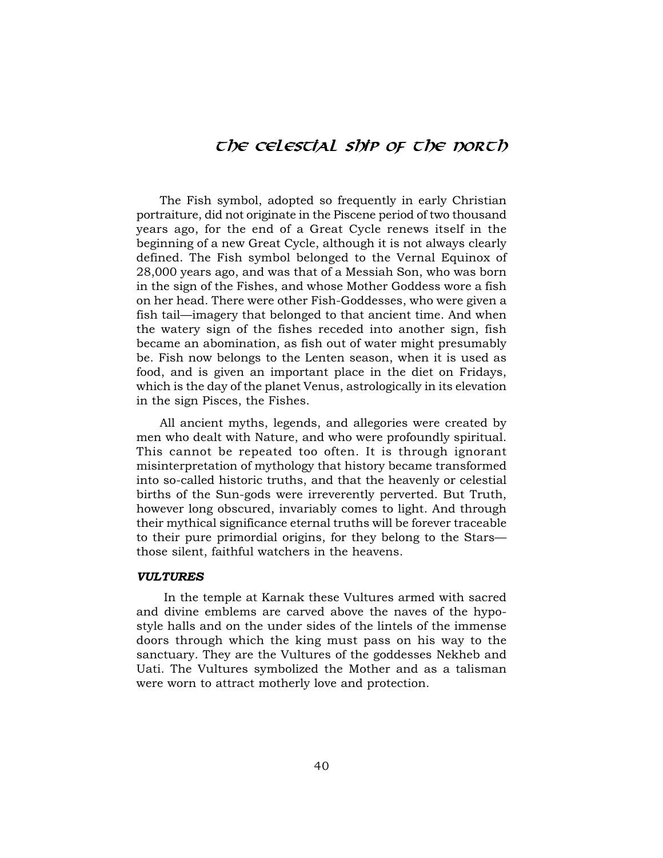The Fish symbol, adopted so frequently in early Christian portraiture, did not originate in the Piscene period of two thousand years ago, for the end of a Great Cycle renews itself in the beginning of a new Great Cycle, although it is not always clearly defined. The Fish symbol belonged to the Vernal Equinox of 28,000 years ago, and was that of a Messiah Son, who was born in the sign of the Fishes, and whose Mother Goddess wore a fish on her head. There were other Fish-Goddesses, who were given a fish tail—imagery that belonged to that ancient time. And when the watery sign of the fishes receded into another sign, fish became an abomination, as fish out of water might presumably be. Fish now belongs to the Lenten season, when it is used as food, and is given an important place in the diet on Fridays, which is the day of the planet Venus, astrologically in its elevation in the sign Pisces, the Fishes.

All ancient myths, legends, and allegories were created by men who dealt with Nature, and who were profoundly spiritual. This cannot be repeated too often. It is through ignorant misinterpretation of mythology that history became transformed into so-called historic truths, and that the heavenly or celestial births of the Sun-gods were irreverently perverted. But Truth, however long obscured, invariably comes to light. And through their mythical significance eternal truths will be forever traceable to their pure primordial origins, for they belong to the Stars those silent, faithful watchers in the heavens.

#### **VULTURES**

In the temple at Karnak these Vultures armed with sacred and divine emblems are carved above the naves of the hypostyle halls and on the under sides of the lintels of the immense doors through which the king must pass on his way to the sanctuary. They are the Vultures of the goddesses Nekheb and Uati. The Vultures symbolized the Mother and as a talisman were worn to attract motherly love and protection.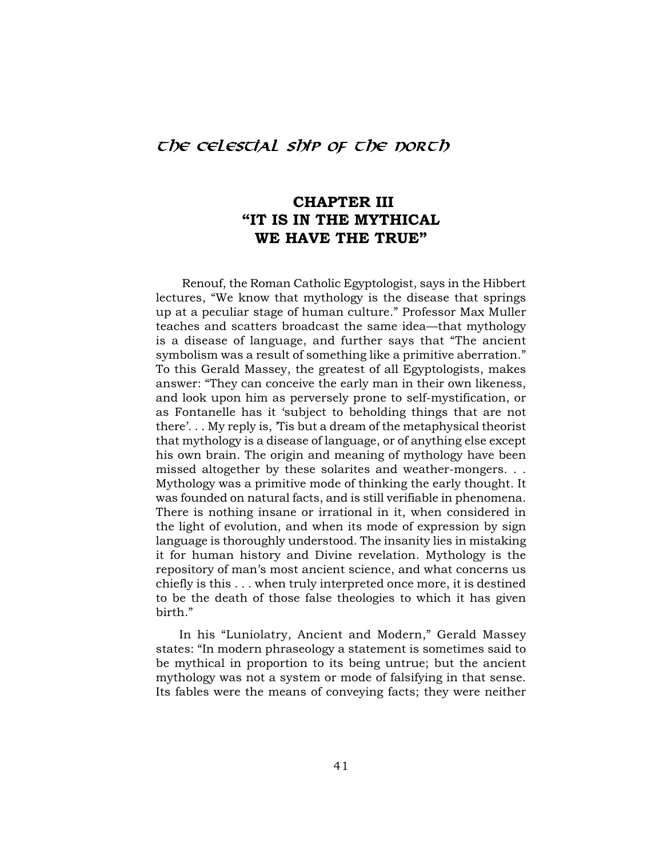## **CHAPTER III** "IT IS IN THE MYTHICAL WE HAVE THE TRUE"

Renouf, the Roman Catholic Egyptologist, says in the Hibbert lectures, "We know that mythology is the disease that springs up at a peculiar stage of human culture." Professor Max Muller teaches and scatters broadcast the same idea—that mythology is a disease of language, and further says that "The ancient" symbolism was a result of something like a primitive aberration." To this Gerald Massey, the greatest of all Egyptologists, makes answer: "They can conceive the early man in their own likeness, and look upon him as perversely prone to self-mystification, or as Fontanelle has it 'subject to beholding things that are not there'... My reply is, T is but a dream of the metaphysical theorist that mythology is a disease of language, or of anything else except his own brain. The origin and meaning of mythology have been missed altogether by these solarites and weather-mongers... Mythology was a primitive mode of thinking the early thought. It was founded on natural facts, and is still verifiable in phenomena. There is nothing insane or irrational in it, when considered in the light of evolution, and when its mode of expression by sign language is thoroughly understood. The insanity lies in mistaking it for human history and Divine revelation. Mythology is the repository of man's most ancient science, and what concerns us chiefly is this . . . when truly interpreted once more, it is destined to be the death of those false theologies to which it has given birth."

In his "Luniolatry, Ancient and Modern," Gerald Massey states: "In modern phraseology a statement is sometimes said to be mythical in proportion to its being untrue; but the ancient mythology was not a system or mode of falsifying in that sense. Its fables were the means of conveying facts; they were neither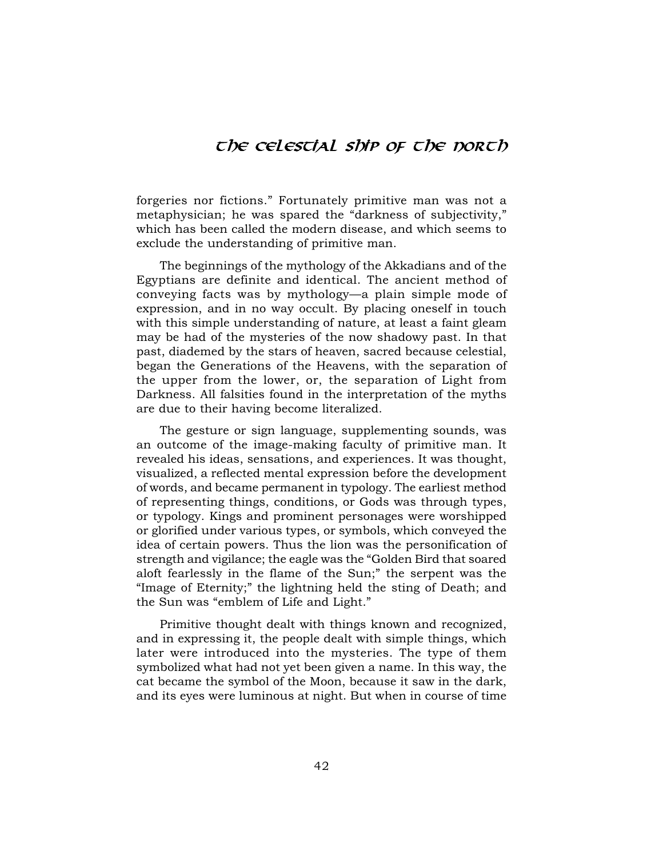forgeries nor fictions." Fortunately primitive man was not a metaphysician; he was spared the "darkness of subjectivity," which has been called the modern disease, and which seems to exclude the understanding of primitive man.

The beginnings of the mythology of the Akkadians and of the Egyptians are definite and identical. The ancient method of conveying facts was by mythology—a plain simple mode of expression, and in no way occult. By placing oneself in touch with this simple understanding of nature, at least a faint gleam may be had of the mysteries of the now shadowy past. In that past, diademed by the stars of heaven, sacred because celestial, began the Generations of the Heavens, with the separation of the upper from the lower, or, the separation of Light from Darkness. All falsities found in the interpretation of the myths are due to their having become literalized.

The gesture or sign language, supplementing sounds, was an outcome of the image-making faculty of primitive man. It revealed his ideas, sensations, and experiences. It was thought, visualized, a reflected mental expression before the development of words, and became permanent in typology. The earliest method of representing things, conditions, or Gods was through types, or typology. Kings and prominent personages were worshipped or glorified under various types, or symbols, which conveyed the idea of certain powers. Thus the lion was the personification of strength and vigilance; the eagle was the "Golden Bird that soared aloft fearlessly in the flame of the Sun;" the serpent was the "Image of Eternity;" the lightning held the sting of Death; and the Sun was "emblem of Life and Light."

Primitive thought dealt with things known and recognized, and in expressing it, the people dealt with simple things, which later were introduced into the mysteries. The type of them symbolized what had not yet been given a name. In this way, the cat became the symbol of the Moon, because it saw in the dark, and its eyes were luminous at night. But when in course of time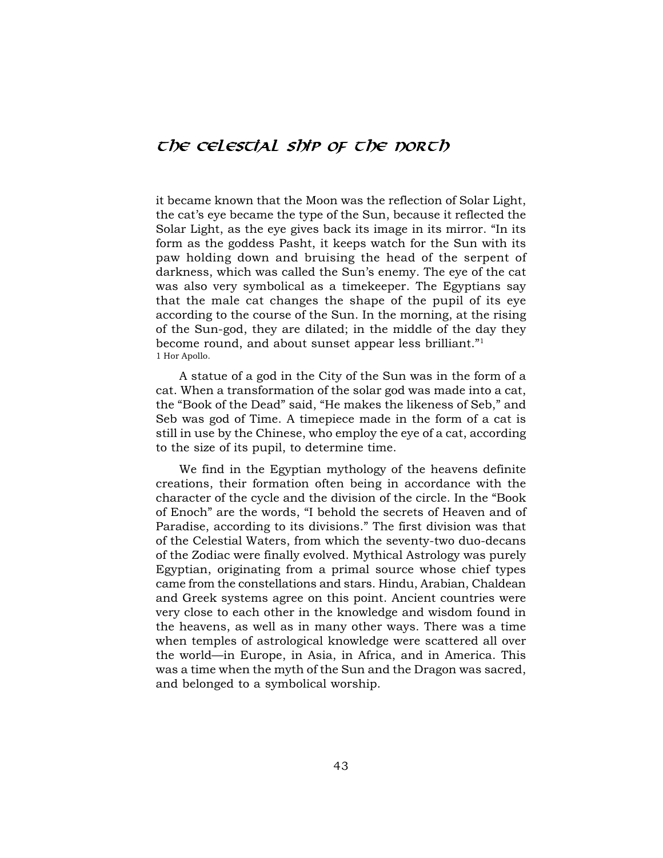it became known that the Moon was the reflection of Solar Light, the cat's eye became the type of the Sun, because it reflected the Solar Light, as the eye gives back its image in its mirror. "In its form as the goddess Pasht, it keeps watch for the Sun with its paw holding down and bruising the head of the serpent of darkness, which was called the Sun's enemy. The eye of the cat was also very symbolical as a time keeper. The Egyptians say that the male cat changes the shape of the pupil of its eye according to the course of the Sun. In the morning, at the rising of the Sun-god, they are dilated; in the middle of the day they become round, and about sunset appear less brilliant." 1 Hor Apollo.

A statue of a god in the City of the Sun was in the form of a cat. When a transformation of the solar god was made into a cat, the "Book of the Dead" said, "He makes the likeness of Seb," and Seb was god of Time. A timepiece made in the form of a cat is still in use by the Chinese, who employ the eye of a cat, according to the size of its pupil, to determine time.

We find in the Egyptian mythology of the heavens definite creations, their formation often being in accordance with the character of the cycle and the division of the circle. In the "Book" of Enoch" are the words, "I behold the secrets of Heaven and of Paradise, according to its divisions." The first division was that of the Celestial Waters, from which the seventy-two duo-decans of the Zodiac were finally evolved. Mythical Astrology was purely Egyptian, originating from a primal source whose chief types came from the constellations and stars. Hindu, Arabian, Chaldean and Greek systems agree on this point. Ancient countries were very close to each other in the knowledge and wisdom found in the heavens, as well as in many other ways. There was a time when temples of astrological knowledge were scattered all over the world—in Europe, in Asia, in Africa, and in America. This was a time when the myth of the Sun and the Dragon was sacred, and belonged to a symbolical worship.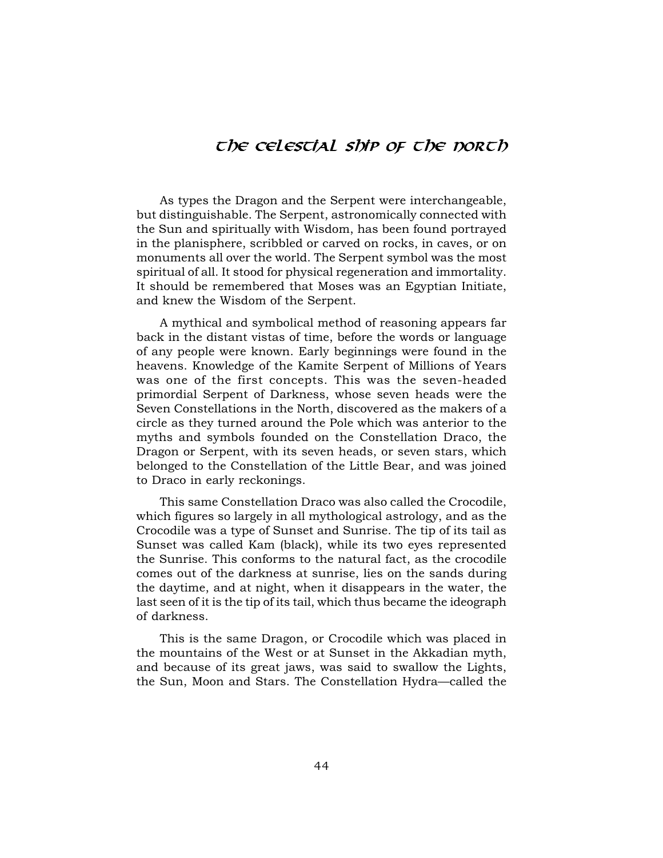As types the Dragon and the Serpent were interchangeable, but distinguishable. The Serpent, astronomically connected with the Sun and spiritually with Wisdom, has been found portrayed in the planisphere, scribbled or carved on rocks, in caves, or on monuments all over the world. The Serpent symbol was the most spiritual of all. It stood for physical regeneration and immortality. It should be remembered that Moses was an Egyptian Initiate, and knew the Wisdom of the Serpent.

A mythical and symbolical method of reasoning appears far back in the distant vistas of time, before the words or language of any people were known. Early beginnings were found in the heavens. Knowledge of the Kamite Serpent of Millions of Years was one of the first concepts. This was the seven-headed primordial Serpent of Darkness, whose seven heads were the Seven Constellations in the North, discovered as the makers of a circle as they turned around the Pole which was anterior to the myths and symbols founded on the Constellation Draco, the Dragon or Serpent, with its seven heads, or seven stars, which belonged to the Constellation of the Little Bear, and was joined to Draco in early reckonings.

This same Constellation Draco was also called the Crocodile. which figures so largely in all mythological astrology, and as the Crocodile was a type of Sunset and Sunrise. The tip of its tail as Sunset was called Kam (black), while its two eyes represented the Sunrise. This conforms to the natural fact, as the crocodile comes out of the darkness at sunrise, lies on the sands during the daytime, and at night, when it disappears in the water, the last seen of it is the tip of its tail, which thus became the ideograph of darkness.

This is the same Dragon, or Crocodile which was placed in the mountains of the West or at Sunset in the Akkadian myth, and because of its great jaws, was said to swallow the Lights, the Sun, Moon and Stars. The Constellation Hydra-called the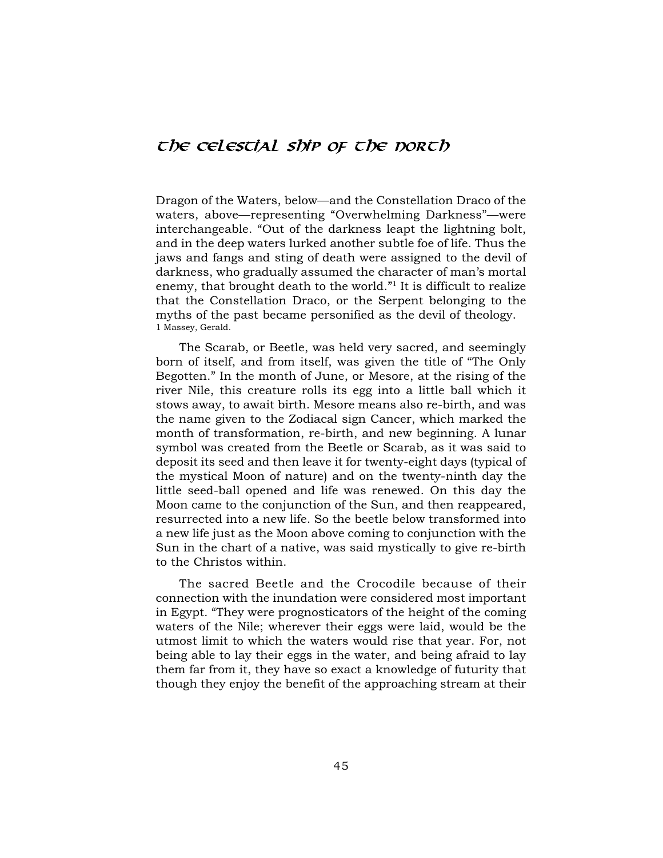Dragon of the Waters, below—and the Constellation Draco of the waters, above—representing "Overwhelming Darkness"—were interchangeable. "Out of the darkness leapt the lightning bolt, and in the deep waters lurked another subtle foe of life. Thus the jaws and fangs and sting of death were assigned to the devil of darkness, who gradually assumed the character of man's mortal enemy, that brought death to the world."<sup>1</sup> It is difficult to realize that the Constellation Draco, or the Serpent belonging to the myths of the past became personified as the devil of theology. 1 Massey, Gerald.

The Scarab, or Beetle, was held very sacred, and seemingly born of itself, and from itself, was given the title of "The Only Begotten." In the month of June, or Mesore, at the rising of the river Nile, this creature rolls its egg into a little ball which it stows away, to await birth. Mesore means also re-birth, and was the name given to the Zodiacal sign Cancer, which marked the month of transformation, re-birth, and new beginning. A lunar symbol was created from the Beetle or Scarab, as it was said to deposit its seed and then leave it for twenty-eight days (typical of the mystical Moon of nature) and on the twenty-ninth day the little seed-ball opened and life was renewed. On this day the Moon came to the conjunction of the Sun, and then reappeared, resurrected into a new life. So the beetle below transformed into a new life just as the Moon above coming to conjunction with the Sun in the chart of a native, was said mystically to give re-birth to the Christos within.

The sacred Beetle and the Crocodile because of their connection with the inundation were considered most important in Egypt. "They were prognosticators of the height of the coming waters of the Nile; wherever their eggs were laid, would be the utmost limit to which the waters would rise that year. For, not being able to lay their eggs in the water, and being afraid to lay them far from it, they have so exact a knowledge of futurity that though they enjoy the benefit of the approaching stream at their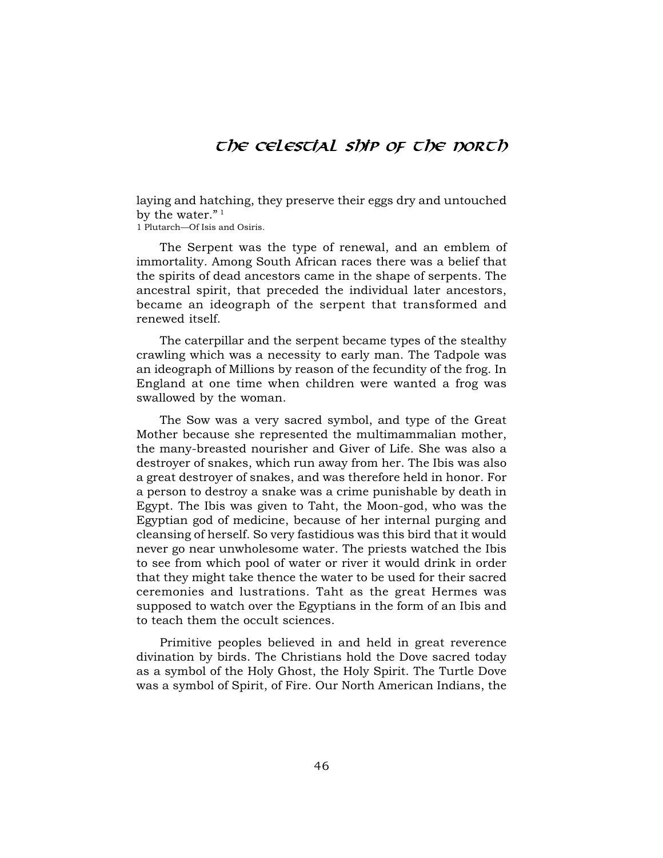laying and hatching, they preserve their eggs dry and untouched by the water." $1$ 

1 Plutarch-Of Isis and Osiris.

The Serpent was the type of renewal, and an emblem of immortality. Among South African races there was a belief that the spirits of dead ancestors came in the shape of serpents. The ancestral spirit, that preceded the individual later ancestors, became an ideograph of the serpent that transformed and renewed itself.

The caterpillar and the serpent became types of the stealthy crawling which was a necessity to early man. The Tadpole was an ideograph of Millions by reason of the fecundity of the frog. In England at one time when children were wanted a frog was swallowed by the woman.

The Sow was a very sacred symbol, and type of the Great Mother because she represented the multimammalian mother, the many-breasted nourisher and Giver of Life. She was also a destroyer of snakes, which run away from her. The Ibis was also a great destroyer of snakes, and was therefore held in honor. For a person to destroy a snake was a crime punishable by death in Egypt. The Ibis was given to Taht, the Moon-god, who was the Egyptian god of medicine, because of her internal purging and cleansing of herself. So very fastidious was this bird that it would never go near unwholesome water. The priests watched the Ibis to see from which pool of water or river it would drink in order that they might take thence the water to be used for their sacred ceremonies and lustrations. Taht as the great Hermes was supposed to watch over the Egyptians in the form of an Ibis and to teach them the occult sciences.

Primitive peoples believed in and held in great reverence divination by birds. The Christians hold the Dove sacred today as a symbol of the Holy Ghost, the Holy Spirit. The Turtle Dove was a symbol of Spirit, of Fire. Our North American Indians, the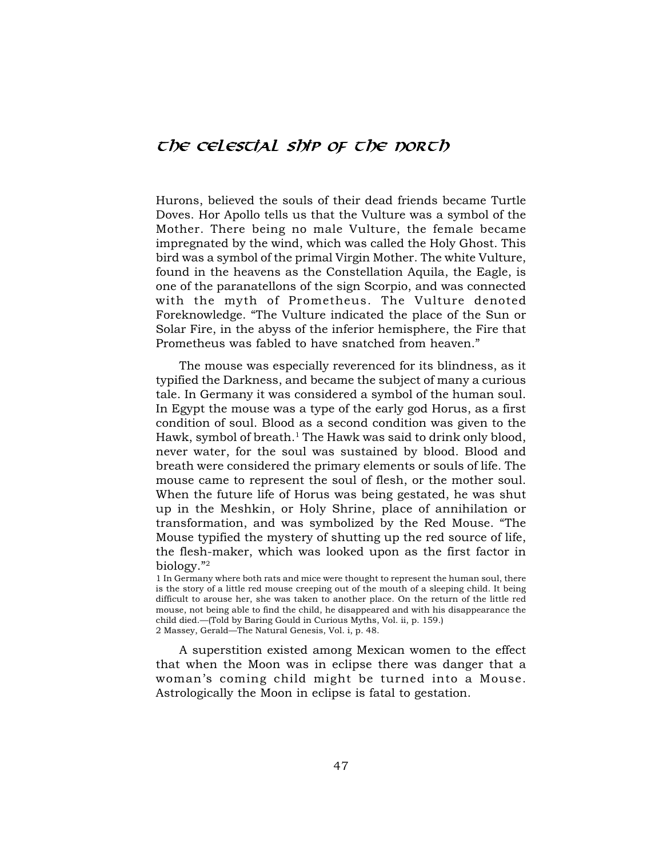Hurons, believed the souls of their dead friends became Turtle Doves. Hor Apollo tells us that the Vulture was a symbol of the Mother. There being no male Vulture, the female became impregnated by the wind, which was called the Holy Ghost. This bird was a symbol of the primal Virgin Mother. The white Vulture, found in the heavens as the Constellation Aquila, the Eagle, is one of the paranatellons of the sign Scorpio, and was connected with the myth of Prometheus. The Vulture denoted Foreknowledge. "The Vulture indicated the place of the Sun or Solar Fire, in the abyss of the inferior hemisphere, the Fire that Prometheus was fabled to have snatched from heaven."

The mouse was especially reverenced for its blindness, as it typified the Darkness, and became the subject of many a curious tale. In Germany it was considered a symbol of the human soul. In Egypt the mouse was a type of the early god Horus, as a first condition of soul. Blood as a second condition was given to the Hawk, symbol of breath.<sup>1</sup> The Hawk was said to drink only blood, never water, for the soul was sustained by blood. Blood and breath were considered the primary elements or souls of life. The mouse came to represent the soul of flesh, or the mother soul. When the future life of Horus was being gestated, he was shut up in the Meshkin, or Holy Shrine, place of annihilation or transformation, and was symbolized by the Red Mouse. "The Mouse typified the mystery of shutting up the red source of life, the flesh-maker, which was looked upon as the first factor in biology."2

1 In Germany where both rats and mice were thought to represent the human soul, there is the story of a little red mouse creeping out of the mouth of a sleeping child. It being difficult to arouse her, she was taken to another place. On the return of the little red mouse, not being able to find the child, he disappeared and with his disappearance the child died.-Told by Baring Gould in Curious Myths, Vol. ii, p. 159.) 2 Massey, Gerald-The Natural Genesis, Vol. i, p. 48.

A superstition existed among Mexican women to the effect that when the Moon was in eclipse there was danger that a woman's coming child might be turned into a Mouse. Astrologically the Moon in eclipse is fatal to gestation.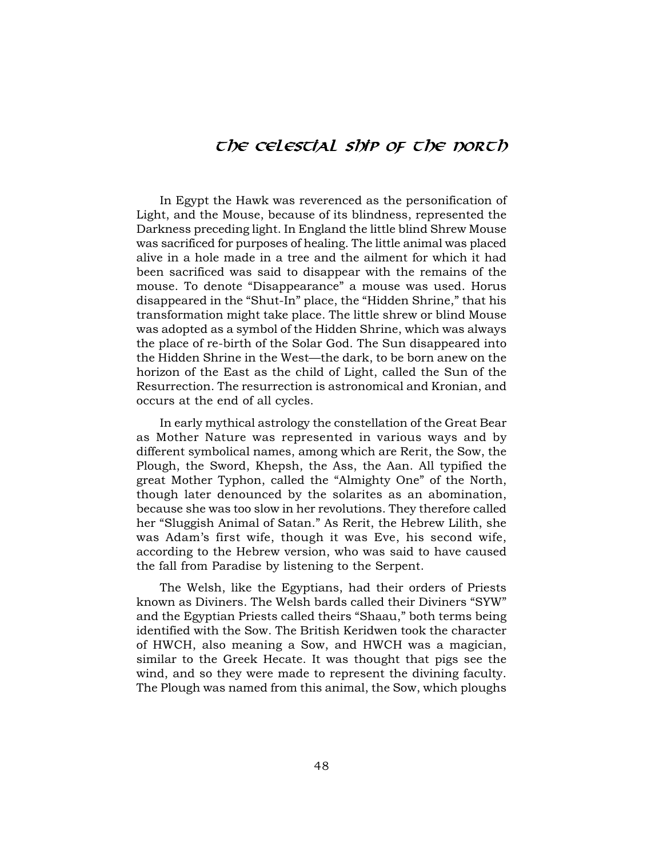In Egypt the Hawk was reverenced as the personification of Light, and the Mouse, because of its blindness, represented the Darkness preceding light. In England the little blind Shrew Mouse was sacrificed for purposes of healing. The little animal was placed alive in a hole made in a tree and the ailment for which it had been sacrificed was said to disappear with the remains of the mouse. To denote "Disappearance" a mouse was used. Horus disappeared in the "Shut-In" place, the "Hidden Shrine," that his transformation might take place. The little shrew or blind Mouse was adopted as a symbol of the Hidden Shrine, which was always the place of re-birth of the Solar God. The Sun disappeared into the Hidden Shrine in the West-the dark, to be born anew on the horizon of the East as the child of Light, called the Sun of the Resurrection. The resurrection is astronomical and Kronian, and occurs at the end of all cycles.

In early mythical astrology the constellation of the Great Bear as Mother Nature was represented in various ways and by different symbolical names, among which are Rerit, the Sow, the Plough, the Sword, Khepsh, the Ass, the Aan. All typified the great Mother Typhon, called the "Almighty One" of the North, though later denounced by the solarites as an abomination, because she was too slow in her revolutions. They therefore called her "Sluggish Animal of Satan." As Rerit, the Hebrew Lilith, she was Adam's first wife, though it was Eve, his second wife, according to the Hebrew version, who was said to have caused the fall from Paradise by listening to the Serpent.

The Welsh, like the Egyptians, had their orders of Priests known as Diviners. The Welsh bards called their Diviners "SYW" and the Egyptian Priests called theirs "Shaau," both terms being identified with the Sow. The British Keridwen took the character of HWCH, also meaning a Sow, and HWCH was a magician, similar to the Greek Hecate. It was thought that pigs see the wind, and so they were made to represent the divining faculty. The Plough was named from this animal, the Sow, which ploughs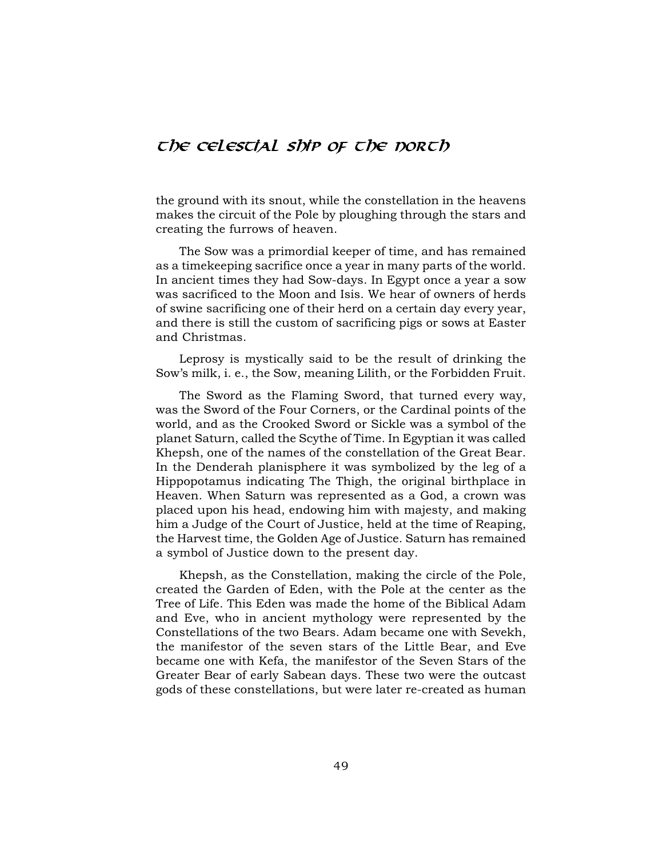the ground with its snout, while the constellation in the heavens makes the circuit of the Pole by ploughing through the stars and creating the furrows of heaven.

The Sow was a primordial keeper of time, and has remained as a timekeeping sacrifice once a year in many parts of the world. In ancient times they had Sow-days. In Egypt once a year a sow was sacrificed to the Moon and Isis. We hear of owners of herds of swine sacrificing one of their herd on a certain day every year, and there is still the custom of sacrificing pigs or sows at Easter and Christmas.

Leprosy is mystically said to be the result of drinking the Sow's milk, i. e., the Sow, meaning Lilith, or the Forbidden Fruit.

The Sword as the Flaming Sword, that turned every way, was the Sword of the Four Corners, or the Cardinal points of the world, and as the Crooked Sword or Sickle was a symbol of the planet Saturn, called the Scythe of Time. In Egyptian it was called Khepsh, one of the names of the constellation of the Great Bear. In the Denderah planisphere it was symbolized by the leg of a Hippopotamus indicating The Thigh, the original birthplace in Heaven. When Saturn was represented as a God, a crown was placed upon his head, endowing him with majesty, and making him a Judge of the Court of Justice, held at the time of Reaping, the Harvest time, the Golden Age of Justice. Saturn has remained a symbol of Justice down to the present day.

Khepsh, as the Constellation, making the circle of the Pole, created the Garden of Eden, with the Pole at the center as the Tree of Life. This Eden was made the home of the Biblical Adam and Eve, who in ancient mythology were represented by the Constellations of the two Bears. Adam became one with Sevekh, the manifestor of the seven stars of the Little Bear, and Eve became one with Kefa, the manifestor of the Seven Stars of the Greater Bear of early Sabean days. These two were the outcast gods of these constellations, but were later re-created as human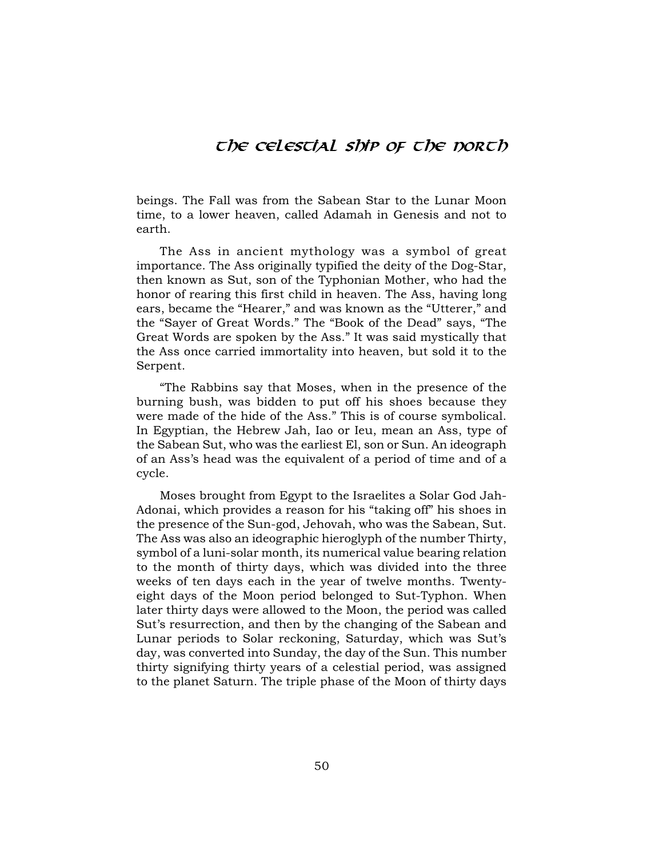beings. The Fall was from the Sabean Star to the Lunar Moon time, to a lower heaven, called Adamah in Genesis and not to earth.

The Ass in ancient mythology was a symbol of great importance. The Ass originally typified the deity of the Dog-Star, then known as Sut, son of the Typhonian Mother, who had the honor of rearing this first child in heaven. The Ass, having long ears, became the "Hearer," and was known as the "Utterer," and the "Sayer of Great Words." The "Book of the Dead" says, "The Great Words are spoken by the Ass." It was said mystically that the Ass once carried immortality into heaven, but sold it to the Serpent.

"The Rabbins say that Moses, when in the presence of the burning bush, was bidden to put off his shoes because they were made of the hide of the Ass." This is of course symbolical. In Egyptian, the Hebrew Jah, Iao or Ieu, mean an Ass, type of the Sabean Sut, who was the earliest El, son or Sun. An ideograph of an Ass's head was the equivalent of a period of time and of a cycle.

Moses brought from Egypt to the Israelites a Solar God Jah-Adonai, which provides a reason for his "taking off" his shoes in the presence of the Sun-god, Jehovah, who was the Sabean, Sut. The Ass was also an ideographic hieroglyph of the number Thirty, symbol of a luni-solar month, its numerical value bearing relation to the month of thirty days, which was divided into the three weeks of ten days each in the year of twelve months. Twentyeight days of the Moon period belonged to Sut-Typhon. When later thirty days were allowed to the Moon, the period was called Sut's resurrection, and then by the changing of the Sabean and Lunar periods to Solar reckoning, Saturday, which was Sut's day, was converted into Sunday, the day of the Sun. This number thirty signifying thirty years of a celestial period, was assigned to the planet Saturn. The triple phase of the Moon of thirty days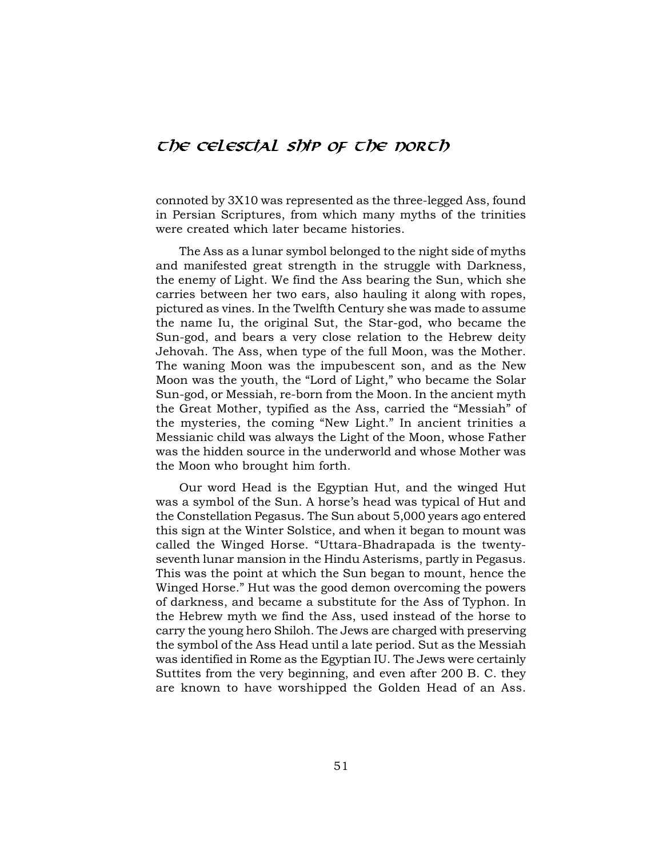connoted by 3X10 was represented as the three-legged Ass, found in Persian Scriptures, from which many myths of the trinities were created which later became histories.

The Ass as a lunar symbol belonged to the night side of myths and manifested great strength in the struggle with Darkness, the enemy of Light. We find the Ass bearing the Sun, which she carries between her two ears, also hauling it along with ropes, pictured as vines. In the Twelfth Century she was made to assume the name Iu, the original Sut, the Star-god, who became the Sun-god, and bears a very close relation to the Hebrew deity Jehovah. The Ass, when type of the full Moon, was the Mother. The waning Moon was the impubescent son, and as the New Moon was the youth, the "Lord of Light," who became the Solar Sun-god, or Messiah, re-born from the Moon. In the ancient myth the Great Mother, typified as the Ass, carried the "Messiah" of the mysteries, the coming "New Light." In ancient trinities a Messianic child was always the Light of the Moon, whose Father was the hidden source in the underworld and whose Mother was the Moon who brought him forth.

Our word Head is the Egyptian Hut, and the winged Hut was a symbol of the Sun. A horse's head was typical of Hut and the Constellation Pegasus. The Sun about 5,000 years ago entered this sign at the Winter Solstice, and when it began to mount was called the Winged Horse. "Uttara-Bhadrapada is the twentyseventh lunar mansion in the Hindu Asterisms, partly in Pegasus. This was the point at which the Sun began to mount, hence the Winged Horse." Hut was the good demon overcoming the powers of darkness, and became a substitute for the Ass of Typhon. In the Hebrew myth we find the Ass, used instead of the horse to carry the young hero Shiloh. The Jews are charged with preserving the symbol of the Ass Head until a late period. Sut as the Messiah was identified in Rome as the Egyptian IU. The Jews were certainly Suttites from the very beginning, and even after 200 B. C. they are known to have worshipped the Golden Head of an Ass.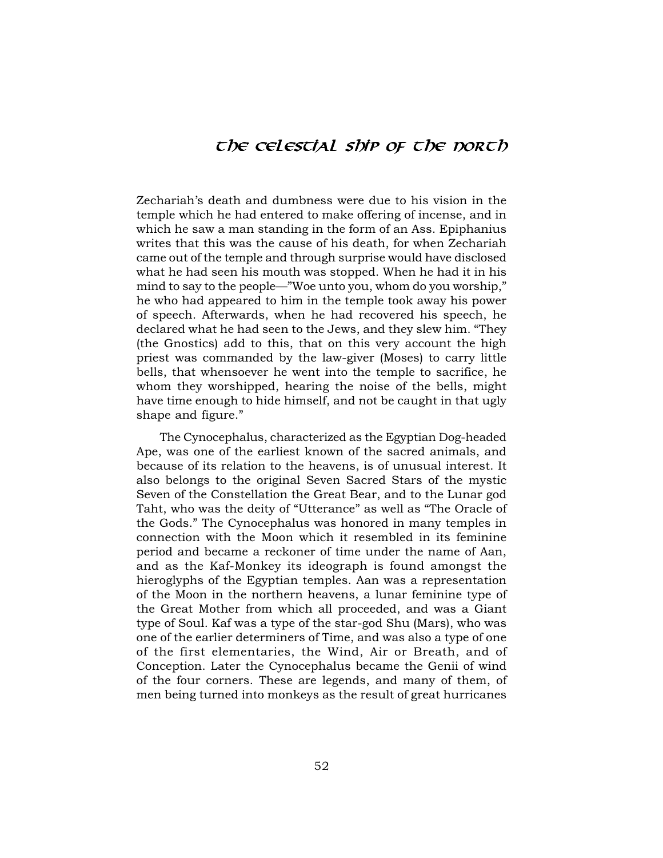Zechariah's death and dumbness were due to his vision in the temple which he had entered to make offering of incense, and in which he saw a man standing in the form of an Ass. Epiphanius writes that this was the cause of his death, for when Zechariah came out of the temple and through surprise would have disclosed what he had seen his mouth was stopped. When he had it in his mind to say to the people—"Woe unto you, whom do you worship," he who had appeared to him in the temple took away his power of speech. Afterwards, when he had recovered his speech, he declared what he had seen to the Jews, and they slew him. "They (the Gnostics) add to this, that on this very account the high priest was commanded by the law-giver (Moses) to carry little bells, that whensoever he went into the temple to sacrifice, he whom they worshipped, hearing the noise of the bells, might have time enough to hide himself, and not be caught in that ugly shape and figure."

The Cynocephalus, characterized as the Egyptian Dog-headed Ape, was one of the earliest known of the sacred animals, and because of its relation to the heavens, is of unusual interest. It also belongs to the original Seven Sacred Stars of the mystic Seven of the Constellation the Great Bear, and to the Lunar god Taht, who was the deity of "Utterance" as well as "The Oracle of the Gods." The Cynocephalus was honored in many temples in connection with the Moon which it resembled in its feminine period and became a reckoner of time under the name of Aan, and as the Kaf-Monkey its ideograph is found amongst the hieroglyphs of the Egyptian temples. Aan was a representation of the Moon in the northern heavens, a lunar feminine type of the Great Mother from which all proceeded, and was a Giant type of Soul. Kaf was a type of the star-god Shu (Mars), who was one of the earlier determiners of Time, and was also a type of one of the first elementaries, the Wind, Air or Breath, and of Conception. Later the Cynocephalus became the Genii of wind of the four corners. These are legends, and many of them, of men being turned into monkeys as the result of great hurricanes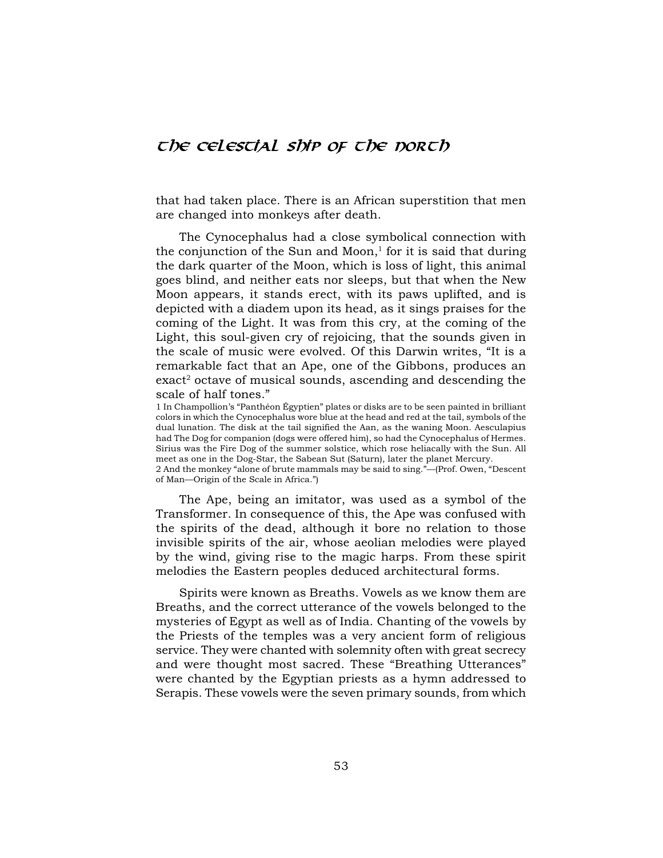that had taken place. There is an African superstition that men are changed into monkeys after death.

The Cynocephalus had a close symbolical connection with the conjunction of the Sun and Moon, $<sup>1</sup>$  for it is said that during</sup> the dark quarter of the Moon, which is loss of light, this animal goes blind, and neither eats nor sleeps, but that when the New Moon appears, it stands erect, with its paws uplifted, and is depicted with a diadem upon its head, as it sings praises for the coming of the Light. It was from this cry, at the coming of the Light, this soul-given cry of rejoicing, that the sounds given in the scale of music were evolved. Of this Darwin writes, "It is a remarkable fact that an Ape, one of the Gibbons, produces an exact<sup>2</sup> octave of musical sounds, ascending and descending the scale of half tones."

1 In Champollion's "Panthéon Égyptien" plates or disks are to be seen painted in brilliant colors in which the Cynocephalus wore blue at the head and red at the tail, symbols of the dual lunation. The disk at the tail signified the Aan, as the waning Moon. Aesculapius had The Dog for companion (dogs were offered him), so had the Cynocephalus of Hermes. Sirius was the Fire Dog of the summer solstice, which rose heliacally with the Sun. All meet as one in the Dog-Star, the Sabean Sut (Saturn), later the planet Mercury. 2 And the monkey "alone of brute mammals may be said to sing."—(Prof. Owen, "Descent" of Man-Origin of the Scale in Africa.")

The Ape, being an imitator, was used as a symbol of the Transformer. In consequence of this, the Ape was confused with the spirits of the dead, although it bore no relation to those invisible spirits of the air, whose aeolian melodies were played by the wind, giving rise to the magic harps. From these spirit melodies the Eastern peoples deduced architectural forms.

Spirits were known as Breaths. Vowels as we know them are Breaths, and the correct utterance of the vowels belonged to the mysteries of Egypt as well as of India. Chanting of the vowels by the Priests of the temples was a very ancient form of religious service. They were chanted with solemnity often with great secrecy and were thought most sacred. These "Breathing Utterances" were chanted by the Egyptian priests as a hymn addressed to Serapis. These vowels were the seven primary sounds, from which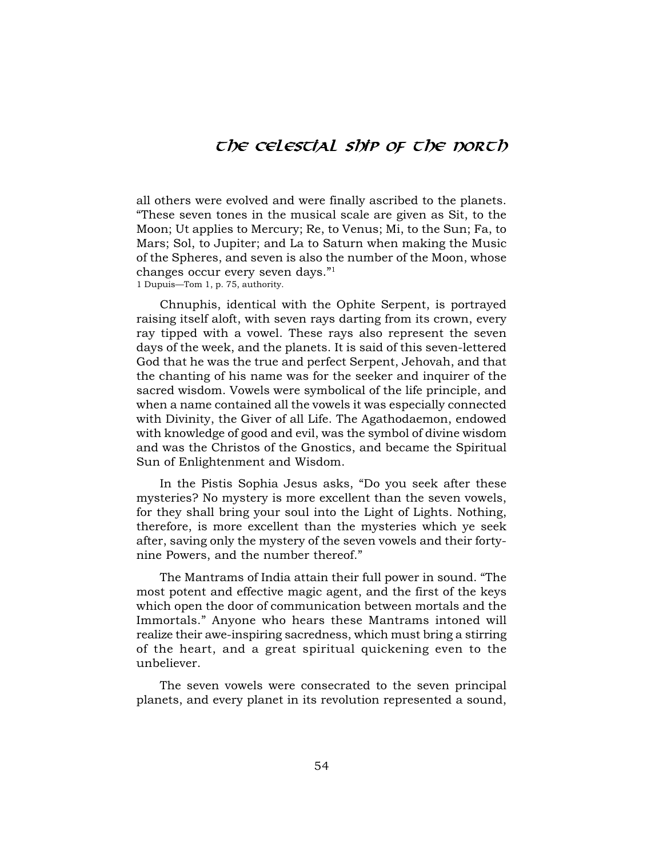all others were evolved and were finally ascribed to the planets. "These seven tones in the musical scale are given as Sit, to the Moon; Ut applies to Mercury; Re, to Venus; Mi, to the Sun; Fa, to Mars; Sol, to Jupiter; and La to Saturn when making the Music of the Spheres, and seven is also the number of the Moon, whose changes occur every seven days."<sup>1</sup> 1 Dupuis-Tom 1, p. 75, authority.

Chnuphis, identical with the Ophite Serpent, is portrayed raising itself aloft, with seven rays darting from its crown, every ray tipped with a vowel. These rays also represent the seven days of the week, and the planets. It is said of this seven-lettered God that he was the true and perfect Serpent, Jehovah, and that the chanting of his name was for the seeker and inquirer of the sacred wisdom. Vowels were symbolical of the life principle, and when a name contained all the vowels it was especially connected with Divinity, the Giver of all Life. The Agathodaemon, endowed with knowledge of good and evil, was the symbol of divine wisdom and was the Christos of the Gnostics, and became the Spiritual Sun of Enlightenment and Wisdom.

In the Pistis Sophia Jesus asks, "Do you seek after these mysteries? No mystery is more excellent than the seven vowels, for they shall bring your soul into the Light of Lights. Nothing, therefore, is more excellent than the mysteries which ye seek after, saving only the mystery of the seven vowels and their fortynine Powers, and the number thereof."

The Mantrams of India attain their full power in sound. "The most potent and effective magic agent, and the first of the keys which open the door of communication between mortals and the Immortals." Anyone who hears these Mantrams intoned will realize their awe-inspiring sacredness, which must bring a stirring of the heart, and a great spiritual quickening even to the unbeliever.

The seven vowels were consecrated to the seven principal planets, and every planet in its revolution represented a sound,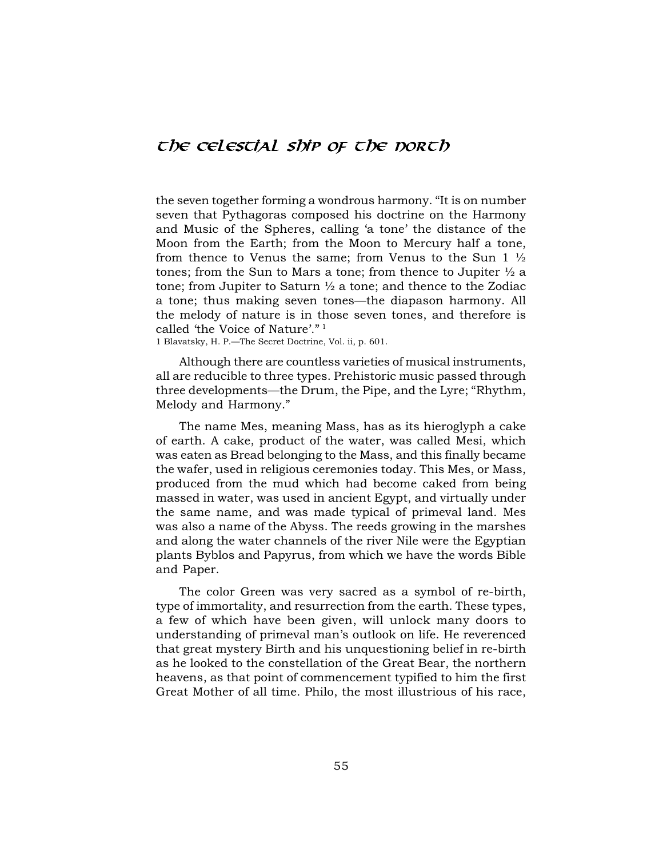the seven together forming a wondrous harmony. "It is on number seven that Pythagoras composed his doctrine on the Harmony and Music of the Spheres, calling 'a tone' the distance of the Moon from the Earth; from the Moon to Mercury half a tone, from thence to Venus the same: from Venus to the Sun 1  $\frac{1}{2}$ tones; from the Sun to Mars a tone; from thence to Jupiter  $\frac{1}{2}$  a tone; from Jupiter to Saturn  $\frac{1}{2}$  a tone; and thence to the Zodiac a tone; thus making seven tones—the diapason harmony. All the melody of nature is in those seven tones, and therefore is called 'the Voice of Nature'."<sup>1</sup>

1 Blavatsky, H. P.-The Secret Doctrine, Vol. ii, p. 601.

Although there are countless varieties of musical instruments, all are reducible to three types. Prehistoric music passed through three developments—the Drum, the Pipe, and the Lyre; "Rhythm, Melody and Harmony."

The name Mes, meaning Mass, has as its hieroglyph a cake of earth. A cake, product of the water, was called Mesi, which was eaten as Bread belonging to the Mass, and this finally became the wafer, used in religious ceremonies today. This Mes, or Mass, produced from the mud which had become caked from being massed in water, was used in ancient Egypt, and virtually under the same name, and was made typical of primeval land. Mes was also a name of the Abyss. The reeds growing in the marshes and along the water channels of the river Nile were the Egyptian plants Byblos and Papyrus, from which we have the words Bible and Paper.

The color Green was very sacred as a symbol of re-birth, type of immortality, and resurrection from the earth. These types, a few of which have been given, will unlock many doors to understanding of primeval man's outlook on life. He reverenced that great mystery Birth and his unquestioning belief in re-birth as he looked to the constellation of the Great Bear, the northern heavens, as that point of commencement typified to him the first Great Mother of all time. Philo, the most illustrious of his race,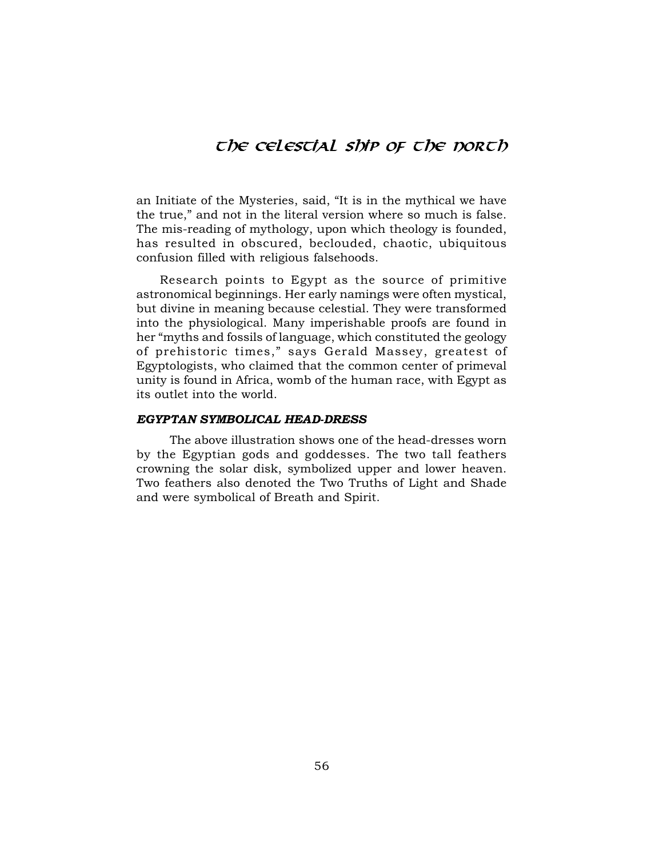an Initiate of the Mysteries, said, "It is in the mythical we have the true," and not in the literal version where so much is false. The mis-reading of mythology, upon which theology is founded, has resulted in obscured, beclouded, chaotic, ubiquitous confusion filled with religious falsehoods.

Research points to Egypt as the source of primitive astronomical beginnings. Her early namings were often mystical, but divine in meaning because celestial. They were transformed into the physiological. Many imperishable proofs are found in her "myths and fossils of language, which constituted the geology of prehistoric times," says Gerald Massey, greatest of Egyptologists, who claimed that the common center of primeval unity is found in Africa, womb of the human race, with Egypt as its outlet into the world.

#### **EGYPTAN SYMBOLICAL HEAD-DRESS**

The above illustration shows one of the head-dresses worn by the Egyptian gods and goddesses. The two tall feathers crowning the solar disk, symbolized upper and lower heaven. Two feathers also denoted the Two Truths of Light and Shade and were symbolical of Breath and Spirit.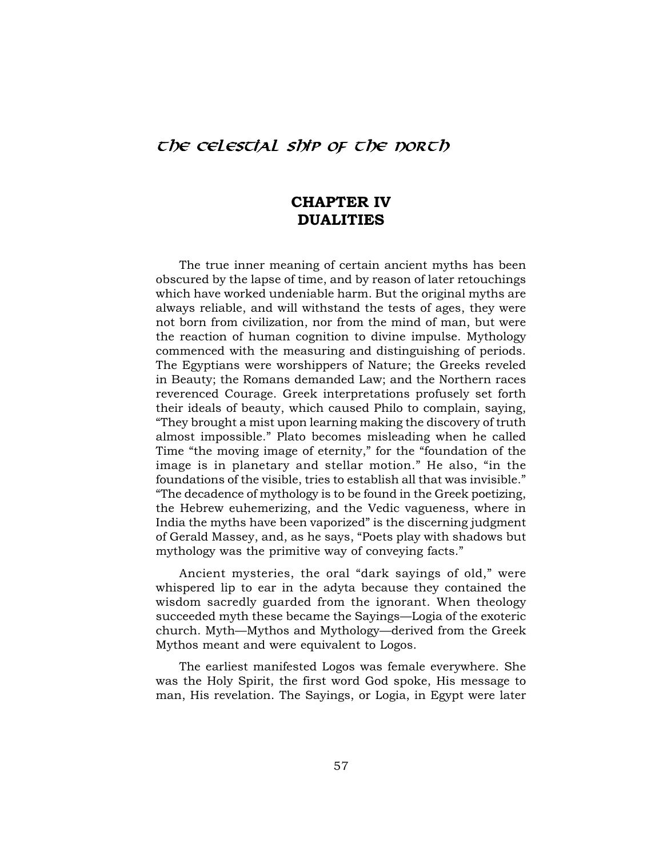#### **CHAPTER IV DUALITIES**

The true inner meaning of certain ancient myths has been obscured by the lapse of time, and by reason of later retouchings which have worked undeniable harm. But the original myths are always reliable, and will withstand the tests of ages, they were not born from civilization, nor from the mind of man, but were the reaction of human cognition to divine impulse. Mythology commenced with the measuring and distinguishing of periods. The Egyptians were worshippers of Nature; the Greeks reveled in Beauty; the Romans demanded Law; and the Northern races reverenced Courage. Greek interpretations profusely set forth their ideals of beauty, which caused Philo to complain, saving, "They brought a mist upon learning making the discovery of truth almost impossible." Plato becomes misleading when he called Time "the moving image of eternity," for the "foundation of the image is in planetary and stellar motion." He also, "in the foundations of the visible, tries to establish all that was invisible." "The decadence of mythology is to be found in the Greek poetizing, the Hebrew euhemerizing, and the Vedic vagueness, where in India the myths have been vaporized" is the discerning judgment of Gerald Massey, and, as he says, "Poets play with shadows but mythology was the primitive way of conveying facts."

Ancient mysteries, the oral "dark sayings of old," were whispered lip to ear in the adyta because they contained the wisdom sacredly guarded from the ignorant. When theology succeeded myth these became the Sayings—Logia of the exoteric church. Myth—Mythos and Mythology—derived from the Greek Mythos meant and were equivalent to Logos.

The earliest manifested Logos was female everywhere. She was the Holy Spirit, the first word God spoke, His message to man, His revelation. The Sayings, or Logia, in Egypt were later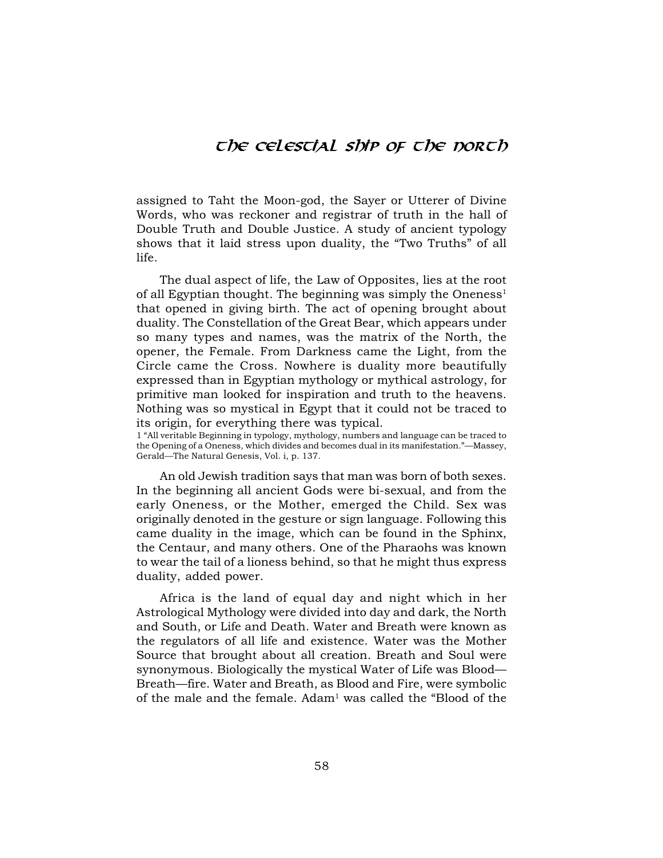assigned to Taht the Moon-god, the Sayer or Utterer of Divine Words, who was reckoner and registrar of truth in the hall of Double Truth and Double Justice. A study of ancient typology shows that it laid stress upon duality, the "Two Truths" of all life.

The dual aspect of life, the Law of Opposites, lies at the root of all Egyptian thought. The beginning was simply the Oneness<sup>1</sup> that opened in giving birth. The act of opening brought about duality. The Constellation of the Great Bear, which appears under so many types and names, was the matrix of the North, the opener, the Female. From Darkness came the Light, from the Circle came the Cross. Nowhere is duality more beautifully expressed than in Egyptian mythology or mythical astrology, for primitive man looked for inspiration and truth to the heavens. Nothing was so mystical in Egypt that it could not be traced to its origin, for everything there was typical.

1 "All veritable Beginning in typology, mythology, numbers and language can be traced to the Opening of a Oneness, which divides and becomes dual in its manifestation."—Massey, Gerald-The Natural Genesis, Vol. i, p. 137.

An old Jewish tradition says that man was born of both sexes. In the beginning all ancient Gods were bi-sexual, and from the early Oneness, or the Mother, emerged the Child. Sex was originally denoted in the gesture or sign language. Following this came duality in the image, which can be found in the Sphinx, the Centaur, and many others. One of the Pharaohs was known to wear the tail of a lioness behind, so that he might thus express duality, added power.

Africa is the land of equal day and night which in her Astrological Mythology were divided into day and dark, the North and South, or Life and Death. Water and Breath were known as the regulators of all life and existence. Water was the Mother Source that brought about all creation. Breath and Soul were synonymous. Biologically the mystical Water of Life was Blood— Breath-fire. Water and Breath, as Blood and Fire, were symbolic of the male and the female. Adam<sup>1</sup> was called the "Blood of the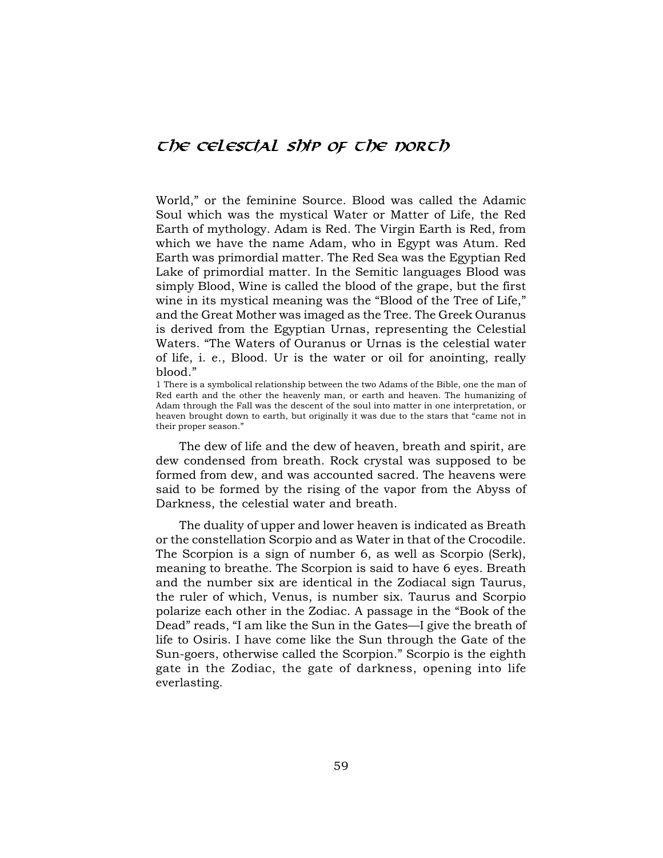World," or the feminine Source. Blood was called the Adamic Soul which was the mystical Water or Matter of Life, the Red Earth of mythology. Adam is Red. The Virgin Earth is Red, from which we have the name Adam, who in Egypt was Atum. Red Earth was primordial matter. The Red Sea was the Egyptian Red Lake of primordial matter. In the Semitic languages Blood was simply Blood, Wine is called the blood of the grape, but the first wine in its mystical meaning was the "Blood of the Tree of Life," and the Great Mother was imaged as the Tree. The Greek Ouranus is derived from the Egyptian Urnas, representing the Celestial Waters. "The Waters of Ouranus or Urnas is the celestial water of life, i. e., Blood. Ur is the water or oil for anointing, really blood."

1 There is a symbolical relationship between the two Adams of the Bible, one the man of Red earth and the other the heavenly man, or earth and heaven. The humanizing of Adam through the Fall was the descent of the soul into matter in one interpretation, or heaven brought down to earth, but originally it was due to the stars that "came not in their proper season."

The dew of life and the dew of heaven, breath and spirit, are dew condensed from breath. Rock crystal was supposed to be formed from dew, and was accounted sacred. The heavens were said to be formed by the rising of the vapor from the Abyss of Darkness, the celestial water and breath.

The duality of upper and lower heaven is indicated as Breath or the constellation Scorpio and as Water in that of the Crocodile. The Scorpion is a sign of number 6, as well as Scorpio (Serk), meaning to breathe. The Scorpion is said to have 6 eyes. Breath and the number six are identical in the Zodiacal sign Taurus, the ruler of which, Venus, is number six. Taurus and Scorpio polarize each other in the Zodiac. A passage in the "Book of the Dead" reads, "I am like the Sun in the Gates—I give the breath of life to Osiris. I have come like the Sun through the Gate of the Sun-goers, otherwise called the Scorpion." Scorpio is the eighth gate in the Zodiac, the gate of darkness, opening into life everlasting.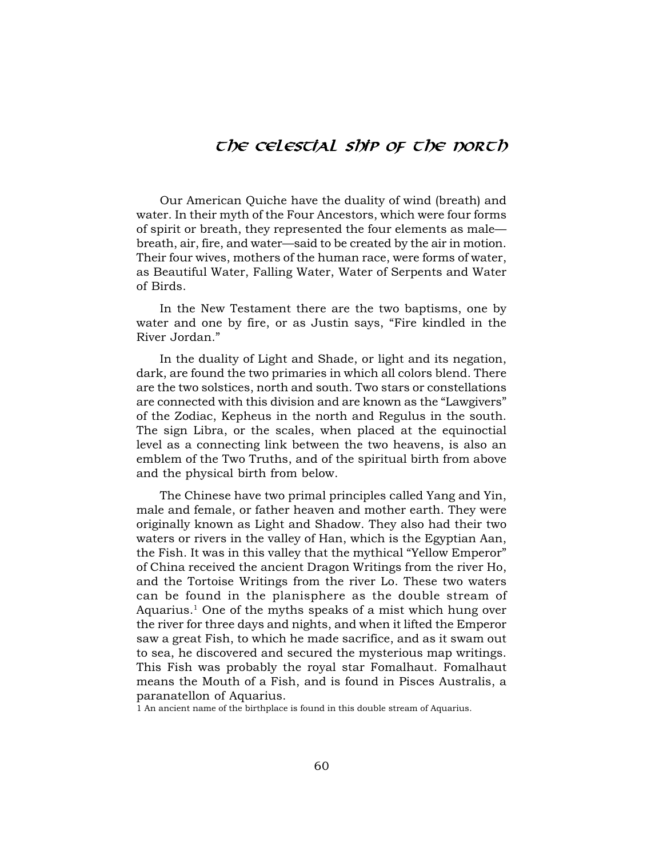Our American Quiche have the duality of wind (breath) and water. In their myth of the Four Ancestors, which were four forms of spirit or breath, they represented the four elements as male breath, air, fire, and water—said to be created by the air in motion. Their four wives, mothers of the human race, were forms of water, as Beautiful Water, Falling Water, Water of Serpents and Water of Birds.

In the New Testament there are the two baptisms, one by water and one by fire, or as Justin says, "Fire kindled in the River Jordan."

In the duality of Light and Shade, or light and its negation, dark, are found the two primaries in which all colors blend. There are the two solstices, north and south. Two stars or constellations are connected with this division and are known as the "Lawgivers" of the Zodiac, Kepheus in the north and Regulus in the south. The sign Libra, or the scales, when placed at the equinoctial level as a connecting link between the two heavens, is also an emblem of the Two Truths, and of the spiritual birth from above and the physical birth from below.

The Chinese have two primal principles called Yang and Yin, male and female, or father heaven and mother earth. They were originally known as Light and Shadow. They also had their two waters or rivers in the valley of Han, which is the Egyptian Aan, the Fish. It was in this valley that the mythical "Yellow Emperor" of China received the ancient Dragon Writings from the river Ho, and the Tortoise Writings from the river Lo. These two waters can be found in the planisphere as the double stream of Aquarius.<sup>1</sup> One of the myths speaks of a mist which hung over the river for three days and nights, and when it lifted the Emperor saw a great Fish, to which he made sacrifice, and as it swam out to sea, he discovered and secured the mysterious map writings. This Fish was probably the royal star Fomalhaut. Fomalhaut means the Mouth of a Fish, and is found in Pisces Australis, a paranatellon of Aquarius.

1 An ancient name of the birthplace is found in this double stream of Aquarius.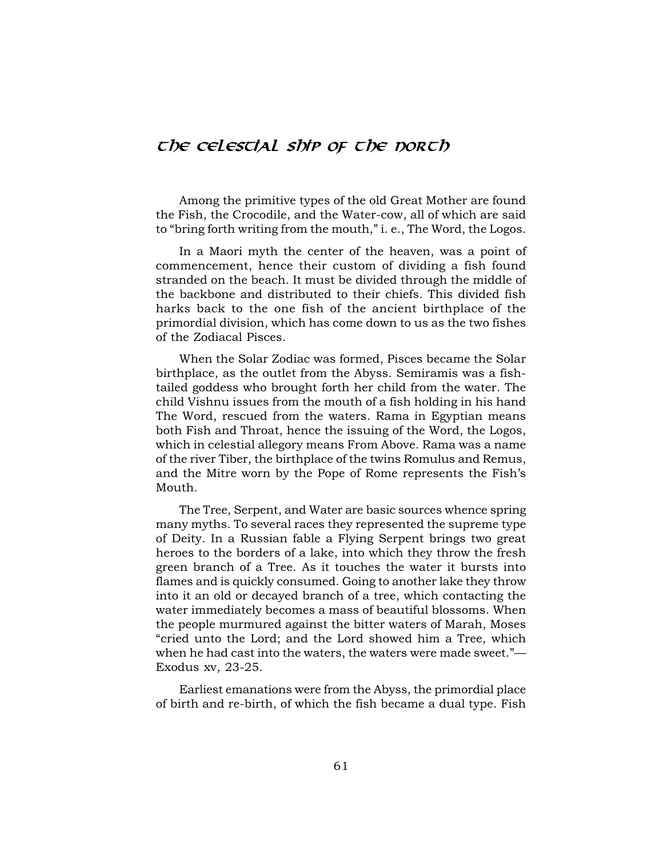Among the primitive types of the old Great Mother are found the Fish, the Crocodile, and the Water-cow, all of which are said to "bring forth writing from the mouth," i. e., The Word, the Logos.

In a Maori myth the center of the heaven, was a point of commencement, hence their custom of dividing a fish found stranded on the beach. It must be divided through the middle of the backbone and distributed to their chiefs. This divided fish harks back to the one fish of the ancient birthplace of the primordial division, which has come down to us as the two fishes of the Zodiacal Pisces.

When the Solar Zodiac was formed, Pisces became the Solar birthplace, as the outlet from the Abyss. Semiramis was a fishtailed goddess who brought forth her child from the water. The child Vishnu issues from the mouth of a fish holding in his hand The Word, rescued from the waters. Rama in Egyptian means both Fish and Throat, hence the issuing of the Word, the Logos, which in celestial allegory means From Above. Rama was a name of the river Tiber, the birthplace of the twins Romulus and Remus, and the Mitre worn by the Pope of Rome represents the Fish's Mouth.

The Tree, Serpent, and Water are basic sources whence spring many myths. To several races they represented the supreme type of Deity. In a Russian fable a Flying Serpent brings two great heroes to the borders of a lake, into which they throw the fresh green branch of a Tree. As it touches the water it bursts into flames and is quickly consumed. Going to another lake they throw into it an old or decayed branch of a tree, which contacting the water immediately becomes a mass of beautiful blossoms. When the people murmured against the bitter waters of Marah, Moses "cried unto the Lord; and the Lord showed him a Tree, which when he had cast into the waters, the waters were made sweet."-Exodus xv, 23-25.

Earliest emanations were from the Abyss, the primordial place of birth and re-birth, of which the fish became a dual type. Fish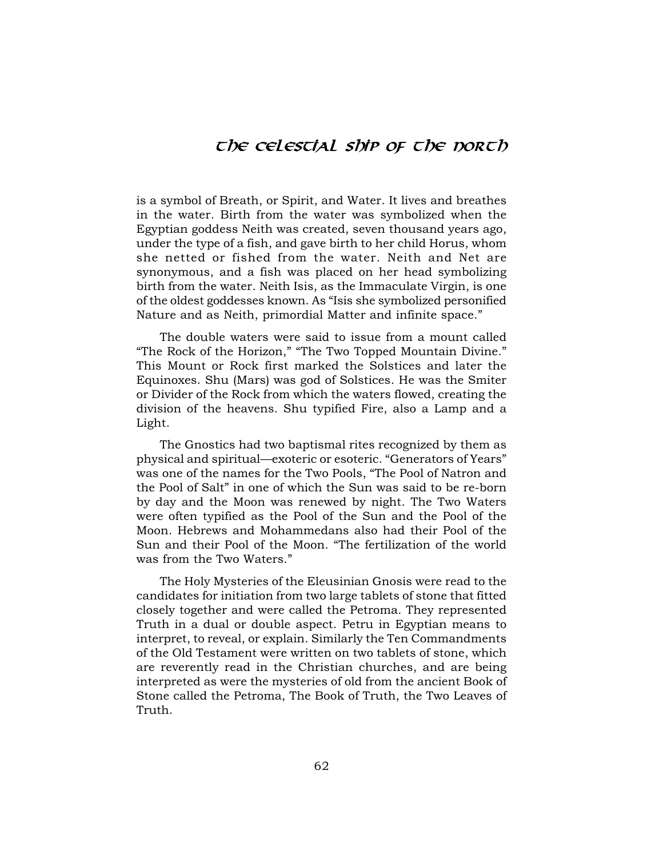is a symbol of Breath, or Spirit, and Water. It lives and breathes in the water. Birth from the water was symbolized when the Egyptian goddess Neith was created, seven thousand years ago, under the type of a fish, and gave birth to her child Horus, whom she netted or fished from the water. Neith and Net are synonymous, and a fish was placed on her head symbolizing birth from the water. Neith Isis, as the Immaculate Virgin, is one of the oldest goddesses known. As "Isis she symbolized personified Nature and as Neith, primordial Matter and infinite space."

The double waters were said to issue from a mount called "The Rock of the Horizon," "The Two Topped Mountain Divine." This Mount or Rock first marked the Solstices and later the Equinoxes. Shu (Mars) was god of Solstices. He was the Smiter or Divider of the Rock from which the waters flowed, creating the division of the heavens. Shu typified Fire, also a Lamp and a Light.

The Gnostics had two baptismal rites recognized by them as physical and spiritual—exoteric or esoteric. "Generators of Years" was one of the names for the Two Pools, "The Pool of Natron and the Pool of Salt" in one of which the Sun was said to be re-born by day and the Moon was renewed by night. The Two Waters were often typified as the Pool of the Sun and the Pool of the Moon. Hebrews and Mohammedans also had their Pool of the Sun and their Pool of the Moon. "The fertilization of the world was from the Two Waters."

The Holy Mysteries of the Eleusinian Gnosis were read to the candidates for initiation from two large tablets of stone that fitted closely together and were called the Petroma. They represented Truth in a dual or double aspect. Petru in Egyptian means to interpret, to reveal, or explain. Similarly the Ten Commandments of the Old Testament were written on two tablets of stone, which are reverently read in the Christian churches, and are being interpreted as were the mysteries of old from the ancient Book of Stone called the Petroma, The Book of Truth, the Two Leaves of Truth.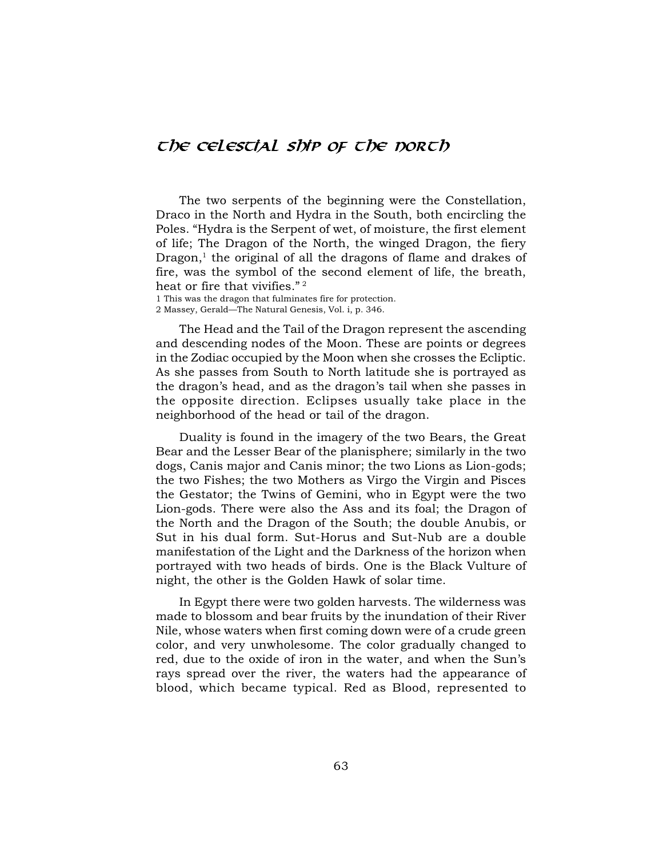The two serpents of the beginning were the Constellation, Draco in the North and Hydra in the South, both encircling the Poles. "Hydra is the Serpent of wet, of moisture, the first element of life; The Dragon of the North, the winged Dragon, the fiery  $Dragon,$ <sup>1</sup> the original of all the dragons of flame and drakes of fire, was the symbol of the second element of life, the breath, heat or fire that vivifies."<sup>2</sup>

1 This was the dragon that fulminates fire for protection. 2 Massey, Gerald—The Natural Genesis, Vol. i, p. 346.

The Head and the Tail of the Dragon represent the ascending and descending nodes of the Moon. These are points or degrees in the Zodiac occupied by the Moon when she crosses the Ecliptic. As she passes from South to North latitude she is portrayed as the dragon's head, and as the dragon's tail when she passes in the opposite direction. Eclipses usually take place in the neighborhood of the head or tail of the dragon.

Duality is found in the imagery of the two Bears, the Great Bear and the Lesser Bear of the planisphere; similarly in the two dogs, Canis major and Canis minor; the two Lions as Lion-gods; the two Fishes; the two Mothers as Virgo the Virgin and Pisces the Gestator; the Twins of Gemini, who in Egypt were the two Lion-gods. There were also the Ass and its foal; the Dragon of the North and the Dragon of the South; the double Anubis, or Sut in his dual form. Sut-Horus and Sut-Nub are a double manifestation of the Light and the Darkness of the horizon when portrayed with two heads of birds. One is the Black Vulture of night, the other is the Golden Hawk of solar time.

In Egypt there were two golden harvests. The wilderness was made to blossom and bear fruits by the inundation of their River Nile, whose waters when first coming down were of a crude green color, and very unwholesome. The color gradually changed to red, due to the oxide of iron in the water, and when the Sun's rays spread over the river, the waters had the appearance of blood, which became typical. Red as Blood, represented to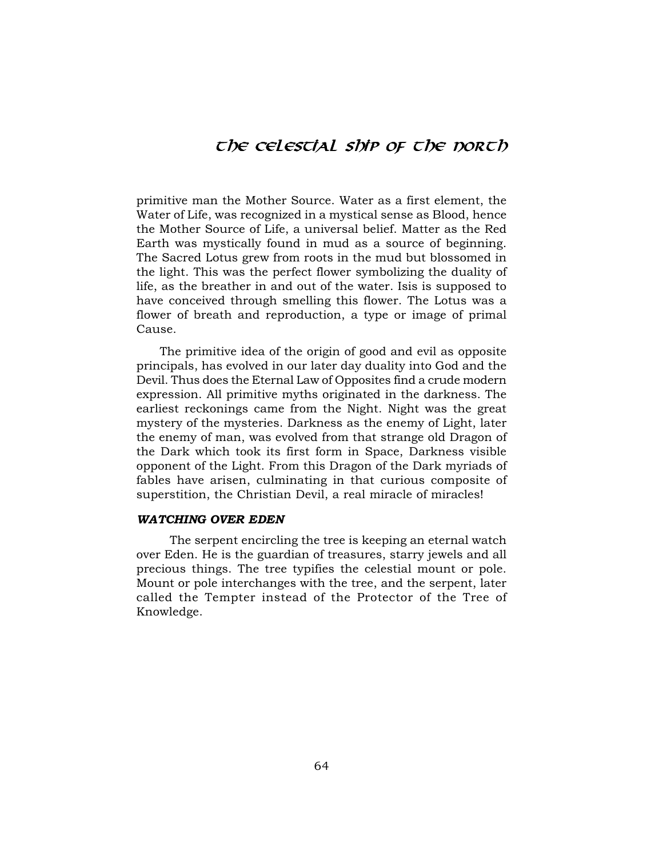primitive man the Mother Source. Water as a first element, the Water of Life, was recognized in a mystical sense as Blood, hence the Mother Source of Life, a universal belief. Matter as the Red Earth was mystically found in mud as a source of beginning. The Sacred Lotus grew from roots in the mud but blossomed in the light. This was the perfect flower symbolizing the duality of life, as the breather in and out of the water. Isis is supposed to have conceived through smelling this flower. The Lotus was a flower of breath and reproduction, a type or image of primal Cause.

The primitive idea of the origin of good and evil as opposite principals, has evolved in our later day duality into God and the Devil. Thus does the Eternal Law of Opposites find a crude modern expression. All primitive myths originated in the darkness. The earliest reckonings came from the Night. Night was the great mystery of the mysteries. Darkness as the enemy of Light, later the enemy of man, was evolved from that strange old Dragon of the Dark which took its first form in Space, Darkness visible opponent of the Light. From this Dragon of the Dark myriads of fables have arisen, culminating in that curious composite of superstition, the Christian Devil, a real miracle of miracles!

#### **WATCHING OVER EDEN**

The serpent encircling the tree is keeping an eternal watch over Eden. He is the guardian of treasures, starry jewels and all precious things. The tree typifies the celestial mount or pole. Mount or pole interchanges with the tree, and the serpent, later called the Tempter instead of the Protector of the Tree of Knowledge.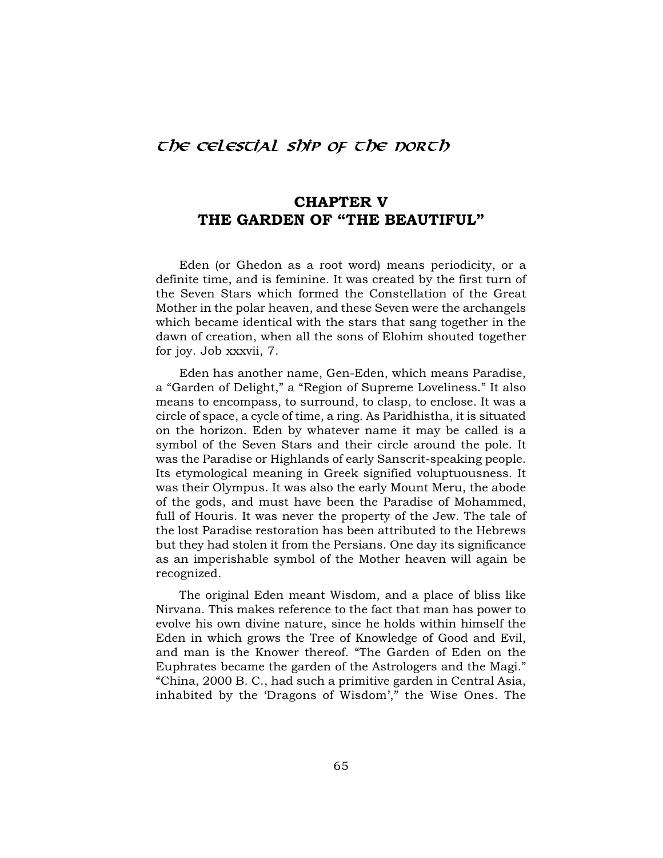#### **CHAPTER V** THE GARDEN OF "THE BEAUTIFUL"

Eden (or Ghedon as a root word) means periodicity, or a definite time, and is feminine. It was created by the first turn of the Seven Stars which formed the Constellation of the Great Mother in the polar heaven, and these Seven were the archangels which became identical with the stars that sang together in the dawn of creation, when all the sons of Elohim shouted together for joy. Job xxxvii, 7.

Eden has another name, Gen-Eden, which means Paradise, a "Garden of Delight," a "Region of Supreme Loveliness." It also means to encompass, to surround, to clasp, to enclose. It was a circle of space, a cycle of time, a ring. As Paridhistha, it is situated on the horizon. Eden by whatever name it may be called is a symbol of the Seven Stars and their circle around the pole. It was the Paradise or Highlands of early Sanscrit-speaking people. Its etymological meaning in Greek signified voluptuousness. It was their Olympus. It was also the early Mount Meru, the abode of the gods, and must have been the Paradise of Mohammed, full of Houris. It was never the property of the Jew. The tale of the lost Paradise restoration has been attributed to the Hebrews but they had stolen it from the Persians. One day its significance as an imperishable symbol of the Mother heaven will again be recognized.

The original Eden meant Wisdom, and a place of bliss like Nirvana. This makes reference to the fact that man has power to evolve his own divine nature, since he holds within himself the Eden in which grows the Tree of Knowledge of Good and Evil, and man is the Knower thereof. "The Garden of Eden on the Euphrates became the garden of the Astrologers and the Magi." "China, 2000 B. C., had such a primitive garden in Central Asia, inhabited by the 'Dragons of Wisdom'," the Wise Ones. The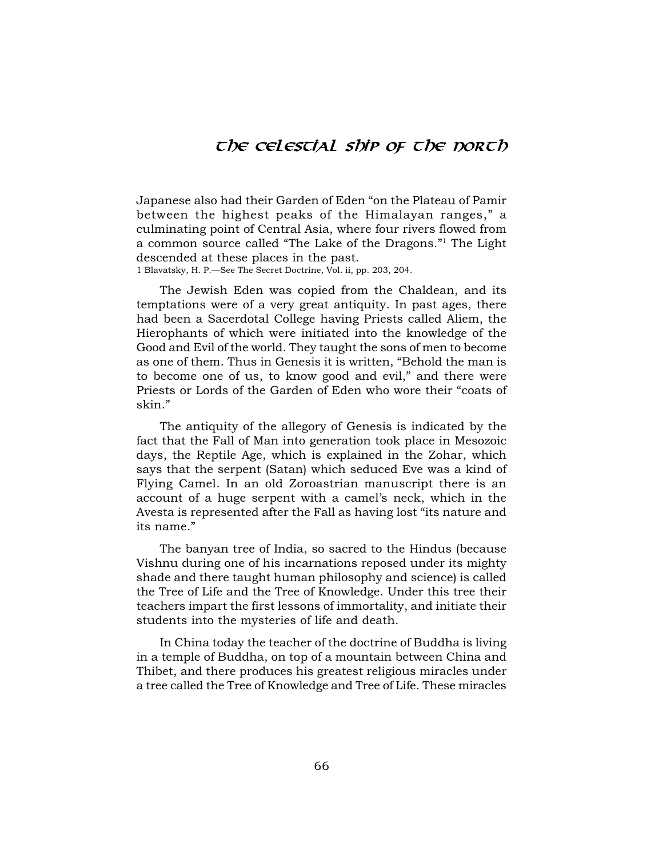Japanese also had their Garden of Eden "on the Plateau of Pamir between the highest peaks of the Himalayan ranges," a culminating point of Central Asia, where four rivers flowed from a common source called "The Lake of the Dragons."<sup>1</sup> The Light descended at these places in the past.

1 Blavatsky, H. P.-See The Secret Doctrine, Vol. ii, pp. 203, 204.

The Jewish Eden was copied from the Chaldean, and its temptations were of a very great antiquity. In past ages, there had been a Sacerdotal College having Priests called Aliem, the Hierophants of which were initiated into the knowledge of the Good and Evil of the world. They taught the sons of men to become as one of them. Thus in Genesis it is written, "Behold the man is to become one of us, to know good and evil," and there were Priests or Lords of the Garden of Eden who wore their "coats of skin."

The antiquity of the allegory of Genesis is indicated by the fact that the Fall of Man into generation took place in Mesozoic days, the Reptile Age, which is explained in the Zohar, which says that the serpent (Satan) which seduced Eve was a kind of Flying Camel. In an old Zoroastrian manuscript there is an account of a huge serpent with a camel's neck, which in the Avesta is represented after the Fall as having lost "its nature and its name."

The banyan tree of India, so sacred to the Hindus (because Vishnu during one of his incarnations reposed under its mighty shade and there taught human philosophy and science) is called the Tree of Life and the Tree of Knowledge. Under this tree their teachers impart the first lessons of immortality, and initiate their students into the mysteries of life and death.

In China today the teacher of the doctrine of Buddha is living in a temple of Buddha, on top of a mountain between China and Thibet, and there produces his greatest religious miracles under a tree called the Tree of Knowledge and Tree of Life. These miracles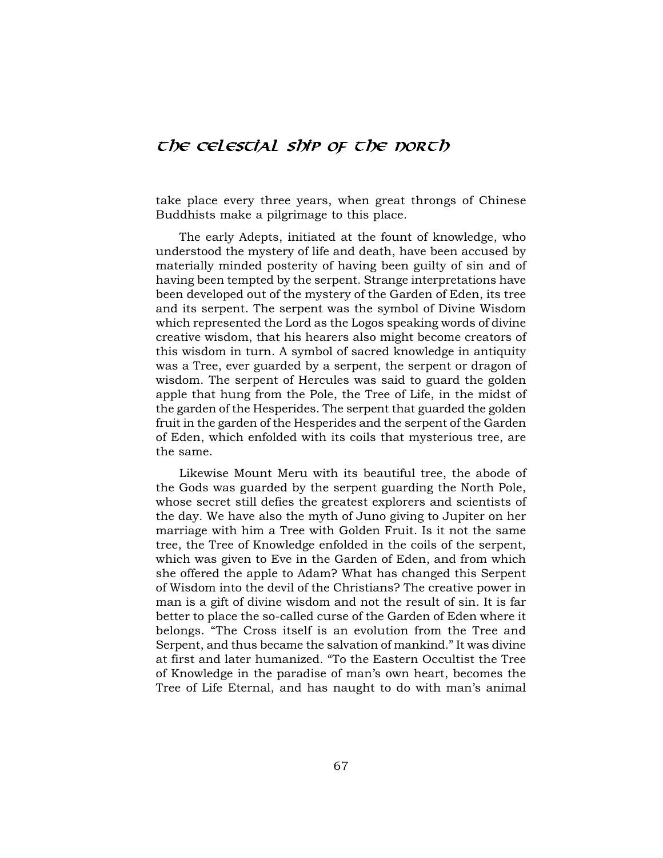take place every three years, when great throngs of Chinese Buddhists make a pilgrimage to this place.

The early Adepts, initiated at the fount of knowledge, who understood the mystery of life and death, have been accused by materially minded posterity of having been guilty of sin and of having been tempted by the serpent. Strange interpretations have been developed out of the mystery of the Garden of Eden, its tree and its serpent. The serpent was the symbol of Divine Wisdom which represented the Lord as the Logos speaking words of divine creative wisdom, that his hearers also might become creators of this wisdom in turn. A symbol of sacred knowledge in antiquity was a Tree, ever guarded by a serpent, the serpent or dragon of wisdom. The serpent of Hercules was said to guard the golden apple that hung from the Pole, the Tree of Life, in the midst of the garden of the Hesperides. The serpent that guarded the golden fruit in the garden of the Hesperides and the serpent of the Garden of Eden, which enfolded with its coils that mysterious tree, are the same.

Likewise Mount Meru with its beautiful tree, the abode of the Gods was guarded by the serpent guarding the North Pole, whose secret still defies the greatest explorers and scientists of the day. We have also the myth of Juno giving to Jupiter on her marriage with him a Tree with Golden Fruit. Is it not the same tree, the Tree of Knowledge enfolded in the coils of the serpent, which was given to Eve in the Garden of Eden, and from which she offered the apple to Adam? What has changed this Serpent of Wisdom into the devil of the Christians? The creative power in man is a gift of divine wisdom and not the result of sin. It is far better to place the so-called curse of the Garden of Eden where it belongs. "The Cross itself is an evolution from the Tree and Serpent, and thus became the salvation of mankind." It was divine at first and later humanized. "To the Eastern Occultist the Tree of Knowledge in the paradise of man's own heart, becomes the Tree of Life Eternal, and has naught to do with man's animal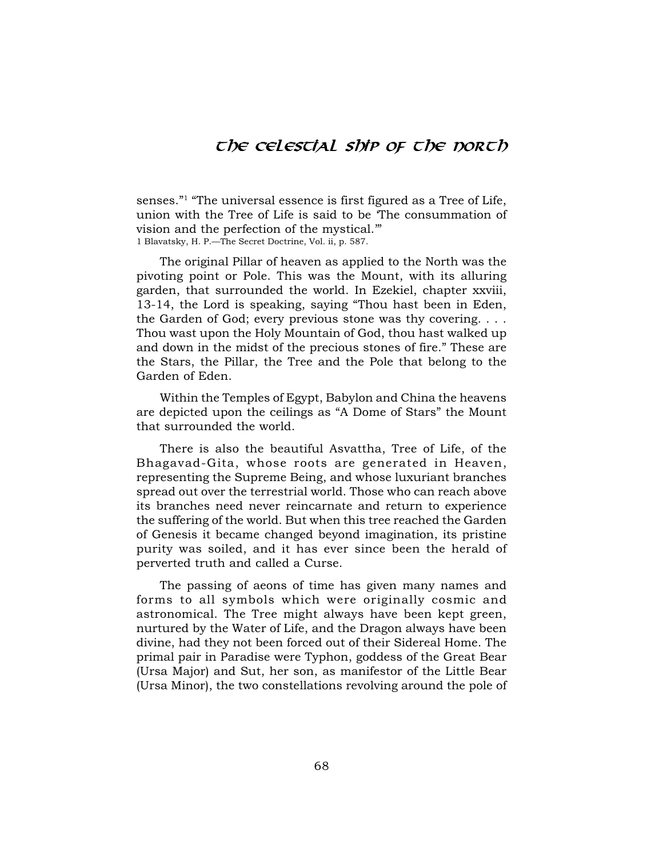senses."<sup>1</sup> "The universal essence is first figured as a Tree of Life, union with the Tree of Life is said to be 'The consummation of vision and the perfection of the mystical." 1 Blavatsky, H. P.-The Secret Doctrine, Vol. ii, p. 587.

The original Pillar of heaven as applied to the North was the pivoting point or Pole. This was the Mount, with its alluring garden, that surrounded the world. In Ezekiel, chapter xxviii, 13-14, the Lord is speaking, saying "Thou hast been in Eden, the Garden of God; every previous stone was thy covering.  $\ldots$ Thou wast upon the Holy Mountain of God, thou hast walked up and down in the midst of the precious stones of fire." These are the Stars, the Pillar, the Tree and the Pole that belong to the Garden of Eden.

Within the Temples of Egypt, Babylon and China the heavens are depicted upon the ceilings as "A Dome of Stars" the Mount that surrounded the world.

There is also the beautiful Asvattha, Tree of Life, of the Bhagavad-Gita, whose roots are generated in Heaven, representing the Supreme Being, and whose luxuriant branches spread out over the terrestrial world. Those who can reach above its branches need never reincarnate and return to experience the suffering of the world. But when this tree reached the Garden of Genesis it became changed beyond imagination, its pristine purity was soiled, and it has ever since been the herald of perverted truth and called a Curse.

The passing of aeons of time has given many names and forms to all symbols which were originally cosmic and astronomical. The Tree might always have been kept green, nurtured by the Water of Life, and the Dragon always have been divine, had they not been forced out of their Sidereal Home. The primal pair in Paradise were Typhon, goddess of the Great Bear (Ursa Major) and Sut, her son, as manifestor of the Little Bear (Ursa Minor), the two constellations revolving around the pole of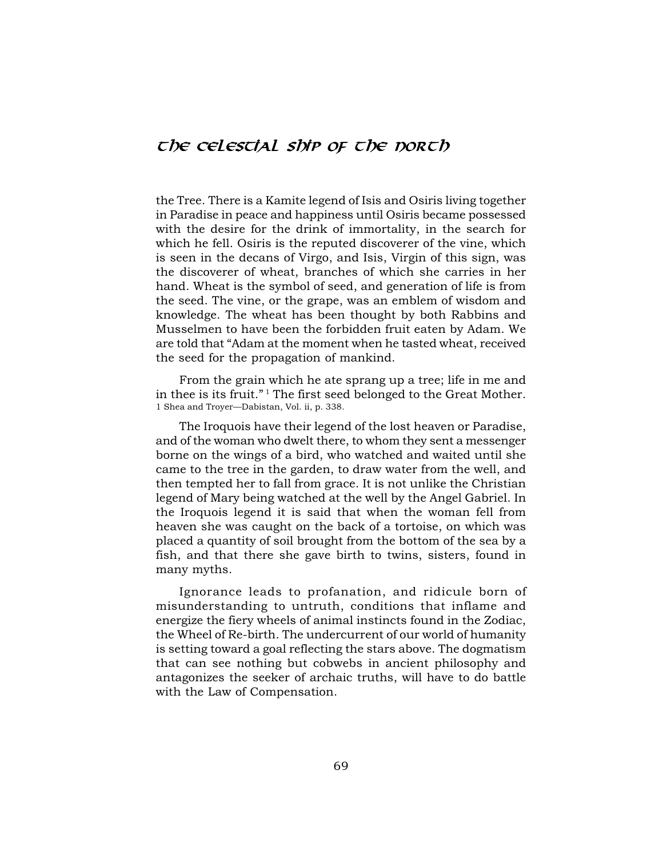the Tree. There is a Kamite legend of Isis and Osiris living together in Paradise in peace and happiness until Osiris became possessed with the desire for the drink of immortality, in the search for which he fell. Osiris is the reputed discoverer of the vine, which is seen in the decans of Virgo, and Isis, Virgin of this sign, was the discoverer of wheat, branches of which she carries in her hand. Wheat is the symbol of seed, and generation of life is from the seed. The vine, or the grape, was an emblem of wisdom and knowledge. The wheat has been thought by both Rabbins and Musselmen to have been the forbidden fruit eaten by Adam. We are told that "Adam at the moment when he tasted wheat, received the seed for the propagation of mankind.

From the grain which he ate sprang up a tree; life in me and in thee is its fruit."<sup>1</sup> The first seed belonged to the Great Mother. 1 Shea and Troyer-Dabistan, Vol. ii, p. 338.

The Iroquois have their legend of the lost heaven or Paradise, and of the woman who dwelt there, to whom they sent a messenger borne on the wings of a bird, who watched and waited until she came to the tree in the garden, to draw water from the well, and then tempted her to fall from grace. It is not unlike the Christian legend of Mary being watched at the well by the Angel Gabriel. In the Iroquois legend it is said that when the woman fell from heaven she was caught on the back of a tortoise, on which was placed a quantity of soil brought from the bottom of the sea by a fish, and that there she gave birth to twins, sisters, found in many myths.

Ignorance leads to profanation, and ridicule born of misunderstanding to untruth, conditions that inflame and energize the fiery wheels of animal instincts found in the Zodiac, the Wheel of Re-birth. The undercurrent of our world of humanity is setting toward a goal reflecting the stars above. The dogmatism that can see nothing but cobwebs in ancient philosophy and antagonizes the seeker of archaic truths, will have to do battle with the Law of Compensation.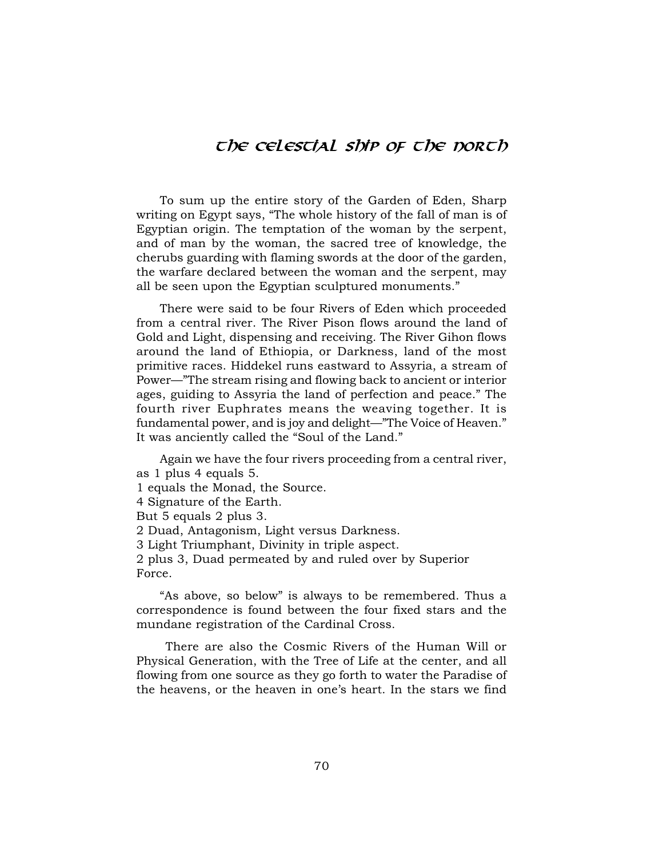To sum up the entire story of the Garden of Eden, Sharp writing on Egypt says, "The whole history of the fall of man is of Egyptian origin. The temptation of the woman by the serpent, and of man by the woman, the sacred tree of knowledge, the cherubs guarding with flaming swords at the door of the garden, the warfare declared between the woman and the serpent, may all be seen upon the Egyptian sculptured monuments."

There were said to be four Rivers of Eden which proceeded from a central river. The River Pison flows around the land of Gold and Light, dispensing and receiving. The River Gihon flows around the land of Ethiopia, or Darkness, land of the most primitive races. Hiddekel runs eastward to Assyria, a stream of Power—"The stream rising and flowing back to ancient or interior ages, guiding to Assyria the land of perfection and peace." The fourth river Euphrates means the weaving together. It is fundamental power, and is joy and delight-"The Voice of Heaven." It was anciently called the "Soul of the Land."

Again we have the four rivers proceeding from a central river, as 1 plus 4 equals 5. 1 equals the Monad, the Source. 4 Signature of the Earth. But 5 equals 2 plus 3. 2 Duad, Antagonism, Light versus Darkness. 3 Light Triumphant, Divinity in triple aspect. 2 plus 3, Duad permeated by and ruled over by Superior Force.

"As above, so below" is always to be remembered. Thus a correspondence is found between the four fixed stars and the mundane registration of the Cardinal Cross.

There are also the Cosmic Rivers of the Human Will or Physical Generation, with the Tree of Life at the center, and all flowing from one source as they go forth to water the Paradise of the heavens, or the heaven in one's heart. In the stars we find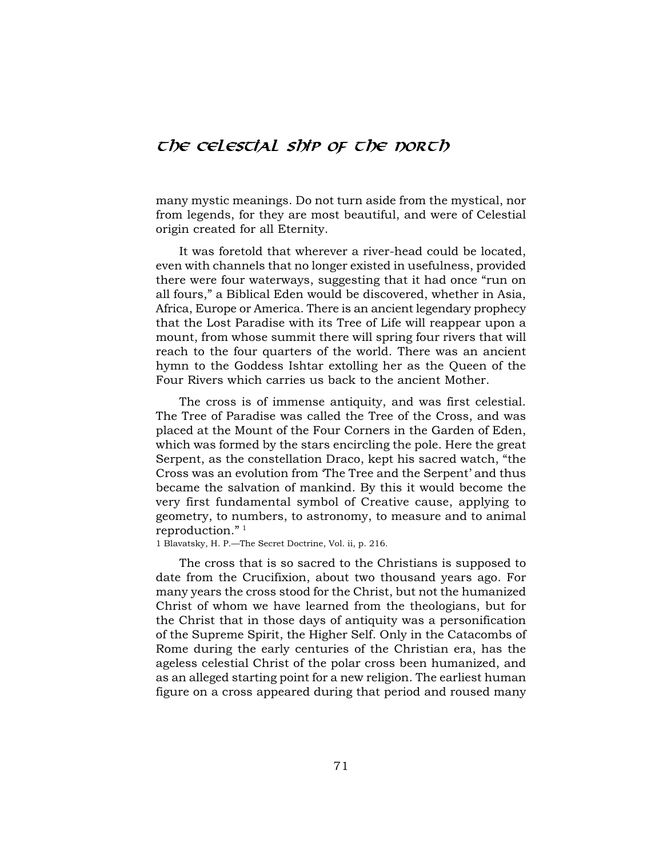many mystic meanings. Do not turn aside from the mystical, nor from legends, for they are most beautiful, and were of Celestial origin created for all Eternity.

It was foretold that wherever a river-head could be located, even with channels that no longer existed in usefulness, provided there were four waterways, suggesting that it had once "run on all fours," a Biblical Eden would be discovered, whether in Asia, Africa, Europe or America. There is an ancient legendary prophecy that the Lost Paradise with its Tree of Life will reappear upon a mount, from whose summit there will spring four rivers that will reach to the four quarters of the world. There was an ancient hymn to the Goddess Ishtar extolling her as the Oueen of the Four Rivers which carries us back to the ancient Mother.

The cross is of immense antiquity, and was first celestial. The Tree of Paradise was called the Tree of the Cross, and was placed at the Mount of the Four Corners in the Garden of Eden, which was formed by the stars encircling the pole. Here the great Serpent, as the constellation Draco, kept his sacred watch, "the Cross was an evolution from The Tree and the Serpent' and thus became the salvation of mankind. By this it would become the very first fundamental symbol of Creative cause, applying to geometry, to numbers, to astronomy, to measure and to animal reproduction."<sup>1</sup>

1 Blavatsky, H. P.-The Secret Doctrine, Vol. ii, p. 216.

The cross that is so sacred to the Christians is supposed to date from the Crucifixion, about two thousand years ago. For many years the cross stood for the Christ, but not the humanized Christ of whom we have learned from the theologians, but for the Christ that in those days of antiquity was a personification of the Supreme Spirit, the Higher Self. Only in the Catacombs of Rome during the early centuries of the Christian era, has the ageless celestial Christ of the polar cross been humanized, and as an alleged starting point for a new religion. The earliest human figure on a cross appeared during that period and roused many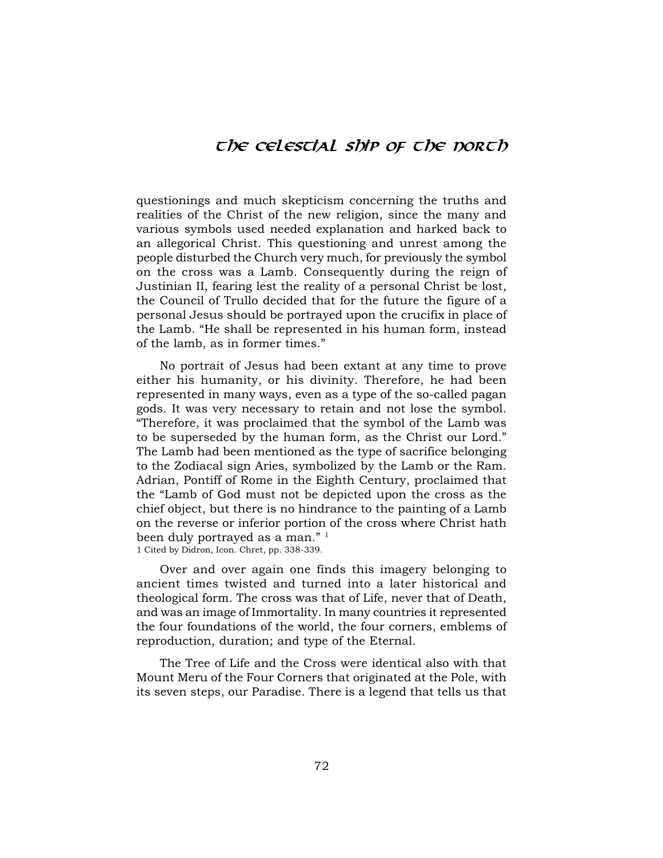questionings and much skepticism concerning the truths and realities of the Christ of the new religion, since the many and various symbols used needed explanation and harked back to an allegorical Christ. This questioning and unrest among the people disturbed the Church very much, for previously the symbol on the cross was a Lamb. Consequently during the reign of Justinian II, fearing lest the reality of a personal Christ be lost, the Council of Trullo decided that for the future the figure of a personal Jesus should be portrayed upon the crucifix in place of the Lamb. "He shall be represented in his human form, instead of the lamb, as in former times."

No portrait of Jesus had been extant at any time to prove either his humanity, or his divinity. Therefore, he had been represented in many ways, even as a type of the so-called pagan gods. It was very necessary to retain and not lose the symbol. "Therefore, it was proclaimed that the symbol of the Lamb was to be superseded by the human form, as the Christ our Lord." The Lamb had been mentioned as the type of sacrifice belonging to the Zodiacal sign Aries, symbolized by the Lamb or the Ram. Adrian, Pontiff of Rome in the Eighth Century, proclaimed that the "Lamb of God must not be depicted upon the cross as the chief object, but there is no hindrance to the painting of a Lamb on the reverse or inferior portion of the cross where Christ hath been duly portrayed as a man."<sup>1</sup> 1 Cited by Didron, Icon. Chret, pp. 338-339.

Over and over again one finds this imagery belonging to ancient times twisted and turned into a later historical and theological form. The cross was that of Life, never that of Death, and was an image of Immortality. In many countries it represented the four foundations of the world, the four corners, emblems of reproduction, duration; and type of the Eternal.

The Tree of Life and the Cross were identical also with that Mount Meru of the Four Corners that originated at the Pole, with its seven steps, our Paradise. There is a legend that tells us that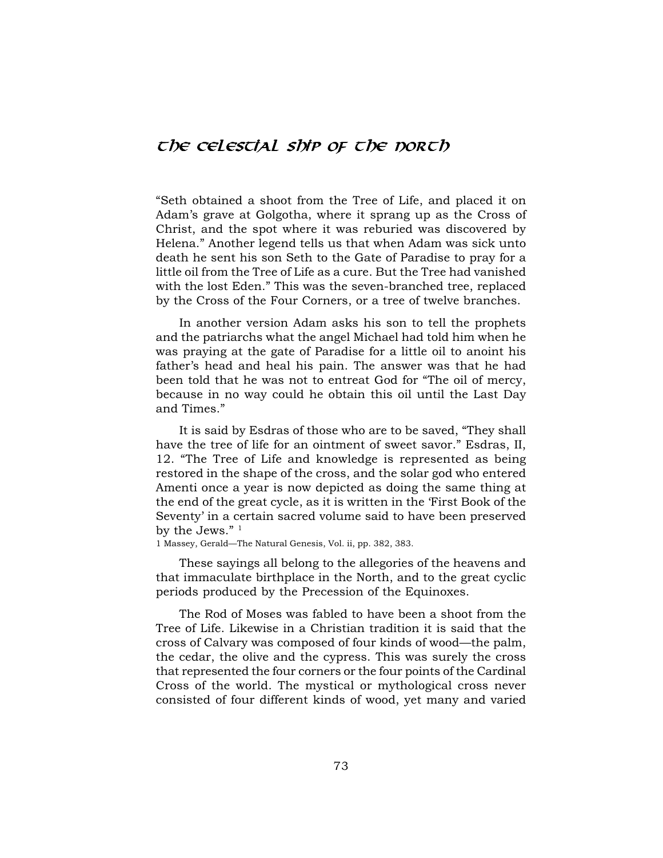"Seth obtained a shoot from the Tree of Life, and placed it on Adam's grave at Golgotha, where it sprang up as the Cross of Christ, and the spot where it was reburied was discovered by Helena." Another legend tells us that when Adam was sick unto death he sent his son Seth to the Gate of Paradise to pray for a little oil from the Tree of Life as a cure. But the Tree had vanished with the lost Eden." This was the seven-branched tree, replaced by the Cross of the Four Corners, or a tree of twelve branches.

In another version Adam asks his son to tell the prophets and the patriarchs what the angel Michael had told him when he was praying at the gate of Paradise for a little oil to anoint his father's head and heal his pain. The answer was that he had been told that he was not to entreat God for "The oil of mercy, because in no way could he obtain this oil until the Last Day and Times."

It is said by Esdras of those who are to be saved, "They shall have the tree of life for an ointment of sweet savor." Esdras, II, 12. "The Tree of Life and knowledge is represented as being restored in the shape of the cross, and the solar god who entered Amenti once a year is now depicted as doing the same thing at the end of the great cycle, as it is written in the 'First Book of the Seventy' in a certain sacred volume said to have been preserved by the Jews."<sup>1</sup>

1 Massey, Gerald-The Natural Genesis, Vol. ii, pp. 382, 383.

These sayings all belong to the allegories of the heavens and that immaculate birthplace in the North, and to the great cyclic periods produced by the Precession of the Equinoxes.

The Rod of Moses was fabled to have been a shoot from the Tree of Life. Likewise in a Christian tradition it is said that the cross of Calvary was composed of four kinds of wood—the palm, the cedar, the olive and the cypress. This was surely the cross that represented the four corners or the four points of the Cardinal Cross of the world. The mystical or mythological cross never consisted of four different kinds of wood, yet many and varied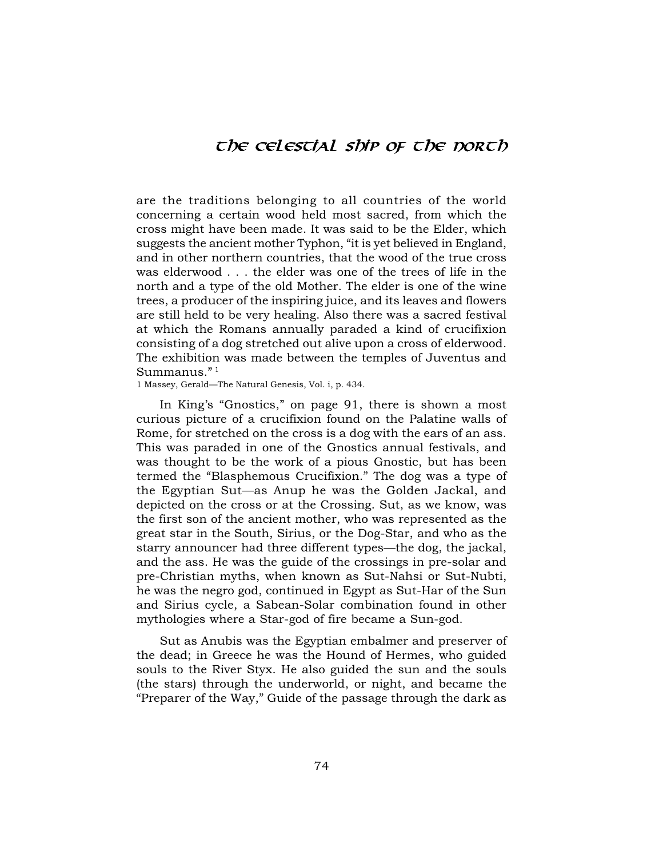are the traditions belonging to all countries of the world concerning a certain wood held most sacred, from which the cross might have been made. It was said to be the Elder, which suggests the ancient mother Typhon, "it is yet believed in England, and in other northern countries, that the wood of the true cross was elderwood . . . the elder was one of the trees of life in the north and a type of the old Mother. The elder is one of the wine trees, a producer of the inspiring juice, and its leaves and flowers are still held to be very healing. Also there was a sacred festival at which the Romans annually paraded a kind of crucifixion consisting of a dog stretched out alive upon a cross of elderwood. The exhibition was made between the temples of Juventus and  $S$ ummanus." $1$ 

1 Massey, Gerald-The Natural Genesis, Vol. i, p. 434.

In King's "Gnostics," on page 91, there is shown a most curious picture of a crucifixion found on the Palatine walls of Rome, for stretched on the cross is a dog with the ears of an ass. This was paraded in one of the Gnostics annual festivals, and was thought to be the work of a pious Gnostic, but has been termed the "Blasphemous Crucifixion." The dog was a type of the Egyptian Sut—as Anup he was the Golden Jackal, and depicted on the cross or at the Crossing. Sut, as we know, was the first son of the ancient mother, who was represented as the great star in the South, Sirius, or the Dog-Star, and who as the starry announcer had three different types—the dog, the jackal, and the ass. He was the guide of the crossings in pre-solar and pre-Christian myths, when known as Sut-Nahsi or Sut-Nubti, he was the negro god, continued in Egypt as Sut-Har of the Sun and Sirius cycle, a Sabean-Solar combination found in other mythologies where a Star-god of fire became a Sun-god.

Sut as Anubis was the Egyptian embalmer and preserver of the dead; in Greece he was the Hound of Hermes, who guided souls to the River Styx. He also guided the sun and the souls (the stars) through the underworld, or night, and became the "Preparer of the Way," Guide of the passage through the dark as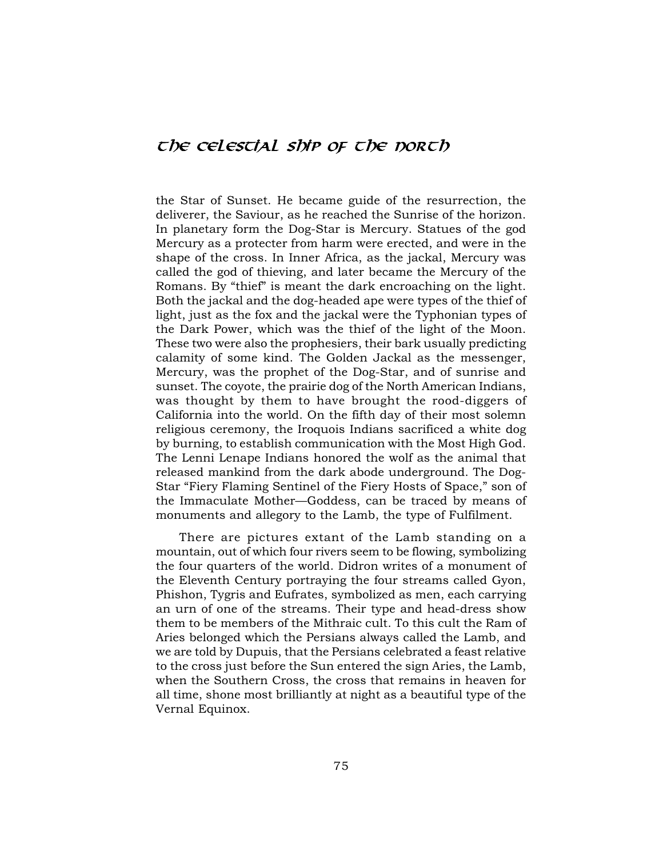the Star of Sunset. He became guide of the resurrection, the deliverer, the Saviour, as he reached the Sunrise of the horizon. In planetary form the Dog-Star is Mercury. Statues of the god Mercury as a protecter from harm were erected, and were in the shape of the cross. In Inner Africa, as the jackal, Mercury was called the god of thieving, and later became the Mercury of the Romans. By "thief" is meant the dark encroaching on the light. Both the jackal and the dog-headed ape were types of the thief of light, just as the fox and the jackal were the Typhonian types of the Dark Power, which was the thief of the light of the Moon. These two were also the prophesiers, their bark usually predicting calamity of some kind. The Golden Jackal as the messenger, Mercury, was the prophet of the Dog-Star, and of sunrise and sunset. The coyote, the prairie dog of the North American Indians, was thought by them to have brought the rood-diggers of California into the world. On the fifth day of their most solemn religious ceremony, the Iroquois Indians sacrificed a white dog by burning, to establish communication with the Most High God. The Lenni Lenape Indians honored the wolf as the animal that released mankind from the dark abode underground. The Dog-Star "Fiery Flaming Sentinel of the Fiery Hosts of Space," son of the Immaculate Mother-Goddess, can be traced by means of monuments and allegory to the Lamb, the type of Fulfilment.

There are pictures extant of the Lamb standing on a mountain, out of which four rivers seem to be flowing, symbolizing the four quarters of the world. Didron writes of a monument of the Eleventh Century portraying the four streams called Gyon, Phishon, Tygris and Eufrates, symbolized as men, each carrying an urn of one of the streams. Their type and head-dress show them to be members of the Mithraic cult. To this cult the Ram of Aries belonged which the Persians always called the Lamb, and we are told by Dupuis, that the Persians celebrated a feast relative to the cross just before the Sun entered the sign Aries, the Lamb, when the Southern Cross, the cross that remains in heaven for all time, shone most brilliantly at night as a beautiful type of the Vernal Equinox.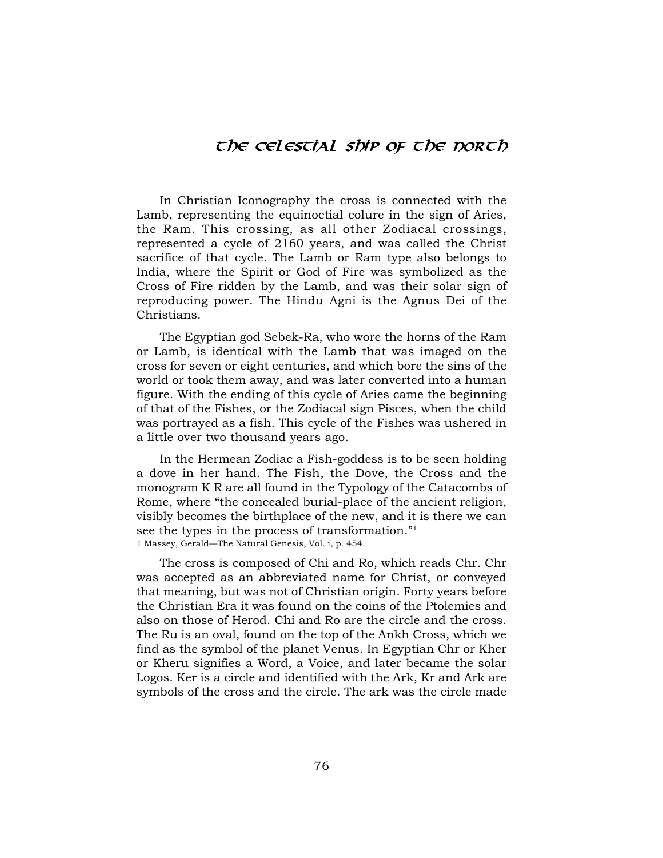In Christian Iconography the cross is connected with the Lamb, representing the equinoctial colure in the sign of Aries, the Ram. This crossing, as all other Zodiacal crossings, represented a cycle of 2160 years, and was called the Christ sacrifice of that cycle. The Lamb or Ram type also belongs to India, where the Spirit or God of Fire was symbolized as the Cross of Fire ridden by the Lamb, and was their solar sign of reproducing power. The Hindu Agni is the Agnus Dei of the Christians.

The Egyptian god Sebek-Ra, who wore the horns of the Ram or Lamb, is identical with the Lamb that was imaged on the cross for seven or eight centuries, and which bore the sins of the world or took them away, and was later converted into a human figure. With the ending of this cycle of Aries came the beginning of that of the Fishes, or the Zodiacal sign Pisces, when the child was portrayed as a fish. This cycle of the Fishes was ushered in a little over two thousand years ago.

In the Hermean Zodiac a Fish-goddess is to be seen holding a dove in her hand. The Fish, the Dove, the Cross and the monogram K R are all found in the Typology of the Catacombs of Rome, where "the concealed burial-place of the ancient religion, visibly becomes the birthplace of the new, and it is there we can see the types in the process of transformation."<sup>1</sup> 1 Massey, Gerald-The Natural Genesis, Vol. i, p. 454.

The cross is composed of Chi and Ro, which reads Chr. Chr was accepted as an abbreviated name for Christ, or conveyed that meaning, but was not of Christian origin. Forty years before the Christian Era it was found on the coins of the Ptolemies and also on those of Herod. Chi and Ro are the circle and the cross. The Ru is an oval, found on the top of the Ankh Cross, which we find as the symbol of the planet Venus. In Egyptian Chr or Kher or Kheru signifies a Word, a Voice, and later became the solar Logos. Ker is a circle and identified with the Ark, Kr and Ark are symbols of the cross and the circle. The ark was the circle made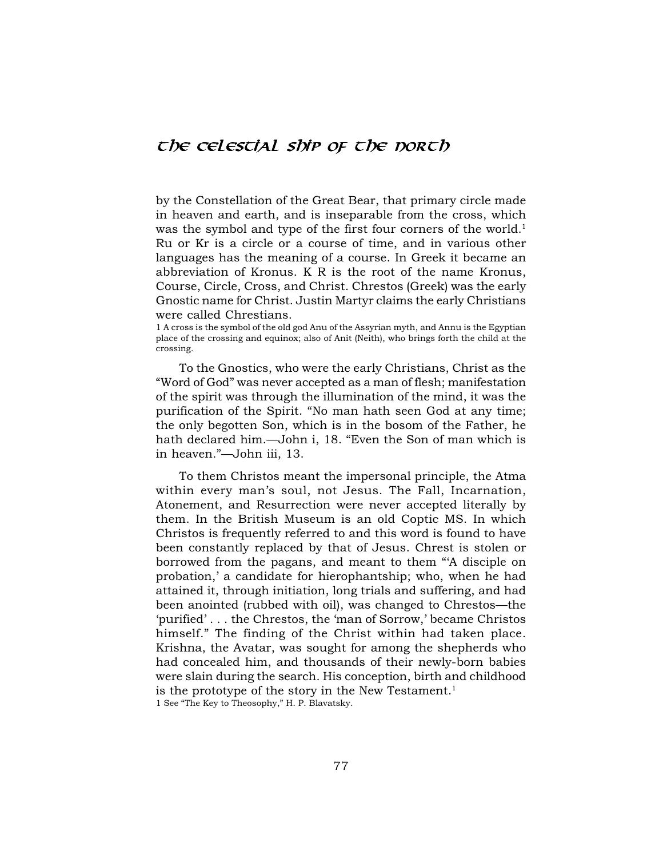by the Constellation of the Great Bear, that primary circle made in heaven and earth, and is inseparable from the cross, which was the symbol and type of the first four corners of the world.<sup>1</sup> Ru or Kr is a circle or a course of time, and in various other languages has the meaning of a course. In Greek it became an abbreviation of Kronus. K R is the root of the name Kronus, Course, Circle, Cross, and Christ. Chrestos (Greek) was the early Gnostic name for Christ. Justin Martyr claims the early Christians were called Chrestians.

1 A cross is the symbol of the old god Anu of the Assyrian myth, and Annu is the Egyptian place of the crossing and equinox; also of Anit (Neith), who brings forth the child at the crossing.

To the Gnostics, who were the early Christians, Christ as the "Word of God" was never accepted as a man of flesh; manifestation of the spirit was through the illumination of the mind, it was the purification of the Spirit. "No man hath seen God at any time; the only begotten Son, which is in the bosom of the Father, he hath declared him.—John i, 18. "Even the Son of man which is in heaven."-John iii, 13.

To them Christos meant the impersonal principle, the Atma within every man's soul, not Jesus. The Fall, Incarnation, Atonement, and Resurrection were never accepted literally by them. In the British Museum is an old Coptic MS. In which Christos is frequently referred to and this word is found to have been constantly replaced by that of Jesus. Chrest is stolen or borrowed from the pagans, and meant to them "A disciple on probation,' a candidate for hierophantship; who, when he had attained it, through initiation, long trials and suffering, and had been anointed (rubbed with oil), was changed to Chrestos-the 'purified'... the Chrestos, the 'man of Sorrow,' became Christos himself." The finding of the Christ within had taken place. Krishna, the Avatar, was sought for among the shepherds who had concealed him, and thousands of their newly-born babies were slain during the search. His conception, birth and childhood is the prototype of the story in the New Testament.<sup>1</sup> 1 See "The Key to Theosophy," H. P. Blavatsky.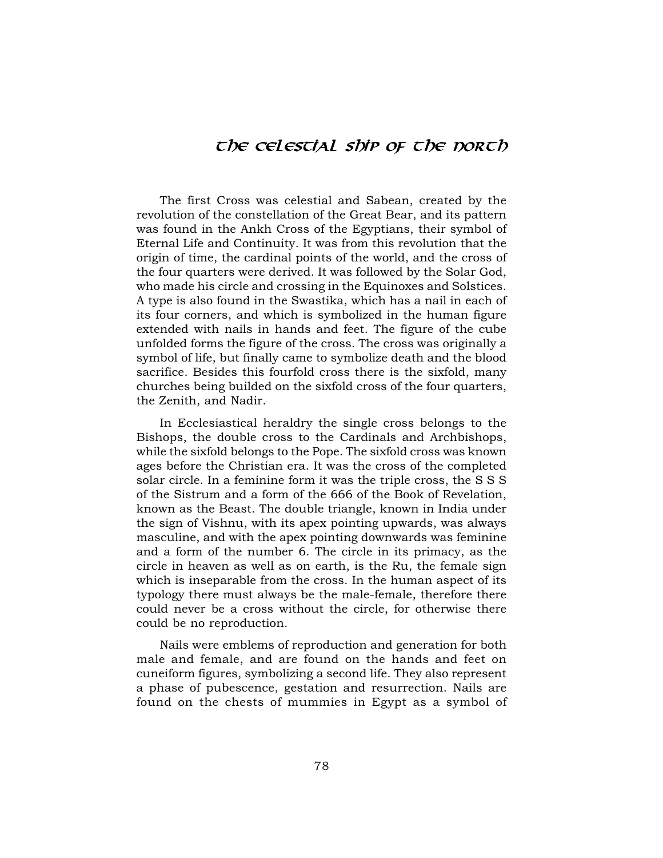The first Cross was celestial and Sabean, created by the revolution of the constellation of the Great Bear, and its pattern was found in the Ankh Cross of the Egyptians, their symbol of Eternal Life and Continuity. It was from this revolution that the origin of time, the cardinal points of the world, and the cross of the four quarters were derived. It was followed by the Solar God, who made his circle and crossing in the Equinoxes and Solstices. A type is also found in the Swastika, which has a nail in each of its four corners, and which is symbolized in the human figure extended with nails in hands and feet. The figure of the cube unfolded forms the figure of the cross. The cross was originally a symbol of life, but finally came to symbolize death and the blood sacrifice. Besides this fourfold cross there is the sixfold, many churches being builded on the sixfold cross of the four quarters, the Zenith, and Nadir.

In Ecclesiastical heraldry the single cross belongs to the Bishops, the double cross to the Cardinals and Archbishops. while the sixfold belongs to the Pope. The sixfold cross was known ages before the Christian era. It was the cross of the completed solar circle. In a feminine form it was the triple cross, the S S S of the Sistrum and a form of the 666 of the Book of Revelation, known as the Beast. The double triangle, known in India under the sign of Vishnu, with its apex pointing upwards, was always masculine, and with the apex pointing downwards was feminine and a form of the number 6. The circle in its primacy, as the circle in heaven as well as on earth, is the Ru, the female sign which is inseparable from the cross. In the human aspect of its typology there must always be the male-female, therefore there could never be a cross without the circle, for otherwise there could be no reproduction.

Nails were emblems of reproduction and generation for both male and female, and are found on the hands and feet on cuneiform figures, symbolizing a second life. They also represent a phase of pubescence, gestation and resurrection. Nails are found on the chests of mummies in Egypt as a symbol of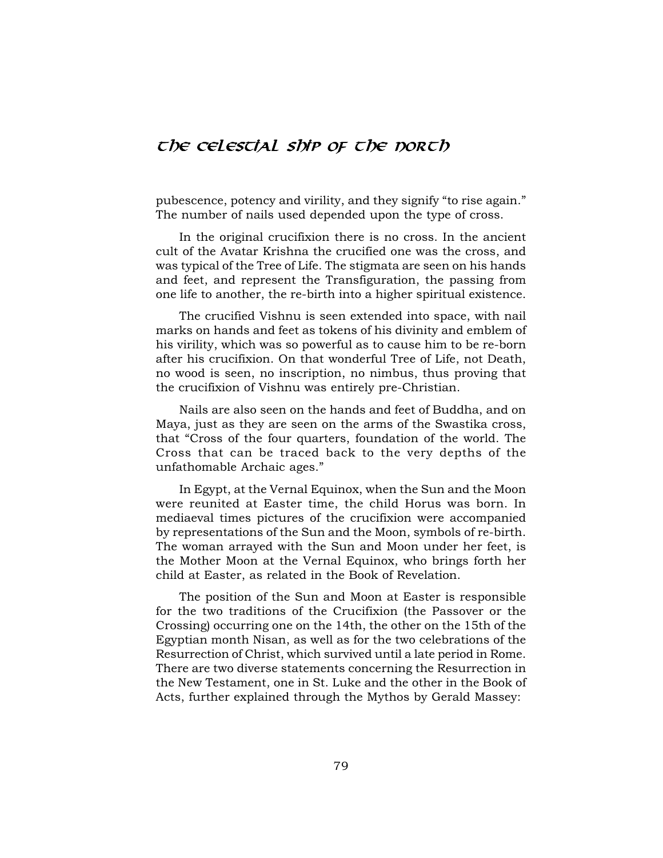pubescence, potency and virility, and they signify "to rise again." The number of nails used depended upon the type of cross.

In the original crucifixion there is no cross. In the ancient cult of the Avatar Krishna the crucified one was the cross, and was typical of the Tree of Life. The stigmata are seen on his hands and feet, and represent the Transfiguration, the passing from one life to another, the re-birth into a higher spiritual existence.

The crucified Vishnu is seen extended into space, with nail marks on hands and feet as tokens of his divinity and emblem of his virility, which was so powerful as to cause him to be re-born after his crucifixion. On that wonderful Tree of Life, not Death, no wood is seen, no inscription, no nimbus, thus proving that the crucifixion of Vishnu was entirely pre-Christian.

Nails are also seen on the hands and feet of Buddha, and on Maya, just as they are seen on the arms of the Swastika cross. that "Cross of the four quarters, foundation of the world. The Cross that can be traced back to the very depths of the unfathomable Archaic ages."

In Egypt, at the Vernal Equinox, when the Sun and the Moon were reunited at Easter time, the child Horus was born. In mediaeval times pictures of the crucifixion were accompanied by representations of the Sun and the Moon, symbols of re-birth. The woman arrayed with the Sun and Moon under her feet, is the Mother Moon at the Vernal Equinox, who brings forth her child at Easter, as related in the Book of Revelation.

The position of the Sun and Moon at Easter is responsible for the two traditions of the Crucifixion (the Passover or the Crossing occurring one on the 14th, the other on the 15th of the Egyptian month Nisan, as well as for the two celebrations of the Resurrection of Christ, which survived until a late period in Rome. There are two diverse statements concerning the Resurrection in the New Testament, one in St. Luke and the other in the Book of Acts, further explained through the Mythos by Gerald Massey: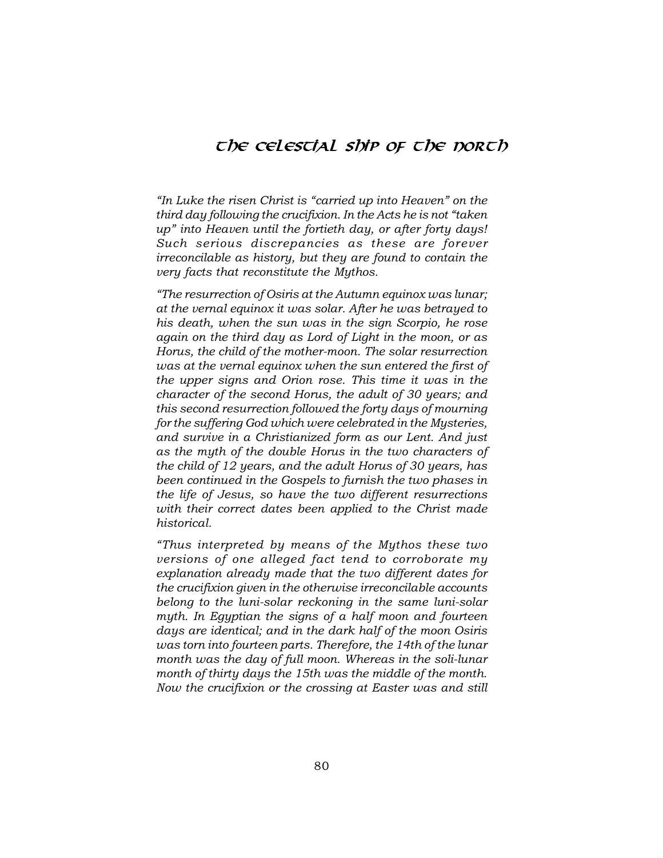"In Luke the risen Christ is "carried up into Heaven" on the third day following the crucifixion. In the Acts he is not "taken" up" into Heaven until the fortieth day, or after forty days! Such serious discrepancies as these are forever irreconcilable as history, but they are found to contain the very facts that reconstitute the Mythos.

"The resurrection of Osiris at the Autumn equinox was lunar; at the vernal equinox it was solar. After he was betrayed to his death, when the sun was in the sign Scorpio, he rose again on the third day as Lord of Light in the moon, or as Horus, the child of the mother-moon. The solar resurrection was at the vernal equinox when the sun entered the first of the upper signs and Orion rose. This time it was in the character of the second Horus, the adult of 30 years; and this second resurrection followed the forty days of mourning for the suffering God which were celebrated in the Mysteries, and survive in a Christianized form as our Lent. And just as the myth of the double Horus in the two characters of the child of 12 years, and the adult Horus of 30 years, has been continued in the Gospels to furnish the two phases in the life of Jesus, so have the two different resurrections with their correct dates been applied to the Christ made historical.

"Thus interpreted by means of the Mythos these two versions of one alleged fact tend to corroborate my explanation already made that the two different dates for the crucifixion given in the otherwise irreconcilable accounts belong to the luni-solar reckoning in the same luni-solar myth. In Equptian the signs of a half moon and fourteen days are identical; and in the dark half of the moon Osiris was torn into fourteen parts. Therefore, the 14th of the lunar month was the day of full moon. Whereas in the soli-lunar month of thirty days the 15th was the middle of the month. Now the crucifixion or the crossing at Easter was and still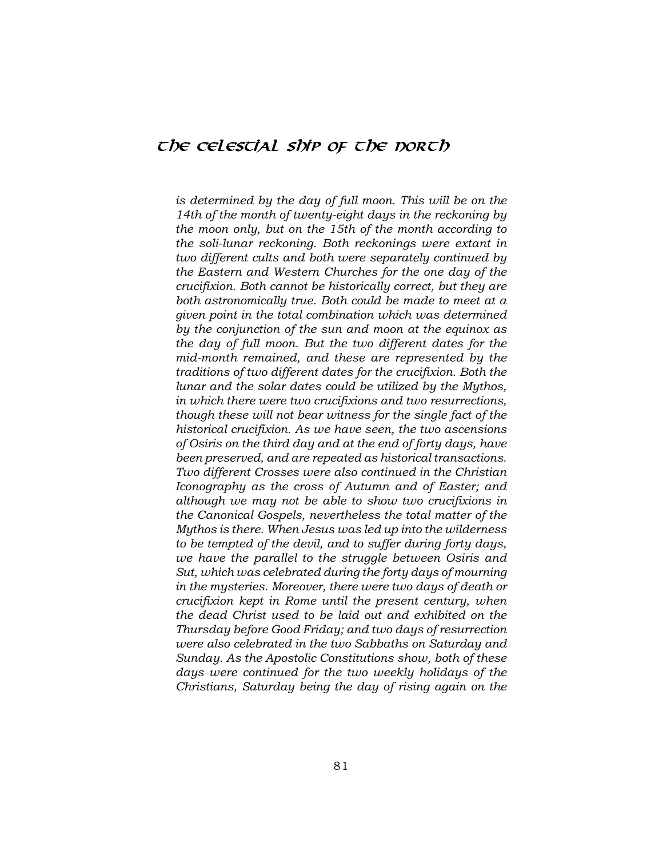is determined by the day of full moon. This will be on the 14th of the month of twenty-eight days in the reckoning by the moon only, but on the 15th of the month according to the soli-lunar reckoning. Both reckonings were extant in two different cults and both were separately continued by the Eastern and Western Churches for the one day of the crucifixion. Both cannot be historically correct, but they are both astronomically true. Both could be made to meet at a given point in the total combination which was determined by the conjunction of the sun and moon at the equinox as the day of full moon. But the two different dates for the mid-month remained, and these are represented by the traditions of two different dates for the crucifixion. Both the lunar and the solar dates could be utilized by the Mythos, in which there were two crucifixions and two resurrections, though these will not bear witness for the single fact of the historical crucifixion. As we have seen, the two ascensions of Osiris on the third day and at the end of forty days, have been preserved, and are repeated as historical transactions. Two different Crosses were also continued in the Christian Iconography as the cross of Autumn and of Easter; and although we may not be able to show two crucifixions in the Canonical Gospels, nevertheless the total matter of the Mythos is there. When Jesus was led up into the wilderness to be tempted of the devil, and to suffer during forty days, we have the parallel to the struggle between Osiris and Sut, which was celebrated during the forty days of mourning in the mysteries. Moreover, there were two days of death or crucifixion kept in Rome until the present century, when the dead Christ used to be laid out and exhibited on the Thursday before Good Friday; and two days of resurrection were also celebrated in the two Sabbaths on Saturday and Sunday. As the Apostolic Constitutions show, both of these days were continued for the two weekly holidays of the Christians, Saturday being the day of rising again on the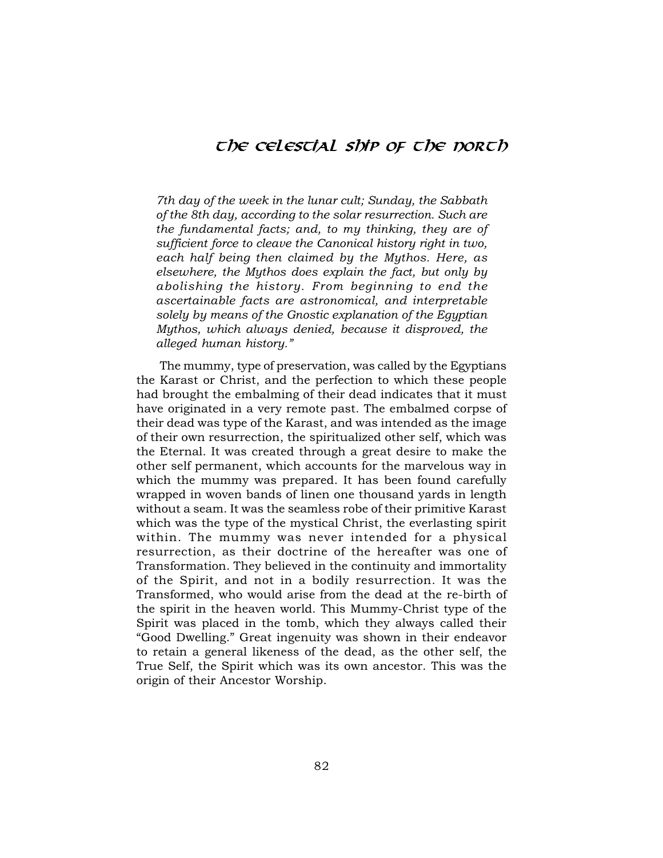7th day of the week in the lunar cult; Sunday, the Sabbath of the 8th day, according to the solar resurrection. Such are the fundamental facts; and, to my thinking, they are of sufficient force to cleave the Canonical history right in two, each half being then claimed by the Mythos. Here, as elsewhere, the Mythos does explain the fact, but only by abolishing the history. From beginning to end the ascertainable facts are astronomical, and interpretable solely by means of the Gnostic explanation of the Equptian Mythos, which always denied, because it disproved, the alleged human history."

The mummy, type of preservation, was called by the Egyptians the Karast or Christ, and the perfection to which these people had brought the embalming of their dead indicates that it must have originated in a very remote past. The embalmed corpse of their dead was type of the Karast, and was intended as the image of their own resurrection, the spiritualized other self, which was the Eternal. It was created through a great desire to make the other self permanent, which accounts for the marvelous way in which the mummy was prepared. It has been found carefully wrapped in woven bands of linen one thousand yards in length without a seam. It was the seamless robe of their primitive Karast which was the type of the mystical Christ, the everlasting spirit within. The mummy was never intended for a physical resurrection, as their doctrine of the hereafter was one of Transformation. They believed in the continuity and immortality of the Spirit, and not in a bodily resurrection. It was the Transformed, who would arise from the dead at the re-birth of the spirit in the heaven world. This Mummy-Christ type of the Spirit was placed in the tomb, which they always called their "Good Dwelling." Great ingenuity was shown in their endeavor to retain a general likeness of the dead, as the other self, the True Self, the Spirit which was its own ancestor. This was the origin of their Ancestor Worship.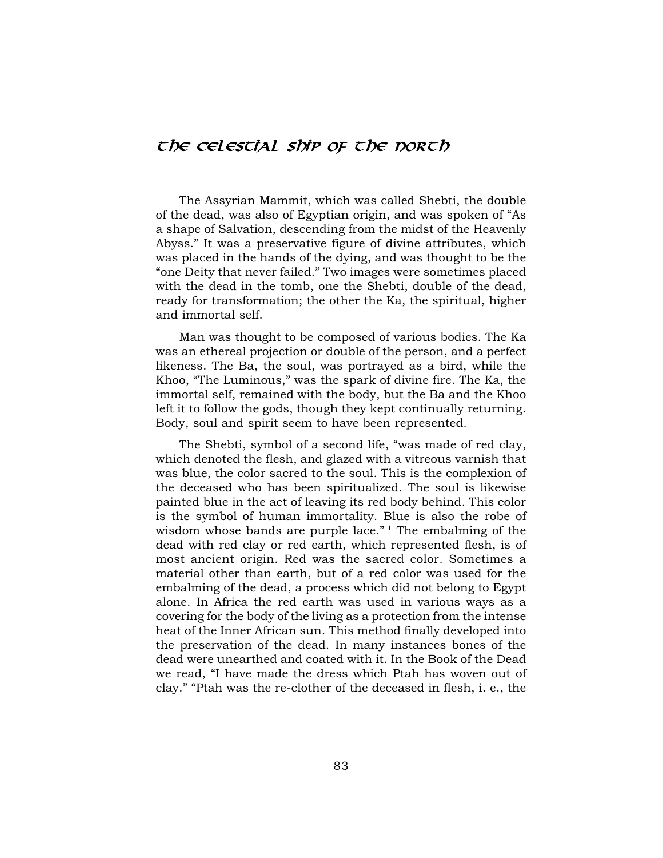The Assyrian Mammit, which was called Shebti, the double of the dead, was also of Egyptian origin, and was spoken of "As a shape of Salvation, descending from the midst of the Heavenly Abyss." It was a preservative figure of divine attributes, which was placed in the hands of the dying, and was thought to be the "one Deity that never failed." Two images were sometimes placed with the dead in the tomb, one the Shebti, double of the dead, ready for transformation; the other the Ka, the spiritual, higher and immortal self.

Man was thought to be composed of various bodies. The Ka was an ethereal projection or double of the person, and a perfect likeness. The Ba, the soul, was portrayed as a bird, while the Khoo, "The Luminous," was the spark of divine fire. The Ka, the immortal self, remained with the body, but the Ba and the Khoo left it to follow the gods, though they kept continually returning. Body, soul and spirit seem to have been represented.

The Shebti, symbol of a second life, "was made of red clay, which denoted the flesh, and glazed with a vitreous varnish that was blue, the color sacred to the soul. This is the complexion of the deceased who has been spiritualized. The soul is likewise painted blue in the act of leaving its red body behind. This color is the symbol of human immortality. Blue is also the robe of wisdom whose bands are purple lace."<sup>1</sup> The embalming of the dead with red clay or red earth, which represented flesh, is of most ancient origin. Red was the sacred color. Sometimes a material other than earth, but of a red color was used for the embalming of the dead, a process which did not belong to Egypt alone. In Africa the red earth was used in various ways as a covering for the body of the living as a protection from the intense heat of the Inner African sun. This method finally developed into the preservation of the dead. In many instances bones of the dead were unearthed and coated with it. In the Book of the Dead we read, "I have made the dress which Ptah has woven out of clay." "Ptah was the re-clother of the deceased in flesh, i. e., the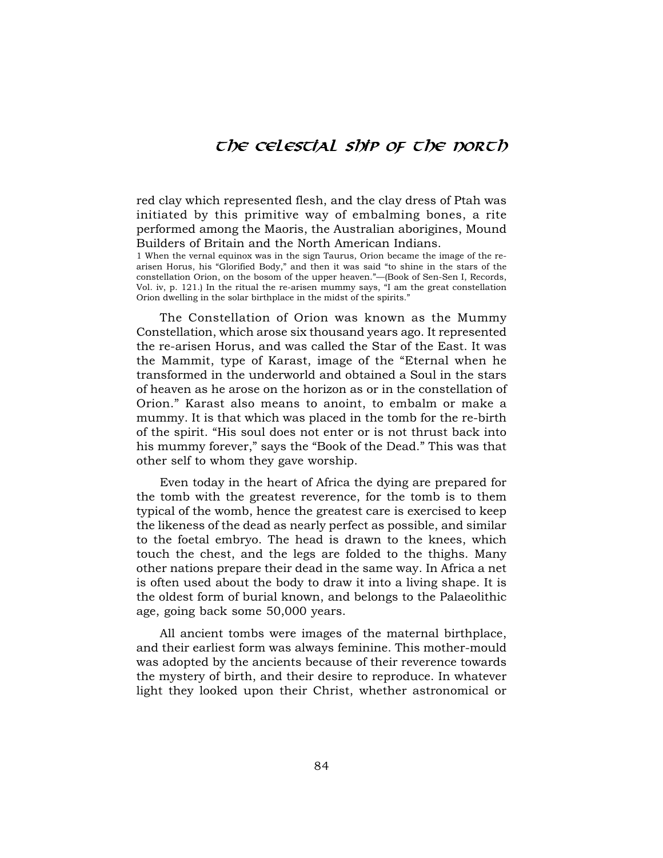red clay which represented flesh, and the clay dress of Ptah was initiated by this primitive way of embalming bones, a rite performed among the Maoris, the Australian aborigines, Mound Builders of Britain and the North American Indians.

1 When the vernal equinox was in the sign Taurus, Orion became the image of the rearisen Horus, his "Glorified Body," and then it was said "to shine in the stars of the constellation Orion, on the bosom of the upper heaven."—(Book of Sen-Sen I, Records, Vol. iv, p. 121.) In the ritual the re-arisen mummy says, "I am the great constellation Orion dwelling in the solar birthplace in the midst of the spirits."

The Constellation of Orion was known as the Mummy Constellation, which arose six thousand years ago. It represented the re-arisen Horus, and was called the Star of the East. It was the Mammit, type of Karast, image of the "Eternal when he transformed in the underworld and obtained a Soul in the stars of heaven as he arose on the horizon as or in the constellation of Orion." Karast also means to anoint, to embalm or make a mummy. It is that which was placed in the tomb for the re-birth of the spirit. "His soul does not enter or is not thrust back into his mummy forever," says the "Book of the Dead." This was that other self to whom they gave worship.

Even today in the heart of Africa the dying are prepared for the tomb with the greatest reverence, for the tomb is to them typical of the womb, hence the greatest care is exercised to keep the likeness of the dead as nearly perfect as possible, and similar to the foetal embryo. The head is drawn to the knees, which touch the chest, and the legs are folded to the thighs. Many other nations prepare their dead in the same way. In Africa a net is often used about the body to draw it into a living shape. It is the oldest form of burial known, and belongs to the Palaeolithic age, going back some 50,000 years.

All ancient tombs were images of the maternal birthplace, and their earliest form was always feminine. This mother-mould was adopted by the ancients because of their reverence towards the mystery of birth, and their desire to reproduce. In whatever light they looked upon their Christ, whether astronomical or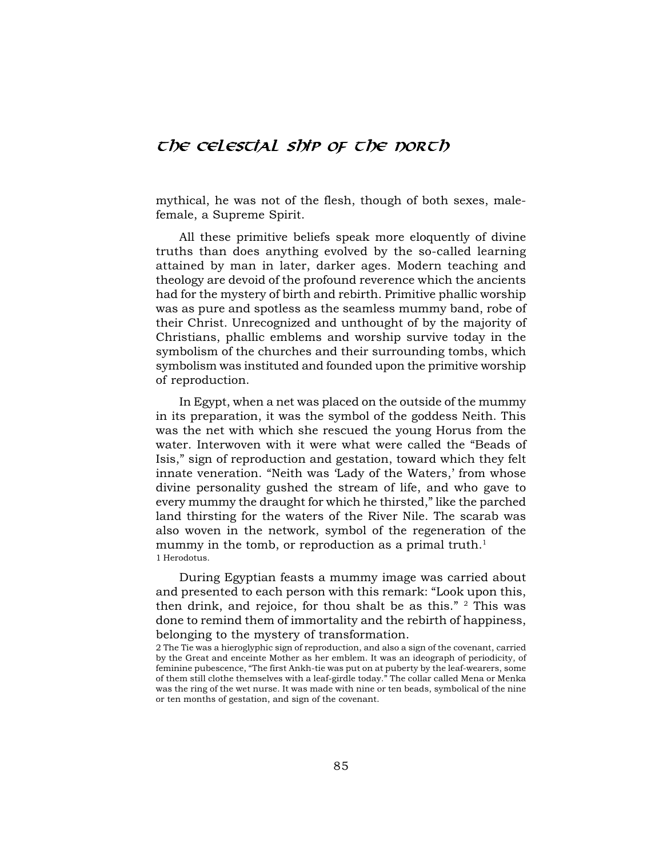mythical, he was not of the flesh, though of both sexes, malefemale, a Supreme Spirit.

All these primitive beliefs speak more eloquently of divine truths than does anything evolved by the so-called learning attained by man in later, darker ages. Modern teaching and theology are devoid of the profound reverence which the ancients had for the mystery of birth and rebirth. Primitive phallic worship was as pure and spotless as the seamless mummy band, robe of their Christ. Unrecognized and unthought of by the majority of Christians, phallic emblems and worship survive today in the symbolism of the churches and their surrounding tombs, which symbolism was instituted and founded upon the primitive worship of reproduction.

In Egypt, when a net was placed on the outside of the mummy in its preparation, it was the symbol of the goddess Neith. This was the net with which she rescued the young Horus from the water. Interwoven with it were what were called the "Beads of Isis," sign of reproduction and gestation, toward which they felt innate veneration. "Neith was 'Lady of the Waters,' from whose divine personality gushed the stream of life, and who gave to every mummy the draught for which he thirsted," like the parched land thirsting for the waters of the River Nile. The scarab was also woven in the network, symbol of the regeneration of the mummy in the tomb, or reproduction as a primal truth.<sup>1</sup> 1 Herodotus.

During Egyptian feasts a mummy image was carried about and presented to each person with this remark: "Look upon this, then drink, and rejoice, for thou shalt be as this." <sup>2</sup> This was done to remind them of immortality and the rebirth of happiness, belonging to the mystery of transformation.

2 The Tie was a hieroglyphic sign of reproduction, and also a sign of the covenant, carried by the Great and enceinte Mother as her emblem. It was an ideograph of periodicity, of feminine pubescence, "The first Ankh-tie was put on at puberty by the leaf-wearers, some of them still clothe themselves with a leaf-girdle today." The collar called Mena or Menka was the ring of the wet nurse. It was made with nine or ten beads, symbolical of the nine or ten months of gestation, and sign of the covenant.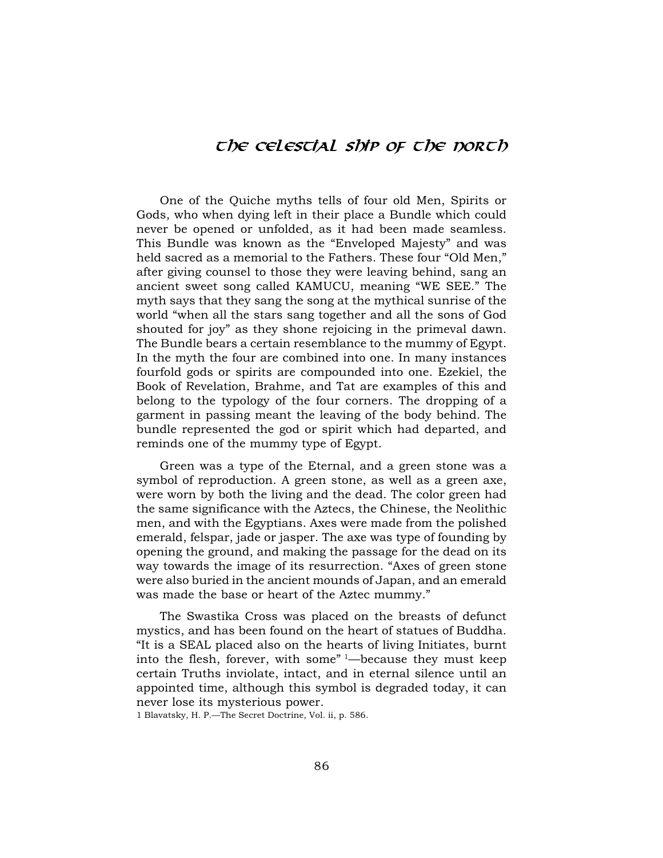One of the Quiche myths tells of four old Men, Spirits or Gods, who when dying left in their place a Bundle which could never be opened or unfolded, as it had been made seamless. This Bundle was known as the "Enveloped Majesty" and was held sacred as a memorial to the Fathers. These four "Old Men." after giving counsel to those they were leaving behind, sang an ancient sweet song called KAMUCU, meaning "WE SEE." The myth says that they sang the song at the mythical sunrise of the world "when all the stars sang together and all the sons of God shouted for joy" as they shone rejoicing in the primeval dawn. The Bundle bears a certain resemblance to the mummy of Egypt. In the myth the four are combined into one. In many instances fourfold gods or spirits are compounded into one. Ezekiel, the Book of Revelation, Brahme, and Tat are examples of this and belong to the typology of the four corners. The dropping of a garment in passing meant the leaving of the body behind. The bundle represented the god or spirit which had departed, and reminds one of the mummy type of Egypt.

Green was a type of the Eternal, and a green stone was a symbol of reproduction. A green stone, as well as a green axe, were worn by both the living and the dead. The color green had the same significance with the Aztecs, the Chinese, the Neolithic men, and with the Egyptians. Axes were made from the polished emerald, felspar, jade or jasper. The axe was type of founding by opening the ground, and making the passage for the dead on its way towards the image of its resurrection. "Axes of green stone were also buried in the ancient mounds of Japan, and an emerald was made the base or heart of the Aztec mummy."

The Swastika Cross was placed on the breasts of defunct mystics, and has been found on the heart of statues of Buddha. "It is a SEAL placed also on the hearts of living Initiates, burnt into the flesh, forever, with some"  $\frac{1}{2}$ -because they must keep certain Truths inviolate, intact, and in eternal silence until an appointed time, although this symbol is degraded today, it can never lose its mysterious power.

1 Blavatsky, H. P.-The Secret Doctrine, Vol. ii, p. 586.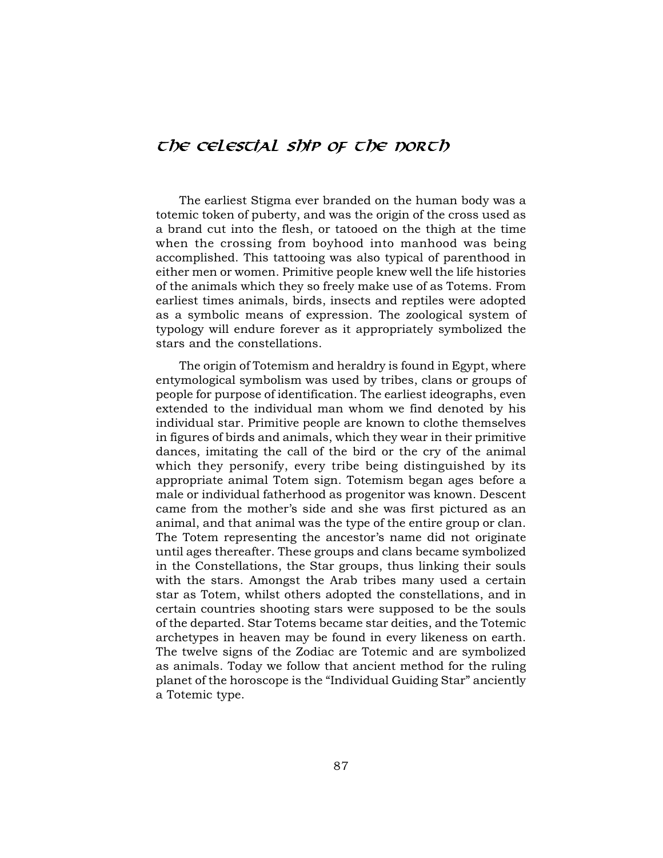The earliest Stigma ever branded on the human body was a totemic token of puberty, and was the origin of the cross used as a brand cut into the flesh, or tatooed on the thigh at the time when the crossing from boyhood into manhood was being accomplished. This tattooing was also typical of parenthood in either men or women. Primitive people knew well the life histories of the animals which they so freely make use of as Totems. From earliest times animals, birds, insects and reptiles were adopted as a symbolic means of expression. The zoological system of typology will endure forever as it appropriately symbolized the stars and the constellations.

The origin of Totemism and heraldry is found in Egypt, where entymological symbolism was used by tribes, clans or groups of people for purpose of identification. The earliest ideographs, even extended to the individual man whom we find denoted by his individual star. Primitive people are known to clothe themselves in figures of birds and animals, which they wear in their primitive dances, imitating the call of the bird or the cry of the animal which they personify, every tribe being distinguished by its appropriate animal Totem sign. Totemism began ages before a male or individual fatherhood as progenitor was known. Descent came from the mother's side and she was first pictured as an animal, and that animal was the type of the entire group or clan. The Totem representing the ancestor's name did not originate until ages thereafter. These groups and clans became symbolized in the Constellations, the Star groups, thus linking their souls with the stars. Amongst the Arab tribes many used a certain star as Totem, whilst others adopted the constellations, and in certain countries shooting stars were supposed to be the souls of the departed. Star Totems became star deities, and the Totemic archetypes in heaven may be found in every likeness on earth. The twelve signs of the Zodiac are Totemic and are symbolized as animals. Today we follow that ancient method for the ruling planet of the horoscope is the "Individual Guiding Star" anciently a Totemic type.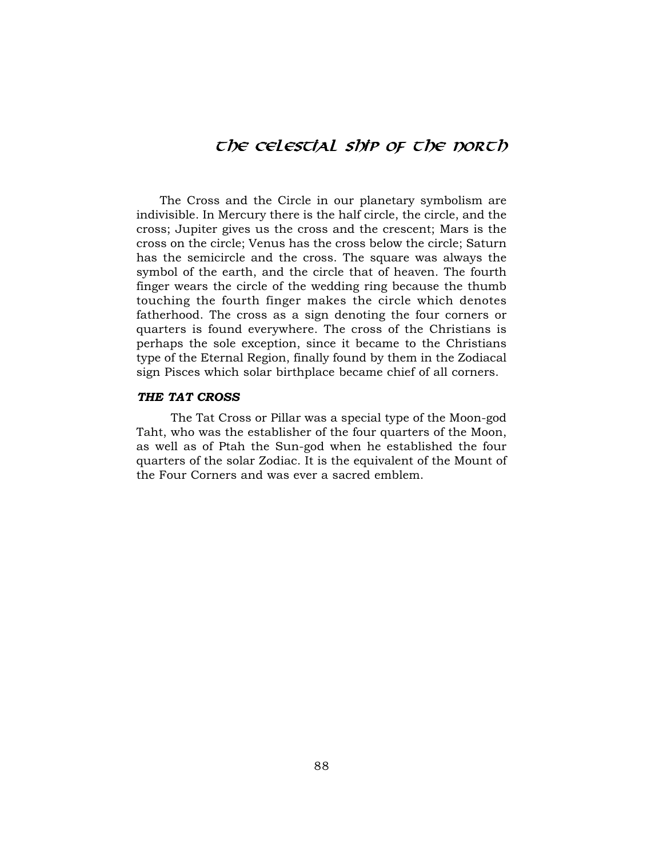The Cross and the Circle in our planetary symbolism are indivisible. In Mercury there is the half circle, the circle, and the cross; Jupiter gives us the cross and the crescent; Mars is the cross on the circle; Venus has the cross below the circle; Saturn has the semicircle and the cross. The square was always the symbol of the earth, and the circle that of heaven. The fourth finger wears the circle of the wedding ring because the thumb touching the fourth finger makes the circle which denotes fatherhood. The cross as a sign denoting the four corners or quarters is found everywhere. The cross of the Christians is perhaps the sole exception, since it became to the Christians type of the Eternal Region, finally found by them in the Zodiacal sign Pisces which solar birthplace became chief of all corners.

#### THE TAT CROSS

The Tat Cross or Pillar was a special type of the Moon-god Taht, who was the establisher of the four quarters of the Moon, as well as of Ptah the Sun-god when he established the four quarters of the solar Zodiac. It is the equivalent of the Mount of the Four Corners and was ever a sacred emblem.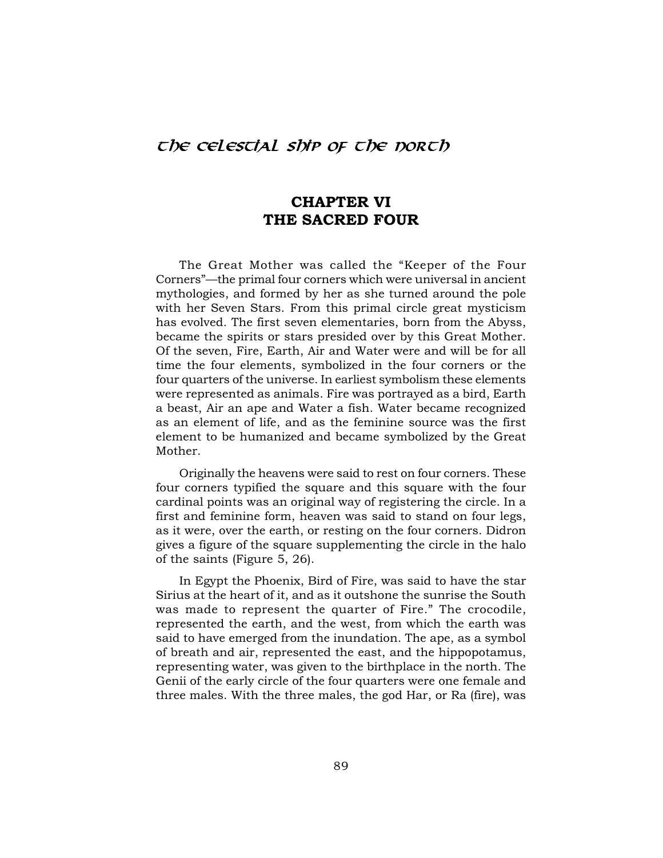### **CHAPTER VI** THE SACRED FOUR

The Great Mother was called the "Keeper of the Four Corners"—the primal four corners which were universal in ancient mythologies, and formed by her as she turned around the pole with her Seven Stars. From this primal circle great mysticism has evolved. The first seven elementaries, born from the Abyss, became the spirits or stars presided over by this Great Mother. Of the seven, Fire, Earth, Air and Water were and will be for all time the four elements, symbolized in the four corners or the four quarters of the universe. In earliest symbolism these elements were represented as animals. Fire was portrayed as a bird, Earth a beast, Air an ape and Water a fish. Water became recognized as an element of life, and as the feminine source was the first element to be humanized and became symbolized by the Great Mother.

Originally the heavens were said to rest on four corners. These four corners typified the square and this square with the four cardinal points was an original way of registering the circle. In a first and feminine form, heaven was said to stand on four legs, as it were, over the earth, or resting on the four corners. Didron gives a figure of the square supplementing the circle in the halo of the saints (Figure 5, 26).

In Egypt the Phoenix, Bird of Fire, was said to have the star Sirius at the heart of it, and as it outshone the sunrise the South was made to represent the quarter of Fire." The crocodile, represented the earth, and the west, from which the earth was said to have emerged from the inundation. The ape, as a symbol of breath and air, represented the east, and the hippopotamus, representing water, was given to the birthplace in the north. The Genii of the early circle of the four quarters were one female and three males. With the three males, the god Har, or Ra (fire), was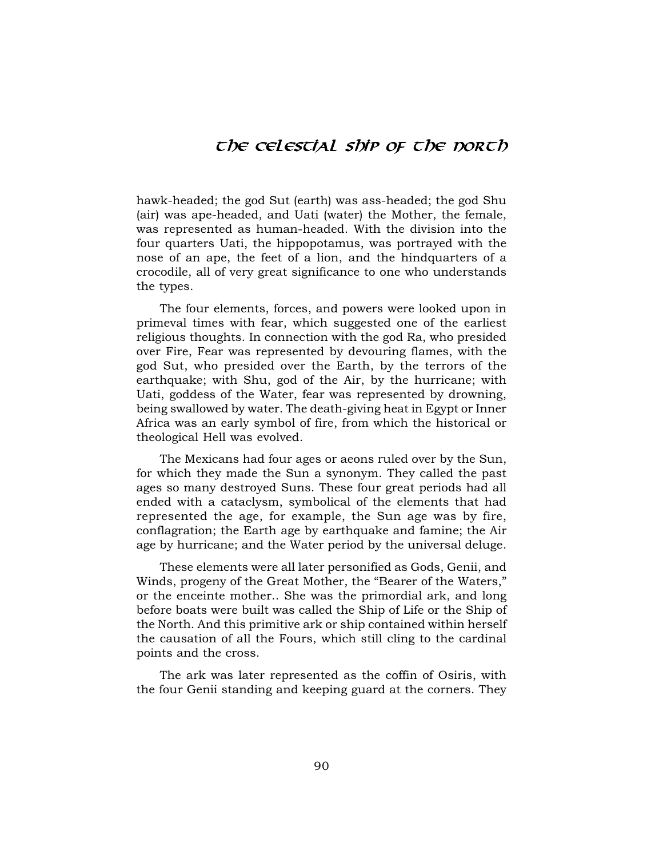hawk-headed; the god Sut (earth) was ass-headed; the god Shu (air) was ape-headed, and Uati (water) the Mother, the female, was represented as human-headed. With the division into the four quarters Uati, the hippopotamus, was portrayed with the nose of an ape, the feet of a lion, and the hind quarters of a crocodile, all of very great significance to one who understands the types.

The four elements, forces, and powers were looked upon in primeval times with fear, which suggested one of the earliest religious thoughts. In connection with the god Ra, who presided over Fire, Fear was represented by devouring flames, with the god Sut, who presided over the Earth, by the terrors of the earthquake; with Shu, god of the Air, by the hurricane; with Uati, goddess of the Water, fear was represented by drowning, being swallowed by water. The death-giving heat in Egypt or Inner Africa was an early symbol of fire, from which the historical or theological Hell was evolved.

The Mexicans had four ages or aeons ruled over by the Sun, for which they made the Sun a synonym. They called the past ages so many destroyed Suns. These four great periods had all ended with a cataclysm, symbolical of the elements that had represented the age, for example, the Sun age was by fire, conflagration; the Earth age by earthquake and famine; the Air age by hurricane; and the Water period by the universal deluge.

These elements were all later personified as Gods, Genii, and Winds, progeny of the Great Mother, the "Bearer of the Waters," or the enceinte mother.. She was the primordial ark, and long before boats were built was called the Ship of Life or the Ship of the North. And this primitive ark or ship contained within herself the causation of all the Fours, which still cling to the cardinal points and the cross.

The ark was later represented as the coffin of Osiris, with the four Genii standing and keeping guard at the corners. They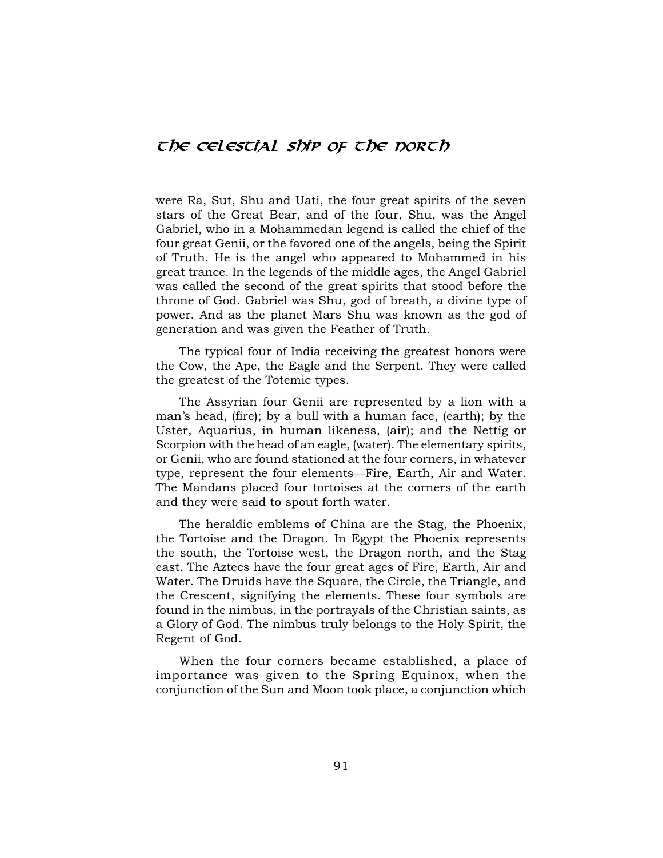were Ra, Sut, Shu and Uati, the four great spirits of the seven stars of the Great Bear, and of the four, Shu, was the Angel Gabriel, who in a Mohammedan legend is called the chief of the four great Genii, or the favored one of the angels, being the Spirit of Truth. He is the angel who appeared to Mohammed in his great trance. In the legends of the middle ages, the Angel Gabriel was called the second of the great spirits that stood before the throne of God. Gabriel was Shu, god of breath, a divine type of power. And as the planet Mars Shu was known as the god of generation and was given the Feather of Truth.

The typical four of India receiving the greatest honors were the Cow, the Ape, the Eagle and the Serpent. They were called the greatest of the Totemic types.

The Assyrian four Genii are represented by a lion with a man's head, (fire); by a bull with a human face, (earth); by the Uster, Aquarius, in human likeness, (air); and the Nettig or Scorpion with the head of an eagle, (water). The elementary spirits, or Genii, who are found stationed at the four corners, in whatever type, represent the four elements—Fire, Earth, Air and Water. The Mandans placed four tortoises at the corners of the earth and they were said to spout forth water.

The heraldic emblems of China are the Stag, the Phoenix, the Tortoise and the Dragon. In Egypt the Phoenix represents the south, the Tortoise west, the Dragon north, and the Stag east. The Aztecs have the four great ages of Fire, Earth, Air and Water. The Druids have the Square, the Circle, the Triangle, and the Crescent, signifying the elements. These four symbols are found in the nimbus, in the portrayals of the Christian saints, as a Glory of God. The nimbus truly belongs to the Holy Spirit, the Regent of God.

When the four corners became established, a place of importance was given to the Spring Equinox, when the conjunction of the Sun and Moon took place, a conjunction which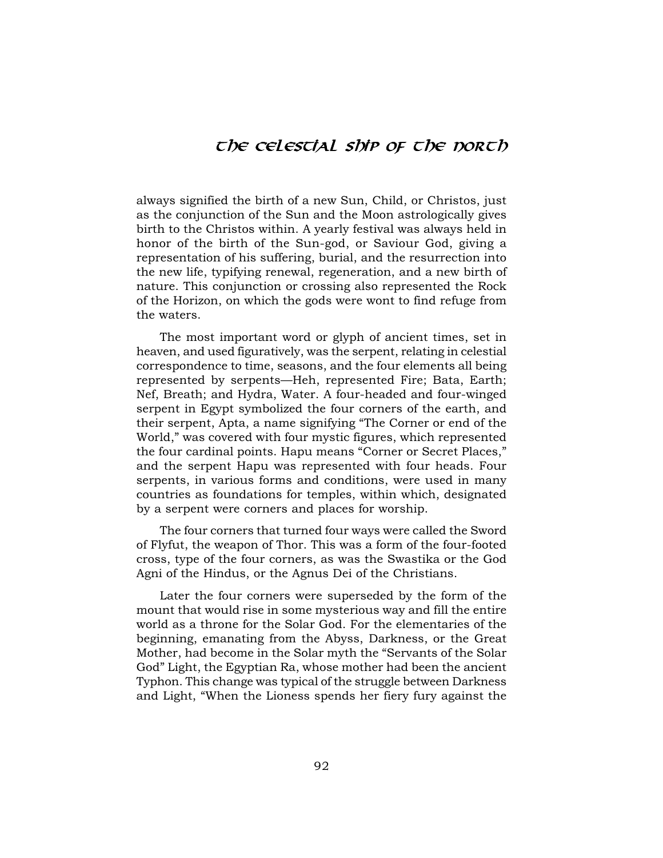always signified the birth of a new Sun, Child, or Christos, just as the conjunction of the Sun and the Moon astrologically gives birth to the Christos within. A yearly festival was always held in honor of the birth of the Sun-god, or Saviour God, giving a representation of his suffering, burial, and the resurrection into the new life, typifying renewal, regeneration, and a new birth of nature. This conjunction or crossing also represented the Rock of the Horizon, on which the gods were wont to find refuge from the waters.

The most important word or glyph of ancient times, set in heaven, and used figuratively, was the serpent, relating in celestial correspondence to time, seasons, and the four elements all being represented by serpents—Heh, represented Fire; Bata, Earth; Nef, Breath; and Hydra, Water. A four-headed and four-winged serpent in Egypt symbolized the four corners of the earth, and their serpent, Apta, a name signifying "The Corner or end of the World," was covered with four mystic figures, which represented the four cardinal points. Hapu means "Corner or Secret Places," and the serpent Hapu was represented with four heads. Four serpents, in various forms and conditions, were used in many countries as foundations for temples, within which, designated by a serpent were corners and places for worship.

The four corners that turned four ways were called the Sword of Flyfut, the weapon of Thor. This was a form of the four-footed cross, type of the four corners, as was the Swastika or the God Agni of the Hindus, or the Agnus Dei of the Christians.

Later the four corners were superseded by the form of the mount that would rise in some mysterious way and fill the entire world as a throne for the Solar God. For the elementaries of the beginning, emanating from the Abyss, Darkness, or the Great Mother, had become in the Solar myth the "Servants of the Solar God" Light, the Egyptian Ra, whose mother had been the ancient Typhon. This change was typical of the struggle between Darkness and Light, "When the Lioness spends her fiery fury against the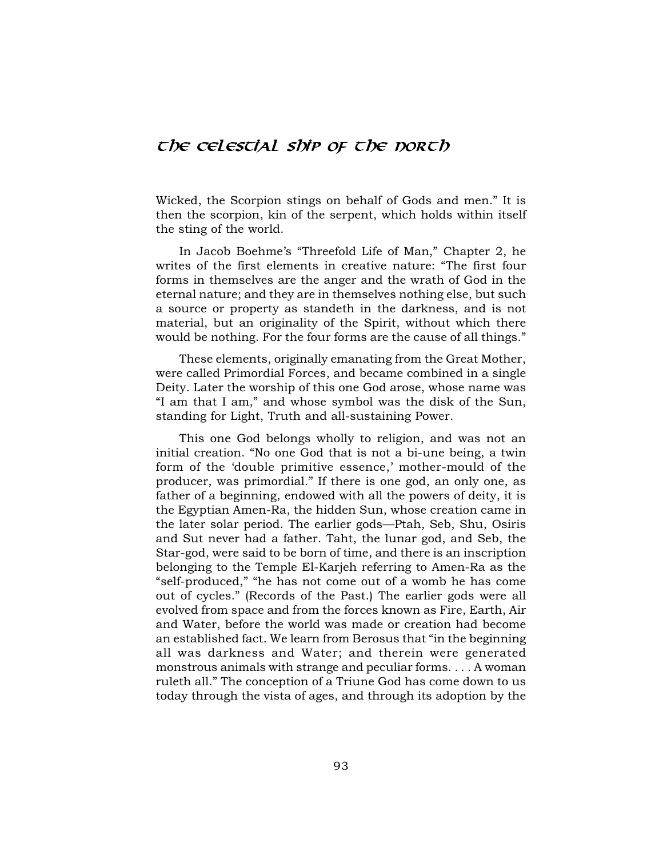Wicked, the Scorpion stings on behalf of Gods and men." It is then the scorpion, kin of the serpent, which holds within itself the sting of the world.

In Jacob Boehme's "Threefold Life of Man," Chapter 2, he writes of the first elements in creative nature: "The first four forms in themselves are the anger and the wrath of God in the eternal nature; and they are in themselves nothing else, but such a source or property as standeth in the darkness, and is not material, but an originality of the Spirit, without which there would be nothing. For the four forms are the cause of all things."

These elements, originally emanating from the Great Mother, were called Primordial Forces, and became combined in a single Deity. Later the worship of this one God arose, whose name was "I am that I am," and whose symbol was the disk of the Sun, standing for Light, Truth and all-sustaining Power.

This one God belongs wholly to religion, and was not an initial creation. "No one God that is not a bi-une being, a twin form of the 'double primitive essence,' mother-mould of the producer, was primordial." If there is one god, an only one, as father of a beginning, endowed with all the powers of deity, it is the Egyptian Amen-Ra, the hidden Sun, whose creation came in the later solar period. The earlier gods—Ptah, Seb, Shu, Osiris and Sut never had a father. Taht, the lunar god, and Seb, the Star-god, were said to be born of time, and there is an inscription belonging to the Temple El-Karjeh referring to Amen-Ra as the "self-produced," "he has not come out of a womb he has come out of cycles." (Records of the Past.) The earlier gods were all evolved from space and from the forces known as Fire, Earth, Air and Water, before the world was made or creation had become an established fact. We learn from Berosus that "in the beginning" all was darkness and Water; and therein were generated monstrous animals with strange and peculiar forms.... A woman ruleth all." The conception of a Triune God has come down to us today through the vista of ages, and through its adoption by the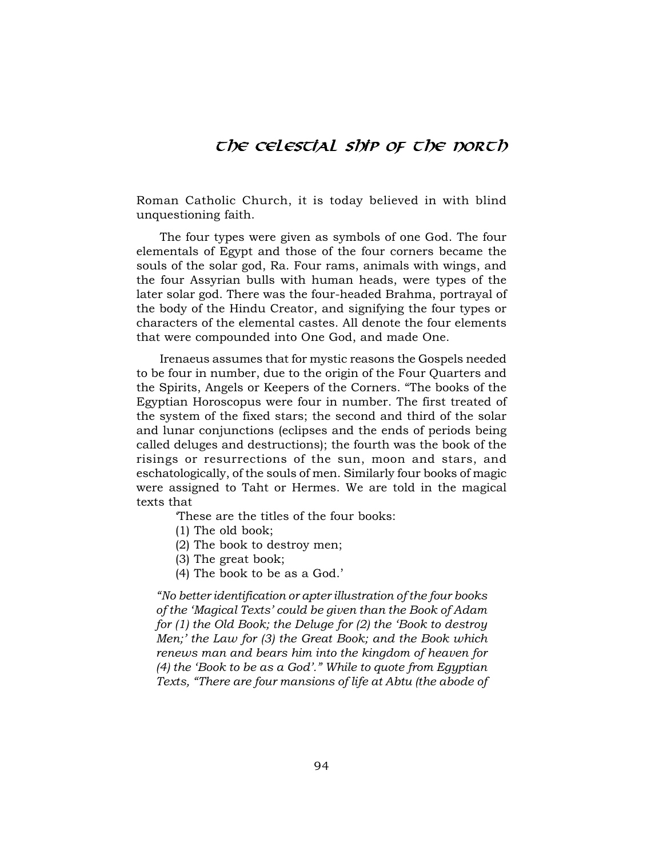Roman Catholic Church, it is today believed in with blind unquestioning faith.

The four types were given as symbols of one God. The four elementals of Egypt and those of the four corners became the souls of the solar god, Ra. Four rams, animals with wings, and the four Assyrian bulls with human heads, were types of the later solar god. There was the four-headed Brahma, portrayal of the body of the Hindu Creator, and signifying the four types or characters of the elemental castes. All denote the four elements that were compounded into One God, and made One.

Irenaeus assumes that for mystic reasons the Gospels needed to be four in number, due to the origin of the Four Quarters and the Spirits, Angels or Keepers of the Corners. "The books of the Egyptian Horoscopus were four in number. The first treated of the system of the fixed stars; the second and third of the solar and lunar conjunctions (eclipses and the ends of periods being called deluges and destructions); the fourth was the book of the risings or resurrections of the sun, moon and stars, and eschatologically, of the souls of men. Similarly four books of magic were assigned to Taht or Hermes. We are told in the magical texts that

These are the titles of the four books:

- (1) The old book;
- (2) The book to destroy men;
- (3) The great book;
- (4) The book to be as a God.'

"No better identification or apter illustration of the four books of the 'Magical Texts' could be given than the Book of Adam for  $(1)$  the Old Book; the Deluge for  $(2)$  the 'Book to destroy Men;' the Law for (3) the Great Book; and the Book which renews man and bears him into the kingdom of heaven for (4) the 'Book to be as a God'." While to quote from Egyptian Texts, "There are four mansions of life at Abtu (the abode of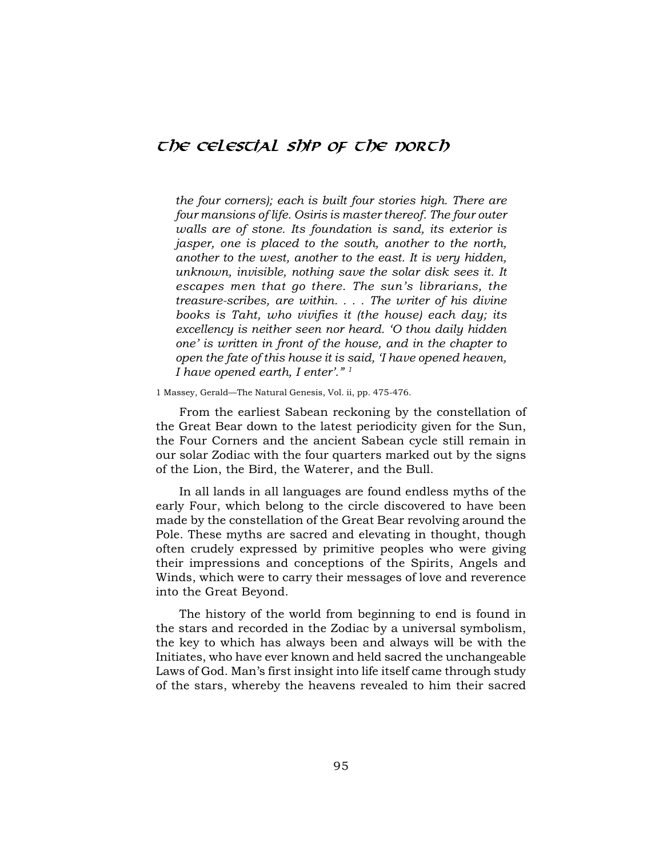the four corners); each is built four stories high. There are four mansions of life. Osiris is master thereof. The four outer walls are of stone. Its foundation is sand, its exterior is jasper, one is placed to the south, another to the north, another to the west, another to the east. It is very hidden, unknown, invisible, nothing save the solar disk sees it. It escapes men that go there. The sun's librarians, the treasure-scribes, are within. . . . The writer of his divine books is Taht, who vivifies it (the house) each day; its excellency is neither seen nor heard. 'O thou daily hidden one' is written in front of the house, and in the chapter to open the fate of this house it is said, 'I have opened heaven, I have opened earth, I enter'."  $1$ 

1 Massey, Gerald-The Natural Genesis, Vol. ii, pp. 475-476.

From the earliest Sabean reckoning by the constellation of the Great Bear down to the latest periodicity given for the Sun, the Four Corners and the ancient Sabean cycle still remain in our solar Zodiac with the four quarters marked out by the signs of the Lion, the Bird, the Waterer, and the Bull.

In all lands in all languages are found endless myths of the early Four, which belong to the circle discovered to have been made by the constellation of the Great Bear revolving around the Pole. These myths are sacred and elevating in thought, though often crudely expressed by primitive peoples who were giving their impressions and conceptions of the Spirits, Angels and Winds, which were to carry their messages of love and reverence into the Great Beyond.

The history of the world from beginning to end is found in the stars and recorded in the Zodiac by a universal symbolism, the key to which has always been and always will be with the Initiates, who have ever known and held sacred the unchangeable Laws of God. Man's first insight into life itself came through study of the stars, whereby the heavens revealed to him their sacred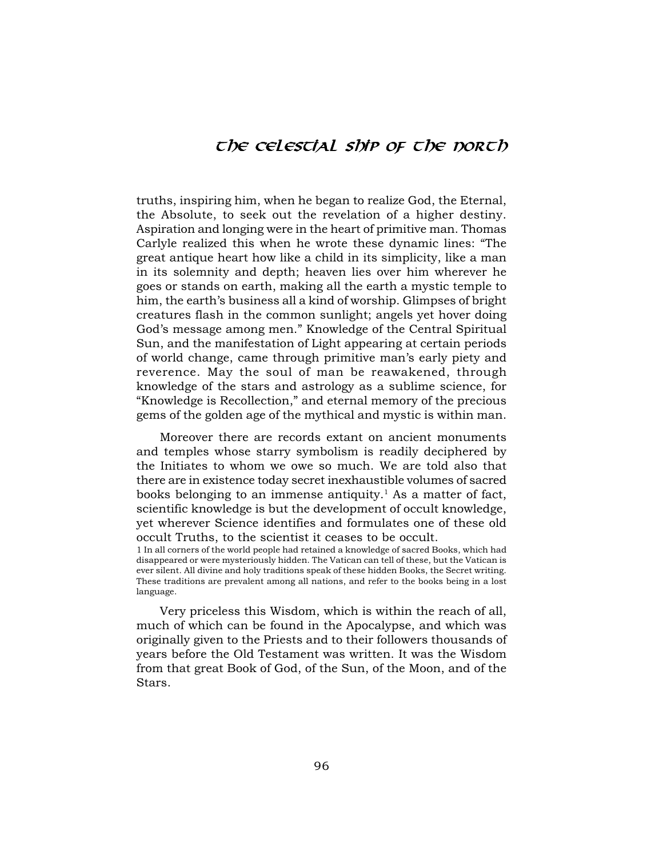truths, inspiring him, when he began to realize God, the Eternal, the Absolute, to seek out the revelation of a higher destiny. Aspiration and longing were in the heart of primitive man. Thomas Carlyle realized this when he wrote these dynamic lines: "The great antique heart how like a child in its simplicity, like a man in its solemnity and depth; heaven lies over him wherever he goes or stands on earth, making all the earth a mystic temple to him, the earth's business all a kind of worship. Glimpses of bright creatures flash in the common sunlight; angels yet hover doing God's message among men." Knowledge of the Central Spiritual Sun, and the manifestation of Light appearing at certain periods of world change, came through primitive man's early piety and reverence. May the soul of man be reawakened, through knowledge of the stars and astrology as a sublime science, for "Knowledge is Recollection," and eternal memory of the precious gems of the golden age of the mythical and mystic is within man.

Moreover there are records extant on ancient monuments and temples whose starry symbolism is readily deciphered by the Initiates to whom we owe so much. We are told also that there are in existence today secret inexhaustible volumes of sacred books belonging to an immense antiquity.<sup>1</sup> As a matter of fact, scientific knowledge is but the development of occult knowledge, vet wherever Science identifies and formulates one of these old occult Truths, to the scientist it ceases to be occult.

1 In all corners of the world people had retained a knowledge of sacred Books, which had disappeared or were mysteriously hidden. The Vatican can tell of these, but the Vatican is ever silent. All divine and holy traditions speak of these hidden Books, the Secret writing. These traditions are prevalent among all nations, and refer to the books being in a lost language.

Very priceless this Wisdom, which is within the reach of all, much of which can be found in the Apocalypse, and which was originally given to the Priests and to their followers thousands of years before the Old Testament was written. It was the Wisdom from that great Book of God, of the Sun, of the Moon, and of the Stars.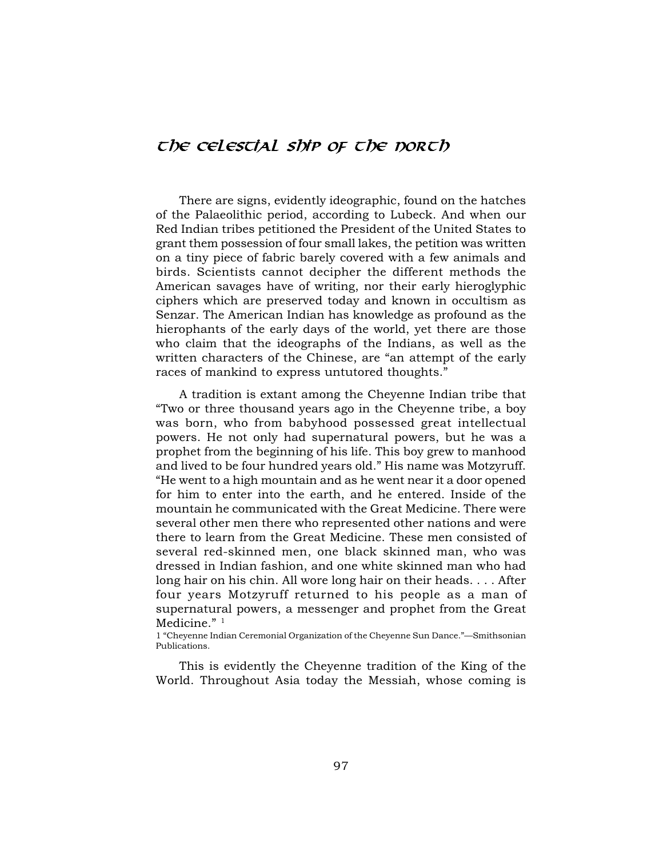There are signs, evidently ideographic, found on the hatches of the Palaeolithic period, according to Lubeck. And when our Red Indian tribes petitioned the President of the United States to grant them possession of four small lakes, the petition was written on a tiny piece of fabric barely covered with a few animals and birds. Scientists cannot decipher the different methods the American savages have of writing, nor their early hieroglyphic ciphers which are preserved today and known in occultism as Senzar. The American Indian has knowledge as profound as the hierophants of the early days of the world, yet there are those who claim that the ideographs of the Indians, as well as the written characters of the Chinese, are "an attempt of the early races of mankind to express untutored thoughts."

A tradition is extant among the Cheyenne Indian tribe that "Two or three thousand years ago in the Cheyenne tribe, a boy was born, who from babyhood possessed great intellectual powers. He not only had supernatural powers, but he was a prophet from the beginning of his life. This boy grew to manhood and lived to be four hundred years old." His name was Motzyruff. "He went to a high mountain and as he went near it a door opened for him to enter into the earth, and he entered. Inside of the mountain he communicated with the Great Medicine. There were several other men there who represented other nations and were there to learn from the Great Medicine. These men consisted of several red-skinned men, one black skinned man, who was dressed in Indian fashion, and one white skinned man who had long hair on his chin. All wore long hair on their heads.... After four years Motzyruff returned to his people as a man of supernatural powers, a messenger and prophet from the Great Medicine. $" '$ 

1 "Cheyenne Indian Ceremonial Organization of the Cheyenne Sun Dance."-Smithsonian Publications.

This is evidently the Cheyenne tradition of the King of the World. Throughout Asia today the Messiah, whose coming is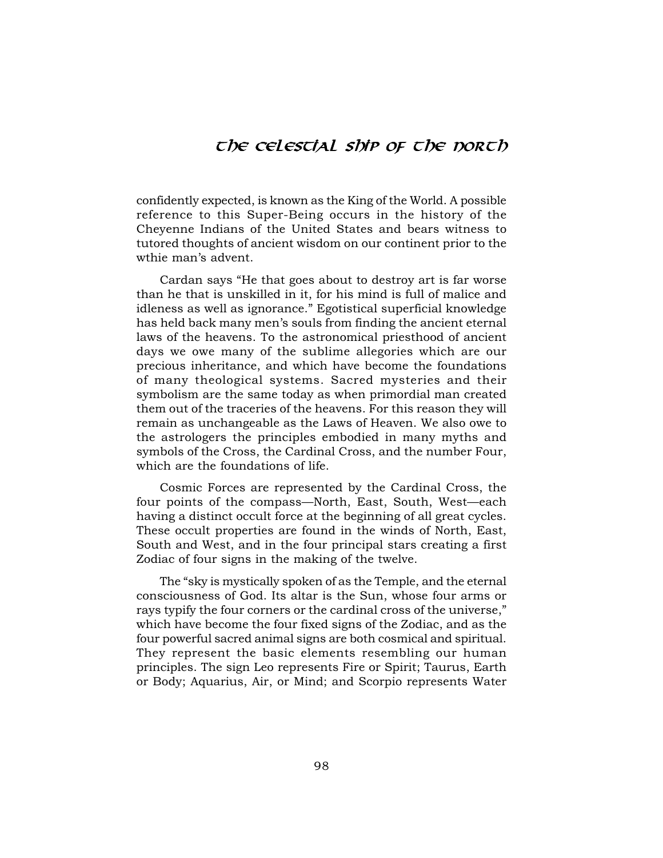confidently expected, is known as the King of the World. A possible reference to this Super-Being occurs in the history of the Cheyenne Indians of the United States and bears witness to tutored thoughts of ancient wisdom on our continent prior to the wthie man's advent.

Cardan says "He that goes about to destroy art is far worse than he that is unskilled in it, for his mind is full of malice and idleness as well as ignorance." Egotistical superficial knowledge has held back many men's souls from finding the ancient eternal laws of the heavens. To the astronomical priesthood of ancient days we owe many of the sublime allegories which are our precious inheritance, and which have become the foundations of many theological systems. Sacred mysteries and their symbolism are the same today as when primordial man created them out of the traceries of the heavens. For this reason they will remain as unchangeable as the Laws of Heaven. We also owe to the astrologers the principles embodied in many myths and symbols of the Cross, the Cardinal Cross, and the number Four, which are the foundations of life.

Cosmic Forces are represented by the Cardinal Cross, the four points of the compass—North, East, South, West—each having a distinct occult force at the beginning of all great cycles. These occult properties are found in the winds of North, East, South and West, and in the four principal stars creating a first Zodiac of four signs in the making of the twelve.

The "sky is mystically spoken of as the Temple, and the eternal consciousness of God. Its altar is the Sun, whose four arms or rays typify the four corners or the cardinal cross of the universe," which have become the four fixed signs of the Zodiac, and as the four powerful sacred animal signs are both cosmical and spiritual. They represent the basic elements resembling our human principles. The sign Leo represents Fire or Spirit; Taurus, Earth or Body; Aquarius, Air, or Mind; and Scorpio represents Water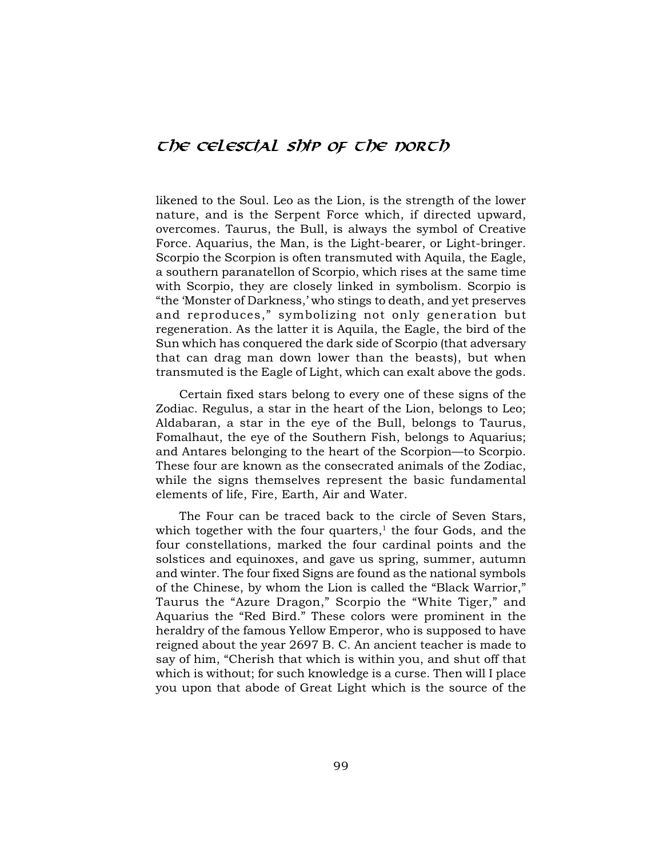likened to the Soul. Leo as the Lion, is the strength of the lower nature, and is the Serpent Force which, if directed upward, overcomes. Taurus, the Bull, is always the symbol of Creative Force. Aquarius, the Man, is the Light-bearer, or Light-bringer. Scorpio the Scorpion is often transmuted with Aquila, the Eagle, a southern paranatellon of Scorpio, which rises at the same time with Scorpio, they are closely linked in symbolism. Scorpio is "the 'Monster of Darkness,' who stings to death, and yet preserves and reproduces," symbolizing not only generation but regeneration. As the latter it is Aquila, the Eagle, the bird of the Sun which has conquered the dark side of Scorpio (that adversary that can drag man down lower than the beasts), but when transmuted is the Eagle of Light, which can exalt above the gods.

Certain fixed stars belong to every one of these signs of the Zodiac. Regulus, a star in the heart of the Lion, belongs to Leo; Aldabaran, a star in the eye of the Bull, belongs to Taurus, Fomalhaut, the eye of the Southern Fish, belongs to Aquarius; and Antares belonging to the heart of the Scorpion-to Scorpio. These four are known as the consecrated animals of the Zodiac, while the signs themselves represent the basic fundamental elements of life, Fire, Earth, Air and Water.

The Four can be traced back to the circle of Seven Stars, which together with the four quarters,<sup>1</sup> the four Gods, and the four constellations, marked the four cardinal points and the solstices and equinoxes, and gave us spring, summer, autumn and winter. The four fixed Signs are found as the national symbols of the Chinese, by whom the Lion is called the "Black Warrior," Taurus the "Azure Dragon," Scorpio the "White Tiger," and Aquarius the "Red Bird." These colors were prominent in the heraldry of the famous Yellow Emperor, who is supposed to have reigned about the year 2697 B. C. An ancient teacher is made to say of him, "Cherish that which is within you, and shut off that which is without; for such knowledge is a curse. Then will I place you upon that abode of Great Light which is the source of the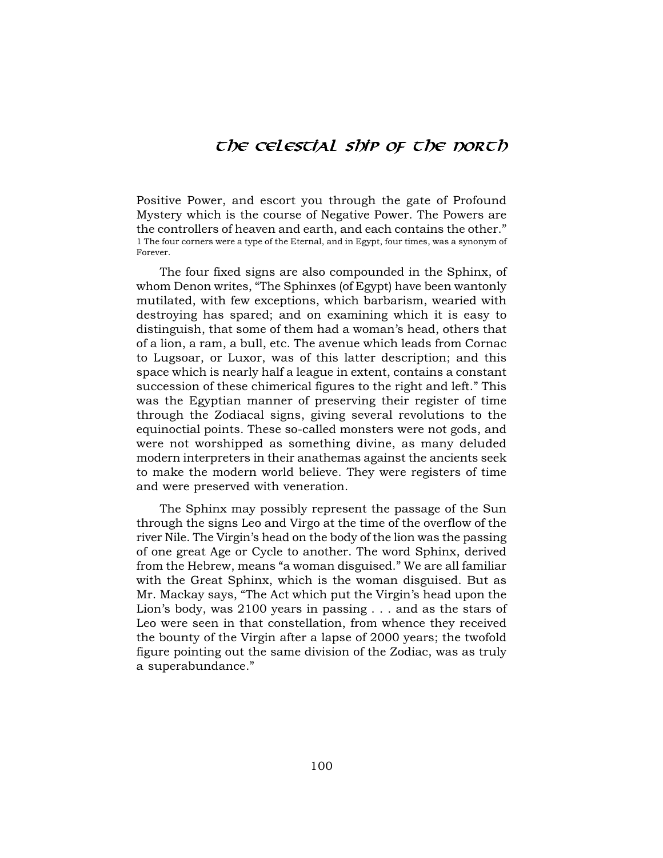Positive Power, and escort you through the gate of Profound Mystery which is the course of Negative Power. The Powers are the controllers of heaven and earth, and each contains the other." 1 The four corners were a type of the Eternal, and in Egypt, four times, was a synonym of Forever.

The four fixed signs are also compounded in the Sphinx, of whom Denon writes, "The Sphinxes (of Egypt) have been wantonly mutilated, with few exceptions, which barbarism, wearied with destroying has spared; and on examining which it is easy to distinguish, that some of them had a woman's head, others that of a lion, a ram, a bull, etc. The avenue which leads from Cornac to Lugsoar, or Luxor, was of this latter description; and this space which is nearly half a league in extent, contains a constant succession of these chimerical figures to the right and left." This was the Egyptian manner of preserving their register of time through the Zodiacal signs, giving several revolutions to the equinoctial points. These so-called monsters were not gods, and were not worshipped as something divine, as many deluded modern interpreters in their anathemas against the ancients seek to make the modern world believe. They were registers of time and were preserved with veneration.

The Sphinx may possibly represent the passage of the Sun through the signs Leo and Virgo at the time of the overflow of the river Nile. The Virgin's head on the body of the lion was the passing of one great Age or Cycle to another. The word Sphinx, derived from the Hebrew, means "a woman disguised." We are all familiar with the Great Sphinx, which is the woman disguised. But as Mr. Mackay says, "The Act which put the Virgin's head upon the Lion's body, was  $2100$  years in passing  $\ldots$  and as the stars of Leo were seen in that constellation, from whence they received the bounty of the Virgin after a lapse of 2000 years; the twofold figure pointing out the same division of the Zodiac, was as truly a superabundance."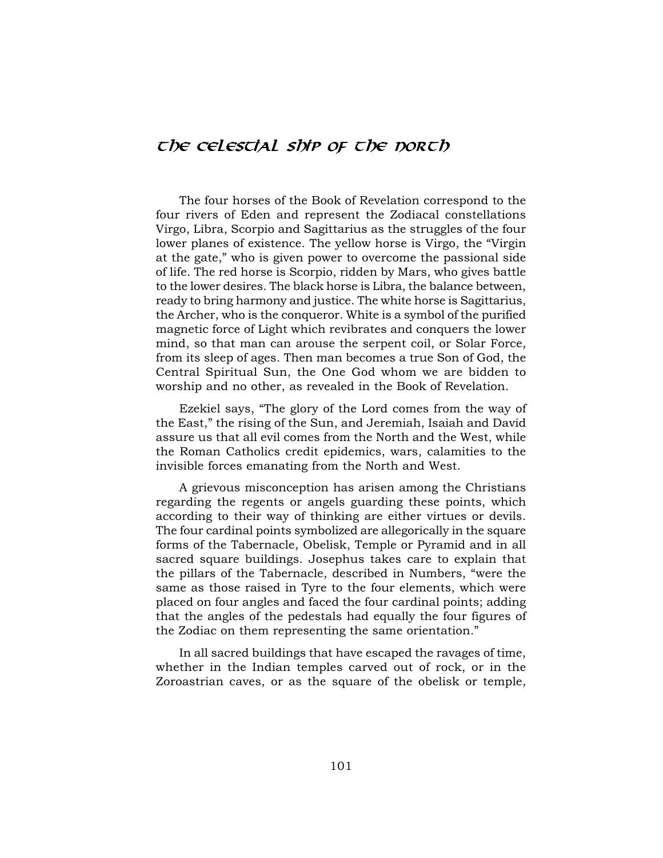The four horses of the Book of Revelation correspond to the four rivers of Eden and represent the Zodiacal constellations Virgo, Libra, Scorpio and Sagittarius as the struggles of the four lower planes of existence. The yellow horse is Virgo, the "Virgin at the gate," who is given power to overcome the passional side of life. The red horse is Scorpio, ridden by Mars, who gives battle to the lower desires. The black horse is Libra, the balance between, ready to bring harmony and justice. The white horse is Sagittarius, the Archer, who is the conqueror. White is a symbol of the purified magnetic force of Light which revibrates and conquers the lower mind, so that man can arouse the serpent coil, or Solar Force, from its sleep of ages. Then man becomes a true Son of God, the Central Spiritual Sun, the One God whom we are bidden to worship and no other, as revealed in the Book of Revelation.

Ezekiel says, "The glory of the Lord comes from the way of the East," the rising of the Sun, and Jeremiah, Isaiah and David assure us that all evil comes from the North and the West, while the Roman Catholics credit epidemics, wars, calamities to the invisible forces emanating from the North and West.

A grievous misconception has arisen among the Christians regarding the regents or angels guarding these points, which according to their way of thinking are either virtues or devils. The four cardinal points symbolized are allegorically in the square forms of the Tabernacle, Obelisk, Temple or Pyramid and in all sacred square buildings. Josephus takes care to explain that the pillars of the Tabernacle, described in Numbers, "were the same as those raised in Tyre to the four elements, which were placed on four angles and faced the four cardinal points; adding that the angles of the pedestals had equally the four figures of the Zodiac on them representing the same orientation."

In all sacred buildings that have escaped the ravages of time, whether in the Indian temples carved out of rock, or in the Zoroastrian caves, or as the square of the obelisk or temple,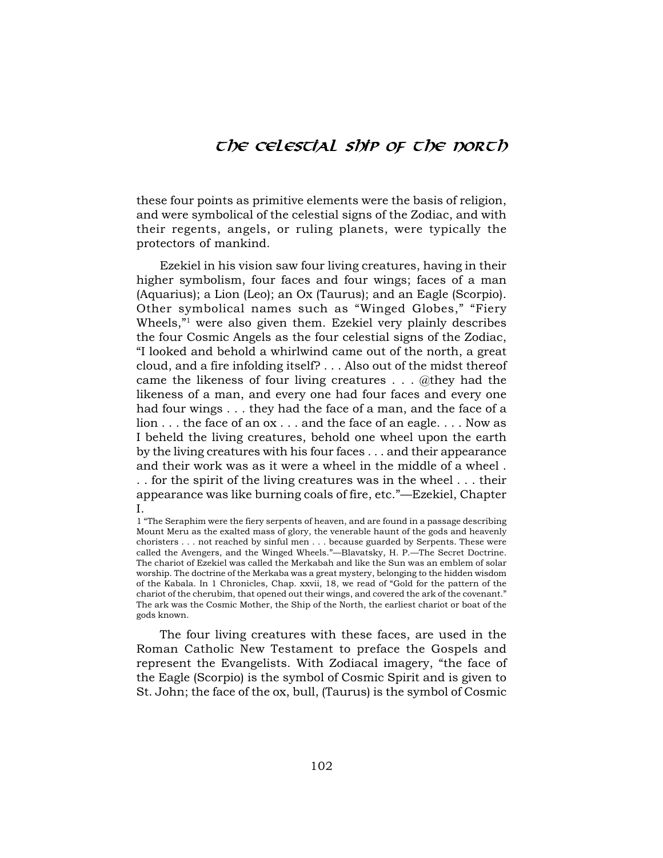these four points as primitive elements were the basis of religion, and were symbolical of the celestial signs of the Zodiac, and with their regents, angels, or ruling planets, were typically the protectors of mankind.

Ezekiel in his vision saw four living creatures, having in their higher symbolism, four faces and four wings; faces of a man (Aquarius); a Lion (Leo); an Ox (Taurus); and an Eagle (Scorpio). Other symbolical names such as "Winged Globes," "Fiery Wheels," were also given them. Ezekiel very plainly describes the four Cosmic Angels as the four celestial signs of the Zodiac, "I looked and behold a whirlwind came out of the north, a great cloud, and a fire infolding itself? . . . Also out of the midst thereof came the likeness of four living creatures  $\ldots$  @they had the likeness of a man, and every one had four faces and every one had four wings . . . they had the face of a man, and the face of a lion . . . the face of an ox . . . and the face of an eagle. . . . Now as I beheld the living creatures, behold one wheel upon the earth by the living creatures with his four faces . . . and their appearance and their work was as it were a wheel in the middle of a wheel. .. for the spirit of the living creatures was in the wheel... their appearance was like burning coals of fire, etc."—Ezekiel, Chapter Ι.

The four living creatures with these faces, are used in the Roman Catholic New Testament to preface the Gospels and represent the Evangelists. With Zodiacal imagery, "the face of the Eagle (Scorpio) is the symbol of Cosmic Spirit and is given to St. John; the face of the ox, bull, (Taurus) is the symbol of Cosmic

<sup>1 &</sup>quot;The Seraphim were the fiery serpents of heaven, and are found in a passage describing Mount Meru as the exalted mass of glory, the venerable haunt of the gods and heavenly choristers . . . not reached by sinful men . . . because guarded by Serpents. These were called the Avengers, and the Winged Wheels."—Blavatsky, H. P.—The Secret Doctrine. The chariot of Ezekiel was called the Merkabah and like the Sun was an emblem of solar worship. The doctrine of the Merkaba was a great mystery, belonging to the hidden wisdom of the Kabala. In 1 Chronicles, Chap. xxvii, 18, we read of "Gold for the pattern of the chariot of the cherubim, that opened out their wings, and covered the ark of the covenant." The ark was the Cosmic Mother, the Ship of the North, the earliest chariot or boat of the gods known.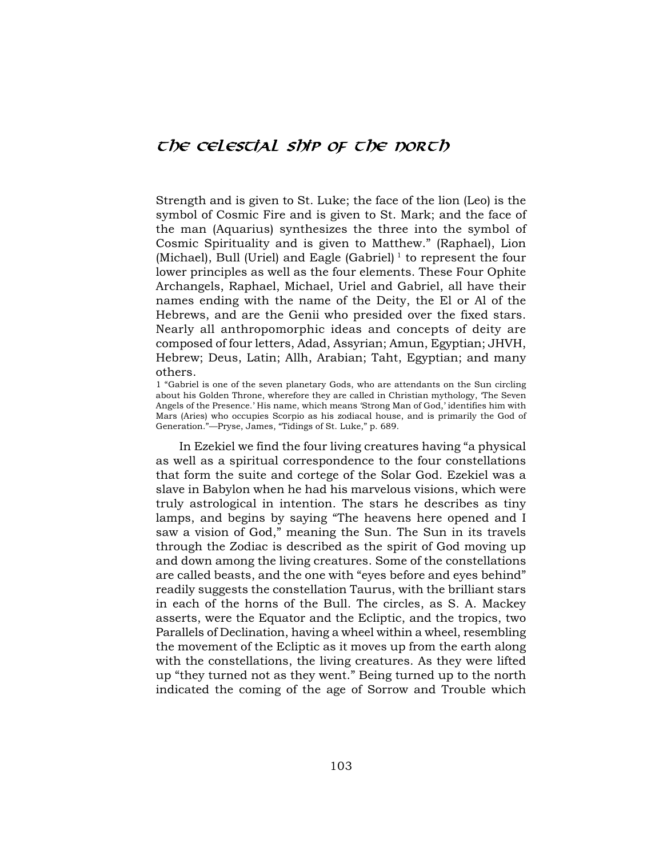Strength and is given to St. Luke; the face of the lion (Leo) is the symbol of Cosmic Fire and is given to St. Mark; and the face of the man (Aquarius) synthesizes the three into the symbol of Cosmic Spirituality and is given to Matthew." (Raphael), Lion (Michael), Bull (Uriel) and Eagle (Gabriel)<sup> $1$ </sup> to represent the four lower principles as well as the four elements. These Four Ophite Archangels, Raphael, Michael, Uriel and Gabriel, all have their names ending with the name of the Deity, the El or Al of the Hebrews, and are the Genii who presided over the fixed stars. Nearly all anthropomorphic ideas and concepts of deity are composed of four letters, Adad, Assyrian; Amun, Egyptian; JHVH, Hebrew; Deus, Latin; Allh, Arabian; Taht, Egyptian; and many others.

1 "Gabriel is one of the seven planetary Gods, who are attendants on the Sun circling about his Golden Throne, wherefore they are called in Christian mythology, 'The Seven Angels of the Presence.' His name, which means 'Strong Man of God,' identifies him with Mars (Aries) who occupies Scorpio as his zodiacal house, and is primarily the God of Generation."—Pryse, James, "Tidings of St. Luke," p. 689.

In Ezekiel we find the four living creatures having "a physical as well as a spiritual correspondence to the four constellations that form the suite and cortege of the Solar God. Ezekiel was a slave in Babylon when he had his marvelous visions, which were truly astrological in intention. The stars he describes as tiny lamps, and begins by saying "The heavens here opened and I saw a vision of God," meaning the Sun. The Sun in its travels through the Zodiac is described as the spirit of God moving up and down among the living creatures. Some of the constellations are called beasts, and the one with "eyes before and eyes behind" readily suggests the constellation Taurus, with the brilliant stars in each of the horns of the Bull. The circles, as S. A. Mackey asserts, were the Equator and the Ecliptic, and the tropics, two Parallels of Declination, having a wheel within a wheel, resembling the movement of the Ecliptic as it moves up from the earth along with the constellations, the living creatures. As they were lifted up "they turned not as they went." Being turned up to the north indicated the coming of the age of Sorrow and Trouble which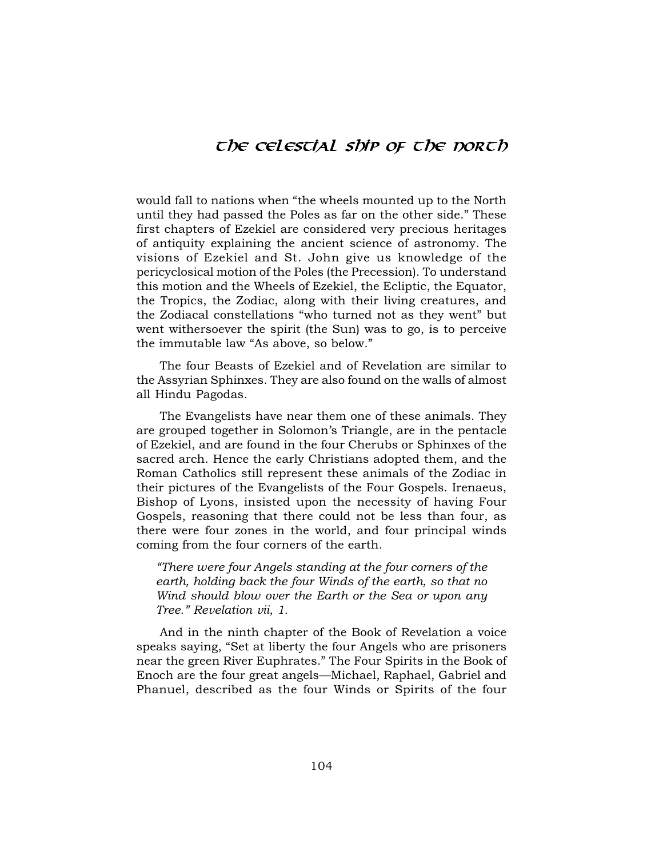would fall to nations when "the wheels mounted up to the North until they had passed the Poles as far on the other side." These first chapters of Ezekiel are considered very precious heritages of antiquity explaining the ancient science of astronomy. The visions of Ezekiel and St. John give us knowledge of the pericyclosical motion of the Poles (the Precession). To understand this motion and the Wheels of Ezekiel, the Ecliptic, the Equator, the Tropics, the Zodiac, along with their living creatures, and the Zodiacal constellations "who turned not as they went" but went withersoever the spirit (the Sun) was to go, is to perceive the immutable law "As above, so below."

The four Beasts of Ezekiel and of Revelation are similar to the Assyrian Sphinxes. They are also found on the walls of almost all Hindu Pagodas.

The Evangelists have near them one of these animals. They are grouped together in Solomon's Triangle, are in the pentacle of Ezekiel, and are found in the four Cherubs or Sphinxes of the sacred arch. Hence the early Christians adopted them, and the Roman Catholics still represent these animals of the Zodiac in their pictures of the Evangelists of the Four Gospels. Irenaeus, Bishop of Lyons, insisted upon the necessity of having Four Gospels, reasoning that there could not be less than four, as there were four zones in the world, and four principal winds coming from the four corners of the earth.

"There were four Angels standing at the four corners of the earth, holding back the four Winds of the earth, so that no Wind should blow over the Earth or the Sea or upon any Tree." Revelation vii, 1.

And in the ninth chapter of the Book of Revelation a voice speaks saying, "Set at liberty the four Angels who are prisoners near the green River Euphrates." The Four Spirits in the Book of Enoch are the four great angels-Michael, Raphael, Gabriel and Phanuel, described as the four Winds or Spirits of the four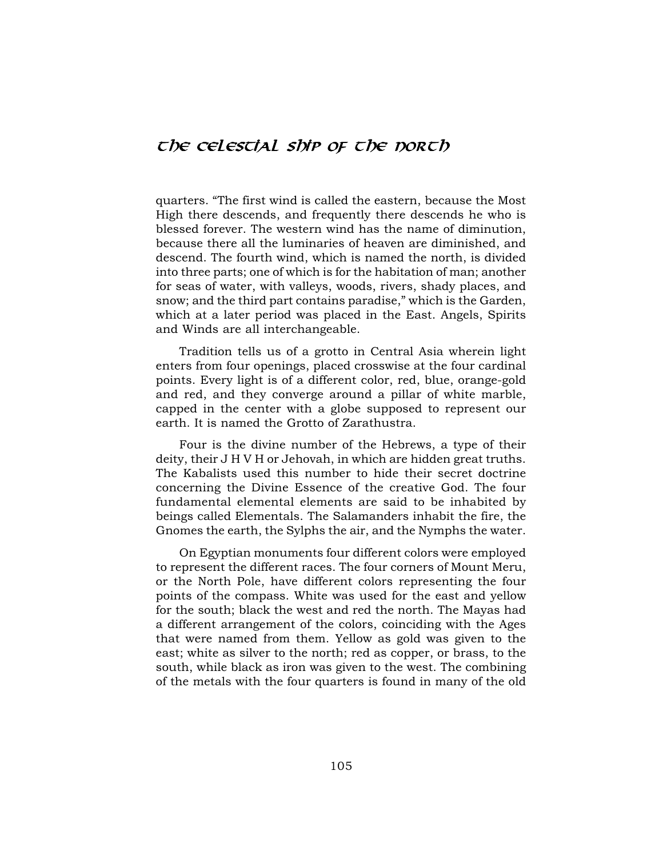quarters. "The first wind is called the eastern, because the Most High there descends, and frequently there descends he who is blessed forever. The western wind has the name of diminution. because there all the luminaries of heaven are diminished, and descend. The fourth wind, which is named the north, is divided into three parts; one of which is for the habitation of man; another for seas of water, with valleys, woods, rivers, shady places, and snow; and the third part contains paradise," which is the Garden, which at a later period was placed in the East. Angels, Spirits and Winds are all interchangeable.

Tradition tells us of a grotto in Central Asia wherein light enters from four openings, placed crosswise at the four cardinal points. Every light is of a different color, red, blue, orange-gold and red, and they converge around a pillar of white marble, capped in the center with a globe supposed to represent our earth. It is named the Grotto of Zarathustra.

Four is the divine number of the Hebrews, a type of their deity, their J H V H or Jehovah, in which are hidden great truths. The Kabalists used this number to hide their secret doctrine concerning the Divine Essence of the creative God. The four fundamental elemental elements are said to be inhabited by beings called Elementals. The Salamanders inhabit the fire, the Gnomes the earth, the Sylphs the air, and the Nymphs the water.

On Egyptian monuments four different colors were employed to represent the different races. The four corners of Mount Meru, or the North Pole, have different colors representing the four points of the compass. White was used for the east and yellow for the south; black the west and red the north. The Mayas had a different arrangement of the colors, coinciding with the Ages that were named from them. Yellow as gold was given to the east; white as silver to the north; red as copper, or brass, to the south, while black as iron was given to the west. The combining of the metals with the four quarters is found in many of the old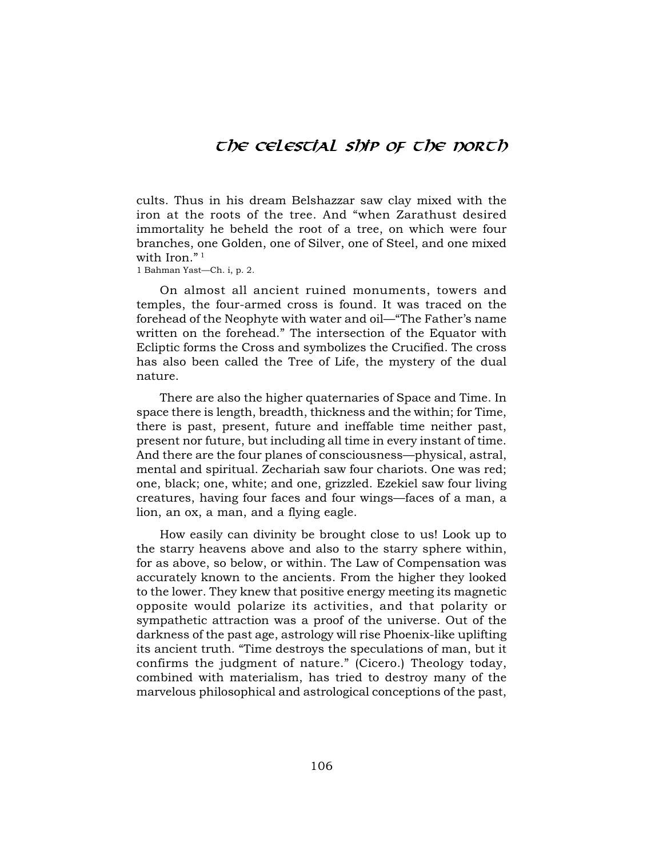cults. Thus in his dream Belshazzar saw clay mixed with the iron at the roots of the tree. And "when Zarathust desired immortality he beheld the root of a tree, on which were four branches, one Golden, one of Silver, one of Steel, and one mixed with Iron." $1$ 

1 Bahman Yast-Ch. i, p. 2.

On almost all ancient ruined monuments, towers and temples, the four-armed cross is found. It was traced on the forehead of the Neophyte with water and oil—"The Father's name written on the forehead." The intersection of the Equator with Ecliptic forms the Cross and symbolizes the Crucified. The cross has also been called the Tree of Life, the mystery of the dual nature.

There are also the higher quaternaries of Space and Time. In space there is length, breadth, thickness and the within; for Time, there is past, present, future and ineffable time neither past, present nor future, but including all time in every instant of time. And there are the four planes of consciousness—physical, astral, mental and spiritual. Zechariah saw four chariots. One was red; one, black; one, white; and one, grizzled. Ezekiel saw four living creatures, having four faces and four wings—faces of a man, a lion, an ox, a man, and a flying eagle.

How easily can divinity be brought close to us! Look up to the starry heavens above and also to the starry sphere within, for as above, so below, or within. The Law of Compensation was accurately known to the ancients. From the higher they looked to the lower. They knew that positive energy meeting its magnetic opposite would polarize its activities, and that polarity or sympathetic attraction was a proof of the universe. Out of the darkness of the past age, astrology will rise Phoenix-like uplifting its ancient truth. "Time destroys the speculations of man, but it confirms the judgment of nature." (Cicero.) Theology today, combined with materialism, has tried to destroy many of the marvelous philosophical and astrological conceptions of the past,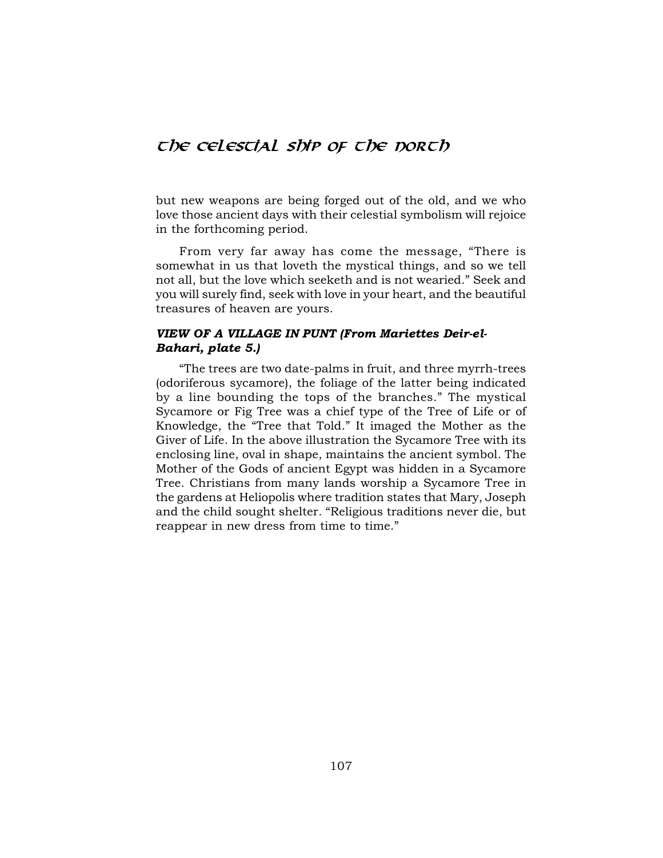but new weapons are being forged out of the old, and we who love those ancient days with their celestial symbolism will rejoice in the forthcoming period.

From very far away has come the message, "There is somewhat in us that loveth the mystical things, and so we tell not all, but the love which seeketh and is not wearied." Seek and you will surely find, seek with love in your heart, and the beautiful treasures of heaven are yours.

#### VIEW OF A VILLAGE IN PUNT (From Mariettes Deir-el-Bahari, plate 5.)

"The trees are two date-palms in fruit, and three myrrh-trees (odoriferous sycamore), the foliage of the latter being indicated by a line bounding the tops of the branches." The mystical Sycamore or Fig Tree was a chief type of the Tree of Life or of Knowledge, the "Tree that Told." It imaged the Mother as the Giver of Life. In the above illustration the Sycamore Tree with its enclosing line, oval in shape, maintains the ancient symbol. The Mother of the Gods of ancient Egypt was hidden in a Sycamore Tree. Christians from many lands worship a Sycamore Tree in the gardens at Heliopolis where tradition states that Mary, Joseph and the child sought shelter. "Religious traditions never die, but reappear in new dress from time to time."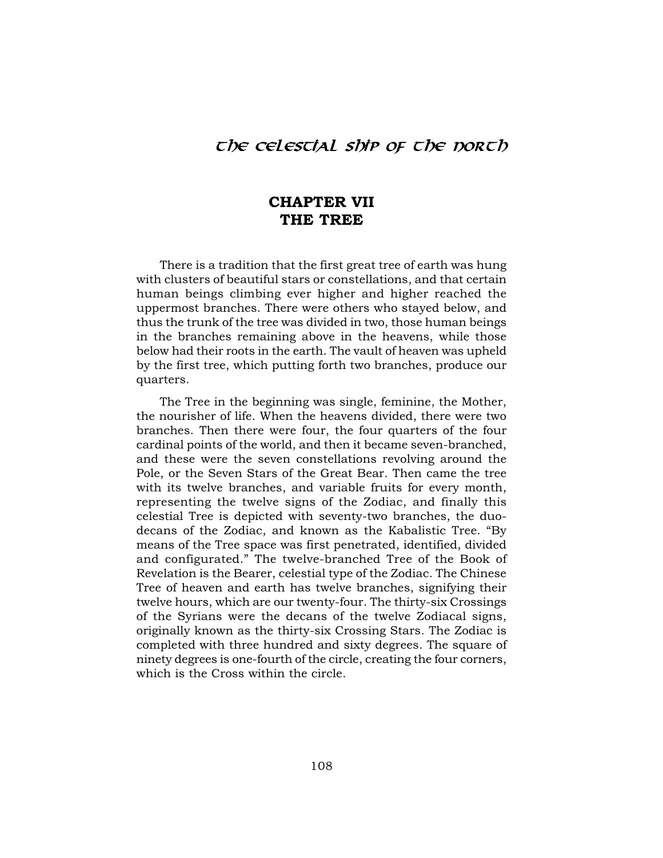#### **CHAPTER VII** THE TREE

There is a tradition that the first great tree of earth was hung with clusters of beautiful stars or constellations, and that certain human beings climbing ever higher and higher reached the uppermost branches. There were others who stayed below, and thus the trunk of the tree was divided in two, those human beings in the branches remaining above in the heavens, while those below had their roots in the earth. The vault of heaven was upheld by the first tree, which putting forth two branches, produce our quarters.

The Tree in the beginning was single, feminine, the Mother, the nourisher of life. When the heavens divided, there were two branches. Then there were four, the four quarters of the four cardinal points of the world, and then it became seven-branched, and these were the seven constellations revolving around the Pole, or the Seven Stars of the Great Bear. Then came the tree with its twelve branches, and variable fruits for every month, representing the twelve signs of the Zodiac, and finally this celestial Tree is depicted with seventy-two branches, the duodecans of the Zodiac, and known as the Kabalistic Tree. "By means of the Tree space was first penetrated, identified, divided and configurated." The twelve-branched Tree of the Book of Revelation is the Bearer, celestial type of the Zodiac. The Chinese Tree of heaven and earth has twelve branches, signifying their twelve hours, which are our twenty-four. The thirty-six Crossings of the Syrians were the decans of the twelve Zodiacal signs, originally known as the thirty-six Crossing Stars. The Zodiac is completed with three hundred and sixty degrees. The square of ninety degrees is one-fourth of the circle, creating the four corners, which is the Cross within the circle.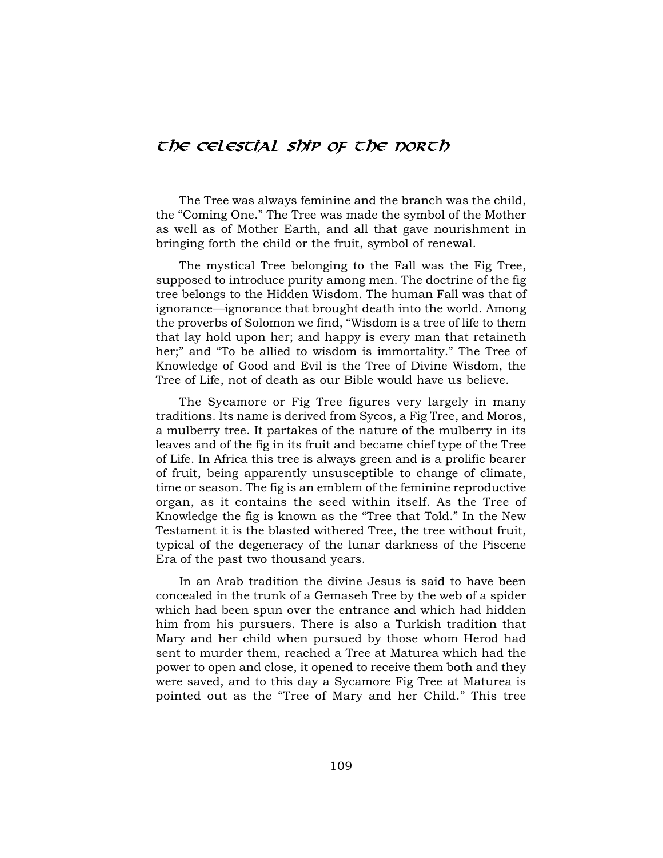The Tree was always feminine and the branch was the child, the "Coming One." The Tree was made the symbol of the Mother as well as of Mother Earth, and all that gave nourishment in bringing forth the child or the fruit, symbol of renewal.

The mystical Tree belonging to the Fall was the Fig Tree, supposed to introduce purity among men. The doctrine of the fig tree belongs to the Hidden Wisdom. The human Fall was that of ignorance—ignorance that brought death into the world. Among the proverbs of Solomon we find, "Wisdom is a tree of life to them that lay hold upon her; and happy is every man that retaineth her;" and "To be allied to wisdom is immortality." The Tree of Knowledge of Good and Evil is the Tree of Divine Wisdom, the Tree of Life, not of death as our Bible would have us believe.

The Sycamore or Fig Tree figures very largely in many traditions. Its name is derived from Sycos, a Fig Tree, and Moros, a mulberry tree. It partakes of the nature of the mulberry in its leaves and of the fig in its fruit and became chief type of the Tree of Life. In Africa this tree is always green and is a prolific bearer of fruit, being apparently unsusceptible to change of climate, time or season. The fig is an emblem of the feminine reproductive organ, as it contains the seed within itself. As the Tree of Knowledge the fig is known as the "Tree that Told." In the New Testament it is the blasted withered Tree, the tree without fruit, typical of the degeneracy of the lunar darkness of the Piscene Era of the past two thousand years.

In an Arab tradition the divine Jesus is said to have been concealed in the trunk of a Gemaseh Tree by the web of a spider which had been spun over the entrance and which had hidden him from his pursuers. There is also a Turkish tradition that Mary and her child when pursued by those whom Herod had sent to murder them, reached a Tree at Maturea which had the power to open and close, it opened to receive them both and they were saved, and to this day a Sycamore Fig Tree at Maturea is pointed out as the "Tree of Mary and her Child." This tree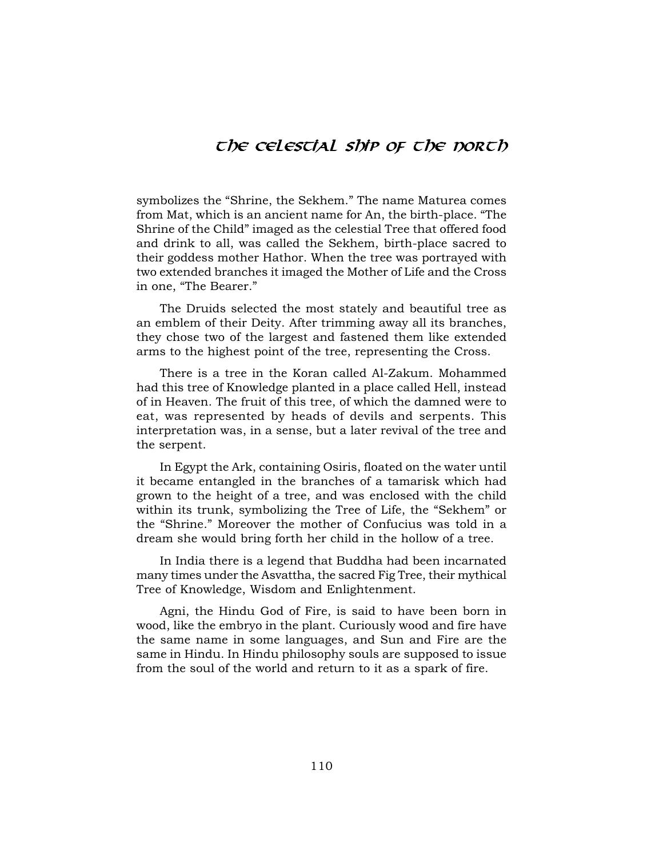symbolizes the "Shrine, the Sekhem." The name Maturea comes from Mat, which is an ancient name for An, the birth-place. "The Shrine of the Child" imaged as the celestial Tree that offered food and drink to all, was called the Sekhem, birth-place sacred to their goddess mother Hathor. When the tree was portrayed with two extended branches it imaged the Mother of Life and the Cross in one, "The Bearer."

The Druids selected the most stately and beautiful tree as an emblem of their Deity. After trimming away all its branches, they chose two of the largest and fastened them like extended arms to the highest point of the tree, representing the Cross.

There is a tree in the Koran called Al-Zakum. Mohammed had this tree of Knowledge planted in a place called Hell, instead of in Heaven. The fruit of this tree, of which the damned were to eat, was represented by heads of devils and serpents. This interpretation was, in a sense, but a later revival of the tree and the serpent.

In Egypt the Ark, containing Osiris, floated on the water until it became entangled in the branches of a tamarisk which had grown to the height of a tree, and was enclosed with the child within its trunk, symbolizing the Tree of Life, the "Sekhem" or the "Shrine." Moreover the mother of Confucius was told in a dream she would bring forth her child in the hollow of a tree.

In India there is a legend that Buddha had been incarnated many times under the Asvattha, the sacred Fig Tree, their mythical Tree of Knowledge, Wisdom and Enlightenment.

Agni, the Hindu God of Fire, is said to have been born in wood, like the embryo in the plant. Curiously wood and fire have the same name in some languages, and Sun and Fire are the same in Hindu. In Hindu philosophy souls are supposed to issue from the soul of the world and return to it as a spark of fire.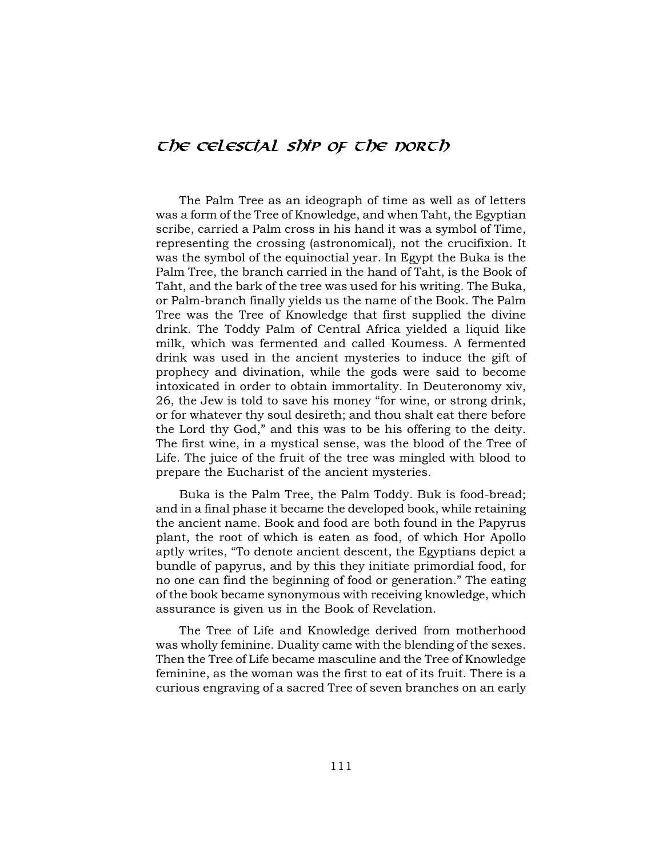The Palm Tree as an ideograph of time as well as of letters was a form of the Tree of Knowledge, and when Taht, the Egyptian scribe, carried a Palm cross in his hand it was a symbol of Time, representing the crossing (astronomical), not the crucifixion. It was the symbol of the equinoctial year. In Egypt the Buka is the Palm Tree, the branch carried in the hand of Taht, is the Book of Taht, and the bark of the tree was used for his writing. The Buka, or Palm-branch finally yields us the name of the Book. The Palm Tree was the Tree of Knowledge that first supplied the divine drink. The Toddy Palm of Central Africa yielded a liquid like milk, which was fermented and called Koumess. A fermented drink was used in the ancient mysteries to induce the gift of prophecy and divination, while the gods were said to become intoxicated in order to obtain immortality. In Deuteronomy xiv, 26, the Jew is told to save his money "for wine, or strong drink, or for whatever thy soul desireth; and thou shalt eat there before the Lord thy God," and this was to be his offering to the deity. The first wine, in a mystical sense, was the blood of the Tree of Life. The juice of the fruit of the tree was mingled with blood to prepare the Eucharist of the ancient mysteries.

Buka is the Palm Tree, the Palm Toddy. Buk is food-bread; and in a final phase it became the developed book, while retaining the ancient name. Book and food are both found in the Papyrus plant, the root of which is eaten as food, of which Hor Apollo aptly writes, "To denote ancient descent, the Egyptians depict a bundle of papyrus, and by this they initiate primordial food, for no one can find the beginning of food or generation." The eating of the book became synonymous with receiving knowledge, which assurance is given us in the Book of Revelation.

The Tree of Life and Knowledge derived from motherhood was wholly feminine. Duality came with the blending of the sexes. Then the Tree of Life became masculine and the Tree of Knowledge feminine, as the woman was the first to eat of its fruit. There is a curious engraving of a sacred Tree of seven branches on an early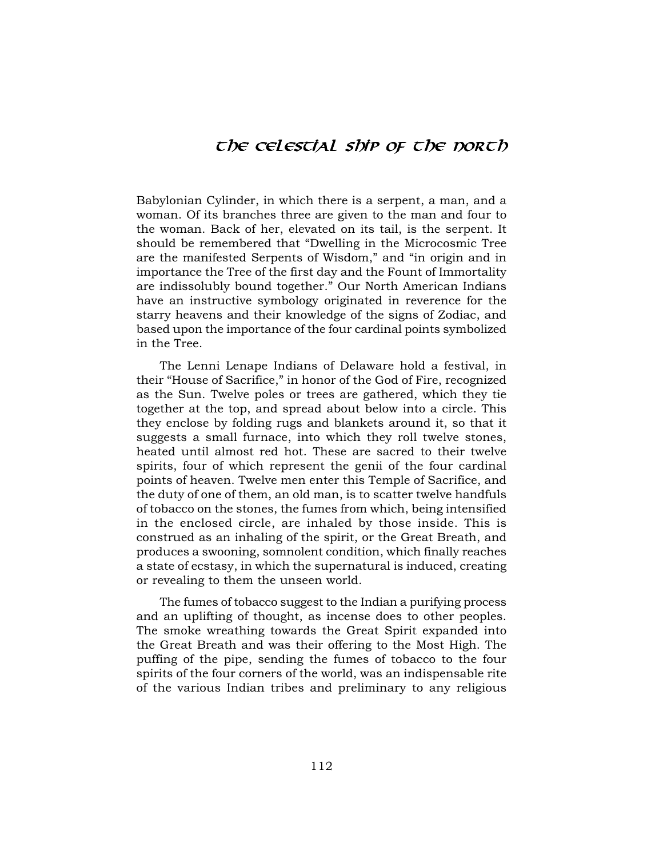Babylonian Cylinder, in which there is a serpent, a man, and a woman. Of its branches three are given to the man and four to the woman. Back of her, elevated on its tail, is the serpent. It should be remembered that "Dwelling in the Microcosmic Tree are the manifested Serpents of Wisdom," and "in origin and in importance the Tree of the first day and the Fount of Immortality are indissolubly bound together." Our North American Indians have an instructive symbology originated in reverence for the starry heavens and their knowledge of the signs of Zodiac, and based upon the importance of the four cardinal points symbolized in the Tree.

The Lenni Lenape Indians of Delaware hold a festival, in their "House of Sacrifice," in honor of the God of Fire, recognized as the Sun. Twelve poles or trees are gathered, which they tie together at the top, and spread about below into a circle. This they enclose by folding rugs and blankets around it, so that it suggests a small furnace, into which they roll twelve stones, heated until almost red hot. These are sacred to their twelve spirits, four of which represent the genit of the four cardinal points of heaven. Twelve men enter this Temple of Sacrifice, and the duty of one of them, an old man, is to scatter twelve handfuls of tobacco on the stones, the fumes from which, being intensified in the enclosed circle, are inhaled by those inside. This is construed as an inhaling of the spirit, or the Great Breath, and produces a swooning, somnolent condition, which finally reaches a state of ecstasy, in which the supernatural is induced, creating or revealing to them the unseen world.

The fumes of tobacco suggest to the Indian a purifying process and an uplifting of thought, as incense does to other peoples. The smoke wreathing towards the Great Spirit expanded into the Great Breath and was their offering to the Most High. The puffing of the pipe, sending the fumes of tobacco to the four spirits of the four corners of the world, was an indispensable rite of the various Indian tribes and preliminary to any religious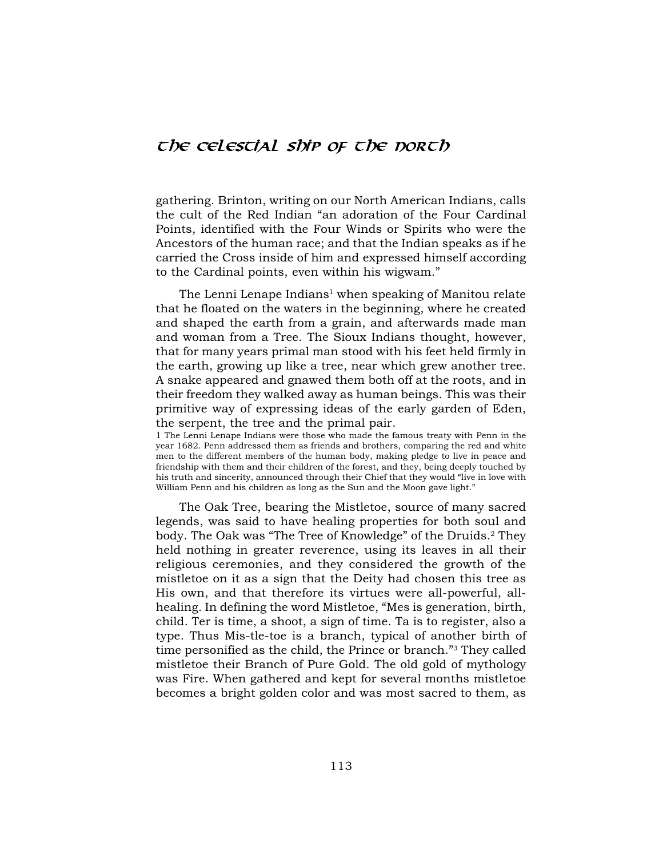gathering. Brinton, writing on our North American Indians, calls the cult of the Red Indian "an adoration of the Four Cardinal Points, identified with the Four Winds or Spirits who were the Ancestors of the human race; and that the Indian speaks as if he carried the Cross inside of him and expressed himself according to the Cardinal points, even within his wigwam."

The Lenni Lenape Indians<sup>1</sup> when speaking of Manitou relate that he floated on the waters in the beginning, where he created and shaped the earth from a grain, and afterwards made man and woman from a Tree. The Sioux Indians thought, however, that for many years primal man stood with his feet held firmly in the earth, growing up like a tree, near which grew another tree. A snake appeared and gnawed them both off at the roots, and in their freedom they walked away as human beings. This was their primitive way of expressing ideas of the early garden of Eden, the serpent, the tree and the primal pair.

1 The Lenni Lenape Indians were those who made the famous treaty with Penn in the year 1682. Penn addressed them as friends and brothers, comparing the red and white men to the different members of the human body, making pledge to live in peace and friendship with them and their children of the forest, and they, being deeply touched by his truth and sincerity, announced through their Chief that they would "live in love with William Penn and his children as long as the Sun and the Moon gave light."

The Oak Tree, bearing the Mistletoe, source of many sacred legends, was said to have healing properties for both soul and body. The Oak was "The Tree of Knowledge" of the Druids.<sup>2</sup> They held nothing in greater reverence, using its leaves in all their religious ceremonies, and they considered the growth of the mistletoe on it as a sign that the Deity had chosen this tree as His own, and that therefore its virtues were all-powerful, allhealing. In defining the word Mistletoe, "Mes is generation, birth, child. Ter is time, a shoot, a sign of time. Ta is to register, also a type. Thus Mis-tle-toe is a branch, typical of another birth of time personified as the child, the Prince or branch."<sup>3</sup> They called mistletoe their Branch of Pure Gold. The old gold of mythology was Fire. When gathered and kept for several months mistletoe becomes a bright golden color and was most sacred to them, as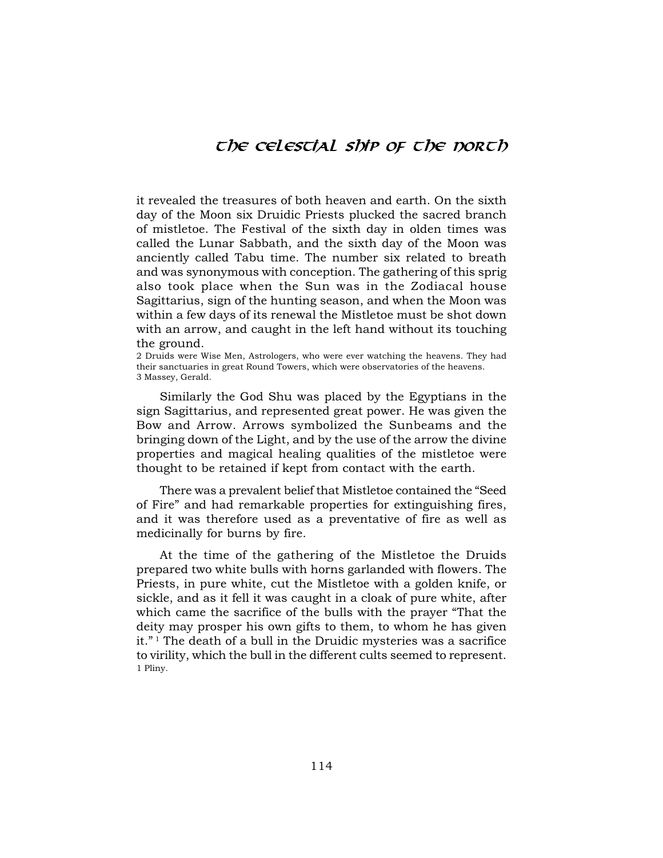it revealed the treasures of both heaven and earth. On the sixth day of the Moon six Druidic Priests plucked the sacred branch of mistletoe. The Festival of the sixth day in olden times was called the Lunar Sabbath, and the sixth day of the Moon was anciently called Tabu time. The number six related to breath and was synonymous with conception. The gathering of this sprig also took place when the Sun was in the Zodiacal house Sagittarius, sign of the hunting season, and when the Moon was within a few days of its renewal the Mistletoe must be shot down with an arrow, and caught in the left hand without its touching the ground.

2 Druids were Wise Men, Astrologers, who were ever watching the heavens. They had their sanctuaries in great Round Towers, which were observatories of the heavens. 3 Massey, Gerald.

Similarly the God Shu was placed by the Egyptians in the sign Sagittarius, and represented great power. He was given the Bow and Arrow. Arrows symbolized the Sunbeams and the bringing down of the Light, and by the use of the arrow the divine properties and magical healing qualities of the mistletoe were thought to be retained if kept from contact with the earth.

There was a prevalent belief that Mistletoe contained the "Seed of Fire" and had remarkable properties for extinguishing fires, and it was therefore used as a preventative of fire as well as medicinally for burns by fire.

At the time of the gathering of the Mistletoe the Druids prepared two white bulls with horns garlanded with flowers. The Priests, in pure white, cut the Mistletoe with a golden knife, or sickle, and as it fell it was caught in a cloak of pure white, after which came the sacrifice of the bulls with the prayer "That the deity may prosper his own gifts to them, to whom he has given it."<sup>1</sup> The death of a bull in the Druidic mysteries was a sacrifice to virility, which the bull in the different cults seemed to represent. 1 Pliny.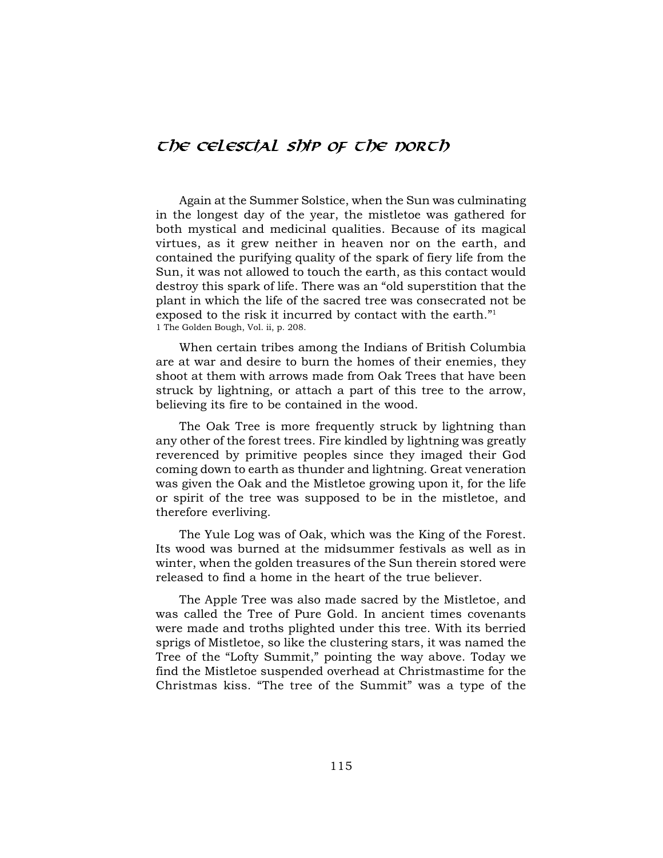Again at the Summer Solstice, when the Sun was culminating in the longest day of the year, the mistletoe was gathered for both mystical and medicinal qualities. Because of its magical virtues, as it grew neither in heaven nor on the earth, and contained the purifying quality of the spark of fiery life from the Sun, it was not allowed to touch the earth, as this contact would destroy this spark of life. There was an "old superstition that the plant in which the life of the sacred tree was consecrated not be exposed to the risk it incurred by contact with the earth."<sup>1</sup> 1 The Golden Bough, Vol. ii, p. 208.

When certain tribes among the Indians of British Columbia are at war and desire to burn the homes of their enemies, they shoot at them with arrows made from Oak Trees that have been struck by lightning, or attach a part of this tree to the arrow, believing its fire to be contained in the wood.

The Oak Tree is more frequently struck by lightning than any other of the forest trees. Fire kindled by lightning was greatly reverenced by primitive peoples since they imaged their God coming down to earth as thunder and lightning. Great veneration was given the Oak and the Mistletoe growing upon it, for the life or spirit of the tree was supposed to be in the mistletoe, and therefore everliving.

The Yule Log was of Oak, which was the King of the Forest. Its wood was burned at the midsummer festivals as well as in winter, when the golden treasures of the Sun therein stored were released to find a home in the heart of the true believer.

The Apple Tree was also made sacred by the Mistletoe, and was called the Tree of Pure Gold. In ancient times covenants were made and troths plighted under this tree. With its berried sprigs of Mistletoe, so like the clustering stars, it was named the Tree of the "Lofty Summit," pointing the way above. Today we find the Mistletoe suspended overhead at Christmastime for the Christmas kiss. "The tree of the Summit" was a type of the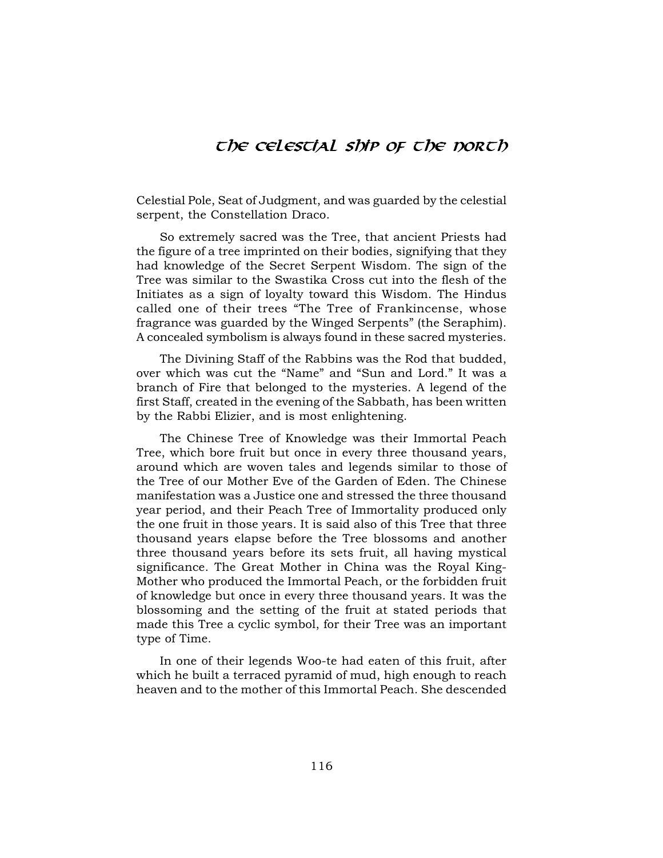Celestial Pole, Seat of Judgment, and was guarded by the celestial serpent, the Constellation Draco.

So extremely sacred was the Tree, that ancient Priests had the figure of a tree imprinted on their bodies, signifying that they had knowledge of the Secret Serpent Wisdom. The sign of the Tree was similar to the Swastika Cross cut into the flesh of the Initiates as a sign of loyalty toward this Wisdom. The Hindus called one of their trees "The Tree of Frankincense, whose fragrance was guarded by the Winged Serpents" (the Seraphim). A concealed symbolism is always found in these sacred mysteries.

The Divining Staff of the Rabbins was the Rod that budded. over which was cut the "Name" and "Sun and Lord." It was a branch of Fire that belonged to the mysteries. A legend of the first Staff, created in the evening of the Sabbath, has been written by the Rabbi Elizier, and is most enlightening.

The Chinese Tree of Knowledge was their Immortal Peach Tree, which bore fruit but once in every three thousand years, around which are woven tales and legends similar to those of the Tree of our Mother Eye of the Garden of Eden. The Chinese manifestation was a Justice one and stressed the three thousand year period, and their Peach Tree of Immortality produced only the one fruit in those years. It is said also of this Tree that three thousand years elapse before the Tree blossoms and another three thousand years before its sets fruit, all having mystical significance. The Great Mother in China was the Royal King-Mother who produced the Immortal Peach, or the forbidden fruit of knowledge but once in every three thousand years. It was the blossoming and the setting of the fruit at stated periods that made this Tree a cyclic symbol, for their Tree was an important type of Time.

In one of their legends Woo-te had eaten of this fruit, after which he built a terraced pyramid of mud, high enough to reach heaven and to the mother of this Immortal Peach. She descended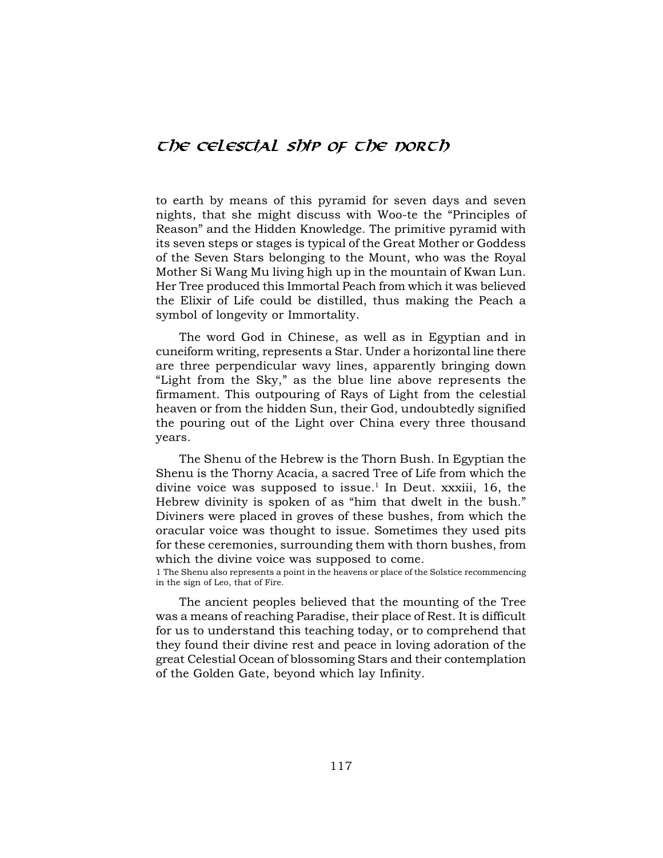to earth by means of this pyramid for seven days and seven nights, that she might discuss with Woo-te the "Principles of Reason" and the Hidden Knowledge. The primitive pyramid with its seven steps or stages is typical of the Great Mother or Goddess of the Seven Stars belonging to the Mount, who was the Royal Mother Si Wang Mu living high up in the mountain of Kwan Lun. Her Tree produced this Immortal Peach from which it was believed the Elixir of Life could be distilled, thus making the Peach a symbol of longevity or Immortality.

The word God in Chinese, as well as in Egyptian and in cuneiform writing, represents a Star. Under a horizontal line there are three perpendicular wavy lines, apparently bringing down "Light from the Sky," as the blue line above represents the firmament. This outpouring of Rays of Light from the celestial heaven or from the hidden Sun, their God, undoubtedly signified the pouring out of the Light over China every three thousand years.

The Shenu of the Hebrew is the Thorn Bush. In Egyptian the Shenu is the Thorny Acacia, a sacred Tree of Life from which the divine voice was supposed to issue.<sup>1</sup> In Deut. xxxiii, 16, the Hebrew divinity is spoken of as "him that dwelt in the bush." Diviners were placed in groves of these bushes, from which the oracular voice was thought to issue. Sometimes they used pits for these ceremonies, surrounding them with thorn bushes, from which the divine voice was supposed to come.

1 The Shenu also represents a point in the heavens or place of the Solstice recommencing in the sign of Leo, that of Fire.

The ancient peoples believed that the mounting of the Tree was a means of reaching Paradise, their place of Rest. It is difficult for us to understand this teaching today, or to comprehend that they found their divine rest and peace in loving adoration of the great Celestial Ocean of blossoming Stars and their contemplation of the Golden Gate, beyond which lay Infinity.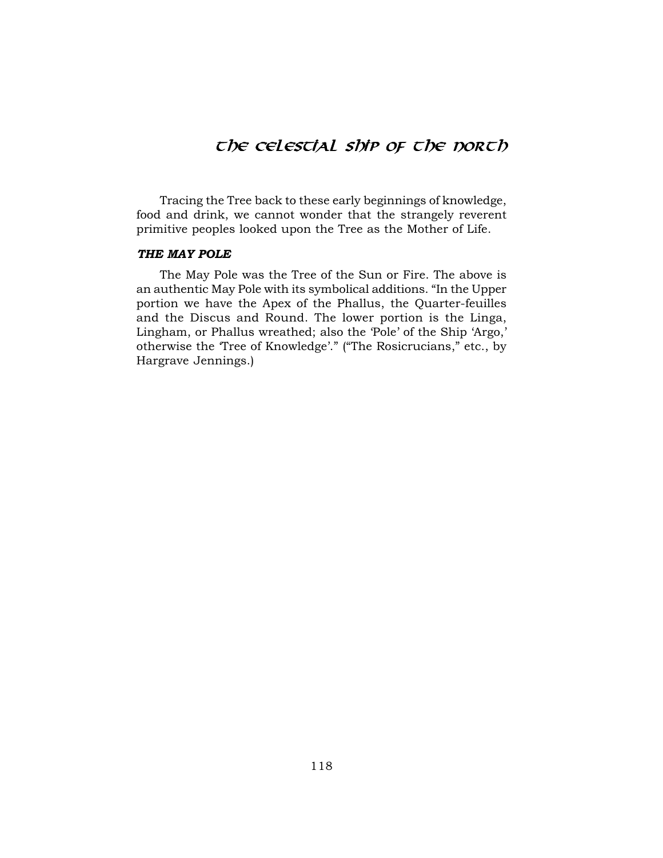Tracing the Tree back to these early beginnings of knowledge, food and drink, we cannot wonder that the strangely reverent primitive peoples looked upon the Tree as the Mother of Life.

#### THE MAY POLE

The May Pole was the Tree of the Sun or Fire. The above is an authentic May Pole with its symbolical additions. "In the Upper portion we have the Apex of the Phallus, the Quarter-feuilles and the Discus and Round. The lower portion is the Linga, Lingham, or Phallus wreathed; also the 'Pole' of the Ship 'Argo,' otherwise the 'Tree of Knowledge'." ("The Rosicrucians," etc., by Hargrave Jennings.)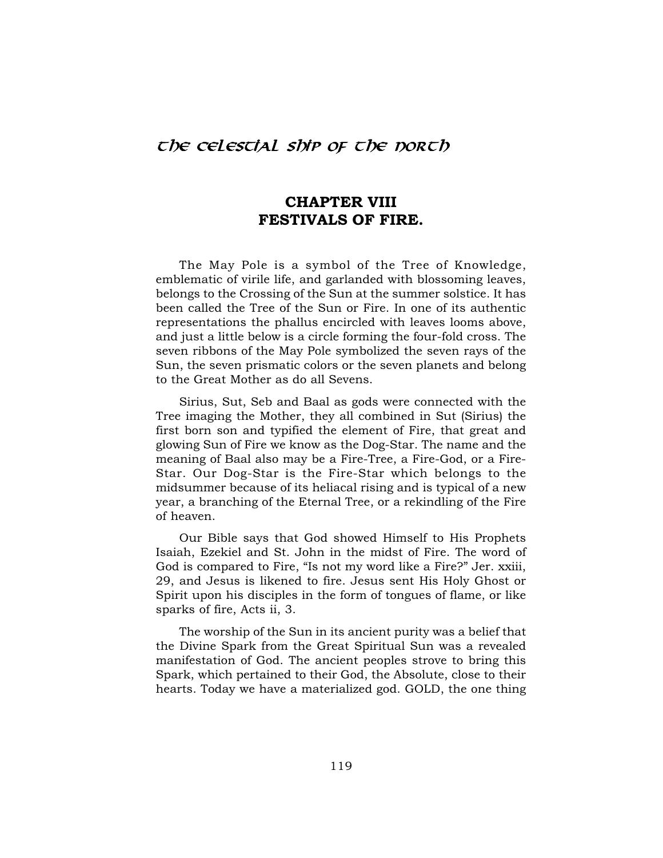#### **CHAPTER VIII FESTIVALS OF FIRE.**

The May Pole is a symbol of the Tree of Knowledge, emblematic of virile life, and garlanded with blossoming leaves, belongs to the Crossing of the Sun at the summer solstice. It has been called the Tree of the Sun or Fire. In one of its authentic representations the phallus encircled with leaves looms above, and just a little below is a circle forming the four-fold cross. The seven ribbons of the May Pole symbolized the seven rays of the Sun, the seven prismatic colors or the seven planets and belong to the Great Mother as do all Sevens.

Sirius, Sut, Seb and Baal as gods were connected with the Tree imaging the Mother, they all combined in Sut (Sirius) the first born son and typified the element of Fire, that great and glowing Sun of Fire we know as the Dog-Star. The name and the meaning of Baal also may be a Fire-Tree, a Fire-God, or a Fire-Star. Our Dog-Star is the Fire-Star which belongs to the midsummer because of its heliacal rising and is typical of a new year, a branching of the Eternal Tree, or a rekindling of the Fire of heaven.

Our Bible says that God showed Himself to His Prophets Isaiah, Ezekiel and St. John in the midst of Fire. The word of God is compared to Fire, "Is not my word like a Fire?" Jer. xxiii, 29, and Jesus is likened to fire. Jesus sent His Holy Ghost or Spirit upon his disciples in the form of tongues of flame, or like sparks of fire, Acts ii, 3.

The worship of the Sun in its ancient purity was a belief that the Divine Spark from the Great Spiritual Sun was a revealed manifestation of God. The ancient peoples strove to bring this Spark, which pertained to their God, the Absolute, close to their hearts. Today we have a materialized god. GOLD, the one thing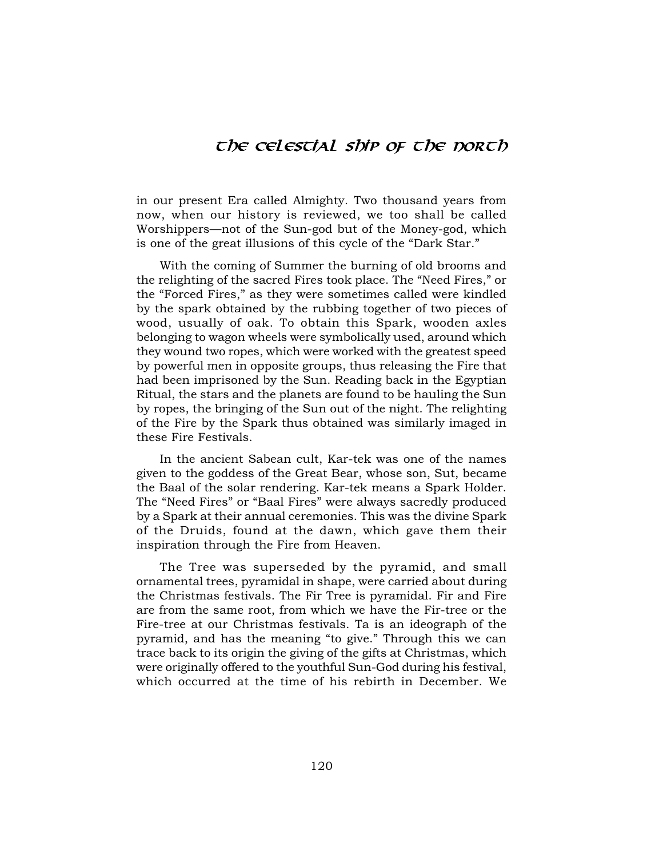in our present Era called Almighty. Two thousand years from now, when our history is reviewed, we too shall be called Worshippers—not of the Sun-god but of the Money-god, which is one of the great illusions of this cycle of the "Dark Star."

With the coming of Summer the burning of old brooms and the relighting of the sacred Fires took place. The "Need Fires," or the "Forced Fires," as they were sometimes called were kindled by the spark obtained by the rubbing together of two pieces of wood, usually of oak. To obtain this Spark, wooden axles belonging to wagon wheels were symbolically used, around which they wound two ropes, which were worked with the greatest speed by powerful men in opposite groups, thus releasing the Fire that had been imprisoned by the Sun. Reading back in the Egyptian Ritual, the stars and the planets are found to be hauling the Sun by ropes, the bringing of the Sun out of the night. The relighting of the Fire by the Spark thus obtained was similarly imaged in these Fire Festivals.

In the ancient Sabean cult, Kar-tek was one of the names given to the goddess of the Great Bear, whose son, Sut, became the Baal of the solar rendering. Kar-tek means a Spark Holder. The "Need Fires" or "Baal Fires" were always sacredly produced by a Spark at their annual ceremonies. This was the divine Spark of the Druids, found at the dawn, which gave them their inspiration through the Fire from Heaven.

The Tree was superseded by the pyramid, and small ornamental trees, pyramidal in shape, were carried about during the Christmas festivals. The Fir Tree is pyramidal. Fir and Fire are from the same root, from which we have the Fir-tree or the Fire-tree at our Christmas festivals. Ta is an ideograph of the pyramid, and has the meaning "to give." Through this we can trace back to its origin the giving of the gifts at Christmas, which were originally offered to the youthful Sun-God during his festival, which occurred at the time of his rebirth in December. We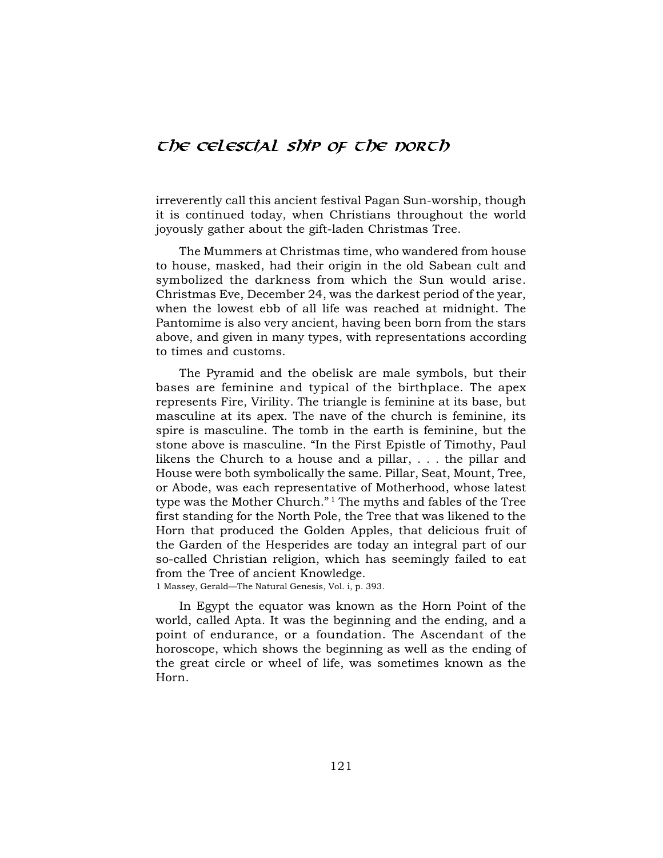irreverently call this ancient festival Pagan Sun-worship, though it is continued today, when Christians throughout the world joyously gather about the gift-laden Christmas Tree.

The Mummers at Christmas time, who wandered from house to house, masked, had their origin in the old Sabean cult and symbolized the darkness from which the Sun would arise. Christmas Eve, December 24, was the darkest period of the year, when the lowest ebb of all life was reached at midnight. The Pantomime is also very ancient, having been born from the stars above, and given in many types, with representations according to times and customs.

The Pyramid and the obelisk are male symbols, but their bases are feminine and typical of the birthplace. The apex represents Fire, Virility. The triangle is feminine at its base, but masculine at its apex. The nave of the church is feminine, its spire is masculine. The tomb in the earth is feminine, but the stone above is masculine. "In the First Epistle of Timothy, Paul likens the Church to a house and a pillar, ... the pillar and House were both symbolically the same. Pillar, Seat, Mount, Tree, or Abode, was each representative of Motherhood, whose latest type was the Mother Church."<sup>1</sup> The myths and fables of the Tree first standing for the North Pole, the Tree that was likened to the Horn that produced the Golden Apples, that delicious fruit of the Garden of the Hesperides are today an integral part of our so-called Christian religion, which has seemingly failed to eat from the Tree of ancient Knowledge.

1 Massey, Gerald-The Natural Genesis, Vol. i, p. 393.

In Egypt the equator was known as the Horn Point of the world, called Apta. It was the beginning and the ending, and a point of endurance, or a foundation. The Ascendant of the horoscope, which shows the beginning as well as the ending of the great circle or wheel of life, was sometimes known as the Horn.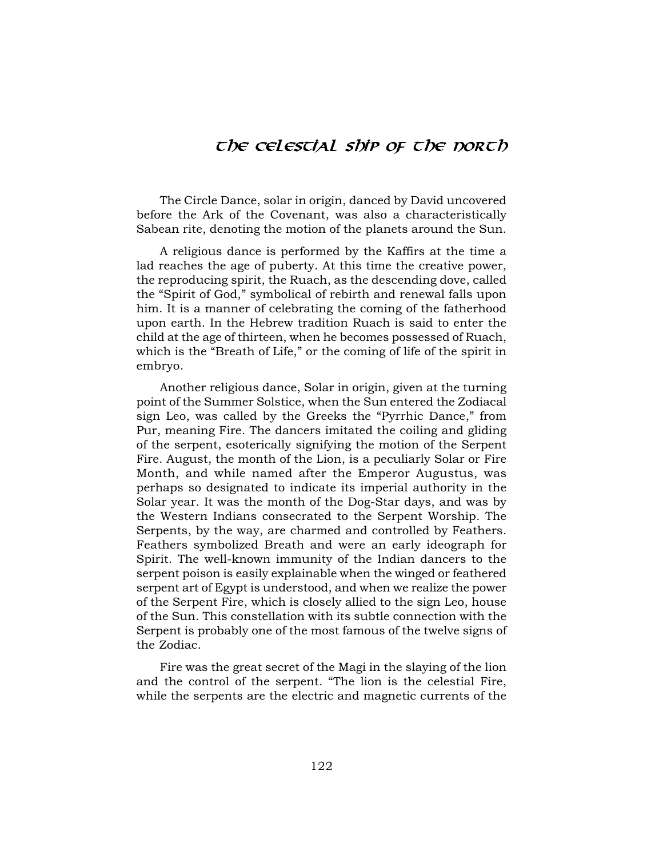The Circle Dance, solar in origin, danced by David uncovered before the Ark of the Covenant, was also a characteristically Sabean rite, denoting the motion of the planets around the Sun.

A religious dance is performed by the Kaffirs at the time a lad reaches the age of puberty. At this time the creative power, the reproducing spirit, the Ruach, as the descending dove, called the "Spirit of God," symbolical of rebirth and renewal falls upon him. It is a manner of celebrating the coming of the fatherhood upon earth. In the Hebrew tradition Ruach is said to enter the child at the age of thirteen, when he becomes possessed of Ruach, which is the "Breath of Life," or the coming of life of the spirit in embryo.

Another religious dance, Solar in origin, given at the turning point of the Summer Solstice, when the Sun entered the Zodiacal sign Leo, was called by the Greeks the "Pyrrhic Dance," from Pur, meaning Fire. The dancers imitated the coiling and gliding of the serpent, esoterically signifying the motion of the Serpent Fire. August, the month of the Lion, is a peculiarly Solar or Fire Month, and while named after the Emperor Augustus, was perhaps so designated to indicate its imperial authority in the Solar year. It was the month of the Dog-Star days, and was by the Western Indians consecrated to the Serpent Worship. The Serpents, by the way, are charmed and controlled by Feathers. Feathers symbolized Breath and were an early ideograph for Spirit. The well-known immunity of the Indian dancers to the serpent poison is easily explainable when the winged or feathered serpent art of Egypt is understood, and when we realize the power of the Serpent Fire, which is closely allied to the sign Leo, house of the Sun. This constellation with its subtle connection with the Serpent is probably one of the most famous of the twelve signs of the Zodiac.

Fire was the great secret of the Magi in the slaying of the lion and the control of the serpent. "The lion is the celestial Fire, while the serpents are the electric and magnetic currents of the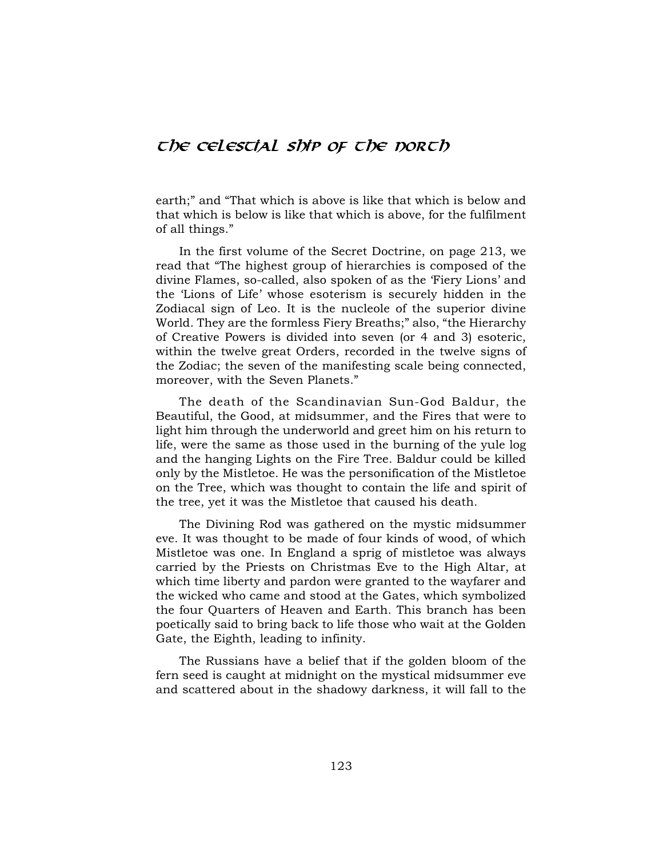earth;" and "That which is above is like that which is below and that which is below is like that which is above, for the fulfilment of all things."

In the first volume of the Secret Doctrine, on page 213, we read that "The highest group of hierarchies is composed of the divine Flames, so-called, also spoken of as the 'Fiery Lions' and the 'Lions of Life' whose esoterism is securely hidden in the Zodiacal sign of Leo. It is the nucleole of the superior divine World. They are the formless Fiery Breaths;" also, "the Hierarchy of Creative Powers is divided into seven (or 4 and 3) esoteric, within the twelve great Orders, recorded in the twelve signs of the Zodiac; the seven of the manifesting scale being connected, moreover, with the Seven Planets."

The death of the Scandinavian Sun-God Baldur, the Beautiful, the Good, at midsummer, and the Fires that were to light him through the underworld and greet him on his return to life, were the same as those used in the burning of the yule log and the hanging Lights on the Fire Tree. Baldur could be killed only by the Mistletoe. He was the personification of the Mistletoe on the Tree, which was thought to contain the life and spirit of the tree, yet it was the Mistletoe that caused his death.

The Divining Rod was gathered on the mystic midsummer eve. It was thought to be made of four kinds of wood, of which Mistletoe was one. In England a sprig of mistletoe was always carried by the Priests on Christmas Eve to the High Altar, at which time liberty and pardon were granted to the wayfarer and the wicked who came and stood at the Gates, which symbolized the four Quarters of Heaven and Earth. This branch has been poetically said to bring back to life those who wait at the Golden Gate, the Eighth, leading to infinity.

The Russians have a belief that if the golden bloom of the fern seed is caught at midnight on the mystical midsummer eve and scattered about in the shadowy darkness, it will fall to the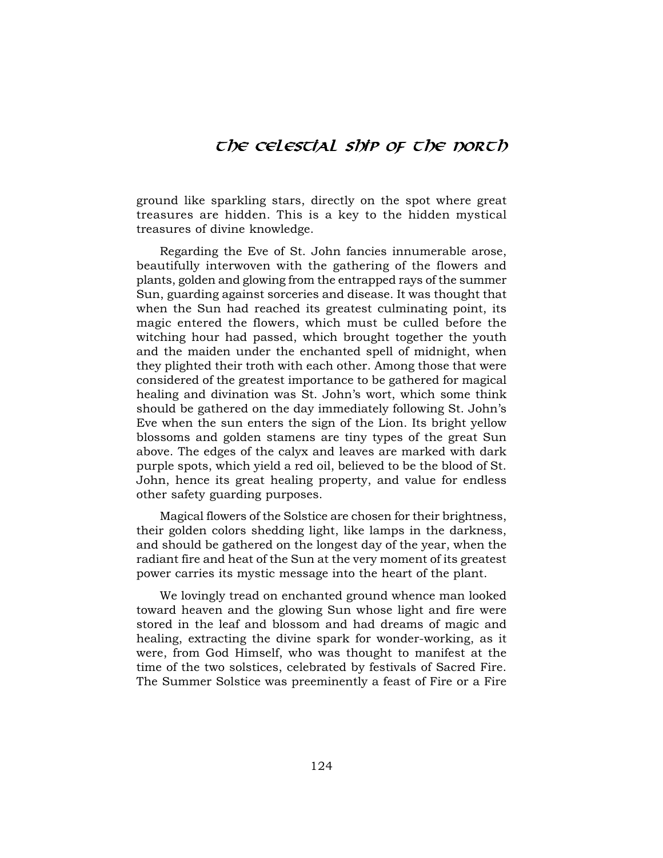ground like sparkling stars, directly on the spot where great treasures are hidden. This is a key to the hidden mystical treasures of divine knowledge.

Regarding the Eve of St. John fancies innumerable arose, beautifully interwoven with the gathering of the flowers and plants, golden and glowing from the entrapped rays of the summer Sun, guarding against sorceries and disease. It was thought that when the Sun had reached its greatest culminating point, its magic entered the flowers, which must be culled before the witching hour had passed, which brought together the youth and the maiden under the enchanted spell of midnight, when they plighted their troth with each other. Among those that were considered of the greatest importance to be gathered for magical healing and divination was St. John's wort, which some think should be gathered on the day immediately following St. John's Eve when the sun enters the sign of the Lion. Its bright yellow blossoms and golden stamens are tiny types of the great Sun above. The edges of the calyx and leaves are marked with dark purple spots, which yield a red oil, believed to be the blood of St. John, hence its great healing property, and value for endless other safety guarding purposes.

Magical flowers of the Solstice are chosen for their brightness, their golden colors shedding light, like lamps in the darkness, and should be gathered on the longest day of the year, when the radiant fire and heat of the Sun at the very moment of its greatest power carries its mystic message into the heart of the plant.

We lovingly tread on enchanted ground whence man looked toward heaven and the glowing Sun whose light and fire were stored in the leaf and blossom and had dreams of magic and healing, extracting the divine spark for wonder-working, as it were, from God Himself, who was thought to manifest at the time of the two solstices, celebrated by festivals of Sacred Fire. The Summer Solstice was preeminently a feast of Fire or a Fire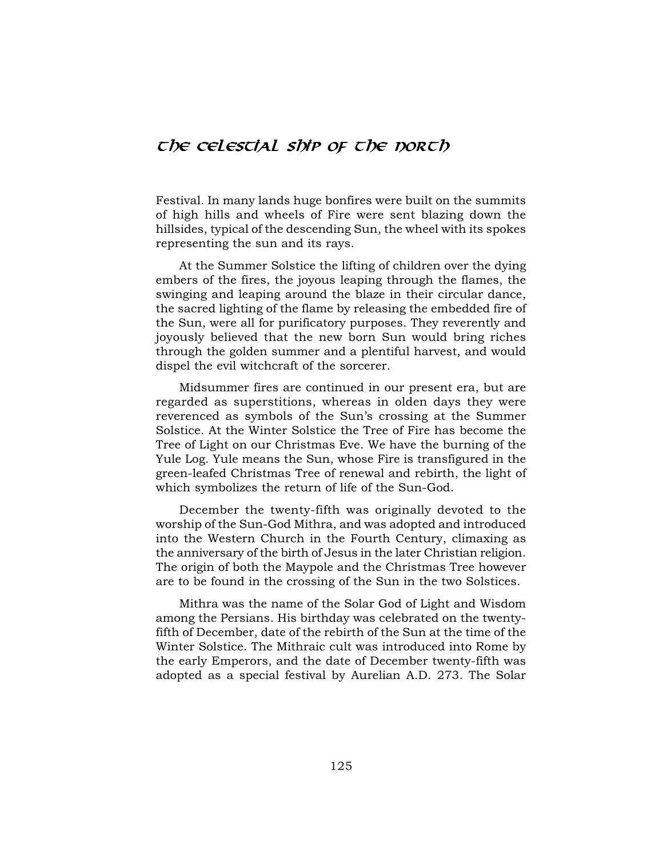Festival. In many lands huge bonfires were built on the summits of high hills and wheels of Fire were sent blazing down the hill sides, typical of the descending Sun, the wheel with its spokes representing the sun and its rays.

At the Summer Solstice the lifting of children over the dying embers of the fires, the joyous leaping through the flames, the swinging and leaping around the blaze in their circular dance, the sacred lighting of the flame by releasing the embedded fire of the Sun, were all for purificatory purposes. They reverently and joyously believed that the new born Sun would bring riches through the golden summer and a plentiful harvest, and would dispel the evil witchcraft of the sorcerer.

Midsummer fires are continued in our present era, but are regarded as superstitions, whereas in olden days they were reverenced as symbols of the Sun's crossing at the Summer Solstice. At the Winter Solstice the Tree of Fire has become the Tree of Light on our Christmas Eve. We have the burning of the Yule Log. Yule means the Sun, whose Fire is transfigured in the green-leafed Christmas Tree of renewal and rebirth, the light of which symbolizes the return of life of the Sun-God.

December the twenty-fifth was originally devoted to the worship of the Sun-God Mithra, and was adopted and introduced into the Western Church in the Fourth Century, climaxing as the anniversary of the birth of Jesus in the later Christian religion. The origin of both the Maypole and the Christmas Tree however are to be found in the crossing of the Sun in the two Solstices.

Mithra was the name of the Solar God of Light and Wisdom among the Persians. His birthday was celebrated on the twentyfifth of December, date of the rebirth of the Sun at the time of the Winter Solstice. The Mithraic cult was introduced into Rome by the early Emperors, and the date of December twenty-fifth was adopted as a special festival by Aurelian A.D. 273. The Solar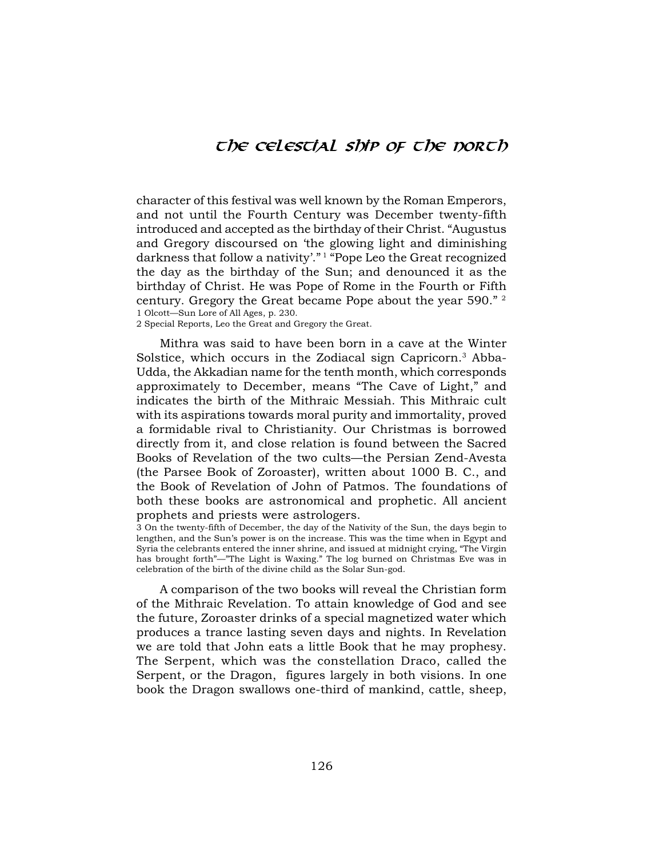character of this festival was well known by the Roman Emperors, and not until the Fourth Century was December twenty-fifth introduced and accepted as the birthday of their Christ. "Augustus and Gregory discoursed on 'the glowing light and diminishing darkness that follow a nativity'."<sup>1</sup> "Pope Leo the Great recognized the day as the birthday of the Sun; and denounced it as the birthday of Christ. He was Pope of Rome in the Fourth or Fifth century. Gregory the Great became Pope about the year 590." 2 1 Olcott—Sun Lore of All Ages, p. 230.

2 Special Reports, Leo the Great and Gregory the Great.

Mithra was said to have been born in a cave at the Winter Solstice, which occurs in the Zodiacal sign Capricorn.<sup>3</sup> Abba-Udda, the Akkadian name for the tenth month, which corresponds approximately to December, means "The Cave of Light," and indicates the birth of the Mithraic Messiah. This Mithraic cult with its aspirations towards moral purity and immortality, proved a formidable rival to Christianity. Our Christmas is borrowed directly from it, and close relation is found between the Sacred Books of Revelation of the two cults—the Persian Zend-Avesta (the Parsee Book of Zoroaster), written about 1000 B. C., and the Book of Revelation of John of Patmos. The foundations of both these books are astronomical and prophetic. All ancient prophets and priests were astrologers.

3 On the twenty-fifth of December, the day of the Nativity of the Sun, the days begin to lengthen, and the Sun's power is on the increase. This was the time when in Egypt and Syria the celebrants entered the inner shrine, and issued at midnight crying, "The Virgin has brought forth"-"The Light is Waxing." The log burned on Christmas Eve was in celebration of the birth of the divine child as the Solar Sun-god.

A comparison of the two books will reveal the Christian form of the Mithraic Revelation. To attain knowledge of God and see the future, Zoroaster drinks of a special magnetized water which produces a trance lasting seven days and nights. In Revelation we are told that John eats a little Book that he may prophesy. The Serpent, which was the constellation Draco, called the Serpent, or the Dragon, figures largely in both visions. In one book the Dragon swallows one-third of mankind, cattle, sheep,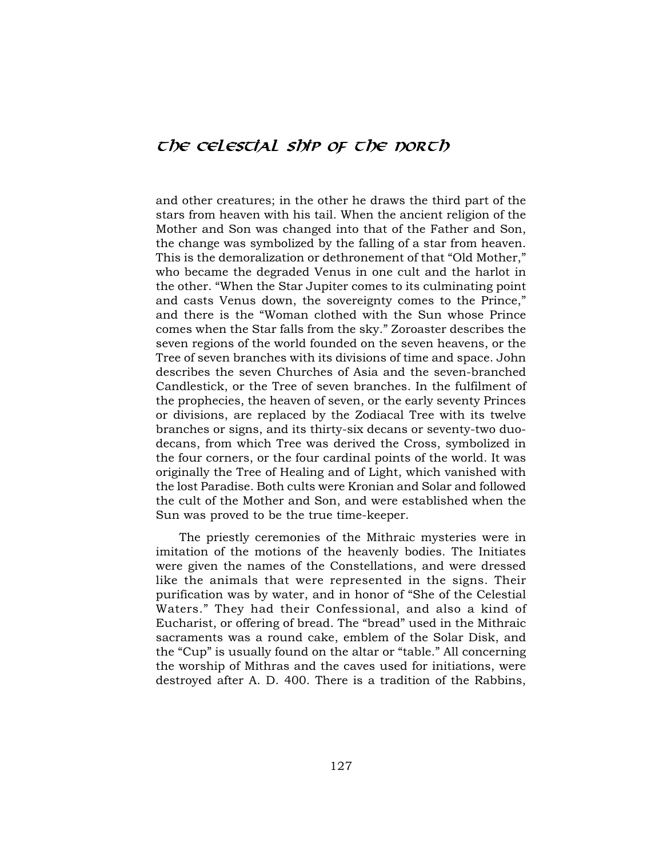and other creatures; in the other he draws the third part of the stars from heaven with his tail. When the ancient religion of the Mother and Son was changed into that of the Father and Son, the change was symbolized by the falling of a star from heaven. This is the demoralization or dethronement of that "Old Mother," who became the degraded Venus in one cult and the harlot in the other. "When the Star Jupiter comes to its culminating point and casts Venus down, the sovereignty comes to the Prince," and there is the "Woman clothed with the Sun whose Prince comes when the Star falls from the sky." Zoroaster describes the seven regions of the world founded on the seven heavens, or the Tree of seven branches with its divisions of time and space. John describes the seven Churches of Asia and the seven-branched Candlestick, or the Tree of seven branches. In the fulfilment of the prophecies, the heaven of seven, or the early seventy Princes or divisions, are replaced by the Zodiacal Tree with its twelve branches or signs, and its thirty-six decans or seventy-two duodecans, from which Tree was derived the Cross, symbolized in the four corners, or the four cardinal points of the world. It was originally the Tree of Healing and of Light, which vanished with the lost Paradise. Both cults were Kronian and Solar and followed the cult of the Mother and Son, and were established when the Sun was proved to be the true time-keeper.

The priestly ceremonies of the Mithraic mysteries were in imitation of the motions of the heavenly bodies. The Initiates were given the names of the Constellations, and were dressed like the animals that were represented in the signs. Their purification was by water, and in honor of "She of the Celestial Waters." They had their Confessional, and also a kind of Eucharist, or offering of bread. The "bread" used in the Mithraic sacraments was a round cake, emblem of the Solar Disk, and the "Cup" is usually found on the altar or "table." All concerning the worship of Mithras and the caves used for initiations, were destroyed after A. D. 400. There is a tradition of the Rabbins,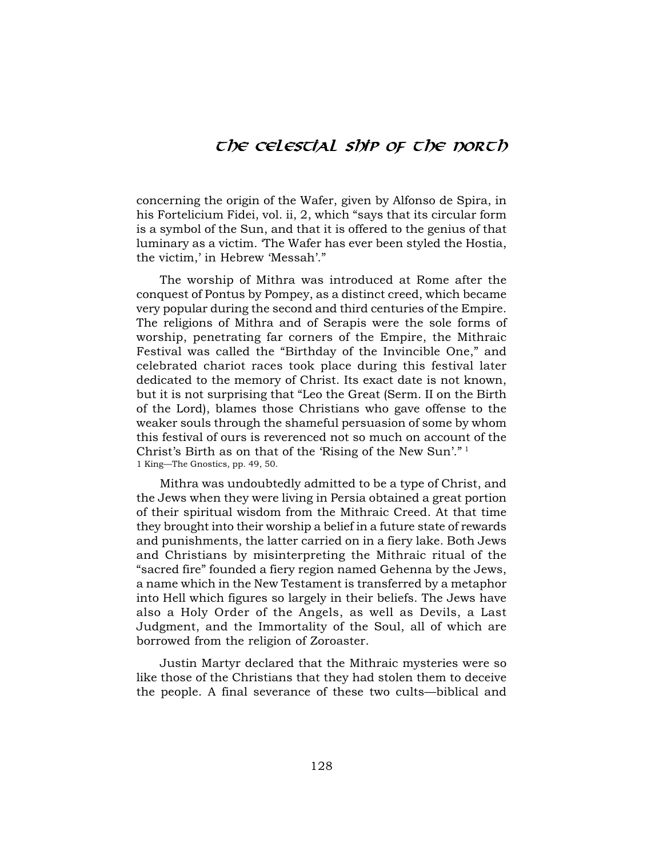concerning the origin of the Wafer, given by Alfonso de Spira, in his Fortelicium Fidei, vol. ii, 2, which "says that its circular form is a symbol of the Sun, and that it is offered to the genius of that luminary as a victim. The Wafer has ever been styled the Hostia, the victim.' in Hebrew 'Messah'."

The worship of Mithra was introduced at Rome after the conquest of Pontus by Pompey, as a distinct creed, which became very popular during the second and third centuries of the Empire. The religions of Mithra and of Serapis were the sole forms of worship, penetrating far corners of the Empire, the Mithraic Festival was called the "Birthday of the Invincible One," and celebrated chariot races took place during this festival later dedicated to the memory of Christ. Its exact date is not known, but it is not surprising that "Leo the Great (Serm. II on the Birth of the Lord), blames those Christians who gave offense to the weaker souls through the shameful persuasion of some by whom this festival of ours is reverenced not so much on account of the Christ's Birth as on that of the 'Rising of the New Sun'."<sup>1</sup> 1 King-The Gnostics, pp. 49, 50.

Mithra was undoubtedly admitted to be a type of Christ, and the Jews when they were living in Persia obtained a great portion of their spiritual wisdom from the Mithraic Creed. At that time they brought into their worship a belief in a future state of rewards and punishments, the latter carried on in a fiery lake. Both Jews and Christians by misinterpreting the Mithraic ritual of the "sacred fire" founded a fiery region named Gehenna by the Jews, a name which in the New Testament is transferred by a metaphor into Hell which figures so largely in their beliefs. The Jews have also a Holy Order of the Angels, as well as Devils, a Last Judgment, and the Immortality of the Soul, all of which are borrowed from the religion of Zoroaster.

Justin Martyr declared that the Mithraic mysteries were so like those of the Christians that they had stolen them to deceive the people. A final severance of these two cults—biblical and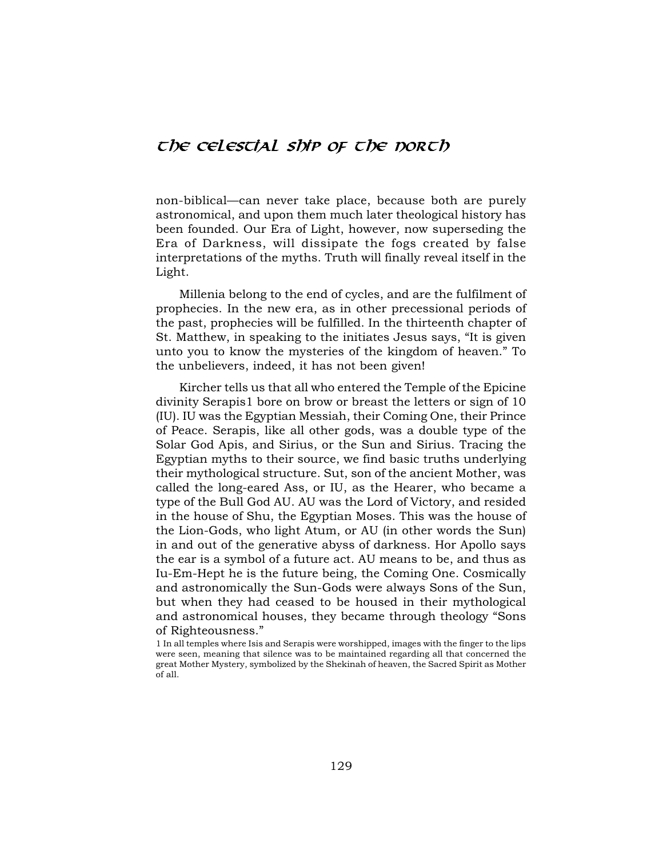non-biblical—can never take place, because both are purely astronomical, and upon them much later theological history has been founded. Our Era of Light, however, now superseding the Era of Darkness, will dissipate the fogs created by false interpretations of the myths. Truth will finally reveal itself in the Light.

Millenia belong to the end of cycles, and are the fulfilment of prophecies. In the new era, as in other precessional periods of the past, prophecies will be fulfilled. In the thirteenth chapter of St. Matthew, in speaking to the initiates Jesus says, "It is given unto you to know the mysteries of the kingdom of heaven." To the unbelievers, indeed, it has not been given!

Kircher tells us that all who entered the Temple of the Epicine divinity Serapis1 bore on brow or breast the letters or sign of 10 (IU). IU was the Egyptian Messiah, their Coming One, their Prince of Peace. Serapis, like all other gods, was a double type of the Solar God Apis, and Sirius, or the Sun and Sirius. Tracing the Egyptian myths to their source, we find basic truths underlying their mythological structure. Sut, son of the ancient Mother, was called the long-eared Ass, or IU, as the Hearer, who became a type of the Bull God AU. AU was the Lord of Victory, and resided in the house of Shu, the Egyptian Moses. This was the house of the Lion-Gods, who light Atum, or AU (in other words the Sun) in and out of the generative abyss of darkness. Hor Apollo says the ear is a symbol of a future act. AU means to be, and thus as Iu-Em-Hept he is the future being, the Coming One. Cosmically and astronomically the Sun-Gods were always Sons of the Sun, but when they had ceased to be housed in their mythological and astronomical houses, they became through theology "Sons" of Righteousness."

1 In all temples where Isis and Serapis were worshipped, images with the finger to the lips were seen, meaning that silence was to be maintained regarding all that concerned the great Mother Mystery, symbolized by the Shekinah of heaven, the Sacred Spirit as Mother of all.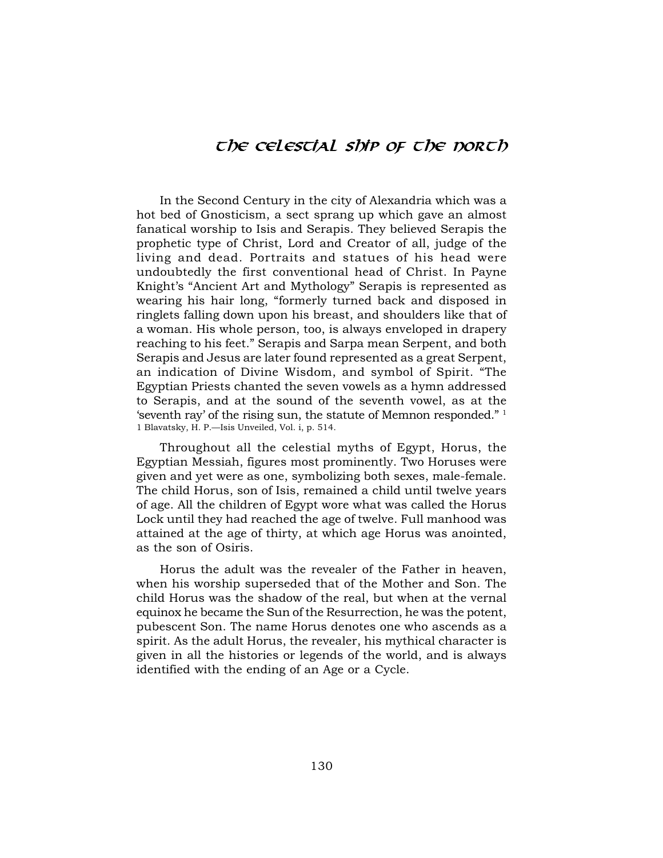In the Second Century in the city of Alexandria which was a hot bed of Gnosticism, a sect sprang up which gave an almost fanatical worship to Isis and Serapis. They believed Serapis the prophetic type of Christ, Lord and Creator of all, judge of the living and dead. Portraits and statues of his head were undoubtedly the first conventional head of Christ. In Payne Knight's "Ancient Art and Mythology" Serapis is represented as wearing his hair long, "formerly turned back and disposed in ringlets falling down upon his breast, and shoulders like that of a woman. His whole person, too, is always enveloped in drapery reaching to his feet." Serapis and Sarpa mean Serpent, and both Serapis and Jesus are later found represented as a great Serpent, an indication of Divine Wisdom, and symbol of Spirit. "The Egyptian Priests chanted the seven vowels as a hymn addressed to Serapis, and at the sound of the seventh vowel, as at the 's even th ray' of the rising sun, the statute of Memnon responded."  $1$ 1 Blavatsky, H. P.-Isis Unveiled, Vol. i, p. 514.

Throughout all the celestial myths of Egypt, Horus, the Egyptian Messiah, figures most prominently. Two Horuses were given and yet were as one, symbolizing both sexes, male-female. The child Horus, son of Isis, remained a child until twelve years of age. All the children of Egypt wore what was called the Horus Lock until they had reached the age of twelve. Full manhood was attained at the age of thirty, at which age Horus was anointed, as the son of Osiris.

Horus the adult was the revealer of the Father in heaven. when his worship superseded that of the Mother and Son. The child Horus was the shadow of the real, but when at the vernal equinox he became the Sun of the Resurrection, he was the potent, pubescent Son. The name Horus denotes one who ascends as a spirit. As the adult Horus, the revealer, his mythical character is given in all the histories or legends of the world, and is always identified with the ending of an Age or a Cycle.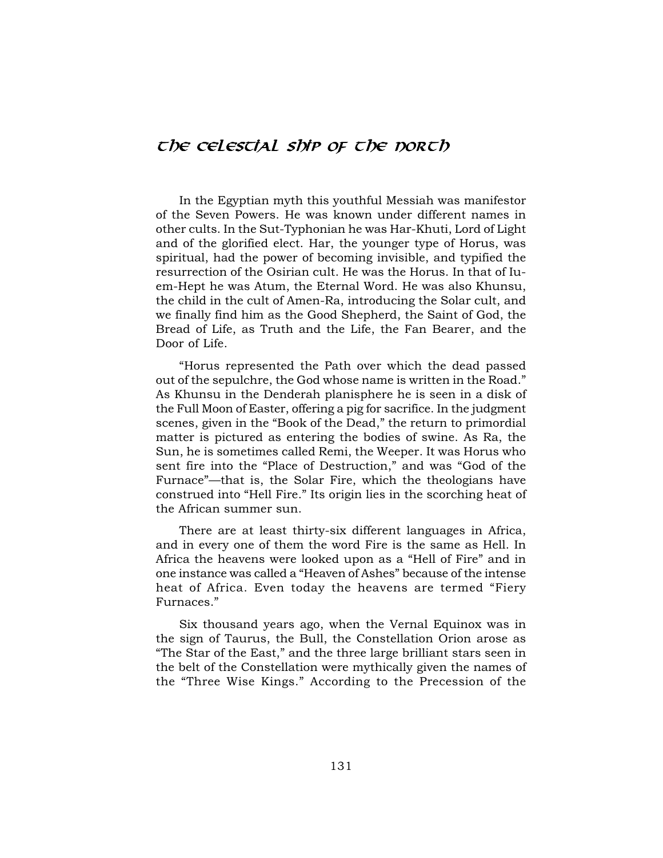In the Egyptian myth this youthful Messiah was manifestor of the Seven Powers. He was known under different names in other cults. In the Sut-Typhonian he was Har-Khuti, Lord of Light and of the glorified elect. Har, the younger type of Horus, was spiritual, had the power of becoming invisible, and typified the resurrection of the Osirian cult. He was the Horus. In that of Iuem-Hept he was Atum, the Eternal Word. He was also Khunsu, the child in the cult of Amen-Ra, introducing the Solar cult, and we finally find him as the Good Shepherd, the Saint of God, the Bread of Life, as Truth and the Life, the Fan Bearer, and the Door of Life.

"Horus represented the Path over which the dead passed out of the sepulchre, the God whose name is written in the Road." As Khunsu in the Denderah planisphere he is seen in a disk of the Full Moon of Easter, offering a pig for sacrifice. In the judgment scenes, given in the "Book of the Dead," the return to primordial matter is pictured as entering the bodies of swine. As Ra, the Sun, he is sometimes called Remi, the Weeper. It was Horus who sent fire into the "Place of Destruction," and was "God of the Furnace"-that is, the Solar Fire, which the theologians have construed into "Hell Fire." Its origin lies in the scorching heat of the African summer sun.

There are at least thirty-six different languages in Africa, and in every one of them the word Fire is the same as Hell. In Africa the heavens were looked upon as a "Hell of Fire" and in one instance was called a "Heaven of Ashes" because of the intense heat of Africa. Even today the heavens are termed "Fiery Furnaces."

Six thousand years ago, when the Vernal Equinox was in the sign of Taurus, the Bull, the Constellation Orion arose as "The Star of the East," and the three large brilliant stars seen in the belt of the Constellation were mythically given the names of the "Three Wise Kings." According to the Precession of the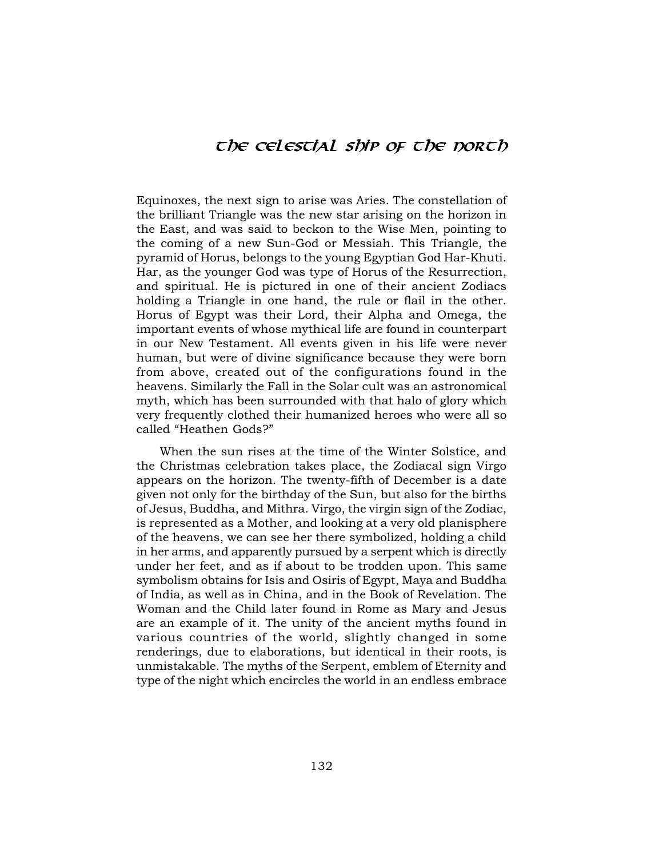Equinoxes, the next sign to arise was Aries. The constellation of the brilliant Triangle was the new star arising on the horizon in the East, and was said to beckon to the Wise Men, pointing to the coming of a new Sun-God or Messiah. This Triangle, the pyramid of Horus, belongs to the young Egyptian God Har-Khuti. Har, as the younger God was type of Horus of the Resurrection, and spiritual. He is pictured in one of their ancient Zodiacs holding a Triangle in one hand, the rule or flail in the other. Horus of Egypt was their Lord, their Alpha and Omega, the important events of whose mythical life are found in counterpart in our New Testament. All events given in his life were never human, but were of divine significance because they were born from above, created out of the configurations found in the heavens. Similarly the Fall in the Solar cult was an astronomical myth, which has been surrounded with that halo of glory which very frequently clothed their humanized heroes who were all so called "Heathen Gods?"

When the sun rises at the time of the Winter Solstice, and the Christmas celebration takes place, the Zodiacal sign Virgo appears on the horizon. The twenty-fifth of December is a date given not only for the birthday of the Sun, but also for the births of Jesus, Buddha, and Mithra. Virgo, the virgin sign of the Zodiac, is represented as a Mother, and looking at a very old planisphere of the heavens, we can see her there symbolized, holding a child in her arms, and apparently pursued by a serpent which is directly under her feet, and as if about to be trodden upon. This same symbolism obtains for Isis and Osiris of Egypt, Maya and Buddha of India, as well as in China, and in the Book of Revelation. The Woman and the Child later found in Rome as Mary and Jesus are an example of it. The unity of the ancient myths found in various countries of the world, slightly changed in some renderings, due to elaborations, but identical in their roots, is unmistakable. The myths of the Serpent, emblem of Eternity and type of the night which encircles the world in an endless embrace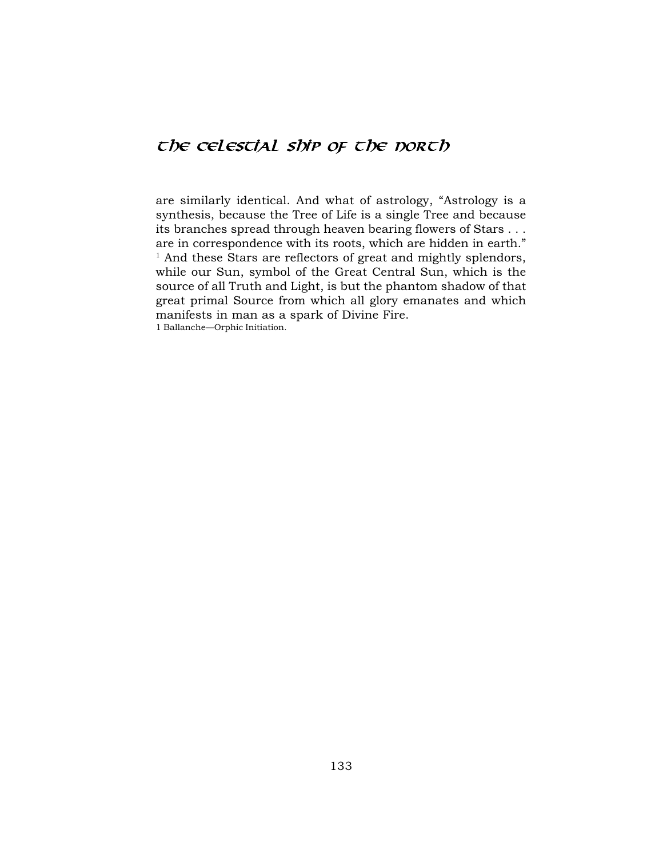are similarly identical. And what of astrology, "Astrology is a synthesis, because the Tree of Life is a single Tree and because its branches spread through heaven bearing flowers of Stars . . . are in correspondence with its roots, which are hidden in earth." <sup>1</sup> And these Stars are reflectors of great and mightly splendors, while our Sun, symbol of the Great Central Sun, which is the source of all Truth and Light, is but the phantom shadow of that great primal Source from which all glory emanates and which manifests in man as a spark of Divine Fire. 1 Ballanche-Orphic Initiation.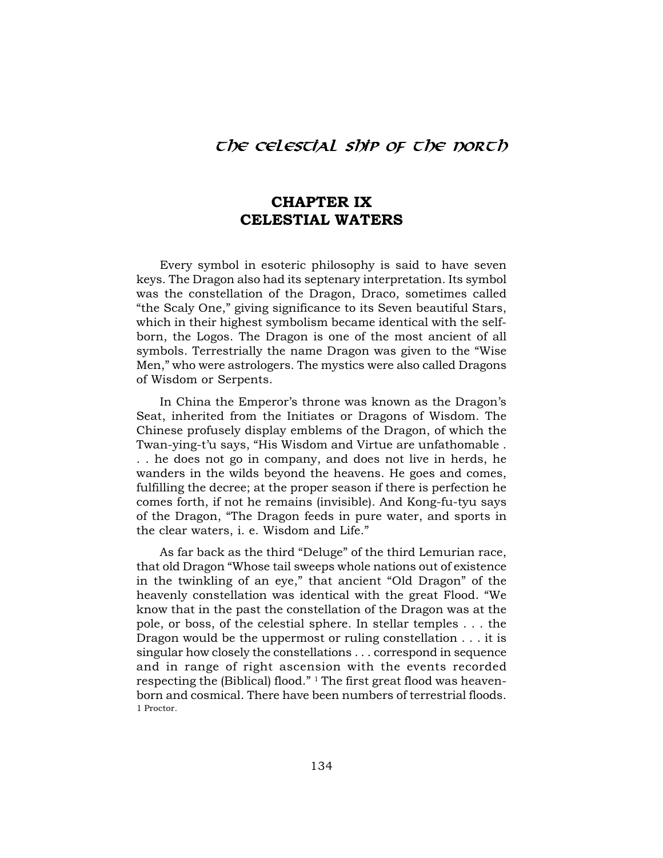#### **CHAPTER IX CELESTIAL WATERS**

Every symbol in esoteric philosophy is said to have seven keys. The Dragon also had its septenary interpretation. Its symbol was the constellation of the Dragon, Draco, sometimes called "the Scaly One," giving significance to its Seven beautiful Stars, which in their highest symbolism became identical with the selfborn, the Logos. The Dragon is one of the most ancient of all symbols. Terrestrially the name Dragon was given to the "Wise Men," who were astrologers. The mystics were also called Dragons of Wisdom or Serpents.

In China the Emperor's throne was known as the Dragon's Seat, inherited from the Initiates or Dragons of Wisdom. The Chinese profusely display emblems of the Dragon, of which the Twan-ying-t'u says, "His Wisdom and Virtue are unfathomable. .. he does not go in company, and does not live in herds, he wanders in the wilds beyond the heavens. He goes and comes, fulfilling the decree; at the proper season if there is perfection he comes forth, if not he remains (invisible). And Kong-fu-tyu says of the Dragon, "The Dragon feeds in pure water, and sports in the clear waters, i. e. Wisdom and Life."

As far back as the third "Deluge" of the third Lemurian race, that old Dragon "Whose tail sweeps whole nations out of existence in the twinkling of an eye," that ancient "Old Dragon" of the heavenly constellation was identical with the great Flood. "We know that in the past the constellation of the Dragon was at the pole, or boss, of the celestial sphere. In stellar temples . . . the Dragon would be the uppermost or ruling constellation  $\dots$  it is singular how closely the constellations . . . correspond in sequence and in range of right ascension with the events recorded respecting the (Biblical) flood." <sup>1</sup> The first great flood was heavenborn and cosmical. There have been numbers of terrestrial floods. 1 Proctor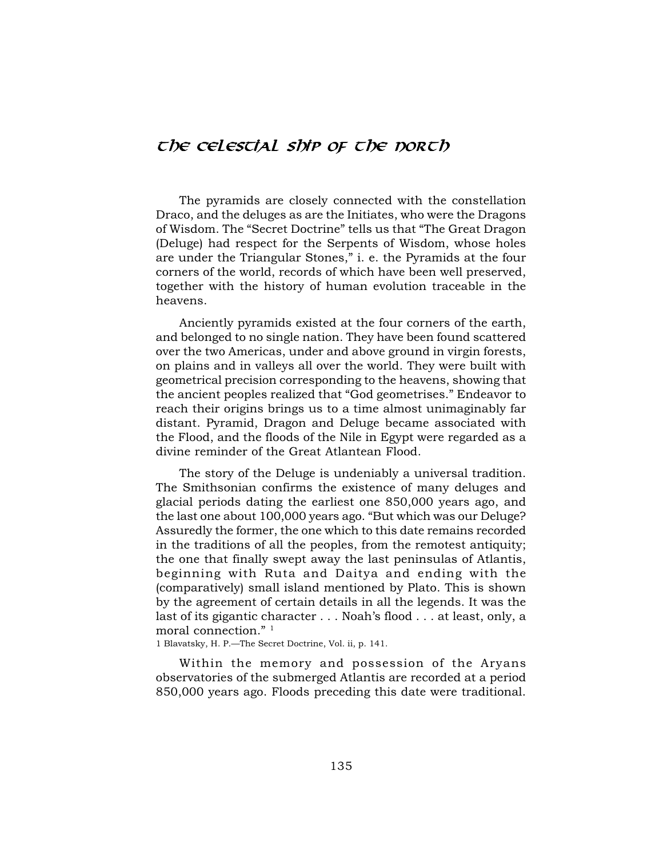The pyramids are closely connected with the constellation Draco, and the deluges as are the Initiates, who were the Dragons of Wisdom. The "Secret Doctrine" tells us that "The Great Dragon (Deluge) had respect for the Serpents of Wisdom, whose holes are under the Triangular Stones," i. e. the Pyramids at the four corners of the world, records of which have been well preserved, together with the history of human evolution traceable in the heavens.

Anciently pyramids existed at the four corners of the earth, and belonged to no single nation. They have been found scattered over the two Americas, under and above ground in virgin forests, on plains and in valleys all over the world. They were built with geometrical precision corresponding to the heavens, showing that the ancient peoples realized that "God geometrises." Endeavor to reach their origins brings us to a time almost unimaginably far distant. Pyramid, Dragon and Deluge became associated with the Flood, and the floods of the Nile in Egypt were regarded as a divine reminder of the Great Atlantean Flood.

The story of the Deluge is undeniably a universal tradition. The Smithsonian confirms the existence of many deluges and glacial periods dating the earliest one 850,000 years ago, and the last one about 100,000 years ago. "But which was our Deluge? Assuredly the former, the one which to this date remains recorded in the traditions of all the peoples, from the remotest antiquity; the one that finally swept away the last peninsulas of Atlantis, beginning with Ruta and Daitya and ending with the (comparatively) small island mentioned by Plato. This is shown by the agreement of certain details in all the legends. It was the last of its gigantic character . . . Noah's flood . . . at least, only, a moral connection."<sup>1</sup>

1 Blavatsky, H. P.-The Secret Doctrine, Vol. ii, p. 141.

Within the memory and possession of the Aryans observatories of the submerged Atlantis are recorded at a period 850,000 years ago. Floods preceding this date were traditional.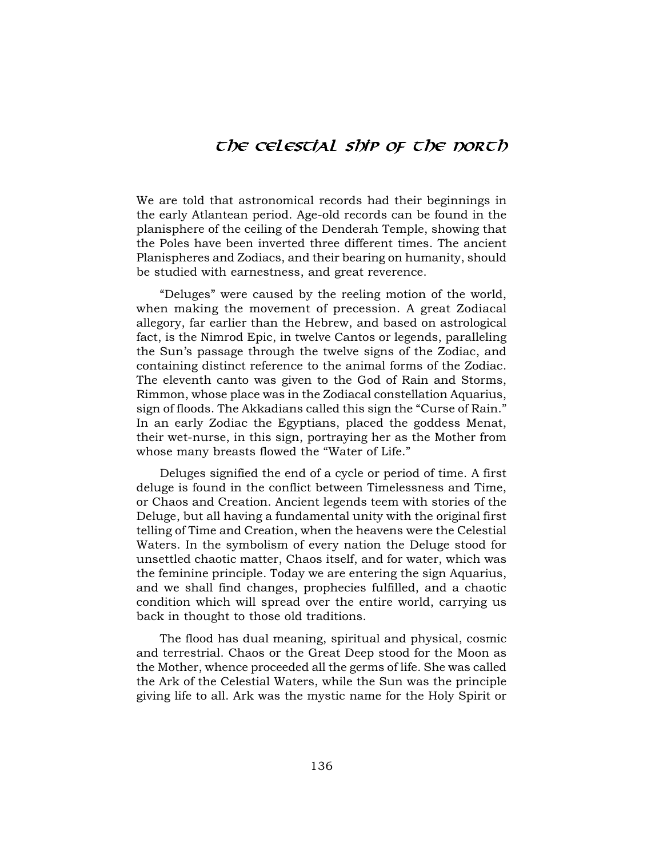We are told that astronomical records had their beginnings in the early Atlantean period. Age-old records can be found in the planisphere of the ceiling of the Denderah Temple, showing that the Poles have been inverted three different times. The ancient Planispheres and Zodiacs, and their bearing on humanity, should be studied with earnestness, and great reverence.

"Deluges" were caused by the reeling motion of the world, when making the movement of precession. A great Zodiacal allegory, far earlier than the Hebrew, and based on astrological fact, is the Nimrod Epic, in twelve Cantos or legends, paralleling the Sun's passage through the twelve signs of the Zodiac, and containing distinct reference to the animal forms of the Zodiac. The eleventh canto was given to the God of Rain and Storms, Rimmon, whose place was in the Zodiacal constellation Aquarius, sign of floods. The Akkadians called this sign the "Curse of Rain." In an early Zodiac the Egyptians, placed the goddess Menat, their wet-nurse, in this sign, portraying her as the Mother from whose many breasts flowed the "Water of Life."

Deluges signified the end of a cycle or period of time. A first deluge is found in the conflict between Timelessness and Time, or Chaos and Creation. Ancient legends teem with stories of the Deluge, but all having a fundamental unity with the original first telling of Time and Creation, when the heavens were the Celestial Waters. In the symbolism of every nation the Deluge stood for unsettled chaotic matter, Chaos itself, and for water, which was the feminine principle. Today we are entering the sign Aquarius, and we shall find changes, prophecies fulfilled, and a chaotic condition which will spread over the entire world, carrying us back in thought to those old traditions.

The flood has dual meaning, spiritual and physical, cosmic and terrestrial. Chaos or the Great Deep stood for the Moon as the Mother, whence proceeded all the germs of life. She was called the Ark of the Celestial Waters, while the Sun was the principle giving life to all. Ark was the mystic name for the Holy Spirit or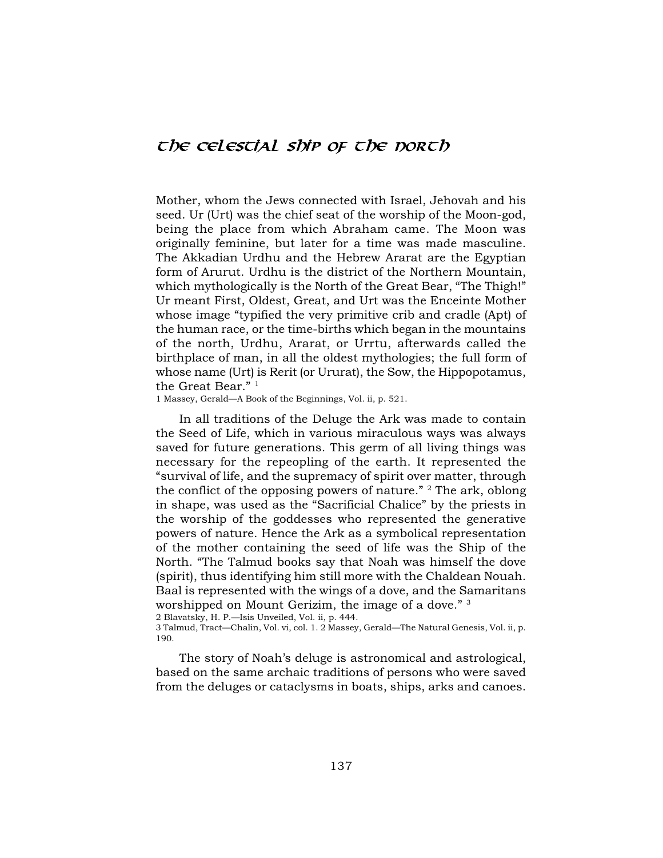Mother, whom the Jews connected with Israel, Jehovah and his seed. Ur (Urt) was the chief seat of the worship of the Moon-god, being the place from which Abraham came. The Moon was originally feminine, but later for a time was made masculine. The Akkadian Urdhu and the Hebrew Ararat are the Egyptian form of Arurut. Urdhu is the district of the Northern Mountain, which mythologically is the North of the Great Bear, "The Thigh!" Ur meant First, Oldest, Great, and Urt was the Enceinte Mother whose image "typified the very primitive crib and cradle (Apt) of the human race, or the time-births which began in the mountains of the north, Urdhu, Ararat, or Urrtu, afterwards called the birthplace of man, in all the oldest mythologies; the full form of whose name (Urt) is Rerit (or Ururat), the Sow, the Hippopotamus, the Great Bear." $1$ 

1 Massey, Gerald-A Book of the Beginnings, Vol. ii, p. 521.

In all traditions of the Deluge the Ark was made to contain the Seed of Life, which in various miraculous ways was always saved for future generations. This germ of all living things was necessary for the repeopling of the earth. It represented the "survival of life, and the supremacy of spirit over matter, through the conflict of the opposing powers of nature."  $2$  The ark, oblong in shape, was used as the "Sacrificial Chalice" by the priests in the worship of the goddesses who represented the generative powers of nature. Hence the Ark as a symbolical representation of the mother containing the seed of life was the Ship of the North. "The Talmud books say that Noah was himself the dove (spirit), thus identifying him still more with the Chaldean Nouah. Baal is represented with the wings of a dove, and the Samaritans worshipped on Mount Gerizim, the image of a dove." 3

2 Blavatsky, H. P.-Isis Unveiled, Vol. ii, p. 444. 3 Talmud, Tract-Chalin, Vol. vi, col. 1. 2 Massey, Gerald-The Natural Genesis, Vol. ii, p. 190.

The story of Noah's deluge is astronomical and astrological, based on the same archaic traditions of persons who were saved from the deluges or cataclysms in boats, ships, arks and canoes.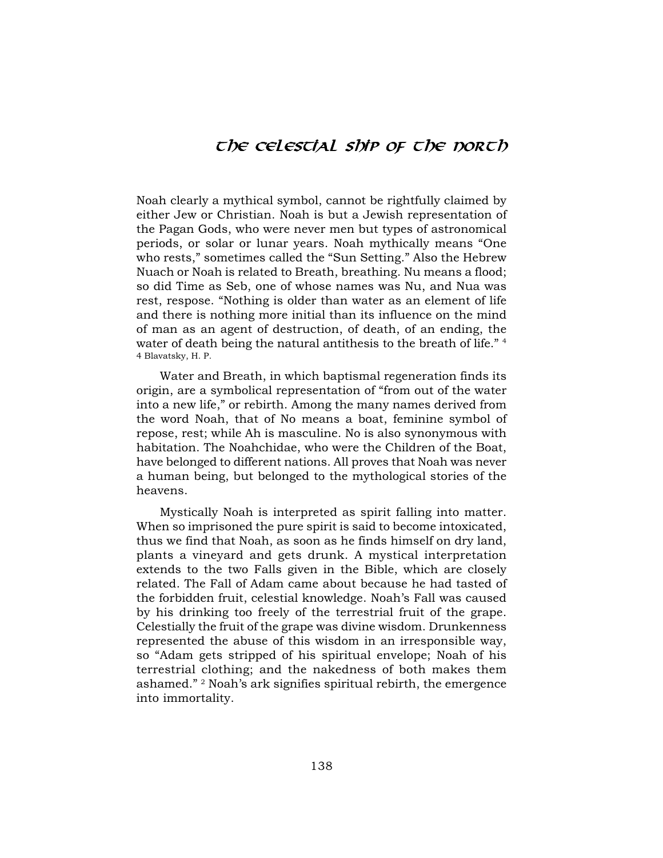Noah clearly a mythical symbol, cannot be rightfully claimed by either Jew or Christian. Noah is but a Jewish representation of the Pagan Gods, who were never men but types of astronomical periods, or solar or lunar years. Noah mythically means "One who rests," sometimes called the "Sun Setting." Also the Hebrew Nuach or Noah is related to Breath, breathing. Nu means a flood; so did Time as Seb, one of whose names was Nu, and Nua was rest, respose. "Nothing is older than water as an element of life and there is nothing more initial than its influence on the mind of man as an agent of destruction, of death, of an ending, the water of death being the natural antithesis to the breath of life." 4 4 Blavatsky, H. P.

Water and Breath, in which baptismal regeneration finds its origin, are a symbolical representation of "from out of the water into a new life," or rebirth. Among the many names derived from the word Noah, that of No means a boat, feminine symbol of repose, rest; while Ah is masculine. No is also synonymous with habitation. The Noahchidae, who were the Children of the Boat, have belonged to different nations. All proves that Noah was never a human being, but belonged to the mythological stories of the heavens.

Mystically Noah is interpreted as spirit falling into matter. When so imprisoned the pure spirit is said to become intoxicated, thus we find that Noah, as soon as he finds himself on dry land, plants a vineyard and gets drunk. A mystical interpretation extends to the two Falls given in the Bible, which are closely related. The Fall of Adam came about because he had tasted of the forbidden fruit, celestial knowledge. Noah's Fall was caused by his drinking too freely of the terrestrial fruit of the grape. Celestially the fruit of the grape was divine wisdom. Drunkenness represented the abuse of this wisdom in an irresponsible way, so "Adam gets stripped of his spiritual envelope; Noah of his terrestrial clothing; and the nakedness of both makes them ashamed."<sup>2</sup> Noah's ark signifies spiritual rebirth, the emergence into immortality.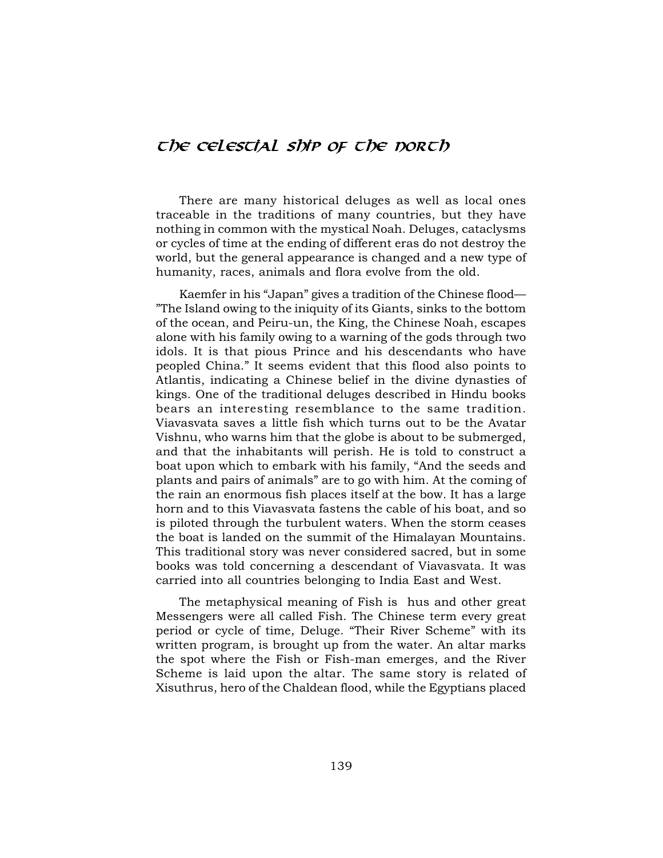There are many historical deluges as well as local ones traceable in the traditions of many countries, but they have nothing in common with the mystical Noah. Deluges, cataclysms or cycles of time at the ending of different eras do not destroy the world, but the general appearance is changed and a new type of humanity, races, animals and flora evolve from the old.

Kaemfer in his "Japan" gives a tradition of the Chinese flood— "The Island owing to the iniquity of its Giants, sinks to the bottom of the ocean, and Peiru-un, the King, the Chinese Noah, escapes alone with his family owing to a warning of the gods through two idols. It is that pious Prince and his descendants who have peopled China." It seems evident that this flood also points to Atlantis, indicating a Chinese belief in the divine dynasties of kings. One of the traditional deluges described in Hindu books bears an interesting resemblance to the same tradition. Viavasvata saves a little fish which turns out to be the Avatar Vishnu, who warns him that the globe is about to be submerged, and that the inhabitants will perish. He is told to construct a boat upon which to embark with his family, "And the seeds and plants and pairs of animals" are to go with him. At the coming of the rain an enormous fish places itself at the bow. It has a large horn and to this Viavasvata fastens the cable of his boat, and so is piloted through the turbulent waters. When the storm ceases the boat is landed on the summit of the Himalayan Mountains. This traditional story was never considered sacred, but in some books was told concerning a descendant of Viavasvata. It was carried into all countries belonging to India East and West.

The metaphysical meaning of Fish is hus and other great Messengers were all called Fish. The Chinese term every great period or cycle of time, Deluge. "Their River Scheme" with its written program, is brought up from the water. An altar marks the spot where the Fish or Fish-man emerges, and the River Scheme is laid upon the altar. The same story is related of Xisuthrus, hero of the Chaldean flood, while the Egyptians placed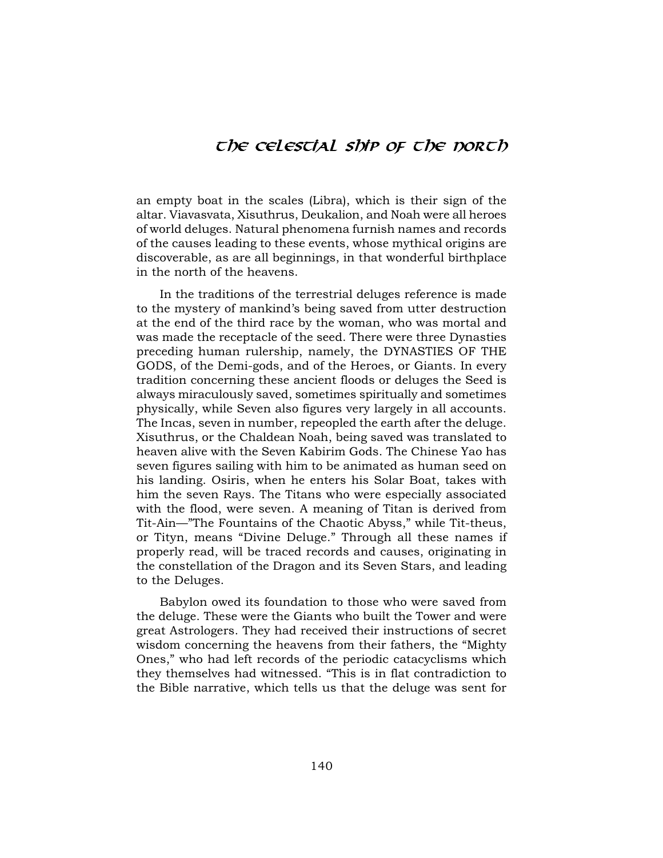an empty boat in the scales (Libra), which is their sign of the altar. Viavasvata, Xisuthrus, Deukalion, and Noah were all heroes of world deluges. Natural phenomena furnish names and records of the causes leading to these events, whose mythical origins are discoverable, as are all beginnings, in that wonderful birthplace in the north of the heavens.

In the traditions of the terrestrial deluges reference is made to the mystery of mankind's being saved from utter destruction at the end of the third race by the woman, who was mortal and was made the receptacle of the seed. There were three Dynasties preceding human rulership, namely, the DYNASTIES OF THE GODS, of the Demi-gods, and of the Heroes, or Giants. In every tradition concerning these ancient floods or deluges the Seed is always miraculously saved, sometimes spiritually and sometimes physically, while Seven also figures very largely in all accounts. The Incas, seven in number, repeopled the earth after the deluge. Xisuthrus, or the Chaldean Noah, being saved was translated to heaven alive with the Seven Kabirim Gods. The Chinese Yao has seven figures sailing with him to be animated as human seed on his landing. Osiris, when he enters his Solar Boat, takes with him the seven Rays. The Titans who were especially associated with the flood, were seven. A meaning of Titan is derived from Tit-Ain—"The Fountains of the Chaotic Abyss," while Tit-theus, or Tityn, means "Divine Deluge." Through all these names if properly read, will be traced records and causes, originating in the constellation of the Dragon and its Seven Stars, and leading to the Deluges.

Babylon owed its foundation to those who were saved from the deluge. These were the Giants who built the Tower and were great Astrologers. They had received their instructions of secret wisdom concerning the heavens from their fathers, the "Mighty" Ones," who had left records of the periodic catacyclisms which they themselves had witnessed. "This is in flat contradiction to the Bible narrative, which tells us that the deluge was sent for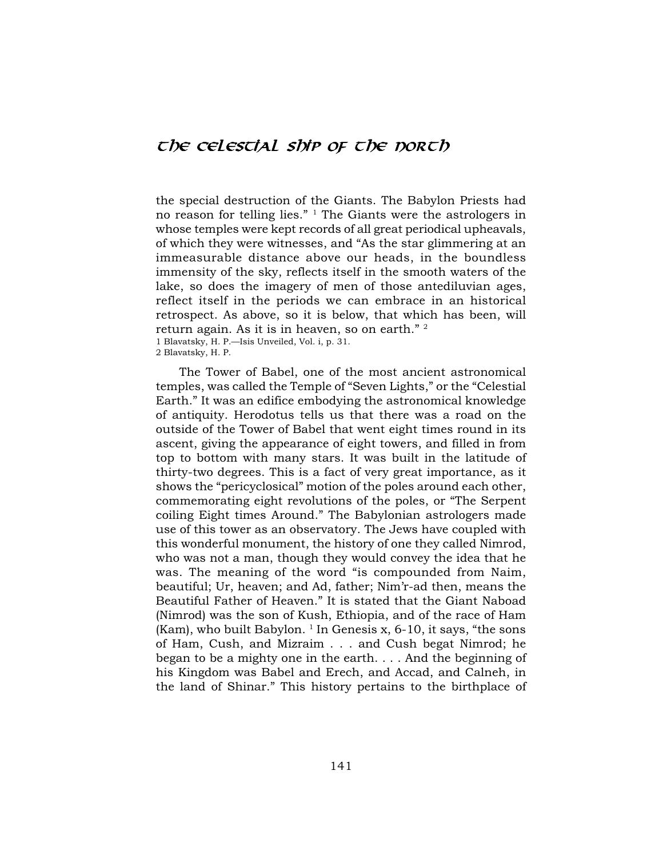the special destruction of the Giants. The Babylon Priests had no reason for telling lies."  $\frac{1}{1}$  The Giants were the astrologers in whose temples were kept records of all great periodical upheavals, of which they were witnesses, and "As the star glimmering at an immeasurable distance above our heads, in the boundless immensity of the sky, reflects itself in the smooth waters of the lake, so does the imagery of men of those antediluvian ages, reflect itself in the periods we can embrace in an historical retrospect. As above, so it is below, that which has been, will return again. As it is in heaven, so on earth."<sup>2</sup> 1 Blavatsky, H. P.-Isis Unveiled, Vol. i, p. 31.

2 Blavatsky, H. P.

The Tower of Babel, one of the most ancient astronomical temples, was called the Temple of "Seven Lights," or the "Celestial" Earth." It was an edifice embodying the astronomical knowledge of antiquity. Herodotus tells us that there was a road on the outside of the Tower of Babel that went eight times round in its ascent, giving the appearance of eight towers, and filled in from top to bottom with many stars. It was built in the latitude of thirty-two degrees. This is a fact of very great importance, as it shows the "pericyclosical" motion of the poles around each other, commemorating eight revolutions of the poles, or "The Serpent" coiling Eight times Around." The Babylonian astrologers made use of this tower as an observatory. The Jews have coupled with this wonderful monument, the history of one they called Nimrod, who was not a man, though they would convey the idea that he was. The meaning of the word "is compounded from Naim, beautiful: Ur, heaven: and Ad, father: Nim'r-ad then, means the Beautiful Father of Heaven." It is stated that the Giant Naboad (Nimrod) was the son of Kush, Ethiopia, and of the race of Ham (Kam), who built Babylon.  $^1$  In Genesis x, 6-10, it says, "the sons of Ham, Cush, and Mizraim . . . and Cush begat Nimrod; he began to be a mighty one in the earth.  $\ldots$  And the beginning of his Kingdom was Babel and Erech, and Accad, and Calneh, in the land of Shinar." This history pertains to the birthplace of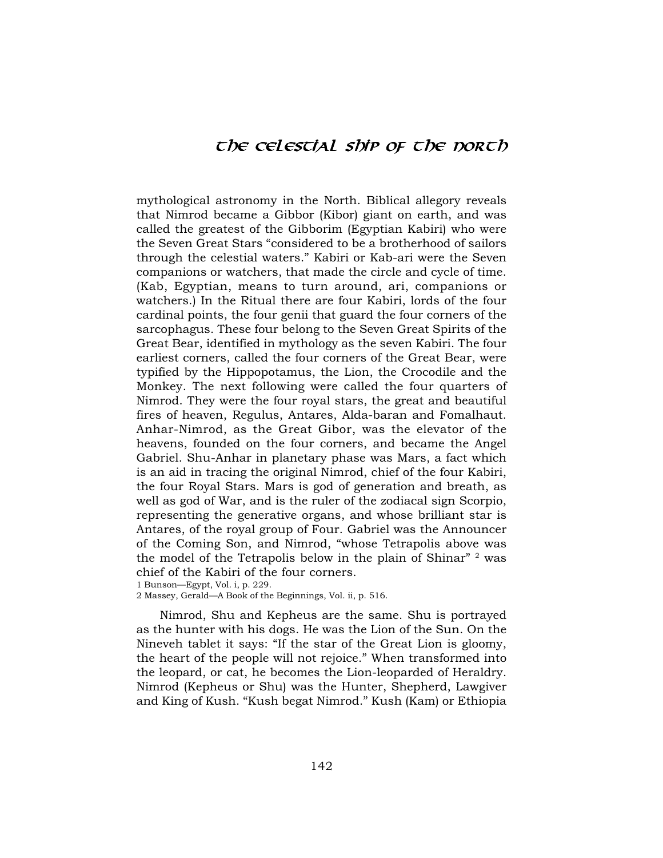mythological astronomy in the North. Biblical allegory reveals that Nimrod became a Gibbor (Kibor) giant on earth, and was called the greatest of the Gibborim (Egyptian Kabiri) who were the Seven Great Stars "considered to be a brotherhood of sailors through the celestial waters." Kabiri or Kab-ari were the Seven companions or watchers, that made the circle and cycle of time. (Kab, Egyptian, means to turn around, ari, companions or watchers.) In the Ritual there are four Kabiri, lords of the four cardinal points, the four genii that guard the four corners of the sarcophagus. These four belong to the Seven Great Spirits of the Great Bear, identified in mythology as the seven Kabiri. The four earliest corners, called the four corners of the Great Bear, were typified by the Hippopotamus, the Lion, the Crocodile and the Monkey. The next following were called the four quarters of Nimrod. They were the four royal stars, the great and beautiful fires of heaven, Regulus, Antares, Alda-baran and Fomalhaut. Anhar-Nimrod, as the Great Gibor, was the elevator of the heavens, founded on the four corners, and became the Angel Gabriel. Shu-Anhar in planetary phase was Mars, a fact which is an aid in tracing the original Nimrod, chief of the four Kabiri, the four Royal Stars. Mars is god of generation and breath, as well as god of War, and is the ruler of the zodiacal sign Scorpio, representing the generative organs, and whose brilliant star is Antares, of the royal group of Four. Gabriel was the Announcer of the Coming Son, and Nimrod, "whose Tetrapolis above was the model of the Tetrapolis below in the plain of Shinar" 2 was chief of the Kabiri of the four corners.

1 Bunson-Egypt, Vol. i, p. 229.

2 Massey, Gerald—A Book of the Beginnings, Vol. ii, p. 516.

Nimrod, Shu and Kepheus are the same. Shu is portrayed as the hunter with his dogs. He was the Lion of the Sun. On the Nineveh tablet it says: "If the star of the Great Lion is gloomy, the heart of the people will not rejoice." When transformed into the leopard, or cat, he becomes the Lion-leoparded of Heraldry. Nimrod (Kepheus or Shu) was the Hunter, Shepherd, Lawgiver and King of Kush. "Kush begat Nimrod." Kush (Kam) or Ethiopia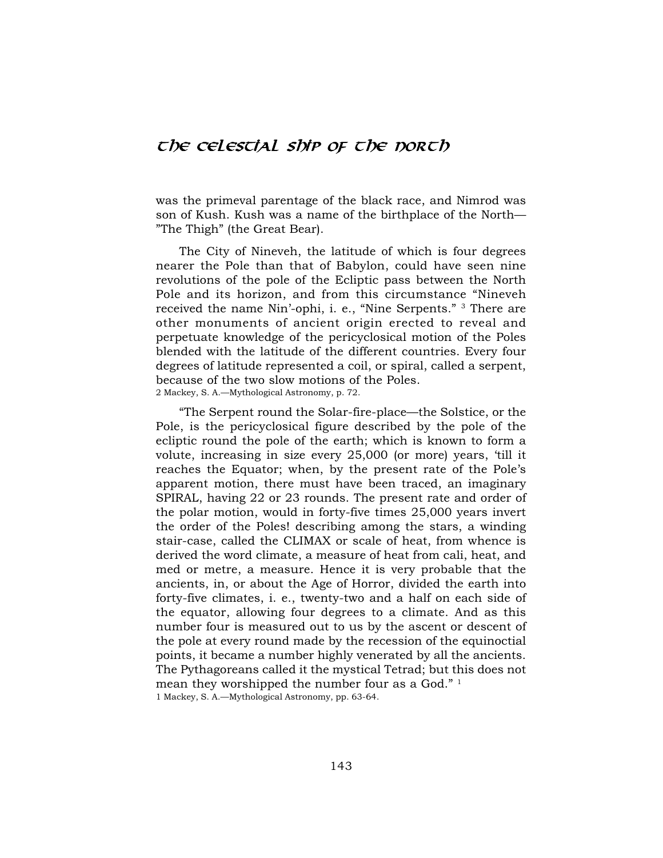was the primeval parentage of the black race, and Nimrod was son of Kush. Kush was a name of the birthplace of the North-"The Thigh" (the Great Bear).

The City of Nineveh, the latitude of which is four degrees nearer the Pole than that of Babylon, could have seen nine revolutions of the pole of the Ecliptic pass between the North Pole and its horizon, and from this circumstance "Nineveh received the name Nin'-ophi, i. e., "Nine Serpents." 3 There are other monuments of ancient origin erected to reveal and perpetuate knowledge of the pericyclosical motion of the Poles blended with the latitude of the different countries. Every four degrees of latitude represented a coil, or spiral, called a serpent. because of the two slow motions of the Poles.

2 Mackey, S. A.-Mythological Astronomy, p. 72.

"The Serpent round the Solar-fire-place—the Solstice, or the Pole, is the pericyclosical figure described by the pole of the ecliptic round the pole of the earth; which is known to form a volute, increasing in size every 25,000 (or more) years, 'till it reaches the Equator; when, by the present rate of the Pole's apparent motion, there must have been traced, an imaginary SPIRAL, having 22 or 23 rounds. The present rate and order of the polar motion, would in forty-five times 25,000 years invert the order of the Poles! describing among the stars, a winding stair-case, called the CLIMAX or scale of heat, from whence is derived the word climate, a measure of heat from cali, heat, and med or metre, a measure. Hence it is very probable that the ancients, in, or about the Age of Horror, divided the earth into forty-five climates, i. e., twenty-two and a half on each side of the equator, allowing four degrees to a climate. And as this number four is measured out to us by the ascent or descent of the pole at every round made by the recession of the equinoctial points, it became a number highly venerated by all the ancients. The Pythagoreans called it the mystical Tetrad; but this does not mean they worshipped the number four as a God." 1 1 Mackey, S. A.-Mythological Astronomy, pp. 63-64.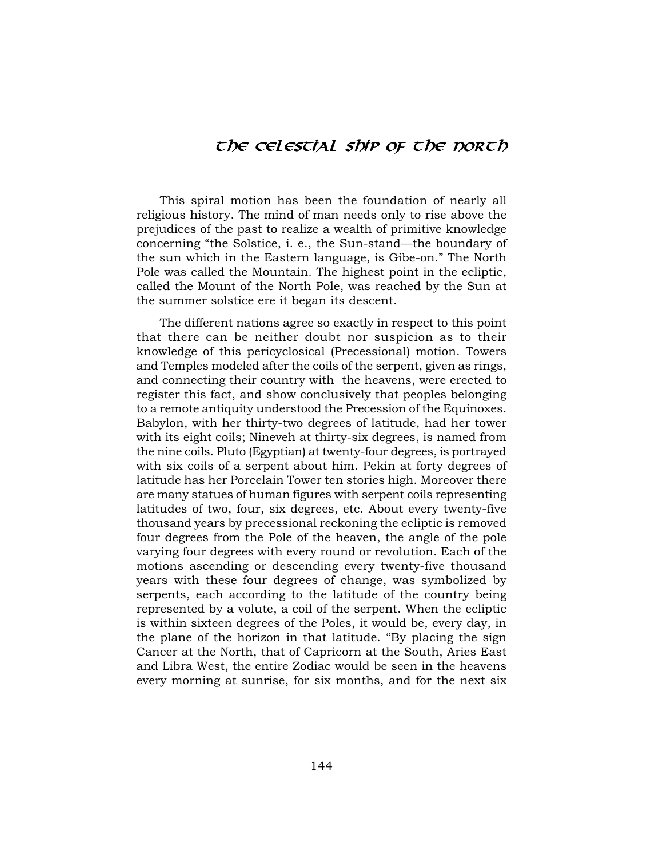This spiral motion has been the foundation of nearly all religious history. The mind of man needs only to rise above the prejudices of the past to realize a wealth of primitive knowledge concerning "the Solstice, i. e., the Sun-stand—the boundary of the sun which in the Eastern language, is Gibe-on." The North Pole was called the Mountain. The highest point in the ecliptic, called the Mount of the North Pole, was reached by the Sun at the summer solstice ere it began its descent.

The different nations agree so exactly in respect to this point that there can be neither doubt nor suspicion as to their knowledge of this pericyclosical (Precessional) motion. Towers and Temples modeled after the coils of the serpent, given as rings, and connecting their country with the heavens, were erected to register this fact, and show conclusively that peoples belonging to a remote antiquity understood the Precession of the Equinoxes. Babylon, with her thirty-two degrees of latitude, had her tower with its eight coils; Nineveh at thirty-six degrees, is named from the nine coils. Pluto (Egyptian) at twenty-four degrees, is portrayed with six coils of a serpent about him. Pekin at forty degrees of latitude has her Porcelain Tower ten stories high. Moreover there are many statues of human figures with serpent coils representing latitudes of two, four, six degrees, etc. About every twenty-five thousand years by precessional reckoning the ecliptic is removed four degrees from the Pole of the heaven, the angle of the pole varying four degrees with every round or revolution. Each of the motions ascending or descending every twenty-five thousand years with these four degrees of change, was symbolized by serpents, each according to the latitude of the country being represented by a volute, a coil of the serpent. When the ecliptic is within sixteen degrees of the Poles, it would be, every day, in the plane of the horizon in that latitude. "By placing the sign Cancer at the North, that of Capricorn at the South, Aries East and Libra West, the entire Zodiac would be seen in the heavens every morning at sunrise, for six months, and for the next six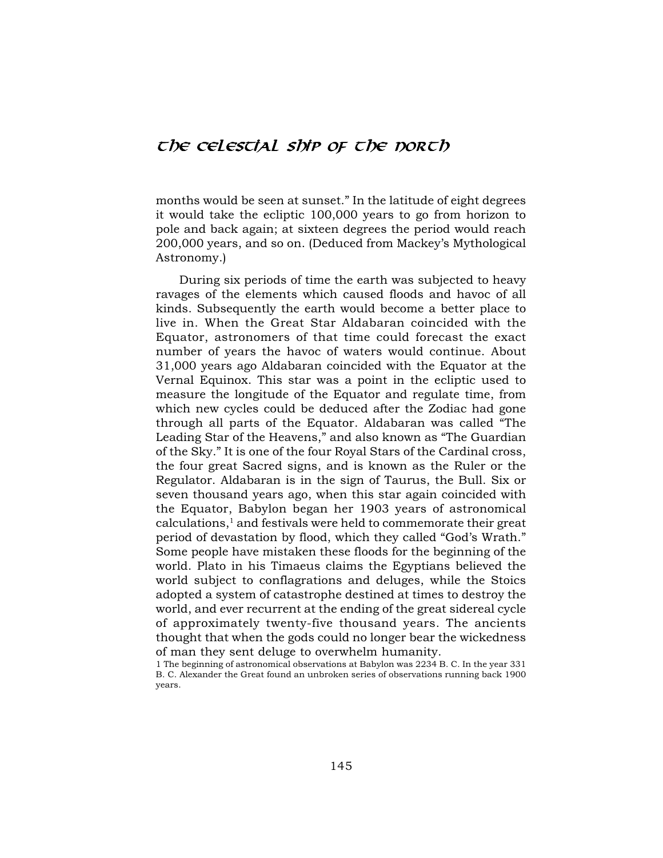months would be seen at sunset." In the latitude of eight degrees it would take the ecliptic 100,000 years to go from horizon to pole and back again; at sixteen degrees the period would reach 200,000 years, and so on. (Deduced from Mackey's Mythological Astronomy.)

During six periods of time the earth was subjected to heavy ravages of the elements which caused floods and havoc of all kinds. Subsequently the earth would become a better place to live in. When the Great Star Aldabaran coincided with the Equator, astronomers of that time could forecast the exact number of years the havoc of waters would continue. About 31,000 years ago Aldabaran coincided with the Equator at the Vernal Equinox. This star was a point in the ecliptic used to measure the longitude of the Equator and regulate time, from which new cycles could be deduced after the Zodiac had gone through all parts of the Equator. Aldabaran was called "The Leading Star of the Heavens," and also known as "The Guardian of the Sky." It is one of the four Royal Stars of the Cardinal cross, the four great Sacred signs, and is known as the Ruler or the Regulator. Aldabaran is in the sign of Taurus, the Bull. Six or seven thousand years ago, when this star again coincided with the Equator, Babylon began her 1903 years of astronomical calculations,<sup>1</sup> and festivals were held to commemorate their great period of devastation by flood, which they called "God's Wrath." Some people have mistaken these floods for the beginning of the world. Plato in his Timaeus claims the Egyptians believed the world subject to conflagrations and deluges, while the Stoics adopted a system of catastrophe destined at times to destroy the world, and ever recurrent at the ending of the great sidereal cycle of approximately twenty-five thousand years. The ancients thought that when the gods could no longer bear the wickedness of man they sent deluge to overwhelm humanity.

1 The beginning of astronomical observations at Babylon was 2234 B. C. In the year 331 B. C. Alexander the Great found an unbroken series of observations running back 1900 years.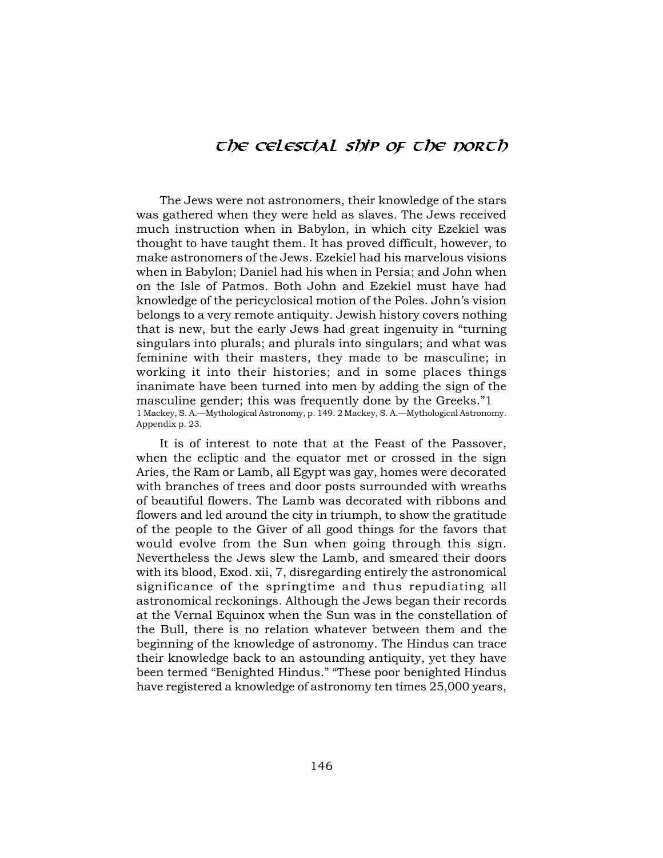The Jews were not astronomers, their knowledge of the stars was gathered when they were held as slaves. The Jews received much instruction when in Babylon, in which city Ezekiel was thought to have taught them. It has proved difficult, however, to make astronomers of the Jews. Ezekiel had his marvelous visions when in Babylon; Daniel had his when in Persia; and John when on the Isle of Patmos. Both John and Ezekiel must have had knowledge of the pericyclosical motion of the Poles. John's vision belongs to a very remote antiquity. Jewish history covers nothing that is new, but the early Jews had great ingenuity in "turning" singulars into plurals; and plurals into singulars; and what was feminine with their masters, they made to be masculine; in working it into their histories; and in some places things inanimate have been turned into men by adding the sign of the masculine gender; this was frequently done by the Greeks."1 1 Mackey, S. A. - Mythological Astronomy, p. 149. 2 Mackey, S. A. - Mythological Astronomy. Appendix p. 23.

It is of interest to note that at the Feast of the Passover, when the ecliptic and the equator met or crossed in the sign Aries, the Ram or Lamb, all Egypt was gay, homes were decorated with branches of trees and door posts surrounded with wreaths of beautiful flowers. The Lamb was decorated with ribbons and flowers and led around the city in triumph, to show the gratitude of the people to the Giver of all good things for the favors that would evolve from the Sun when going through this sign. Nevertheless the Jews slew the Lamb, and smeared their doors with its blood, Exod. xii, 7, disregarding entirely the astronomical significance of the springtime and thus repudiating all astronomical reckonings. Although the Jews began their records at the Vernal Equinox when the Sun was in the constellation of the Bull, there is no relation whatever between them and the beginning of the knowledge of astronomy. The Hindus can trace their knowledge back to an astounding antiquity, yet they have been termed "Benighted Hindus." "These poor benighted Hindus have registered a knowledge of astronomy ten times 25,000 years,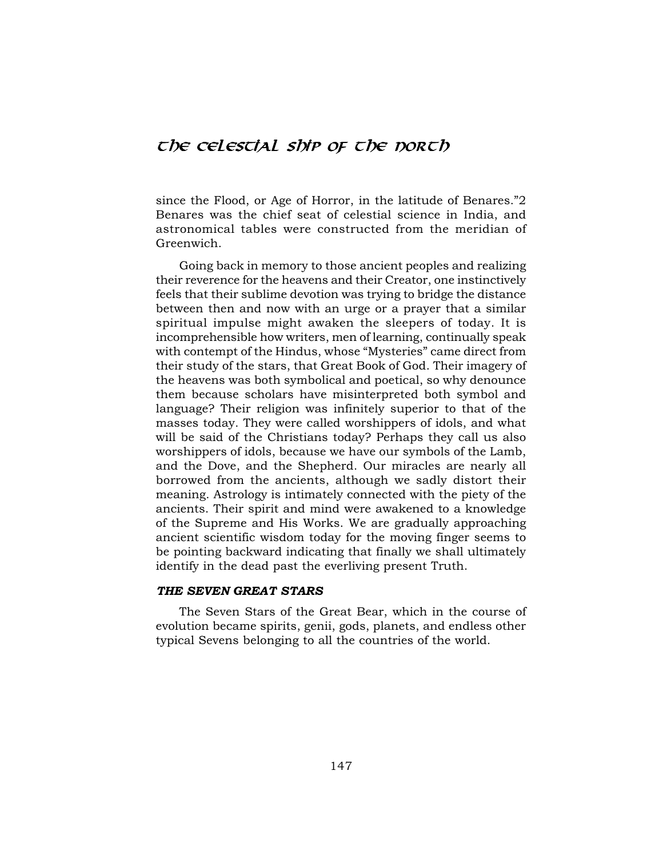since the Flood, or Age of Horror, in the latitude of Benares."2 Benares was the chief seat of celestial science in India, and astronomical tables were constructed from the meridian of Greenwich.

Going back in memory to those ancient peoples and realizing their reverence for the heavens and their Creator, one instinctively feels that their sublime devotion was trying to bridge the distance between then and now with an urge or a prayer that a similar spiritual impulse might awaken the sleepers of today. It is incomprehensible how writers, men of learning, continually speak with contempt of the Hindus, whose "Mysteries" came direct from their study of the stars, that Great Book of God. Their imagery of the heavens was both symbolical and poetical, so why denounce them because scholars have misinterpreted both symbol and language? Their religion was infinitely superior to that of the masses today. They were called worshippers of idols, and what will be said of the Christians today? Perhaps they call us also worshippers of idols, because we have our symbols of the Lamb, and the Dove, and the Shepherd. Our miracles are nearly all borrowed from the ancients, although we sadly distort their meaning. Astrology is intimately connected with the piety of the ancients. Their spirit and mind were awakened to a knowledge of the Supreme and His Works. We are gradually approaching ancient scientific wisdom today for the moving finger seems to be pointing backward indicating that finally we shall ultimately identify in the dead past the everliving present Truth.

#### THE SEVEN GREAT STARS

The Seven Stars of the Great Bear, which in the course of evolution became spirits, genii, gods, planets, and endless other typical Sevens belonging to all the countries of the world.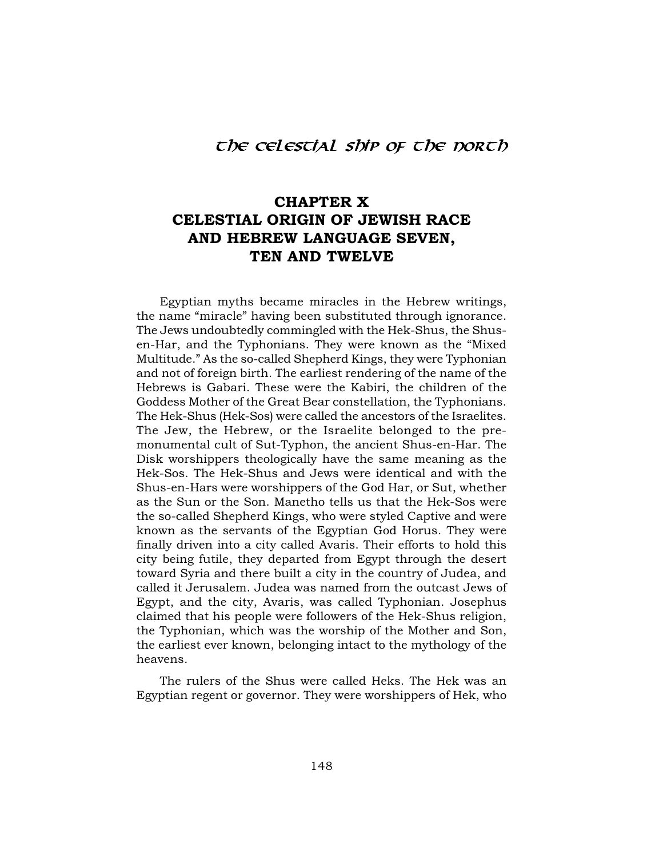## **CHAPTER X** CELESTIAL ORIGIN OF JEWISH RACE AND HEBREW LANGUAGE SEVEN. TEN AND TWELVE

Egyptian myths became miracles in the Hebrew writings, the name "miracle" having been substituted through ignorance. The Jews undoubtedly commingled with the Hek-Shus, the Shusen-Har, and the Typhonians. They were known as the "Mixed Multitude." As the so-called Shepherd Kings, they were Typhonian and not of foreign birth. The earliest rendering of the name of the Hebrews is Gabari. These were the Kabiri, the children of the Goddess Mother of the Great Bear constellation, the Typhonians. The Hek-Shus (Hek-Sos) were called the ancestors of the Israelites. The Jew, the Hebrew, or the Israelite belonged to the premonumental cult of Sut-Typhon, the ancient Shus-en-Har. The Disk worshippers theologically have the same meaning as the Hek-Sos. The Hek-Shus and Jews were identical and with the Shus-en-Hars were worshippers of the God Har, or Sut, whether as the Sun or the Son. Manetho tells us that the Hek-Sos were the so-called Shepherd Kings, who were styled Captive and were known as the servants of the Egyptian God Horus. They were finally driven into a city called Avaris. Their efforts to hold this city being futile, they departed from Egypt through the desert toward Syria and there built a city in the country of Judea, and called it Jerusalem. Judea was named from the outcast Jews of Egypt, and the city, Avaris, was called Typhonian. Josephus claimed that his people were followers of the Hek-Shus religion, the Typhonian, which was the worship of the Mother and Son, the earliest ever known, belonging intact to the mythology of the heavens.

The rulers of the Shus were called Heks. The Hek was an Egyptian regent or governor. They were worshippers of Hek, who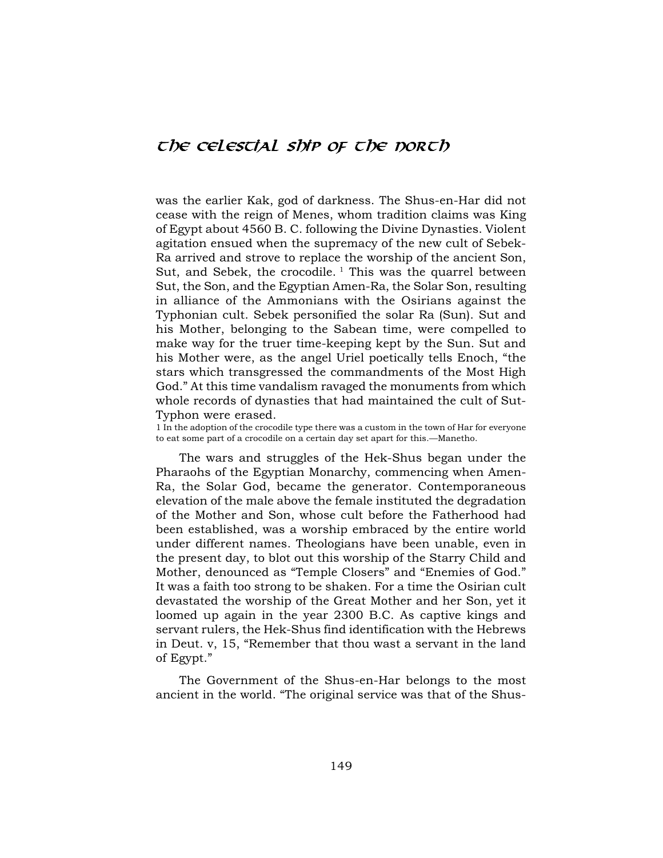was the earlier Kak, god of darkness. The Shus-en-Har did not cease with the reign of Menes, whom tradition claims was King of Egypt about 4560 B. C. following the Divine Dynasties. Violent agitation ensued when the supremacy of the new cult of Sebek-Ra arrived and strove to replace the worship of the ancient Son, Sut, and Sebek, the crocodile. <sup>1</sup> This was the quarrel between Sut, the Son, and the Egyptian Amen-Ra, the Solar Son, resulting in alliance of the Ammonians with the Osirians against the Typhonian cult. Sebek personified the solar Ra (Sun). Sut and his Mother, belonging to the Sabean time, were compelled to make way for the truer time-keeping kept by the Sun. Sut and his Mother were, as the angel Uriel poetically tells Enoch, "the stars which transgressed the commandments of the Most High God." At this time vandalism ravaged the monuments from which whole records of dynasties that had maintained the cult of Sut-Typhon were erased.

1 In the adoption of the crocodile type there was a custom in the town of Har for everyone to eat some part of a crocodile on a certain day set apart for this.—Manetho.

The wars and struggles of the Hek-Shus began under the Pharaohs of the Egyptian Monarchy, commencing when Amen-Ra, the Solar God, became the generator. Contemporaneous elevation of the male above the female instituted the degradation of the Mother and Son, whose cult before the Fatherhood had been established, was a worship embraced by the entire world under different names. Theologians have been unable, even in the present day, to blot out this worship of the Starry Child and Mother, denounced as "Temple Closers" and "Enemies of God." It was a faith too strong to be shaken. For a time the Osirian cult devastated the worship of the Great Mother and her Son, yet it loomed up again in the year 2300 B.C. As captive kings and servant rulers, the Hek-Shus find identification with the Hebrews in Deut. v, 15, "Remember that thou wast a servant in the land of Egypt."

The Government of the Shus-en-Har belongs to the most ancient in the world. "The original service was that of the Shus-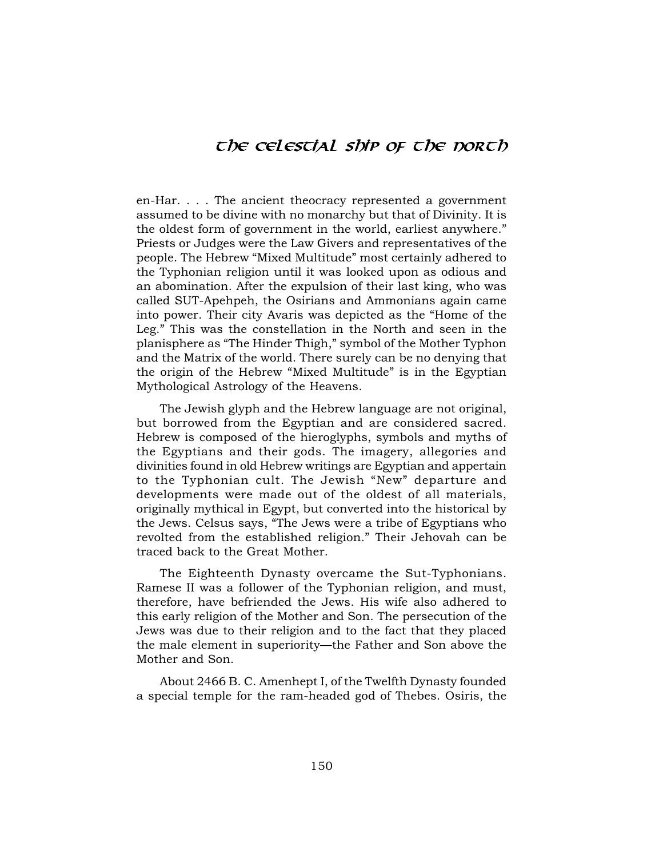en-Har. . . . The ancient theocracy represented a government assumed to be divine with no monarchy but that of Divinity. It is the oldest form of government in the world, earliest anywhere." Priests or Judges were the Law Givers and representatives of the people. The Hebrew "Mixed Multitude" most certainly adhered to the Typhonian religion until it was looked upon as odious and an abomination. After the expulsion of their last king, who was called SUT-Apehpeh, the Osirians and Ammonians again came into power. Their city Avaris was depicted as the "Home of the Leg." This was the constellation in the North and seen in the planisphere as "The Hinder Thigh," symbol of the Mother Typhon and the Matrix of the world. There surely can be no denying that the origin of the Hebrew "Mixed Multitude" is in the Egyptian Mythological Astrology of the Heavens.

The Jewish glyph and the Hebrew language are not original, but borrowed from the Egyptian and are considered sacred. Hebrew is composed of the hieroglyphs, symbols and myths of the Egyptians and their gods. The imagery, allegories and divinities found in old Hebrew writings are Egyptian and appertain to the Typhonian cult. The Jewish "New" departure and developments were made out of the oldest of all materials, originally mythical in Egypt, but converted into the historical by the Jews. Celsus says, "The Jews were a tribe of Egyptians who revolted from the established religion." Their Jehovah can be traced back to the Great Mother.

The Eighteenth Dynasty overcame the Sut-Typhonians. Ramese II was a follower of the Typhonian religion, and must, therefore, have befriended the Jews. His wife also adhered to this early religion of the Mother and Son. The persecution of the Jews was due to their religion and to the fact that they placed the male element in superiority—the Father and Son above the Mother and Son.

About 2466 B. C. Amenhept I, of the Twelfth Dynasty founded a special temple for the ram-headed god of Thebes. Osiris, the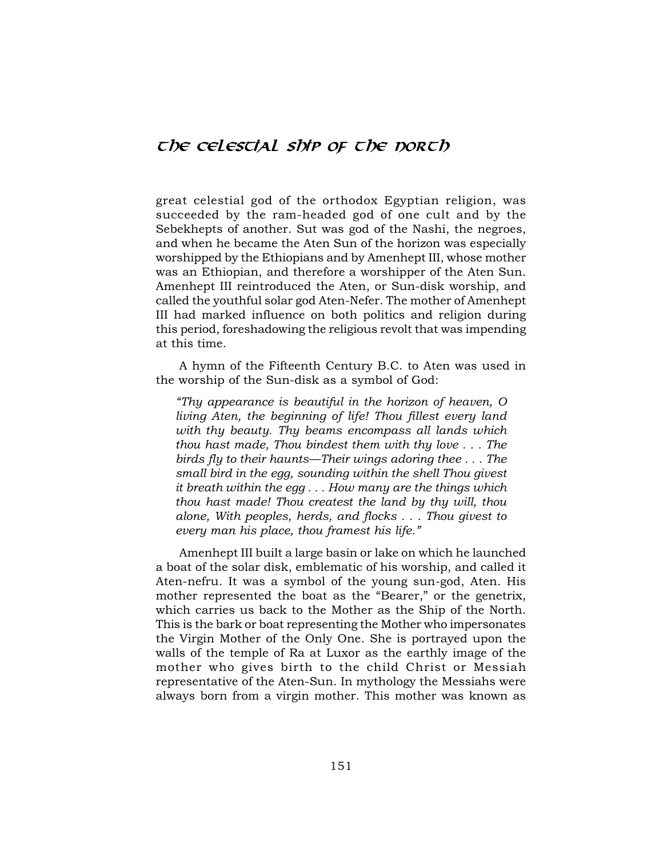great celestial god of the orthodox Egyptian religion, was succeeded by the ram-headed god of one cult and by the Sebekhepts of another. Sut was god of the Nashi, the negroes, and when he became the Aten Sun of the horizon was especially worshipped by the Ethiopians and by Amenhept III, whose mother was an Ethiopian, and therefore a worshipper of the Aten Sun. Amenhept III reintroduced the Aten, or Sun-disk worship, and called the youthful solar god Aten-Nefer. The mother of Amenhept III had marked influence on both politics and religion during this period, foreshadowing the religious revolt that was impending at this time.

A hymn of the Fifteenth Century B.C. to Aten was used in the worship of the Sun-disk as a symbol of God:

"Thy appearance is beautiful in the horizon of heaven, O living Aten, the beginning of life! Thou fillest every land with thy beauty. Thy beams encompass all lands which thou hast made, Thou bindest them with thy love  $\ldots$  The birds fly to their haunts—Their wings adoring thee ... The small bird in the egg, sounding within the shell Thou givest it breath within the egg... How many are the things which thou hast made! Thou createst the land by thy will, thou alone, With peoples, herds, and flocks . . . Thou givest to every man his place, thou framest his life."

Amenhept III built a large basin or lake on which he launched a boat of the solar disk, emblematic of his worship, and called it Aten-nefru. It was a symbol of the young sun-god, Aten. His mother represented the boat as the "Bearer," or the genetrix, which carries us back to the Mother as the Ship of the North. This is the bark or boat representing the Mother who impersonates the Virgin Mother of the Only One. She is portrayed upon the walls of the temple of Ra at Luxor as the earthly image of the mother who gives birth to the child Christ or Messiah representative of the Aten-Sun. In mythology the Messiahs were always born from a virgin mother. This mother was known as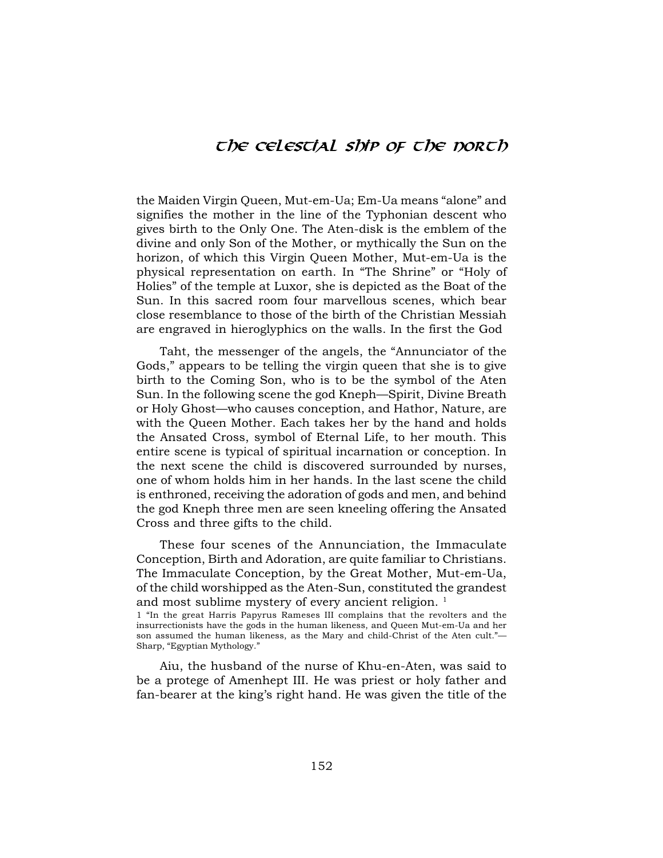the Maiden Virgin Queen, Mut-em-Ua; Em-Ua means "alone" and signifies the mother in the line of the Typhonian descent who gives birth to the Only One. The Aten-disk is the emblem of the divine and only Son of the Mother, or mythically the Sun on the horizon, of which this Virgin Queen Mother, Mut-em-Ua is the physical representation on earth. In "The Shrine" or "Holy of Holies" of the temple at Luxor, she is depicted as the Boat of the Sun. In this sacred room four marvellous scenes, which bear close resemblance to those of the birth of the Christian Messiah are engraved in hieroglyphics on the walls. In the first the God

Taht, the messenger of the angels, the "Annunciator of the Gods," appears to be telling the virgin queen that she is to give birth to the Coming Son, who is to be the symbol of the Aten Sun. In the following scene the god Kneph—Spirit, Divine Breath or Holy Ghost-who causes conception, and Hathor, Nature, are with the Queen Mother. Each takes her by the hand and holds the Ansated Cross, symbol of Eternal Life, to her mouth. This entire scene is typical of spiritual incarnation or conception. In the next scene the child is discovered surrounded by nurses, one of whom holds him in her hands. In the last scene the child is enthroned, receiving the adoration of gods and men, and behind the god Kneph three men are seen kneeling offering the Ansated Cross and three gifts to the child.

These four scenes of the Annunciation, the Immaculate Conception, Birth and Adoration, are quite familiar to Christians. The Immaculate Conception, by the Great Mother, Mut-em-Ua, of the child worshipped as the Aten-Sun, constituted the grandest and most sublime mystery of every ancient religion.<sup>1</sup>

1 "In the great Harris Papyrus Rameses III complains that the revolters and the insurrectionists have the gods in the human likeness, and Queen Mut-em-Ua and her son assumed the human likeness, as the Mary and child-Christ of the Aten cult."-Sharp, "Egyptian Mythology."

Aiu, the husband of the nurse of Khu-en-Aten, was said to be a protege of Amenhept III. He was priest or holy father and fan-bearer at the king's right hand. He was given the title of the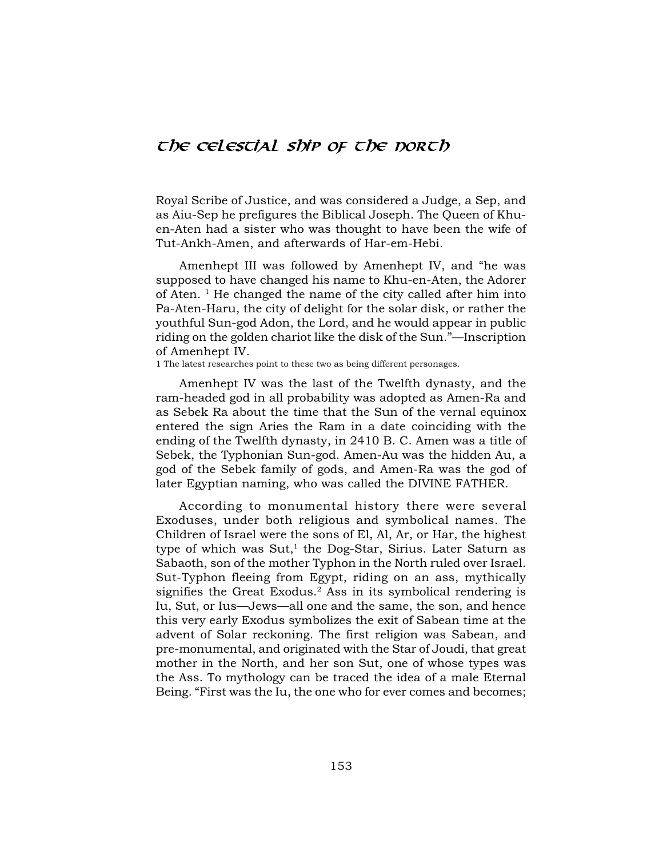Royal Scribe of Justice, and was considered a Judge, a Sep, and as Aiu-Sep he prefigures the Biblical Joseph. The Queen of Khuen-Aten had a sister who was thought to have been the wife of Tut-Ankh-Amen, and afterwards of Har-em-Hebi.

Amenhept III was followed by Amenhept IV, and "he was supposed to have changed his name to Khu-en-Aten, the Adorer of Aten.  $\frac{1}{1}$  He changed the name of the city called after him into Pa-Aten-Haru, the city of delight for the solar disk, or rather the youthful Sun-god Adon, the Lord, and he would appear in public riding on the golden chariot like the disk of the Sun."—Inscription of Amenhept IV.

1 The latest researches point to these two as being different personages.

Amenhept IV was the last of the Twelfth dynasty, and the ram-headed god in all probability was adopted as Amen-Ra and as Sebek Ra about the time that the Sun of the vernal equinox entered the sign Aries the Ram in a date coinciding with the ending of the Twelfth dynasty, in 2410 B. C. Amen was a title of Sebek, the Typhonian Sun-god. Amen-Au was the hidden Au, a god of the Sebek family of gods, and Amen-Ra was the god of later Egyptian naming, who was called the DIVINE FATHER.

According to monumental history there were several Exoduses, under both religious and symbolical names. The Children of Israel were the sons of El, Al, Ar, or Har, the highest type of which was Sut,<sup>1</sup> the Dog-Star, Sirius. Later Saturn as Sabaoth, son of the mother Typhon in the North ruled over Israel. Sut-Typhon fleeing from Egypt, riding on an ass, mythically signifies the Great Exodus.<sup>2</sup> Ass in its symbolical rendering is Iu, Sut, or Ius-Jews-all one and the same, the son, and hence this very early Exodus symbolizes the exit of Sabean time at the advent of Solar reckoning. The first religion was Sabean, and pre-monumental, and originated with the Star of Joudi, that great mother in the North, and her son Sut, one of whose types was the Ass. To mythology can be traced the idea of a male Eternal Being. "First was the Iu, the one who for ever comes and becomes;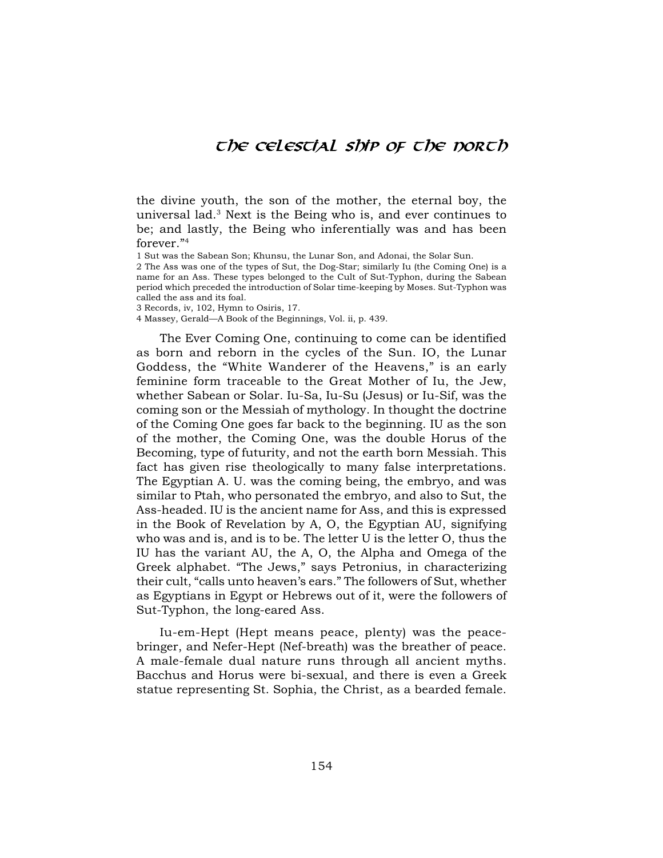the divine youth, the son of the mother, the eternal boy, the universal lad.<sup>3</sup> Next is the Being who is, and ever continues to be; and lastly, the Being who inferentially was and has been forever. $"^4$ 

1 Sut was the Sabean Son; Khunsu, the Lunar Son, and Adonai, the Solar Sun.

2 The Ass was one of the types of Sut, the Dog-Star; similarly Iu (the Coming One) is a name for an Ass. These types belonged to the Cult of Sut-Typhon, during the Sabean period which preceded the introduction of Solar time-keeping by Moses. Sut-Typhon was called the ass and its foal.

3 Records, iv, 102, Hymn to Osiris, 17.

4 Massey, Gerald-A Book of the Beginnings, Vol. ii, p. 439.

The Ever Coming One, continuing to come can be identified as born and reborn in the cycles of the Sun. IO, the Lunar Goddess, the "White Wanderer of the Heavens," is an early feminine form traceable to the Great Mother of Iu, the Jew, whether Sabean or Solar. Iu-Sa, Iu-Su (Jesus) or Iu-Sif, was the coming son or the Messiah of mythology. In thought the doctrine of the Coming One goes far back to the beginning. IU as the son of the mother, the Coming One, was the double Horus of the Becoming, type of futurity, and not the earth born Messiah. This fact has given rise theologically to many false interpretations. The Egyptian A. U. was the coming being, the embryo, and was similar to Ptah, who personated the embryo, and also to Sut, the Ass-headed. IU is the ancient name for Ass, and this is expressed in the Book of Revelation by A, O, the Egyptian AU, signifying who was and is, and is to be. The letter U is the letter O, thus the IU has the variant AU, the A, O, the Alpha and Omega of the Greek alphabet. "The Jews," says Petronius, in characterizing their cult, "calls unto heaven's ears." The followers of Sut, whether as Egyptians in Egypt or Hebrews out of it, were the followers of Sut-Typhon, the long-eared Ass.

Iu-em-Hept (Hept means peace, plenty) was the peacebringer, and Nefer-Hept (Nef-breath) was the breather of peace. A male-female dual nature runs through all ancient myths. Bacchus and Horus were bi-sexual, and there is even a Greek statue representing St. Sophia, the Christ, as a bearded female.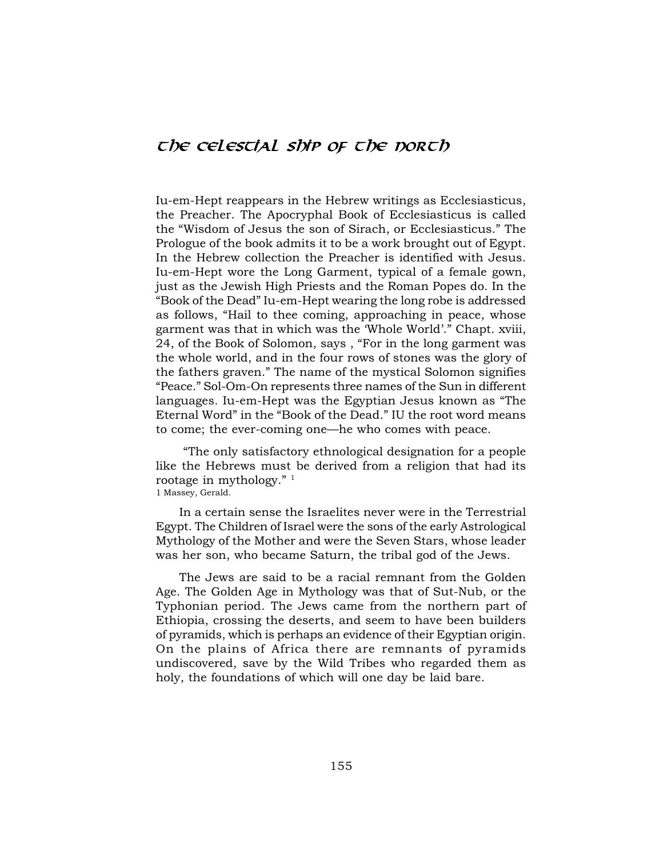Iu-em-Hept reappears in the Hebrew writings as Ecclesiasticus, the Preacher. The Apocryphal Book of Ecclesiasticus is called the "Wisdom of Jesus the son of Sirach, or Ecclesiasticus." The Prologue of the book admits it to be a work brought out of Egypt. In the Hebrew collection the Preacher is identified with Jesus. Iu-em-Hept wore the Long Garment, typical of a female gown, just as the Jewish High Priests and the Roman Popes do. In the "Book of the Dead" Iu-em-Hept wearing the long robe is addressed as follows, "Hail to thee coming, approaching in peace, whose garment was that in which was the 'Whole World'." Chapt. xviii, 24, of the Book of Solomon, says, "For in the long garment was the whole world, and in the four rows of stones was the glory of the fathers graven." The name of the mystical Solomon signifies "Peace." Sol-Om-On represents three names of the Sun in different languages. Iu-em-Hept was the Egyptian Jesus known as "The Eternal Word" in the "Book of the Dead." IU the root word means to come; the ever-coming one—he who comes with peace.

"The only satisfactory ethnological designation for a people like the Hebrews must be derived from a religion that had its rootage in mythology."  $\frac{1}{1}$ 1 Massey, Gerald.

In a certain sense the Israelites never were in the Terrestrial Egypt. The Children of Israel were the sons of the early Astrological Mythology of the Mother and were the Seven Stars, whose leader was her son, who became Saturn, the tribal god of the Jews.

The Jews are said to be a racial remnant from the Golden Age. The Golden Age in Mythology was that of Sut-Nub, or the Typhonian period. The Jews came from the northern part of Ethiopia, crossing the deserts, and seem to have been builders of pyramids, which is perhaps an evidence of their Egyptian origin. On the plains of Africa there are remnants of pyramids undiscovered, save by the Wild Tribes who regarded them as holy, the foundations of which will one day be laid bare.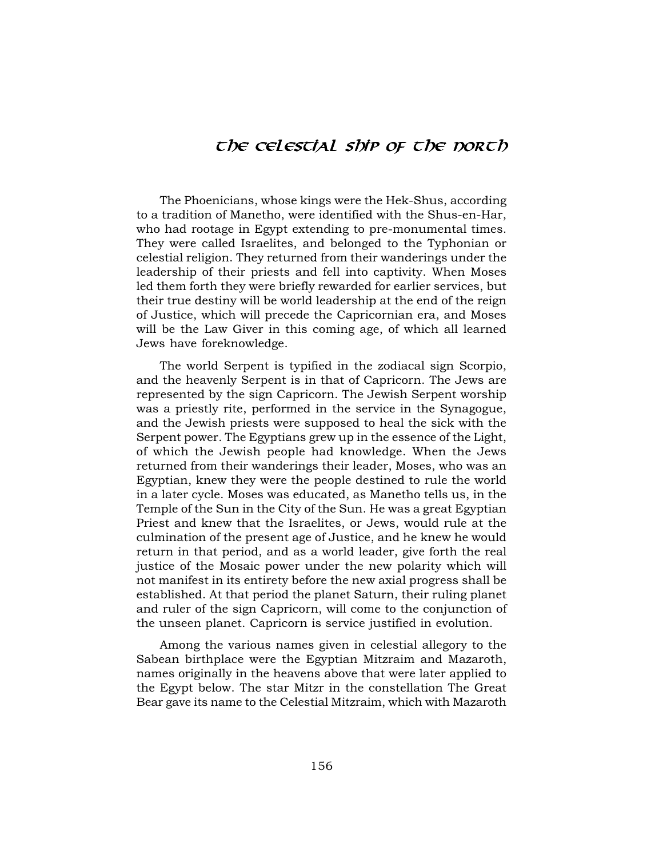The Phoenicians, whose kings were the Hek-Shus, according to a tradition of Manetho, were identified with the Shus-en-Har, who had rootage in Egypt extending to pre-monumental times. They were called Israelites, and belonged to the Typhonian or celestial religion. They returned from their wanderings under the leadership of their priests and fell into captivity. When Moses led them forth they were briefly rewarded for earlier services, but their true destiny will be world leadership at the end of the reign of Justice, which will precede the Capricornian era, and Moses will be the Law Giver in this coming age, of which all learned Jews have foreknowledge.

The world Serpent is typified in the zodiacal sign Scorpio, and the heavenly Serpent is in that of Capricorn. The Jews are represented by the sign Capricorn. The Jewish Serpent worship was a priestly rite, performed in the service in the Synagogue, and the Jewish priests were supposed to heal the sick with the Serpent power. The Egyptians grew up in the essence of the Light, of which the Jewish people had knowledge. When the Jews returned from their wanderings their leader, Moses, who was an Egyptian, knew they were the people destined to rule the world in a later cycle. Moses was educated, as Manetho tells us, in the Temple of the Sun in the City of the Sun. He was a great Egyptian Priest and knew that the Israelites, or Jews, would rule at the culmination of the present age of Justice, and he knew he would return in that period, and as a world leader, give forth the real justice of the Mosaic power under the new polarity which will not manifest in its entirety before the new axial progress shall be established. At that period the planet Saturn, their ruling planet and ruler of the sign Capricorn, will come to the conjunction of the unseen planet. Capricorn is service justified in evolution.

Among the various names given in celestial allegory to the Sabean birthplace were the Egyptian Mitzraim and Mazaroth, names originally in the heavens above that were later applied to the Egypt below. The star Mitzr in the constellation The Great Bear gave its name to the Celestial Mitzraim, which with Mazaroth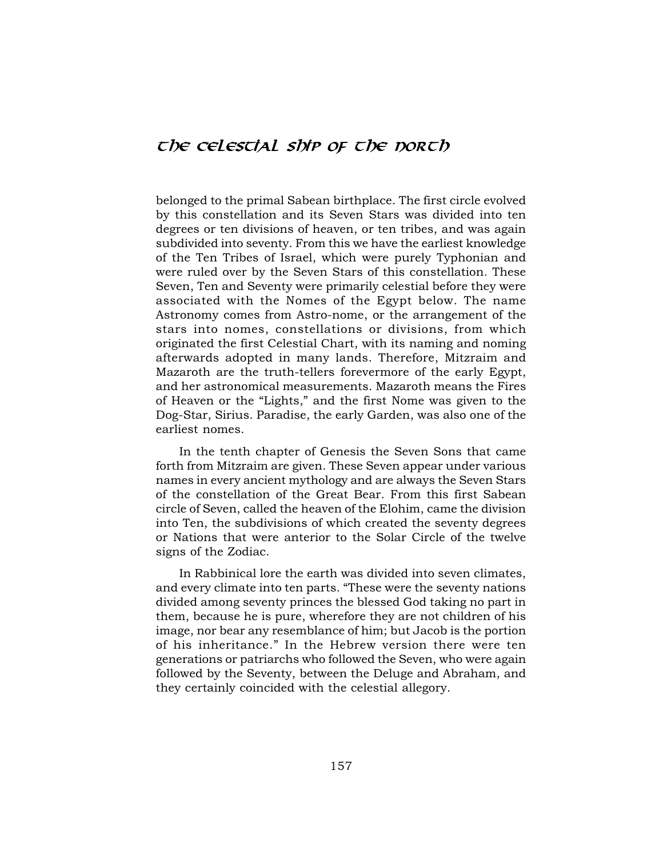belonged to the primal Sabean birthplace. The first circle evolved by this constellation and its Seven Stars was divided into ten degrees or ten divisions of heaven, or ten tribes, and was again subdivided into seventy. From this we have the earliest knowledge of the Ten Tribes of Israel, which were purely Typhonian and were ruled over by the Seven Stars of this constellation. These Seven, Ten and Seventy were primarily celestial before they were associated with the Nomes of the Egypt below. The name Astronomy comes from Astro-nome, or the arrangement of the stars into nomes, constellations or divisions, from which originated the first Celestial Chart, with its naming and noming afterwards adopted in many lands. Therefore, Mitzraim and Mazaroth are the truth-tellers forevermore of the early Egypt. and her astronomical measurements. Mazaroth means the Fires of Heaven or the "Lights," and the first Nome was given to the Dog-Star, Sirius. Paradise, the early Garden, was also one of the earliest nomes.

In the tenth chapter of Genesis the Seven Sons that came forth from Mitzraim are given. These Seven appear under various names in every ancient mythology and are always the Seven Stars of the constellation of the Great Bear. From this first Sabean circle of Seven, called the heaven of the Elohim, came the division into Ten, the subdivisions of which created the seventy degrees or Nations that were anterior to the Solar Circle of the twelve signs of the Zodiac.

In Rabbinical lore the earth was divided into seven climates. and every climate into ten parts. "These were the seventy nations divided among seventy princes the blessed God taking no part in them, because he is pure, wherefore they are not children of his image, nor bear any resemblance of him; but Jacob is the portion of his inheritance." In the Hebrew version there were ten generations or patriarchs who followed the Seven, who were again followed by the Seventy, between the Deluge and Abraham, and they certainly coincided with the celestial allegory.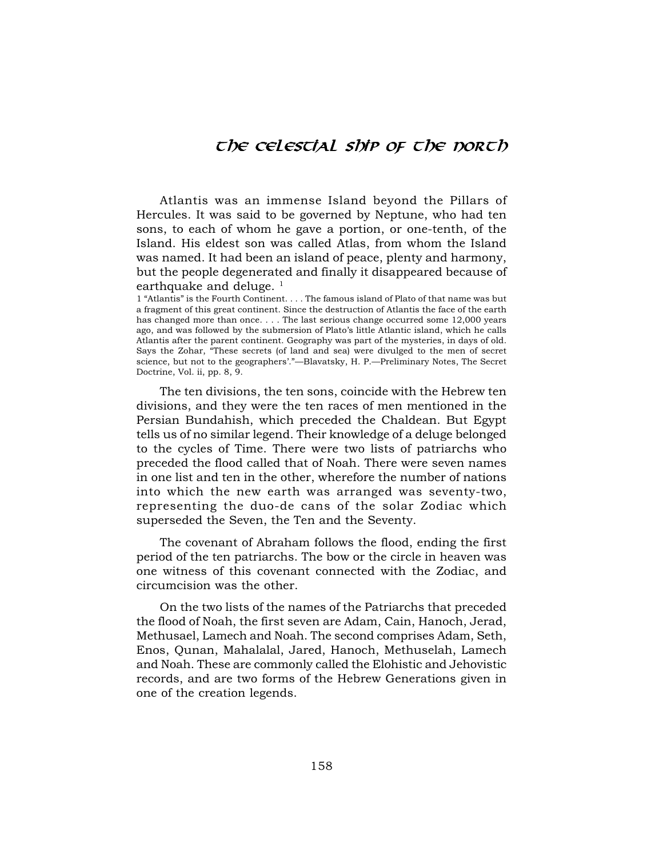Atlantis was an immense Island beyond the Pillars of Hercules. It was said to be governed by Neptune, who had ten sons, to each of whom he gave a portion, or one-tenth, of the Island. His eldest son was called Atlas, from whom the Island was named. It had been an island of peace, plenty and harmony, but the people degenerated and finally it disappeared because of earthquake and deluge.  $1$ 

The ten divisions, the ten sons, coincide with the Hebrew ten divisions, and they were the ten races of men mentioned in the Persian Bundahish, which preceded the Chaldean. But Egypt tells us of no similar legend. Their knowledge of a deluge belonged to the cycles of Time. There were two lists of patriarchs who preceded the flood called that of Noah. There were seven names in one list and ten in the other, wherefore the number of nations into which the new earth was arranged was seventy-two, representing the duo-de cans of the solar Zodiac which superseded the Seven, the Ten and the Seventy.

The covenant of Abraham follows the flood, ending the first period of the ten patriarchs. The bow or the circle in heaven was one witness of this covenant connected with the Zodiac, and circumcision was the other.

On the two lists of the names of the Patriarchs that preceded the flood of Noah, the first seven are Adam, Cain, Hanoch, Jerad, Methusael, Lamech and Noah. The second comprises Adam, Seth, Enos, Qunan, Mahalalal, Jared, Hanoch, Methuselah, Lamech and Noah. These are commonly called the Elohistic and Jehovistic records, and are two forms of the Hebrew Generations given in one of the creation legends.

 $1$  "Atlantis" is the Fourth Continent. . . . The famous island of Plato of that name was but a fragment of this great continent. Since the destruction of Atlantis the face of the earth has changed more than once.... The last serious change occurred some 12,000 years ago, and was followed by the submersion of Plato's little Atlantic island, which he calls Atlantis after the parent continent. Geography was part of the mysteries, in days of old. Says the Zohar, "These secrets (of land and sea) were divulged to the men of secret science, but not to the geographers'."—Blavatsky, H. P.—Preliminary Notes, The Secret Doctrine, Vol. ii, pp. 8, 9.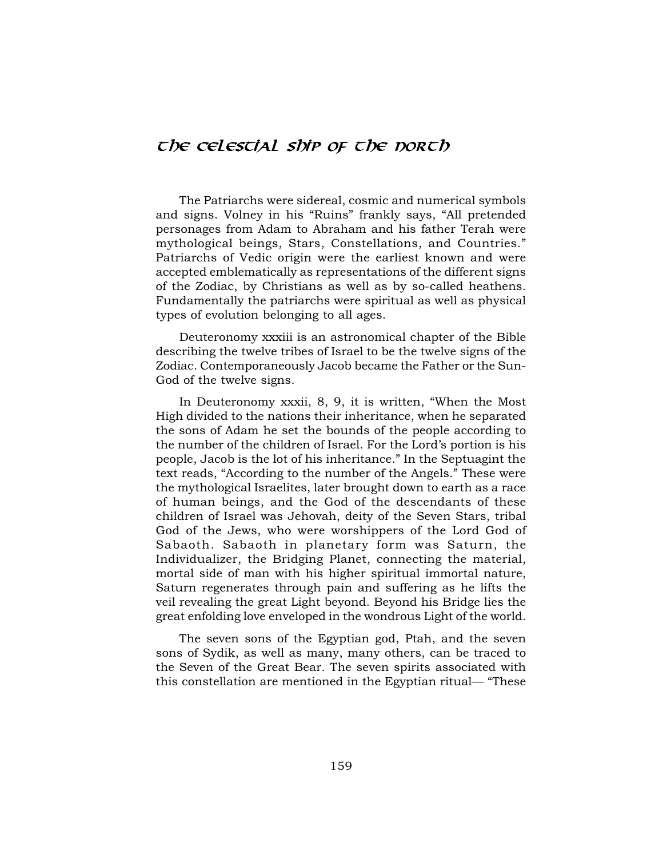The Patriarchs were sidereal, cosmic and numerical symbols and signs. Volney in his "Ruins" frankly says, "All pretended personages from Adam to Abraham and his father Terah were mythological beings, Stars, Constellations, and Countries." Patriarchs of Vedic origin were the earliest known and were accepted emblematically as representations of the different signs of the Zodiac, by Christians as well as by so-called heathens. Fundamentally the patriarchs were spiritual as well as physical types of evolution belonging to all ages.

Deuteronomy xxxiii is an astronomical chapter of the Bible describing the twelve tribes of Israel to be the twelve signs of the Zodiac. Contemporaneously Jacob became the Father or the Sun-God of the twelve signs.

In Deuteronomy xxxii, 8, 9, it is written, "When the Most High divided to the nations their inheritance, when he separated the sons of Adam he set the bounds of the people according to the number of the children of Israel. For the Lord's portion is his people, Jacob is the lot of his inheritance." In the Septuagint the text reads, "According to the number of the Angels." These were the mythological Israelites, later brought down to earth as a race of human beings, and the God of the descendants of these children of Israel was Jehovah, deity of the Seven Stars, tribal God of the Jews, who were worshippers of the Lord God of Sabaoth. Sabaoth in planetary form was Saturn, the Individualizer, the Bridging Planet, connecting the material, mortal side of man with his higher spiritual immortal nature, Saturn regenerates through pain and suffering as he lifts the veil revealing the great Light beyond. Beyond his Bridge lies the great enfolding love enveloped in the wondrous Light of the world.

The seven sons of the Egyptian god, Ptah, and the seven sons of Sydik, as well as many, many others, can be traced to the Seven of the Great Bear. The seven spirits associated with this constellation are mentioned in the Egyptian ritual— "These"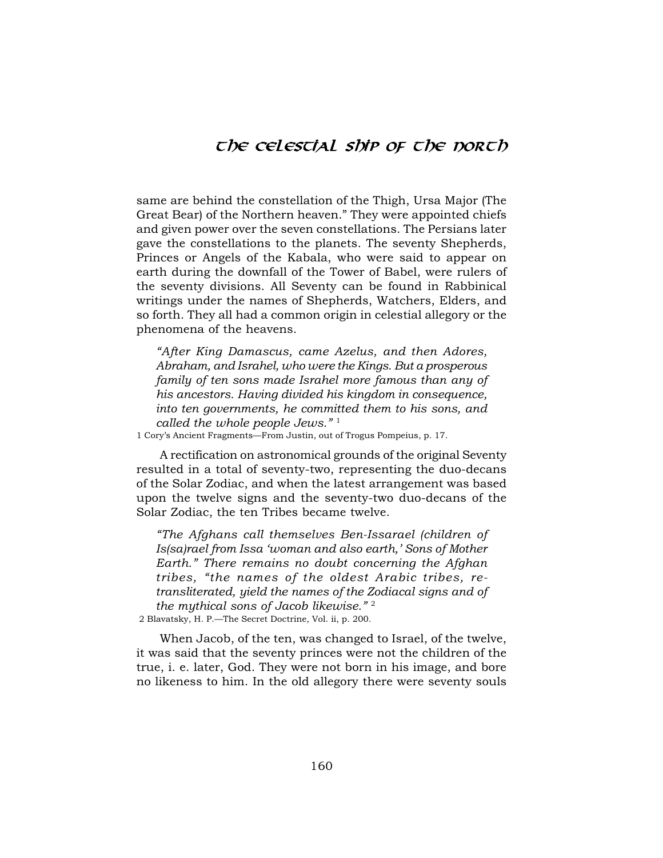same are behind the constellation of the Thigh, Ursa Major (The Great Bear) of the Northern heaven." They were appointed chiefs and given power over the seven constellations. The Persians later gave the constellations to the planets. The seventy Shepherds, Princes or Angels of the Kabala, who were said to appear on earth during the downfall of the Tower of Babel, were rulers of the seventy divisions. All Seventy can be found in Rabbinical writings under the names of Shepherds, Watchers, Elders, and so forth. They all had a common origin in celestial allegory or the phenomena of the heavens.

"After King Damascus, came Azelus, and then Adores, Abraham, and Israhel, who were the Kings. But a prosperous family of ten sons made Israhel more famous than any of his ancestors. Having divided his kingdom in consequence, into ten governments, he committed them to his sons, and called the whole people Jews." $1$ 

1 Cory's Ancient Fragments-From Justin, out of Trogus Pompeius, p. 17.

A rectification on astronomical grounds of the original Seventy resulted in a total of seventy-two, representing the duo-decans of the Solar Zodiac, and when the latest arrangement was based upon the twelve signs and the seventy-two duo-decans of the Solar Zodiac, the ten Tribes became twelve.

"The Afghans call themselves Ben-Issarael (children of Is(sa)rael from Issa 'woman and also earth,' Sons of Mother Earth." There remains no doubt concerning the Afghan tribes, "the names of the oldest Arabic tribes, retransliterated, yield the names of the Zodiacal signs and of the mythical sons of Jacob likewise."  $2^2$ 2 Blavatsky, H. P.-The Secret Doctrine, Vol. ii, p. 200.

When Jacob, of the ten, was changed to Israel, of the twelve, it was said that the seventy princes were not the children of the true, i. e. later, God. They were not born in his image, and bore no likeness to him. In the old allegory there were seventy souls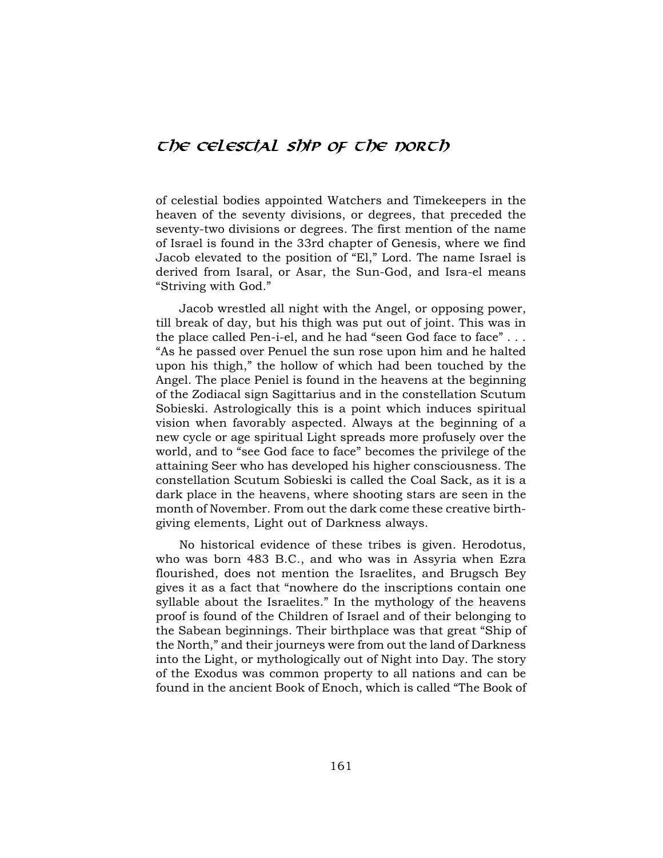of celestial bodies appointed Watchers and Timekeepers in the heaven of the seventy divisions, or degrees, that preceded the seventy-two divisions or degrees. The first mention of the name of Israel is found in the 33rd chapter of Genesis, where we find Jacob elevated to the position of "El," Lord. The name Israel is derived from Isaral, or Asar, the Sun-God, and Isra-el means "Striving with God."

Jacob wrestled all night with the Angel, or opposing power, till break of day, but his thigh was put out of joint. This was in the place called Pen-i-el, and he had "seen God face to face" . . . "As he passed over Penuel the sun rose upon him and he halted upon his thigh," the hollow of which had been touched by the Angel. The place Peniel is found in the heavens at the beginning of the Zodiacal sign Sagittarius and in the constellation Scutum Sobieski. Astrologically this is a point which induces spiritual vision when favorably aspected. Always at the beginning of a new cycle or age spiritual Light spreads more profusely over the world, and to "see God face to face" becomes the privilege of the attaining Seer who has developed his higher consciousness. The constellation Scutum Sobieski is called the Coal Sack, as it is a dark place in the heavens, where shooting stars are seen in the month of November. From out the dark come these creative birthgiving elements, Light out of Darkness always.

No historical evidence of these tribes is given. Herodotus, who was born 483 B.C., and who was in Assyria when Ezra flourished, does not mention the Israelites, and Brugsch Bey gives it as a fact that "nowhere do the inscriptions contain one syllable about the Israelites." In the mythology of the heavens proof is found of the Children of Israel and of their belonging to the Sabean beginnings. Their birthplace was that great "Ship of the North," and their journeys were from out the land of Darkness into the Light, or mythologically out of Night into Day. The story of the Exodus was common property to all nations and can be found in the ancient Book of Enoch, which is called "The Book of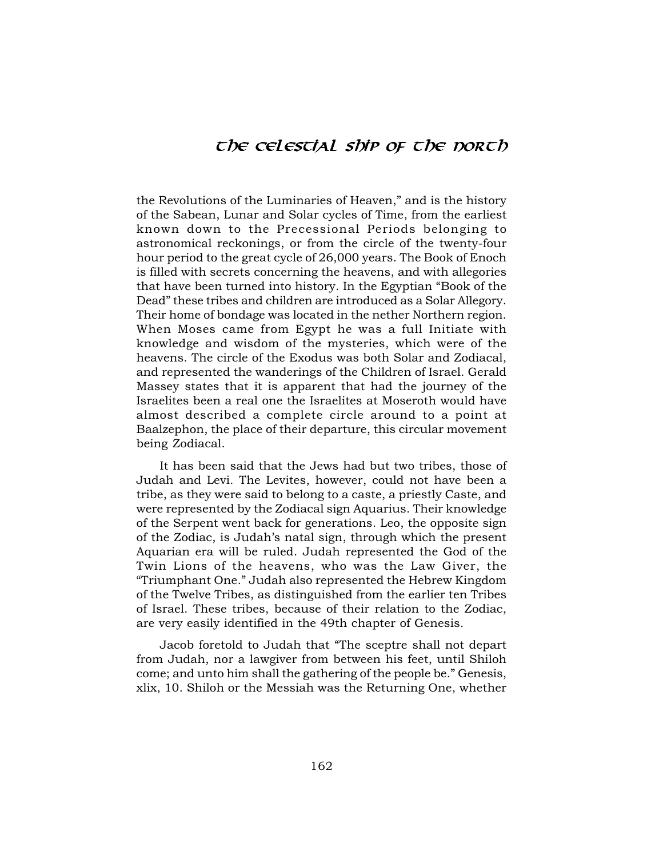the Revolutions of the Luminaries of Heaven," and is the history of the Sabean, Lunar and Solar cycles of Time, from the earliest known down to the Precessional Periods belonging to astronomical reckonings, or from the circle of the twenty-four hour period to the great cycle of 26,000 years. The Book of Enoch is filled with secrets concerning the heavens, and with allegories that have been turned into history. In the Egyptian "Book of the Dead" these tribes and children are introduced as a Solar Allegory. Their home of bondage was located in the nether Northern region. When Moses came from Egypt he was a full Initiate with knowledge and wisdom of the mysteries, which were of the heavens. The circle of the Exodus was both Solar and Zodiacal, and represented the wanderings of the Children of Israel. Gerald Massey states that it is apparent that had the journey of the Israelites been a real one the Israelites at Moseroth would have almost described a complete circle around to a point at Baalzephon, the place of their departure, this circular movement being Zodiacal.

It has been said that the Jews had but two tribes, those of Judah and Levi. The Levites, however, could not have been a tribe, as they were said to belong to a caste, a priestly Caste, and were represented by the Zodiacal sign Aquarius. Their knowledge of the Serpent went back for generations. Leo, the opposite sign of the Zodiac, is Judah's natal sign, through which the present Aquarian era will be ruled. Judah represented the God of the Twin Lions of the heavens, who was the Law Giver, the "Triumphant One." Judah also represented the Hebrew Kingdom of the Twelve Tribes, as distinguished from the earlier ten Tribes of Israel. These tribes, because of their relation to the Zodiac, are very easily identified in the 49th chapter of Genesis.

Jacob foretold to Judah that "The sceptre shall not depart from Judah, nor a lawgiver from between his feet, until Shiloh come; and unto him shall the gathering of the people be." Genesis, xlix, 10. Shiloh or the Messiah was the Returning One, whether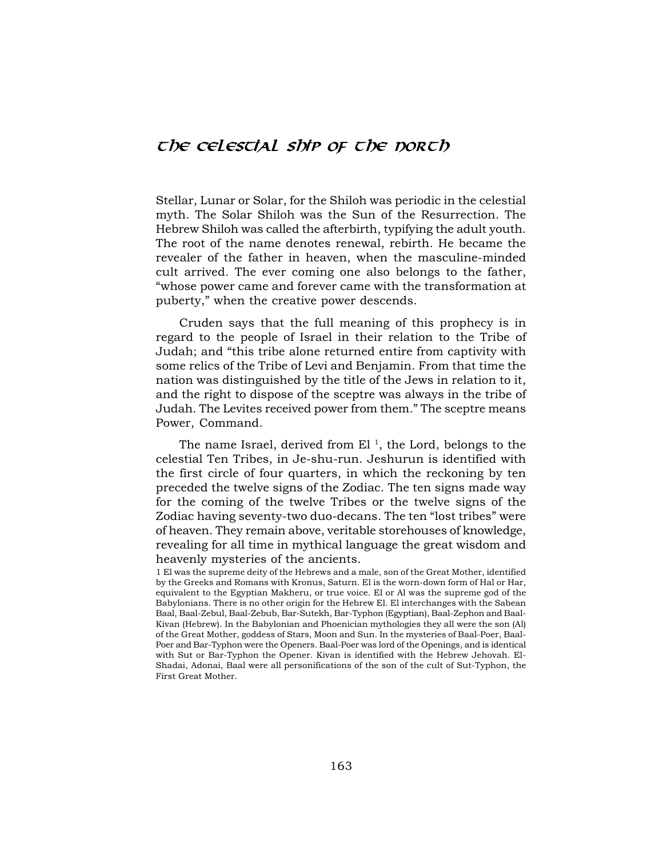Stellar, Lunar or Solar, for the Shiloh was periodic in the celestial myth. The Solar Shiloh was the Sun of the Resurrection. The Hebrew Shiloh was called the afterbirth, typifying the adult youth. The root of the name denotes renewal, rebirth. He became the revealer of the father in heaven, when the masculine-minded cult arrived. The ever coming one also belongs to the father, "whose power came and forever came with the transformation at puberty," when the creative power descends.

Cruden says that the full meaning of this prophecy is in regard to the people of Israel in their relation to the Tribe of Judah; and "this tribe alone returned entire from captivity with some relics of the Tribe of Levi and Benjamin. From that time the nation was distinguished by the title of the Jews in relation to it, and the right to dispose of the sceptre was always in the tribe of Judah. The Levites received power from them." The sceptre means Power, Command.

The name Israel, derived from  $E1<sup>1</sup>$ , the Lord, belongs to the celestial Ten Tribes, in Je-shu-run. Jeshurun is identified with the first circle of four quarters, in which the reckoning by ten preceded the twelve signs of the Zodiac. The ten signs made way for the coming of the twelve Tribes or the twelve signs of the Zodiac having seventy-two duo-decans. The ten "lost tribes" were of heaven. They remain above, veritable storehouses of knowledge, revealing for all time in mythical language the great wisdom and heavenly mysteries of the ancients.

1 El was the supreme deity of the Hebrews and a male, son of the Great Mother, identified by the Greeks and Romans with Kronus, Saturn. El is the worn-down form of Hal or Har, equivalent to the Egyptian Makheru, or true voice. El or Al was the supreme god of the Babylonians. There is no other origin for the Hebrew El. El interchanges with the Sabean Baal, Baal-Zebul, Baal-Zebub, Bar-Sutekh, Bar-Typhon (Egyptian), Baal-Zephon and Baal-Kivan (Hebrew). In the Babylonian and Phoenician mythologies they all were the son (Al) of the Great Mother, goddess of Stars, Moon and Sun. In the mysteries of Baal-Poer, Baal-Poer and Bar-Typhon were the Openers. Baal-Poer was lord of the Openings, and is identical with Sut or Bar-Typhon the Opener. Kivan is identified with the Hebrew Jehovah. El-Shadai, Adonai, Baal were all personifications of the son of the cult of Sut-Typhon, the First Great Mother.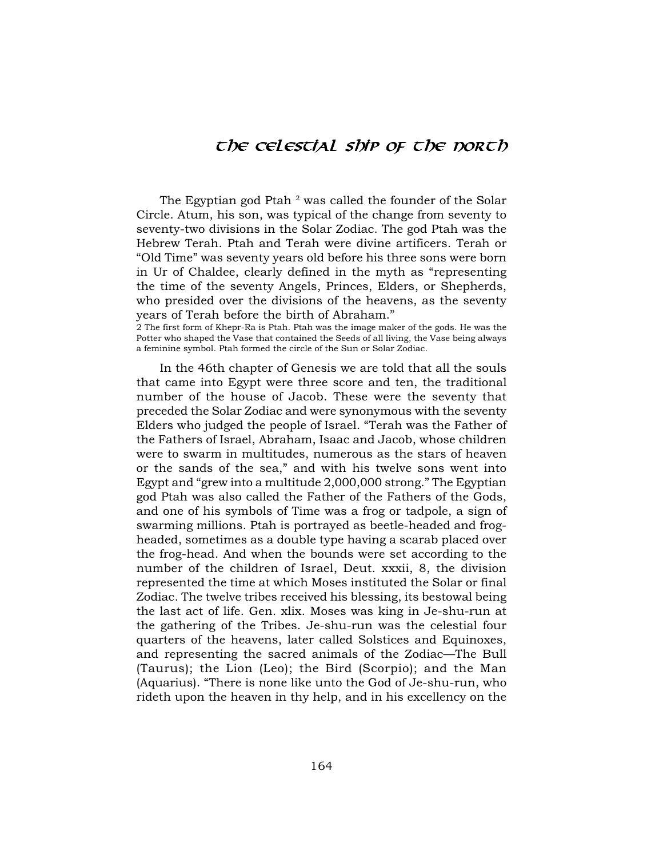The Egyptian god Ptah  $2$  was called the founder of the Solar Circle. Atum, his son, was typical of the change from seventy to seventy-two divisions in the Solar Zodiac. The god Ptah was the Hebrew Terah. Ptah and Terah were divine artificers. Terah or "Old Time" was seventy years old before his three sons were born in Ur of Chaldee, clearly defined in the myth as "representing" the time of the seventy Angels, Princes, Elders, or Shepherds, who presided over the divisions of the heavens, as the seventy years of Terah before the birth of Abraham."

2 The first form of Khepr-Ra is Ptah. Ptah was the image maker of the gods. He was the Potter who shaped the Vase that contained the Seeds of all living, the Vase being always a feminine symbol. Ptah formed the circle of the Sun or Solar Zodiac.

In the 46th chapter of Genesis we are told that all the souls that came into Egypt were three score and ten, the traditional number of the house of Jacob. These were the seventy that preceded the Solar Zodiac and were synonymous with the seventy Elders who judged the people of Israel. "Terah was the Father of the Fathers of Israel, Abraham, Isaac and Jacob, whose children were to swarm in multitudes, numerous as the stars of heaven or the sands of the sea," and with his twelve sons went into Egypt and "grew into a multitude 2,000,000 strong." The Egyptian god Ptah was also called the Father of the Fathers of the Gods, and one of his symbols of Time was a frog or tadpole, a sign of swarming millions. Ptah is portrayed as beetle-headed and frogheaded, sometimes as a double type having a scarab placed over the frog-head. And when the bounds were set according to the number of the children of Israel, Deut. xxxii, 8, the division represented the time at which Moses instituted the Solar or final Zodiac. The twelve tribes received his blessing, its bestowal being the last act of life. Gen. xlix. Moses was king in Je-shu-run at the gathering of the Tribes. Je-shu-run was the celestial four quarters of the heavens, later called Solstices and Equinoxes, and representing the sacred animals of the Zodiac—The Bull (Taurus); the Lion (Leo); the Bird (Scorpio); and the Man (Aquarius). "There is none like unto the God of Je-shu-run, who rideth upon the heaven in thy help, and in his excellency on the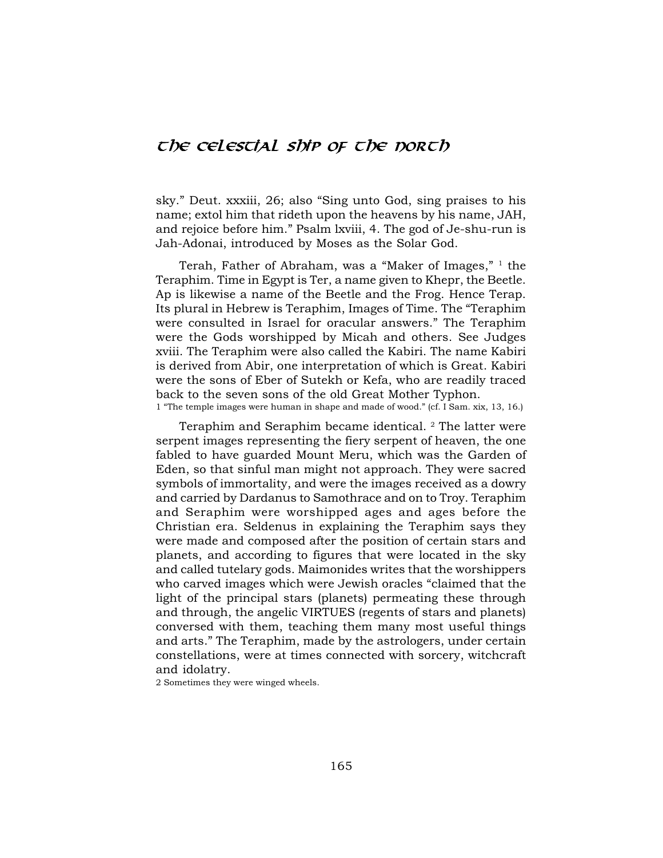sky." Deut. xxxiii, 26; also "Sing unto God, sing praises to his name; extol him that rideth upon the heavens by his name, JAH, and rejoice before him." Psalm lxviii, 4. The god of Je-shu-run is Jah-Adonai, introduced by Moses as the Solar God.

Terah, Father of Abraham, was a "Maker of Images," <sup>1</sup> the Teraphim. Time in Egypt is Ter, a name given to Khepr, the Beetle. Ap is likewise a name of the Beetle and the Frog. Hence Terap. Its plural in Hebrew is Teraphim, Images of Time. The "Teraphim were consulted in Israel for oracular answers." The Teraphim were the Gods worshipped by Micah and others. See Judges xviii. The Teraphim were also called the Kabiri. The name Kabiri is derived from Abir, one interpretation of which is Great. Kabiri were the sons of Eber of Sutekh or Kefa, who are readily traced back to the seven sons of the old Great Mother Typhon. 1 "The temple images were human in shape and made of wood." (cf. I Sam. xix, 13, 16.)

Teraphim and Seraphim became identical. <sup>2</sup> The latter were serpent images representing the fiery serpent of heaven, the one fabled to have guarded Mount Meru, which was the Garden of Eden, so that sinful man might not approach. They were sacred symbols of immortality, and were the images received as a dowry and carried by Dardanus to Samothrace and on to Troy. Teraphim and Seraphim were worshipped ages and ages before the Christian era. Seldenus in explaining the Teraphim says they were made and composed after the position of certain stars and planets, and according to figures that were located in the sky and called tutelary gods. Maimonides writes that the worshippers who carved images which were Jewish oracles "claimed that the light of the principal stars (planets) permeating these through and through, the angelic VIRTUES (regents of stars and planets) conversed with them, teaching them many most useful things and arts." The Teraphim, made by the astrologers, under certain constellations, were at times connected with sorcery, witchcraft and idolatry.

2 Sometimes they were winged wheels.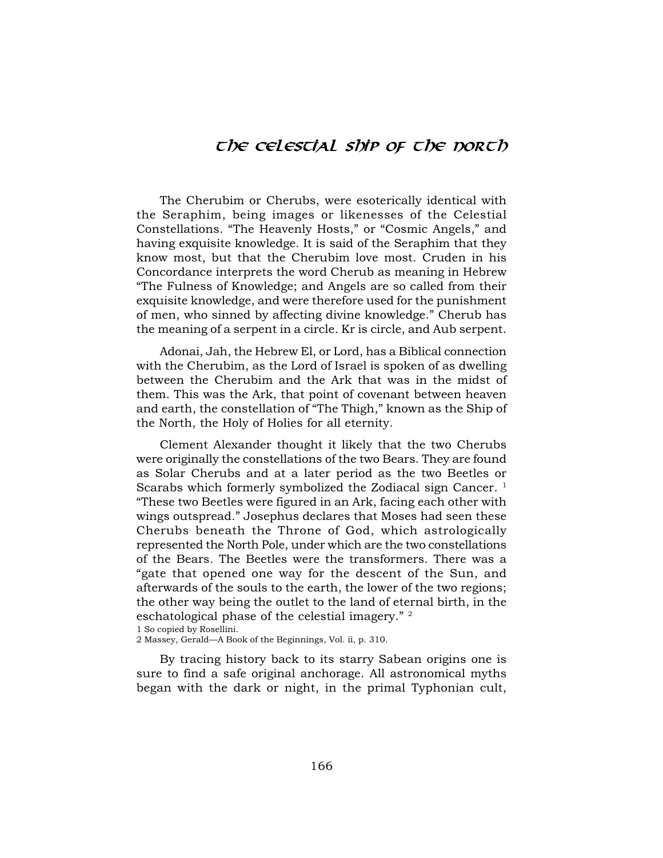The Cherubim or Cherubs, were esoterically identical with the Seraphim, being images or likenesses of the Celestial Constellations. "The Heavenly Hosts," or "Cosmic Angels," and having exquisite knowledge. It is said of the Seraphim that they know most, but that the Cherubim love most. Cruden in his Concordance interprets the word Cherub as meaning in Hebrew "The Fulness of Knowledge; and Angels are so called from their exquisite knowledge, and were therefore used for the punishment of men, who sinned by affecting divine knowledge." Cherub has the meaning of a serpent in a circle. Kr is circle, and Aub serpent.

Adonai, Jah, the Hebrew El, or Lord, has a Biblical connection with the Cherubim, as the Lord of Israel is spoken of as dwelling between the Cherubim and the Ark that was in the midst of them. This was the Ark, that point of covenant between heaven and earth, the constellation of "The Thigh," known as the Ship of the North, the Holy of Holies for all eternity.

Clement Alexander thought it likely that the two Cherubs were originally the constellations of the two Bears. They are found as Solar Cherubs and at a later period as the two Beetles or Scarabs which formerly symbolized the Zodiacal sign Cancer.<sup>1</sup> "These two Beetles were figured in an Ark, facing each other with wings outspread." Josephus declares that Moses had seen these Cherubs beneath the Throne of God, which astrologically represented the North Pole, under which are the two constellations of the Bears. The Beetles were the transformers. There was a "gate that opened one way for the descent of the Sun, and afterwards of the souls to the earth, the lower of the two regions; the other way being the outlet to the land of eternal birth, in the eschatological phase of the celestial imagery." 2

1 So copied by Rosellini.

2 Massey, Gerald-A Book of the Beginnings, Vol. ii, p. 310.

By tracing history back to its starry Sabean origins one is sure to find a safe original anchorage. All astronomical myths began with the dark or night, in the primal Typhonian cult,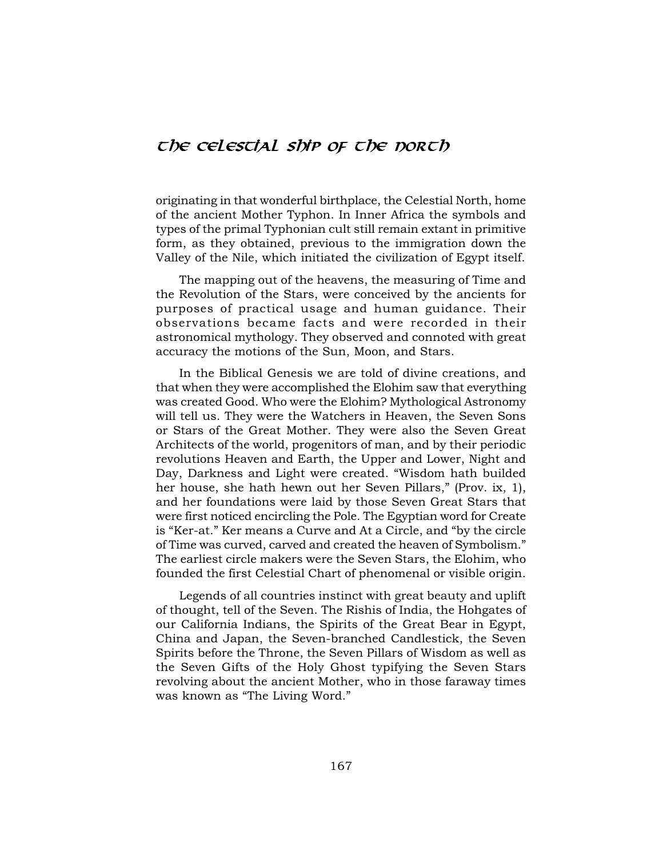originating in that wonderful birthplace, the Celestial North, home of the ancient Mother Typhon. In Inner Africa the symbols and types of the primal Typhonian cult still remain extant in primitive form, as they obtained, previous to the immigration down the Valley of the Nile, which initiated the civilization of Egypt itself.

The mapping out of the heavens, the measuring of Time and the Revolution of the Stars, were conceived by the ancients for purposes of practical usage and human guidance. Their observations became facts and were recorded in their astronomical mythology. They observed and connoted with great accuracy the motions of the Sun, Moon, and Stars.

In the Biblical Genesis we are told of divine creations, and that when they were accomplished the Elohim saw that everything was created Good. Who were the Elohim? Mythological Astronomy will tell us. They were the Watchers in Heaven, the Seven Sons or Stars of the Great Mother. They were also the Seven Great Architects of the world, progenitors of man, and by their periodic revolutions Heaven and Earth, the Upper and Lower, Night and Day, Darkness and Light were created. "Wisdom hath builded her house, she hath hewn out her Seven Pillars," (Prov. ix, 1), and her foundations were laid by those Seven Great Stars that were first noticed encircling the Pole. The Egyptian word for Create is "Ker-at." Ker means a Curve and At a Circle, and "by the circle of Time was curved, carved and created the heaven of Symbolism." The earliest circle makers were the Seven Stars, the Elohim, who founded the first Celestial Chart of phenomenal or visible origin.

Legends of all countries instinct with great beauty and uplift of thought, tell of the Seven. The Rishis of India, the Hohgates of our California Indians, the Spirits of the Great Bear in Egypt, China and Japan, the Seven-branched Candlestick, the Seven Spirits before the Throne, the Seven Pillars of Wisdom as well as the Seven Gifts of the Holy Ghost typifying the Seven Stars revolving about the ancient Mother, who in those faraway times was known as "The Living Word."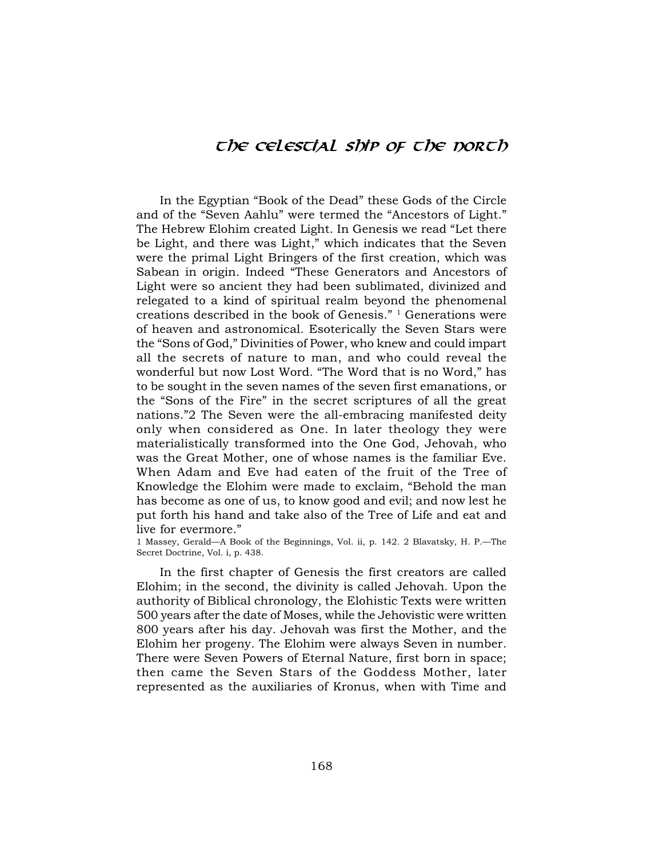In the Egyptian "Book of the Dead" these Gods of the Circle and of the "Seven Aahlu" were termed the "Ancestors of Light." The Hebrew Elohim created Light. In Genesis we read "Let there be Light, and there was Light," which indicates that the Seven were the primal Light Bringers of the first creation, which was Sabean in origin. Indeed "These Generators and Ancestors of Light were so ancient they had been sublimated, divinized and relegated to a kind of spiritual realm beyond the phenomenal creations described in the book of Genesis." <sup>1</sup> Generations were of heaven and astronomical. Esoterically the Seven Stars were the "Sons of God," Divinities of Power, who knew and could impart all the secrets of nature to man, and who could reveal the wonderful but now Lost Word. "The Word that is no Word," has to be sought in the seven names of the seven first emanations, or the "Sons of the Fire" in the secret scriptures of all the great nations."2 The Seven were the all-embracing manifested deity only when considered as One. In later theology they were materialistically transformed into the One God, Jehovah, who was the Great Mother, one of whose names is the familiar Eve. When Adam and Eve had eaten of the fruit of the Tree of Knowledge the Elohim were made to exclaim, "Behold the man has become as one of us, to know good and evil; and now lest he put forth his hand and take also of the Tree of Life and eat and live for evermore."

1 Massey, Gerald-A Book of the Beginnings, Vol. ii, p. 142. 2 Blavatsky, H. P.-The Secret Doctrine, Vol. i, p. 438.

In the first chapter of Genesis the first creators are called Elohim; in the second, the divinity is called Jehovah. Upon the authority of Biblical chronology, the Elohistic Texts were written 500 years after the date of Moses, while the Jehovistic were written 800 years after his day. Jehovah was first the Mother, and the Elohim her progeny. The Elohim were always Seven in number. There were Seven Powers of Eternal Nature, first born in space: then came the Seven Stars of the Goddess Mother, later represented as the auxiliaries of Kronus, when with Time and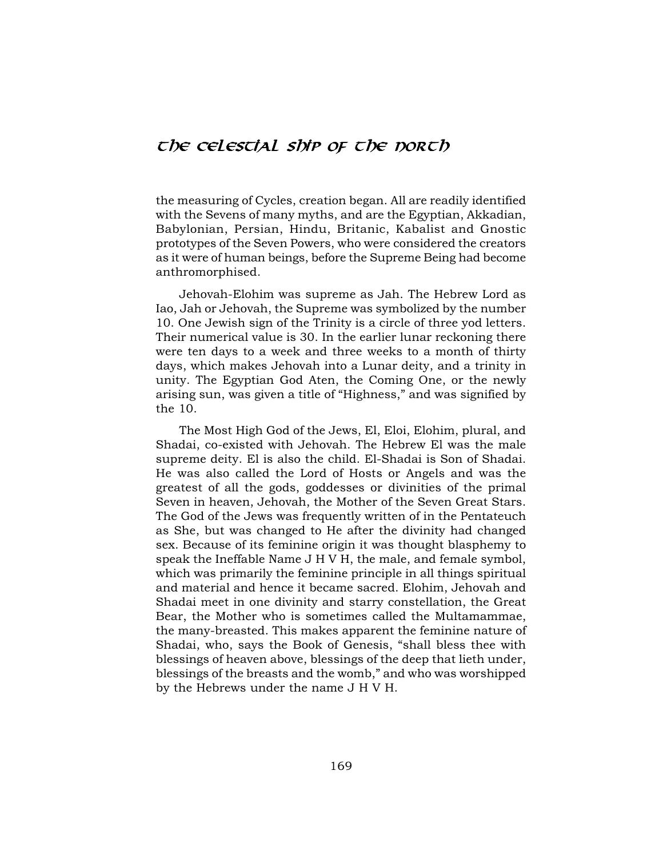the measuring of Cycles, creation began. All are readily identified with the Sevens of many myths, and are the Egyptian, Akkadian, Babylonian, Persian, Hindu, Britanic, Kabalist and Gnostic prototypes of the Seven Powers, who were considered the creators as it were of human beings, before the Supreme Being had become anthromorphised.

Jehovah-Elohim was supreme as Jah. The Hebrew Lord as Iao, Jah or Jehovah, the Supreme was symbolized by the number 10. One Jewish sign of the Trinity is a circle of three yod letters. Their numerical value is 30. In the earlier lunar reckoning there were ten days to a week and three weeks to a month of thirty days, which makes Jehovah into a Lunar deity, and a trinity in unity. The Egyptian God Aten, the Coming One, or the newly arising sun, was given a title of "Highness," and was signified by the 10.

The Most High God of the Jews, El, Eloi, Elohim, plural, and Shadai, co-existed with Jehovah. The Hebrew El was the male supreme deity. El is also the child. El-Shadai is Son of Shadai. He was also called the Lord of Hosts or Angels and was the greatest of all the gods, goddesses or divinities of the primal Seven in heaven, Jehovah, the Mother of the Seven Great Stars. The God of the Jews was frequently written of in the Pentateuch as She, but was changed to He after the divinity had changed sex. Because of its feminine origin it was thought blasphemy to speak the Ineffable Name J H V H, the male, and female symbol, which was primarily the feminine principle in all things spiritual and material and hence it became sacred. Elohim, Jehovah and Shadai meet in one divinity and starry constellation, the Great Bear, the Mother who is sometimes called the Multamammae, the many-breasted. This makes apparent the feminine nature of Shadai, who, says the Book of Genesis, "shall bless thee with blessings of heaven above, blessings of the deep that lieth under, blessings of the breasts and the womb," and who was worshipped by the Hebrews under the name J H V H.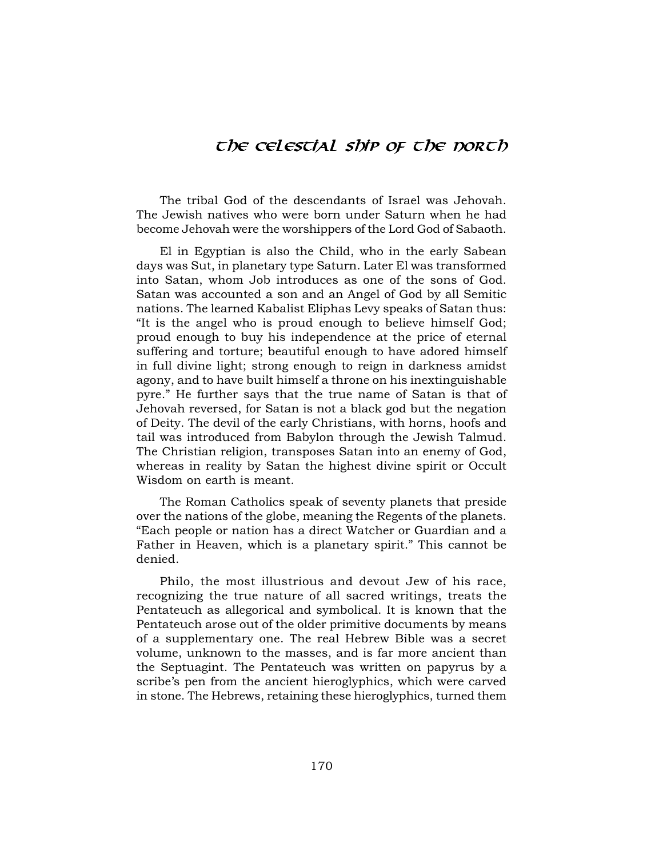The tribal God of the descendants of Israel was Jehovah. The Jewish natives who were born under Saturn when he had become Jehovah were the worshippers of the Lord God of Sabaoth.

El in Egyptian is also the Child, who in the early Sabean days was Sut, in planetary type Saturn. Later El was transformed into Satan, whom Job introduces as one of the sons of God. Satan was accounted a son and an Angel of God by all Semitic nations. The learned Kabalist Eliphas Levy speaks of Satan thus: "It is the angel who is proud enough to believe himself God; proud enough to buy his independence at the price of eternal suffering and torture; beautiful enough to have adored himself in full divine light; strong enough to reign in darkness amidst agony, and to have built himself a throne on his inextinguishable pyre." He further says that the true name of Satan is that of Jehovah reversed, for Satan is not a black god but the negation of Deity. The devil of the early Christians, with horns, hoofs and tail was introduced from Babylon through the Jewish Talmud. The Christian religion, transposes Satan into an enemy of God, whereas in reality by Satan the highest divine spirit or Occult Wisdom on earth is meant.

The Roman Catholics speak of seventy planets that preside over the nations of the globe, meaning the Regents of the planets. "Each people or nation has a direct Watcher or Guardian and a Father in Heaven, which is a planetary spirit." This cannot be denied.

Philo, the most illustrious and devout Jew of his race, recognizing the true nature of all sacred writings, treats the Pentateuch as allegorical and symbolical. It is known that the Pentateuch arose out of the older primitive documents by means of a supplementary one. The real Hebrew Bible was a secret volume, unknown to the masses, and is far more ancient than the Septuagint. The Pentateuch was written on papyrus by a scribe's pen from the ancient hieroglyphics, which were carved in stone. The Hebrews, retaining these hieroglyphics, turned them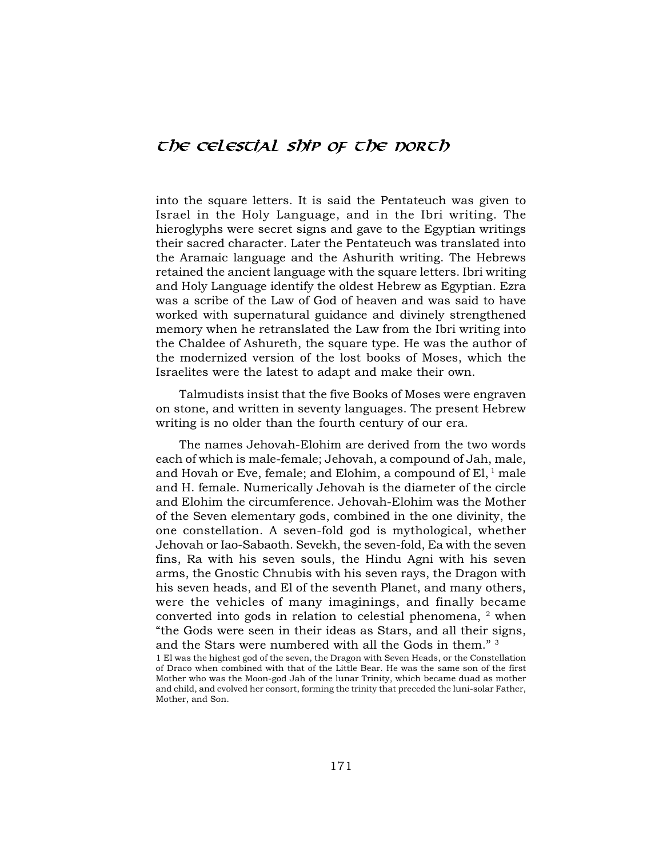into the square letters. It is said the Pentateuch was given to Israel in the Holy Language, and in the Ibri writing. The hieroglyphs were secret signs and gave to the Egyptian writings their sacred character. Later the Pentateuch was translated into the Aramaic language and the Ashurith writing. The Hebrews retained the ancient language with the square letters. Ibri writing and Holy Language identify the oldest Hebrew as Egyptian. Ezra was a scribe of the Law of God of heaven and was said to have worked with supernatural guidance and divinely strengthened memory when he retranslated the Law from the Ibri writing into the Chaldee of Ashureth, the square type. He was the author of the modernized version of the lost books of Moses, which the Israelites were the latest to adapt and make their own.

Talmudists insist that the five Books of Moses were engraven on stone, and written in seventy languages. The present Hebrew writing is no older than the fourth century of our era.

The names Jehovah-Elohim are derived from the two words each of which is male-female; Jehovah, a compound of Jah, male, and Hovah or Eve, female; and Elohim, a compound of El, <sup>1</sup> male and H. female. Numerically Jehovah is the diameter of the circle and Elohim the circumference. Jehovah-Elohim was the Mother of the Seven elementary gods, combined in the one divinity, the one constellation. A seven-fold god is mythological, whether Jehovah or Iao-Sabaoth. Sevekh, the seven-fold, Ea with the seven fins, Ra with his seven souls, the Hindu Agni with his seven arms, the Gnostic Chnubis with his seven rays, the Dragon with his seven heads, and El of the seventh Planet, and many others, were the vehicles of many imaginings, and finally became converted into gods in relation to celestial phenomena, <sup>2</sup> when "the Gods were seen in their ideas as Stars, and all their signs, and the Stars were numbered with all the Gods in them." 3

1 El was the highest god of the seven, the Dragon with Seven Heads, or the Constellation of Draco when combined with that of the Little Bear. He was the same son of the first Mother who was the Moon-god Jah of the lunar Trinity, which became duad as mother and child, and evolved her consort, forming the trinity that preceded the luni-solar Father, Mother, and Son.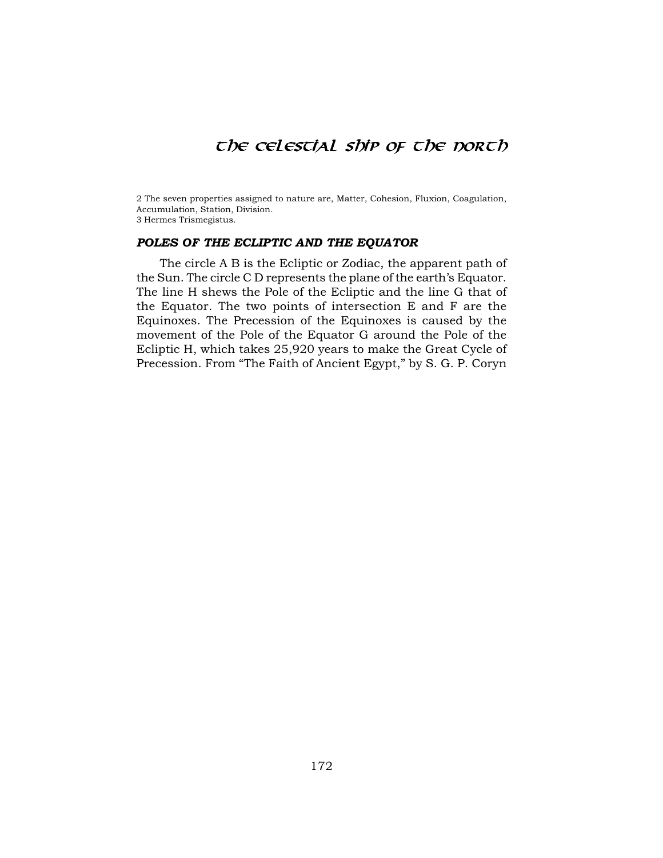2 The seven properties assigned to nature are, Matter, Cohesion, Fluxion, Coagulation, Accumulation, Station, Division. 3 Hermes Trismegistus.

#### POLES OF THE ECLIPTIC AND THE EQUATOR

The circle A B is the Ecliptic or Zodiac, the apparent path of the Sun. The circle C D represents the plane of the earth's Equator. The line H shews the Pole of the Ecliptic and the line G that of the Equator. The two points of intersection E and F are the Equinoxes. The Precession of the Equinoxes is caused by the movement of the Pole of the Equator G around the Pole of the Ecliptic H, which takes 25,920 years to make the Great Cycle of Precession. From "The Faith of Ancient Egypt," by S. G. P. Coryn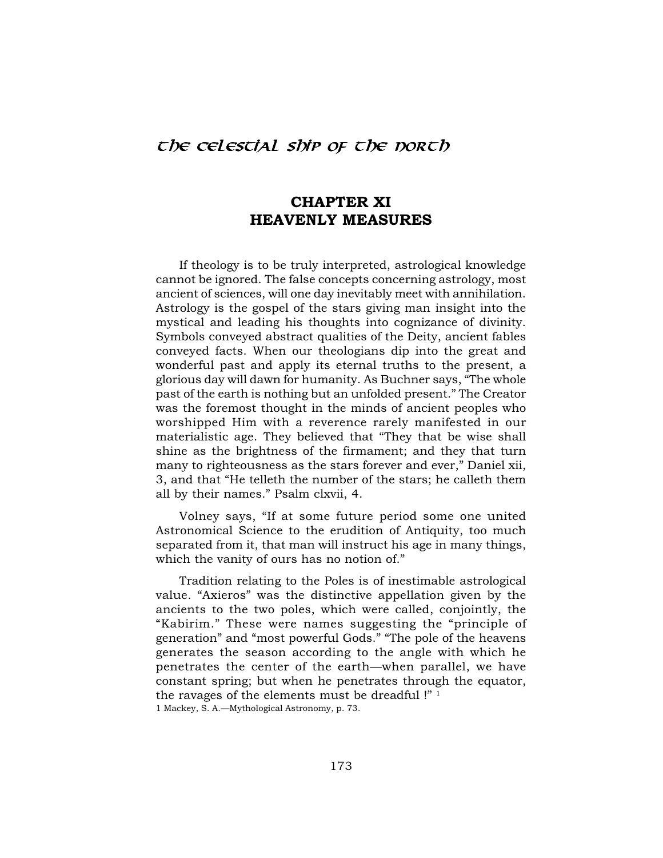#### **CHAPTER XI HEAVENLY MEASURES**

If theology is to be truly interpreted, astrological knowledge cannot be ignored. The false concepts concerning astrology, most ancient of sciences, will one day inevitably meet with annihilation. Astrology is the gospel of the stars giving man insight into the mystical and leading his thoughts into cognizance of divinity. Symbols conveyed abstract qualities of the Deity, ancient fables conveyed facts. When our theologians dip into the great and wonderful past and apply its eternal truths to the present, a glorious day will dawn for humanity. As Buchner says, "The whole past of the earth is nothing but an unfolded present." The Creator was the foremost thought in the minds of ancient peoples who worshipped Him with a reverence rarely manifested in our materialistic age. They believed that "They that be wise shall shine as the brightness of the firmament; and they that turn many to righteousness as the stars forever and ever," Daniel xii, 3, and that "He telleth the number of the stars; he calleth them all by their names." Psalm clxvii, 4.

Volney says, "If at some future period some one united Astronomical Science to the erudition of Antiquity, too much separated from it, that man will instruct his age in many things, which the vanity of ours has no notion of."

Tradition relating to the Poles is of inestimable astrological value. "Axieros" was the distinctive appellation given by the ancients to the two poles, which were called, conjointly, the "Kabirim." These were names suggesting the "principle of generation" and "most powerful Gods." "The pole of the heavens generates the season according to the angle with which he penetrates the center of the earth—when parallel, we have constant spring; but when he penetrates through the equator, the ravages of the elements must be dreadful  $\mathbb{I}^{n-1}$ 

1 Mackey, S. A.-Mythological Astronomy, p. 73.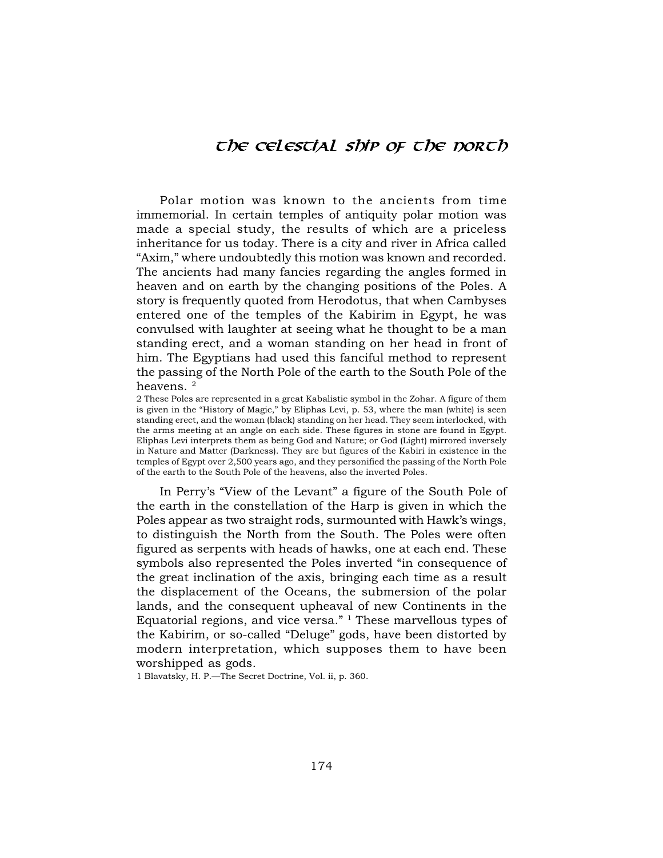Polar motion was known to the ancients from time immemorial. In certain temples of antiquity polar motion was made a special study, the results of which are a priceless inheritance for us today. There is a city and river in Africa called "Axim," where undoubtedly this motion was known and recorded. The ancients had many fancies regarding the angles formed in heaven and on earth by the changing positions of the Poles. A story is frequently quoted from Herodotus, that when Cambyses entered one of the temples of the Kabirim in Egypt, he was convulsed with laughter at seeing what he thought to be a man standing erect, and a woman standing on her head in front of him. The Egyptians had used this fanciful method to represent the passing of the North Pole of the earth to the South Pole of the heavens  $2$ 

2 These Poles are represented in a great Kabalistic symbol in the Zohar. A figure of them is given in the "History of Magic," by Eliphas Levi, p. 53, where the man (white) is seen standing erect, and the woman (black) standing on her head. They seem interlocked, with the arms meeting at an angle on each side. These figures in stone are found in Egypt. Eliphas Levi interprets them as being God and Nature; or God (Light) mirrored inversely in Nature and Matter (Darkness). They are but figures of the Kabiri in existence in the temples of Egypt over 2,500 years ago, and they personified the passing of the North Pole of the earth to the South Pole of the heavens, also the inverted Poles.

In Perry's "View of the Levant" a figure of the South Pole of the earth in the constellation of the Harp is given in which the Poles appear as two straight rods, surmounted with Hawk's wings, to distinguish the North from the South. The Poles were often figured as serpents with heads of hawks, one at each end. These symbols also represented the Poles inverted "in consequence of the great inclination of the axis, bringing each time as a result the displacement of the Oceans, the submersion of the polar lands, and the consequent upheaval of new Continents in the Equatorial regions, and vice versa."  $\frac{1}{1}$  These marvellous types of the Kabirim, or so-called "Deluge" gods, have been distorted by modern interpretation, which supposes them to have been worshipped as gods.

1 Blavatsky, H. P.-The Secret Doctrine, Vol. ii, p. 360.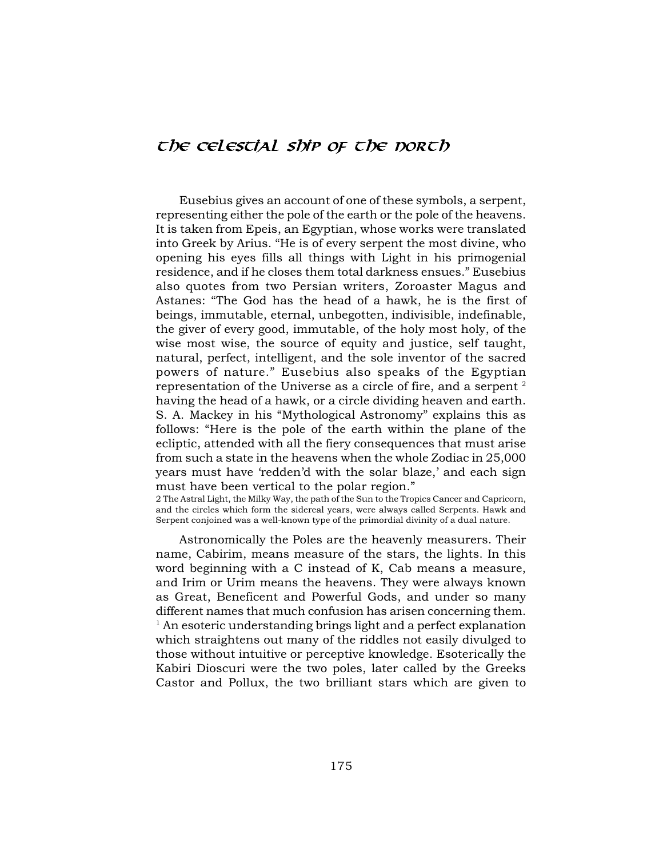Eusebius gives an account of one of these symbols, a serpent, representing either the pole of the earth or the pole of the heavens. It is taken from Epeis, an Egyptian, whose works were translated into Greek by Arius. "He is of every serpent the most divine, who opening his eyes fills all things with Light in his primogenial residence, and if he closes them total darkness ensues." Eusebius also quotes from two Persian writers, Zoroaster Magus and Astanes: "The God has the head of a hawk, he is the first of beings, immutable, eternal, unbegotten, indivisible, indefinable, the giver of every good, immutable, of the holy most holy, of the wise most wise, the source of equity and justice, self taught, natural, perfect, intelligent, and the sole inventor of the sacred powers of nature." Eusebius also speaks of the Egyptian representation of the Universe as a circle of fire, and a serpent<sup>2</sup> having the head of a hawk, or a circle dividing heaven and earth. S. A. Mackey in his "Mythological Astronomy" explains this as follows: "Here is the pole of the earth within the plane of the ecliptic, attended with all the fiery consequences that must arise from such a state in the heavens when the whole Zodiac in 25,000 years must have 'redden'd with the solar blaze,' and each sign must have been vertical to the polar region."

2 The Astral Light, the Milky Way, the path of the Sun to the Tropics Cancer and Capricorn, and the circles which form the sidereal years, were always called Serpents. Hawk and Serpent conjoined was a well-known type of the primordial divinity of a dual nature.

Astronomically the Poles are the heavenly measurers. Their name, Cabirim, means measure of the stars, the lights. In this word beginning with a C instead of K, Cab means a measure, and Irim or Urim means the heavens. They were always known as Great, Beneficent and Powerful Gods, and under so many different names that much confusion has arisen concerning them. <sup>1</sup> An esoteric understanding brings light and a perfect explanation which straightens out many of the riddles not easily divulged to those without intuitive or perceptive knowledge. Esoterically the Kabiri Dioscuri were the two poles, later called by the Greeks Castor and Pollux, the two brilliant stars which are given to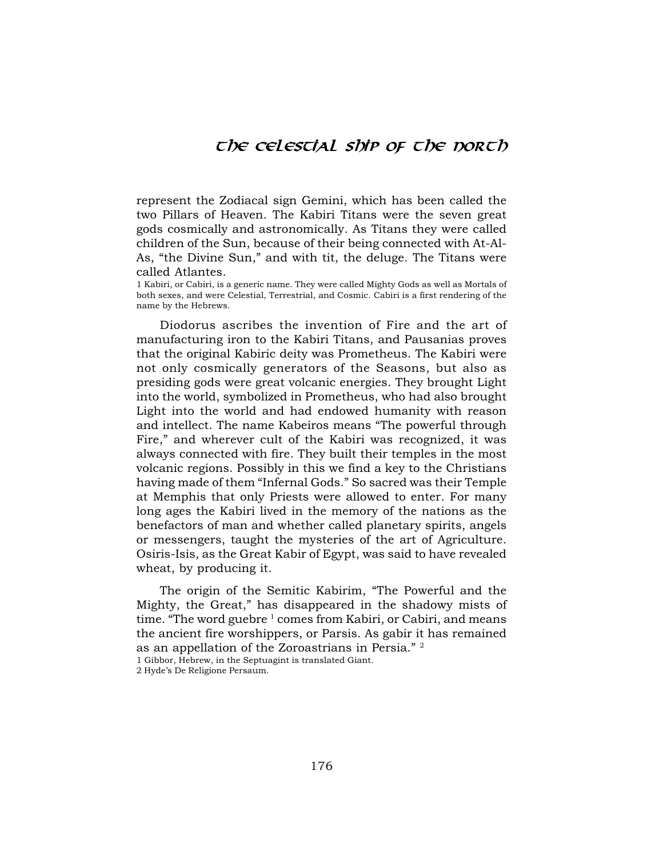represent the Zodiacal sign Gemini, which has been called the two Pillars of Heaven. The Kabiri Titans were the seven great gods cosmically and astronomically. As Titans they were called children of the Sun, because of their being connected with At-Al-As, "the Divine Sun," and with tit, the deluge. The Titans were called Atlantes.

1 Kabiri, or Cabiri, is a generic name. They were called Mighty Gods as well as Mortals of both sexes, and were Celestial, Terrestrial, and Cosmic. Cabiri is a first rendering of the name by the Hebrews.

Diodorus ascribes the invention of Fire and the art of manufacturing iron to the Kabiri Titans, and Pausanias proves that the original Kabiric deity was Prometheus. The Kabiri were not only cosmically generators of the Seasons, but also as presiding gods were great volcanic energies. They brought Light into the world, symbolized in Prometheus, who had also brought Light into the world and had endowed humanity with reason and intellect. The name Kabeiros means "The powerful through Fire," and wherever cult of the Kabiri was recognized, it was always connected with fire. They built their temples in the most volcanic regions. Possibly in this we find a key to the Christians having made of them "Infernal Gods." So sacred was their Temple at Memphis that only Priests were allowed to enter. For many long ages the Kabiri lived in the memory of the nations as the benefactors of man and whether called planetary spirits, angels or messengers, taught the mysteries of the art of Agriculture. Osiris-Isis, as the Great Kabir of Egypt, was said to have revealed wheat, by producing it.

The origin of the Semitic Kabirim, "The Powerful and the Mighty, the Great," has disappeared in the shadowy mists of time. "The word guebre<sup>1</sup> comes from Kabiri, or Cabiri, and means the ancient fire worshippers, or Parsis. As gabir it has remained as an appellation of the Zoroastrians in Persia."<sup>2</sup>

1 Gibbor, Hebrew, in the Septuagint is translated Giant.

2 Hyde's De Religione Persaum.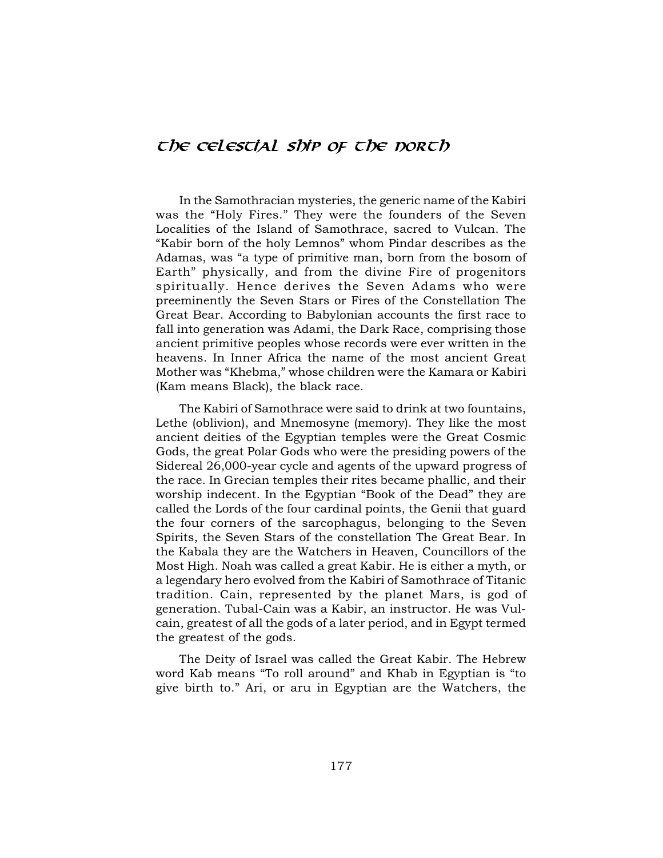In the Samothracian mysteries, the generic name of the Kabiri was the "Holy Fires." They were the founders of the Seven Localities of the Island of Samothrace, sacred to Vulcan. The "Kabir born of the holy Lemnos" whom Pindar describes as the Adamas, was "a type of primitive man, born from the bosom of Earth" physically, and from the divine Fire of progenitors spiritually. Hence derives the Seven Adams who were preeminently the Seven Stars or Fires of the Constellation The Great Bear. According to Babylonian accounts the first race to fall into generation was Adami, the Dark Race, comprising those ancient primitive peoples whose records were ever written in the heavens. In Inner Africa the name of the most ancient Great Mother was "Khebma," whose children were the Kamara or Kabiri (Kam means Black), the black race.

The Kabiri of Samothrace were said to drink at two fountains, Lethe (oblivion), and Mnemosyne (memory). They like the most ancient deities of the Egyptian temples were the Great Cosmic Gods, the great Polar Gods who were the presiding powers of the Sidereal 26,000-year cycle and agents of the upward progress of the race. In Grecian temples their rites became phallic, and their worship indecent. In the Egyptian "Book of the Dead" they are called the Lords of the four cardinal points, the Genii that guard the four corners of the sarcophagus, belonging to the Seven Spirits, the Seven Stars of the constellation The Great Bear. In the Kabala they are the Watchers in Heaven, Councillors of the Most High. Noah was called a great Kabir. He is either a myth, or a legendary hero evolved from the Kabiri of Samothrace of Titanic tradition. Cain, represented by the planet Mars, is god of generation. Tubal-Cain was a Kabir, an instructor. He was Vulcain, greatest of all the gods of a later period, and in Egypt termed the greatest of the gods.

The Deity of Israel was called the Great Kabir. The Hebrew word Kab means "To roll around" and Khab in Egyptian is "to give birth to." Ari, or aru in Egyptian are the Watchers, the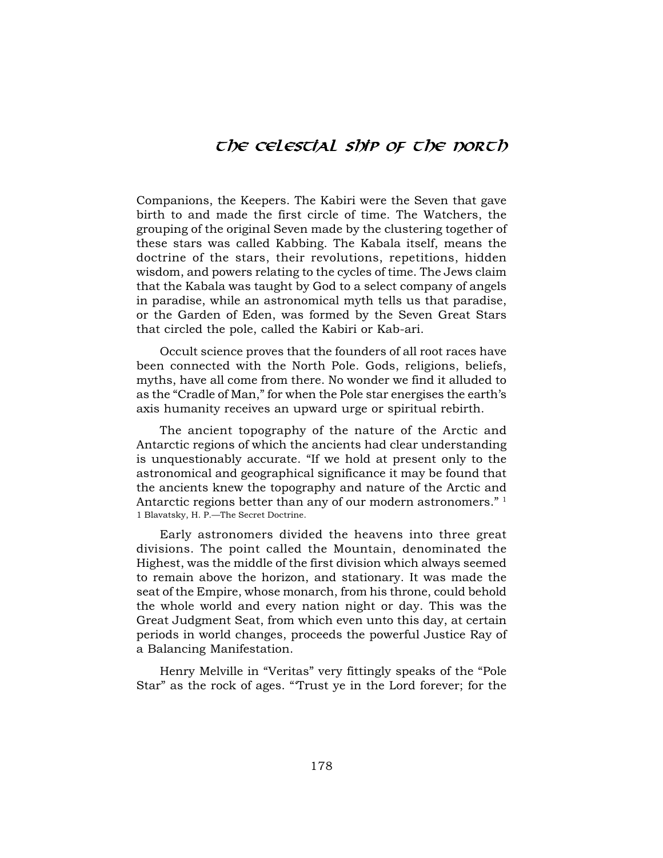Companions, the Keepers. The Kabiri were the Seven that gave birth to and made the first circle of time. The Watchers, the grouping of the original Seven made by the clustering together of these stars was called Kabbing. The Kabala itself, means the doctrine of the stars, their revolutions, repetitions, hidden wisdom, and powers relating to the cycles of time. The Jews claim that the Kabala was taught by God to a select company of angels in paradise, while an astronomical myth tells us that paradise, or the Garden of Eden, was formed by the Seven Great Stars that circled the pole, called the Kabiri or Kab-ari.

Occult science proves that the founders of all root races have been connected with the North Pole, Gods, religions, beliefs, myths, have all come from there. No wonder we find it alluded to as the "Cradle of Man," for when the Pole star energises the earth's axis humanity receives an upward urge or spiritual rebirth.

The ancient topography of the nature of the Arctic and Antarctic regions of which the ancients had clear understanding is unquestionably accurate. "If we hold at present only to the astronomical and geographical significance it may be found that the ancients knew the topography and nature of the Arctic and Antarctic regions better than any of our modern astronomers."<sup>1</sup> 1 Blavatsky, H. P.-The Secret Doctrine.

Early astronomers divided the heavens into three great divisions. The point called the Mountain, denominated the Highest, was the middle of the first division which always seemed to remain above the horizon, and stationary. It was made the seat of the Empire, whose monarch, from his throne, could behold the whole world and every nation night or day. This was the Great Judgment Seat, from which even unto this day, at certain periods in world changes, proceeds the powerful Justice Ray of a Balancing Manifestation.

Henry Melville in "Veritas" very fittingly speaks of the "Pole" Star" as the rock of ages. "Trust ye in the Lord forever; for the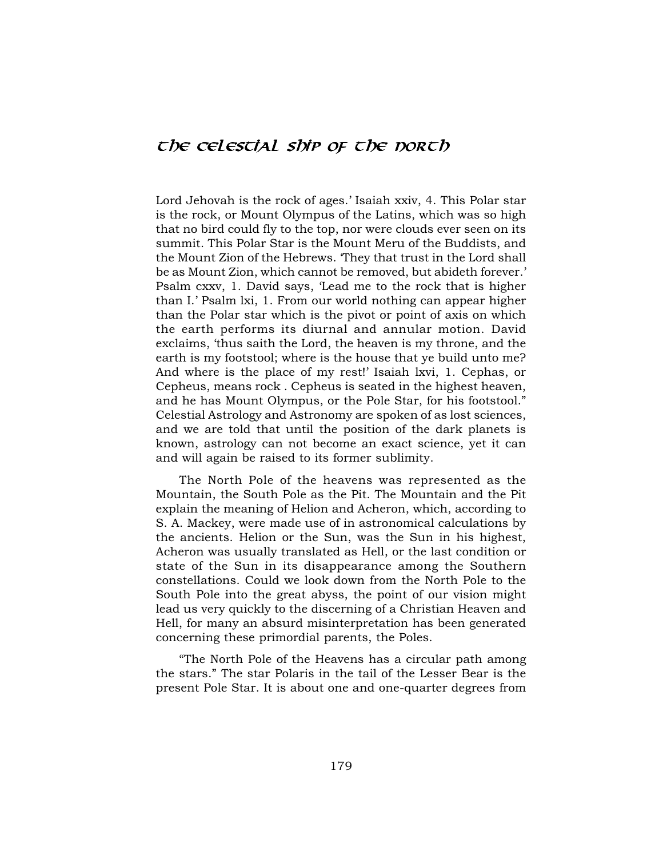Lord Jehovah is the rock of ages.' Isaiah xxiv, 4. This Polar star is the rock, or Mount Olympus of the Latins, which was so high that no bird could fly to the top, nor were clouds ever seen on its summit. This Polar Star is the Mount Meru of the Buddists, and the Mount Zion of the Hebrews. They that trust in the Lord shall be as Mount Zion, which cannot be removed, but abideth forever.' Psalm cxxv, 1. David says, 'Lead me to the rock that is higher than I.' Psalm lxi, 1. From our world nothing can appear higher than the Polar star which is the pivot or point of axis on which the earth performs its diurnal and annular motion. David exclaims, thus saith the Lord, the heaven is my throne, and the earth is my footstool; where is the house that ye build unto me? And where is the place of my rest!' Isaiah lxvi, 1. Cephas, or Cepheus, means rock. Cepheus is seated in the highest heaven, and he has Mount Olympus, or the Pole Star, for his footstool." Celestial Astrology and Astronomy are spoken of as lost sciences, and we are told that until the position of the dark planets is known, astrology can not become an exact science, yet it can and will again be raised to its former sublimity.

The North Pole of the heavens was represented as the Mountain, the South Pole as the Pit. The Mountain and the Pit explain the meaning of Helion and Acheron, which, according to S. A. Mackey, were made use of in astronomical calculations by the ancients. Helion or the Sun, was the Sun in his highest, Acheron was usually translated as Hell, or the last condition or state of the Sun in its disappearance among the Southern constellations. Could we look down from the North Pole to the South Pole into the great abyss, the point of our vision might lead us very quickly to the discerning of a Christian Heaven and Hell, for many an absurd misinterpretation has been generated concerning these primordial parents, the Poles.

"The North Pole of the Heavens has a circular path among the stars." The star Polaris in the tail of the Lesser Bear is the present Pole Star. It is about one and one-quarter degrees from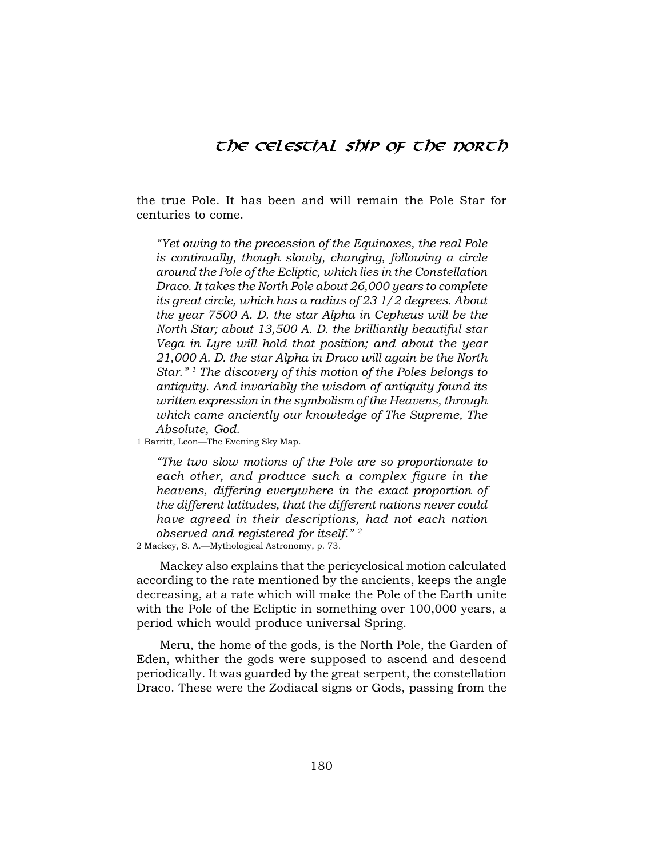the true Pole. It has been and will remain the Pole Star for centuries to come.

"Yet owing to the precession of the Equinoxes, the real Pole is continually, though slowly, changing, following a circle around the Pole of the Ecliptic, which lies in the Constellation Draco. It takes the North Pole about 26,000 years to complete its great circle, which has a radius of 23 1/2 degrees. About the year 7500 A. D. the star Alpha in Cepheus will be the North Star; about 13,500 A. D. the brilliantly beautiful star Vega in Lyre will hold that position; and about the year 21,000 A. D. the star Alpha in Draco will again be the North Star."<sup>1</sup> The discovery of this motion of the Poles belongs to antiquity. And invariably the wisdom of antiquity found its written expression in the symbolism of the Heavens, through which came anciently our knowledge of The Supreme, The Absolute, God.

1 Barritt, Leon-The Evening Sky Map.

"The two slow motions of the Pole are so proportionate to each other, and produce such a complex figure in the heavens, differing everywhere in the exact proportion of the different latitudes, that the different nations never could have agreed in their descriptions, had not each nation observed and registered for itself."  $2$ 2 Mackey, S. A.-Mythological Astronomy, p. 73.

Mackey also explains that the pericyclosical motion calculated according to the rate mentioned by the ancients, keeps the angle decreasing, at a rate which will make the Pole of the Earth unite with the Pole of the Ecliptic in something over 100,000 years, a period which would produce universal Spring.

Meru, the home of the gods, is the North Pole, the Garden of Eden, whither the gods were supposed to ascend and descend periodically. It was guarded by the great serpent, the constellation Draco. These were the Zodiacal signs or Gods, passing from the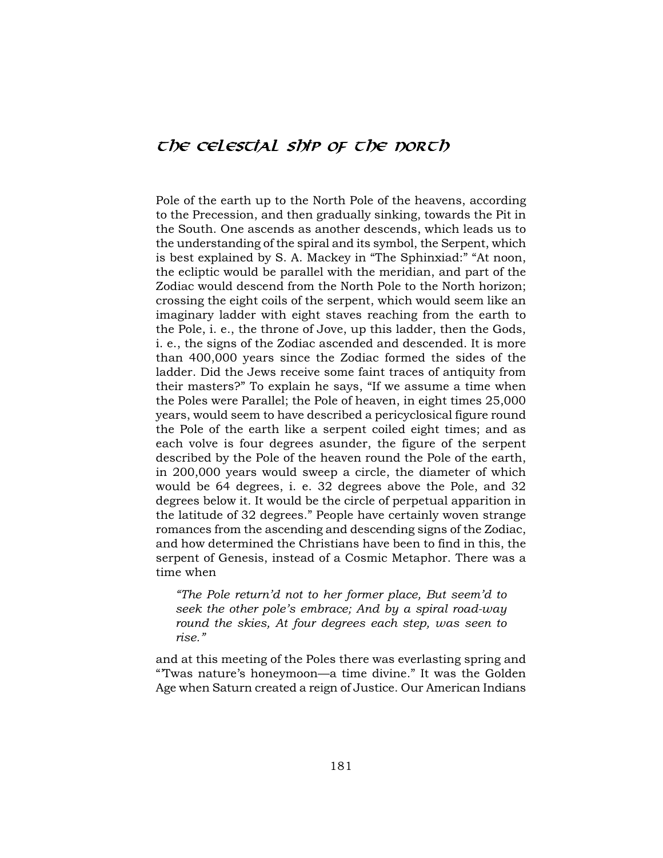Pole of the earth up to the North Pole of the heavens, according to the Precession, and then gradually sinking, towards the Pit in the South. One ascends as another descends, which leads us to the understanding of the spiral and its symbol, the Serpent, which is best explained by S. A. Mackey in "The Sphinxiad:" "At noon, the ecliptic would be parallel with the meridian, and part of the Zodiac would descend from the North Pole to the North horizon; crossing the eight coils of the serpent, which would seem like an imaginary ladder with eight staves reaching from the earth to the Pole, i. e., the throne of Jove, up this ladder, then the Gods, i. e., the signs of the Zodiac ascended and descended. It is more than 400,000 years since the Zodiac formed the sides of the ladder. Did the Jews receive some faint traces of antiquity from their masters?" To explain he says, "If we assume a time when the Poles were Parallel; the Pole of heaven, in eight times 25,000 years, would seem to have described a pericyclosical figure round the Pole of the earth like a serpent coiled eight times; and as each volve is four degrees asunder, the figure of the serpent described by the Pole of the heaven round the Pole of the earth, in 200,000 years would sweep a circle, the diameter of which would be 64 degrees, i. e. 32 degrees above the Pole, and 32 degrees below it. It would be the circle of perpetual apparition in the latitude of 32 degrees." People have certainly woven strange romances from the ascending and descending signs of the Zodiac, and how determined the Christians have been to find in this, the serpent of Genesis, instead of a Cosmic Metaphor. There was a time when

"The Pole return'd not to her former place, But seem'd to seek the other pole's embrace; And by a spiral road-way round the skies, At four degrees each step, was seen to rise."

and at this meeting of the Poles there was everlasting spring and "Twas nature's honeymoon-a time divine." It was the Golden Age when Saturn created a reign of Justice. Our American Indians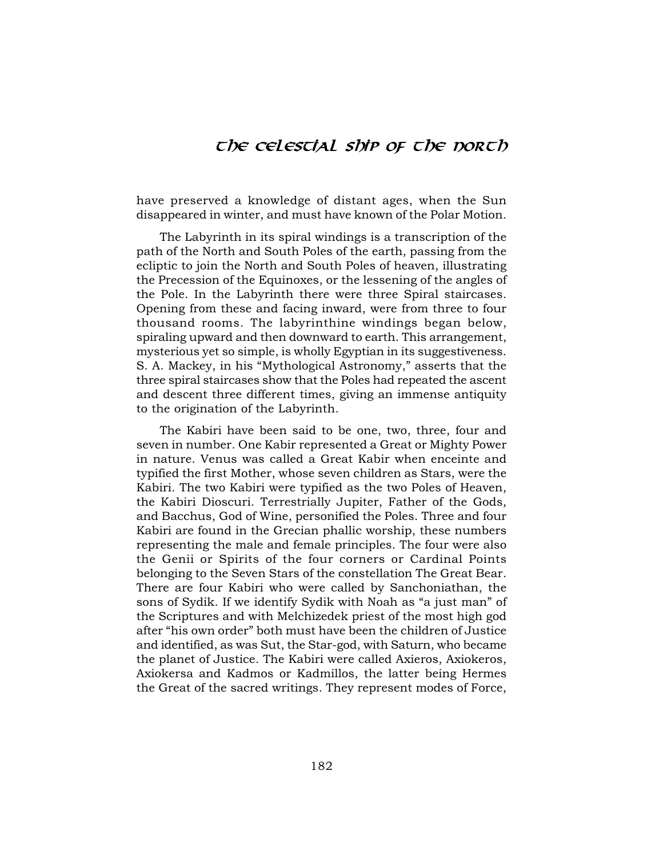have preserved a knowledge of distant ages, when the Sun disappeared in winter, and must have known of the Polar Motion.

The Labyrinth in its spiral windings is a transcription of the path of the North and South Poles of the earth, passing from the ecliptic to join the North and South Poles of heaven, illustrating the Precession of the Equinoxes, or the lessening of the angles of the Pole. In the Labyrinth there were three Spiral staircases. Opening from these and facing inward, were from three to four thousand rooms. The labyrinthine windings began below, spiraling upward and then downward to earth. This arrangement, mysterious yet so simple, is wholly Egyptian in its suggestiveness. S. A. Mackey, in his "Mythological Astronomy," asserts that the three spiral staircases show that the Poles had repeated the ascent and descent three different times, giving an immense antiquity to the origination of the Labyrinth.

The Kabiri have been said to be one, two, three, four and seven in number. One Kabir represented a Great or Mighty Power in nature. Venus was called a Great Kabir when enceinte and typified the first Mother, whose seven children as Stars, were the Kabiri. The two Kabiri were typified as the two Poles of Heaven, the Kabiri Dioscuri. Terrestrially Jupiter, Father of the Gods, and Bacchus, God of Wine, personified the Poles. Three and four Kabiri are found in the Grecian phallic worship, these numbers representing the male and female principles. The four were also the Genii or Spirits of the four corners or Cardinal Points belonging to the Seven Stars of the constellation The Great Bear. There are four Kabiri who were called by Sanchoniathan, the sons of Sydik. If we identify Sydik with Noah as "a just man" of the Scriptures and with Melchizedek priest of the most high god after "his own order" both must have been the children of Justice and identified, as was Sut, the Star-god, with Saturn, who became the planet of Justice. The Kabiri were called Axieros, Axiokeros, Axiokersa and Kadmos or Kadmillos, the latter being Hermes the Great of the sacred writings. They represent modes of Force,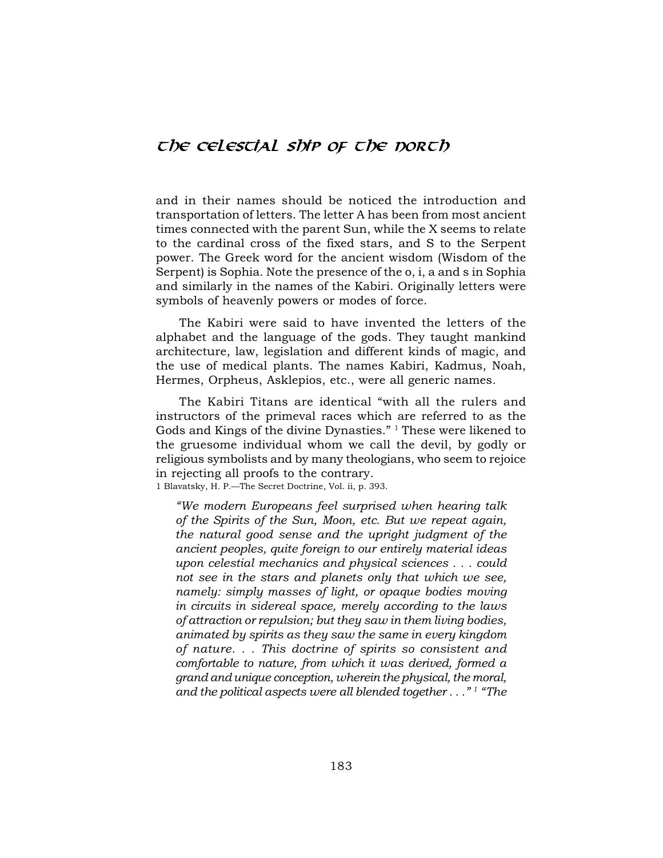and in their names should be noticed the introduction and transportation of letters. The letter A has been from most ancient times connected with the parent Sun, while the X seems to relate to the cardinal cross of the fixed stars, and S to the Serpent power. The Greek word for the ancient wisdom (Wisdom of the Serpent) is Sophia. Note the presence of the o, i, a and s in Sophia and similarly in the names of the Kabiri. Originally letters were symbols of heavenly powers or modes of force.

The Kabiri were said to have invented the letters of the alphabet and the language of the gods. They taught mankind architecture, law, legislation and different kinds of magic, and the use of medical plants. The names Kabiri, Kadmus, Noah, Hermes, Orpheus, Asklepios, etc., were all generic names.

The Kabiri Titans are identical "with all the rulers and instructors of the primeval races which are referred to as the Gods and Kings of the divine Dynasties." <sup>1</sup> These were likened to the gruesome individual whom we call the devil, by godly or religious symbolists and by many theologians, who seem to rejoice in rejecting all proofs to the contrary. 1 Blavatsky, H. P.-The Secret Doctrine, Vol. ii, p. 393.

"We modern Europeans feel surprised when hearing talk of the Spirits of the Sun, Moon, etc. But we repeat again, the natural good sense and the upright judgment of the ancient peoples, quite foreign to our entirely material ideas upon celestial mechanics and physical sciences . . . could not see in the stars and planets only that which we see, namely: simply masses of light, or opaque bodies moving in circuits in sidereal space, merely according to the laws of attraction or repulsion; but they saw in them living bodies, animated by spirits as they saw the same in every kingdom of nature... This doctrine of spirits so consistent and comfortable to nature, from which it was derived, formed a grand and unique conception, wherein the physical, the moral, and the political aspects were all blended together  $\ldots$ ." "The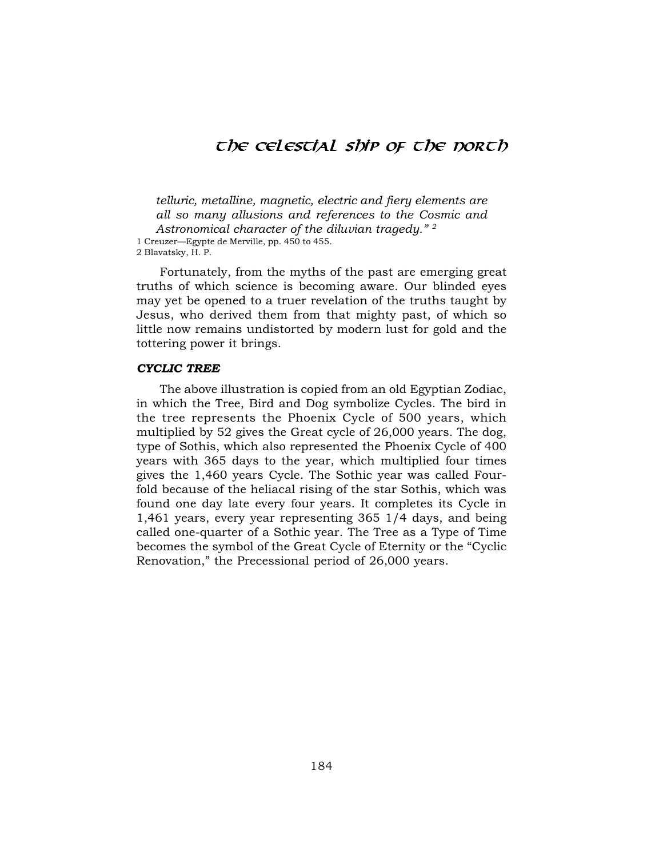telluric, metalline, magnetic, electric and fiery elements are all so many allusions and references to the Cosmic and Astronomical character of the diluvian tragedy."  $2^2$ 1 Creuzer-Egypte de Merville, pp. 450 to 455. 2 Blavatsky, H. P.

Fortunately, from the myths of the past are emerging great truths of which science is becoming aware. Our blinded eyes may yet be opened to a truer revelation of the truths taught by Jesus, who derived them from that mighty past, of which so little now remains undistorted by modern lust for gold and the tottering power it brings.

#### **CYCLIC TREE**

The above illustration is copied from an old Egyptian Zodiac, in which the Tree, Bird and Dog symbolize Cycles. The bird in the tree represents the Phoenix Cycle of 500 years, which multiplied by 52 gives the Great cycle of 26,000 years. The dog, type of Sothis, which also represented the Phoenix Cycle of 400 years with 365 days to the year, which multiplied four times gives the 1,460 years Cycle. The Sothic year was called Fourfold because of the heliacal rising of the star Sothis, which was found one day late every four years. It completes its Cycle in 1,461 years, every year representing  $365$  1/4 days, and being called one-quarter of a Sothic year. The Tree as a Type of Time becomes the symbol of the Great Cycle of Eternity or the "Cyclic" Renovation," the Precessional period of 26,000 years.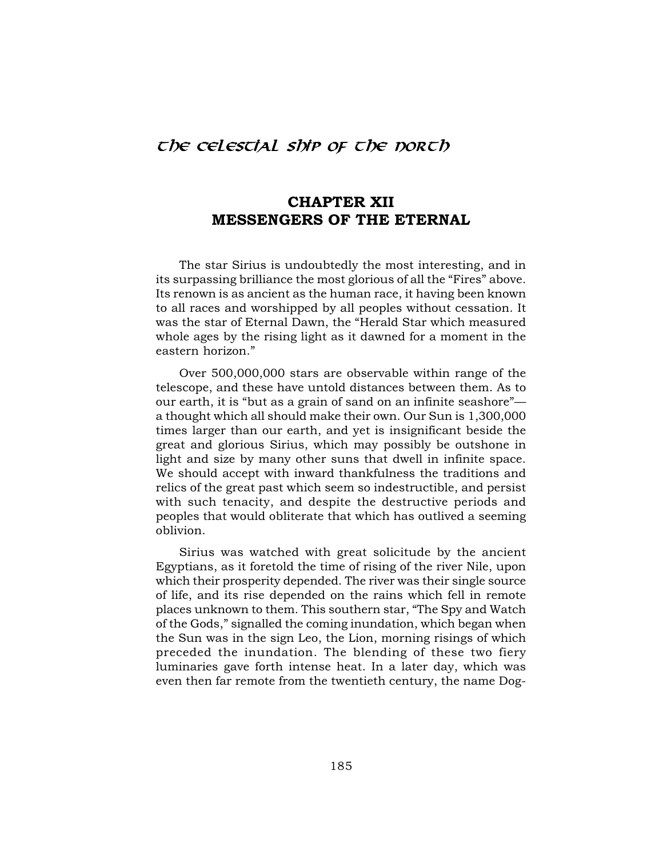#### **CHAPTER XII MESSENGERS OF THE ETERNAL**

The star Sirius is undoubtedly the most interesting, and in its surpassing brilliance the most glorious of all the "Fires" above. Its renown is as ancient as the human race, it having been known to all races and worshipped by all peoples without cessation. It was the star of Eternal Dawn, the "Herald Star which measured whole ages by the rising light as it dawned for a moment in the eastern horizon."

Over 500,000,000 stars are observable within range of the telescope, and these have untold distances between them. As to our earth, it is "but as a grain of sand on an infinite seashore"a thought which all should make their own. Our Sun is 1,300,000 times larger than our earth, and yet is insignificant beside the great and glorious Sirius, which may possibly be outshone in light and size by many other suns that dwell in infinite space. We should accept with inward thankfulness the traditions and relics of the great past which seem so indestructible, and persist with such tenacity, and despite the destructive periods and peoples that would obliterate that which has outlived a seeming oblivion.

Sirius was watched with great solicitude by the ancient Egyptians, as it foretold the time of rising of the river Nile, upon which their prosperity depended. The river was their single source of life, and its rise depended on the rains which fell in remote places unknown to them. This southern star, "The Spy and Watch of the Gods," signalled the coming inundation, which began when the Sun was in the sign Leo, the Lion, morning risings of which preceded the inundation. The blending of these two fiery luminaries gave forth intense heat. In a later day, which was even then far remote from the twentieth century, the name Dog-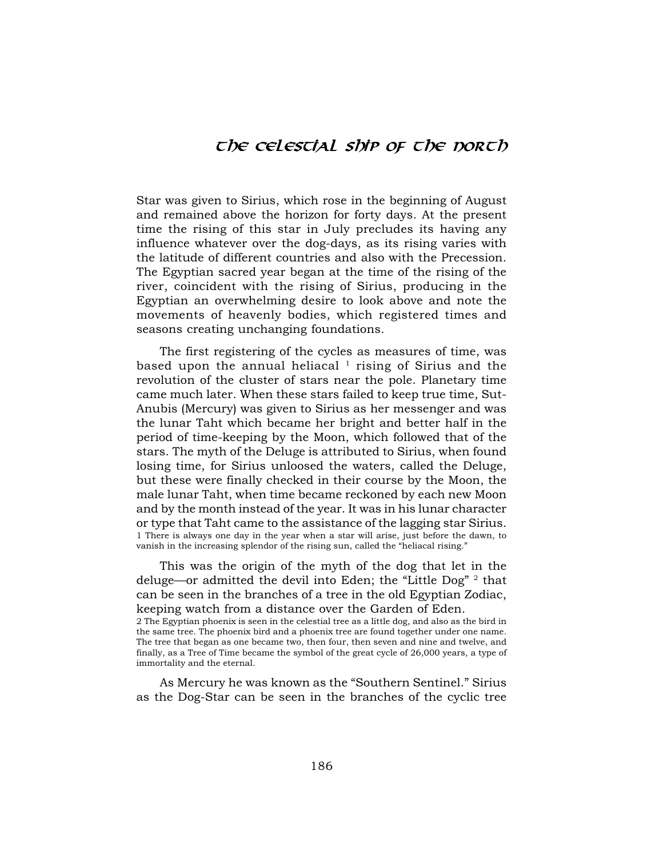Star was given to Sirius, which rose in the beginning of August and remained above the horizon for forty days. At the present time the rising of this star in July precludes its having any influence whatever over the dog-days, as its rising varies with the latitude of different countries and also with the Precession. The Egyptian sacred year began at the time of the rising of the river, coincident with the rising of Sirius, producing in the Egyptian an overwhelming desire to look above and note the movements of heavenly bodies, which registered times and seasons creating unchanging foundations.

The first registering of the cycles as measures of time, was based upon the annual heliacal <sup>1</sup> rising of Sirius and the revolution of the cluster of stars near the pole. Planetary time came much later. When these stars failed to keep true time, Sut-Anubis (Mercury) was given to Sirius as her messenger and was the lunar Taht which became her bright and better half in the period of time-keeping by the Moon, which followed that of the stars. The myth of the Deluge is attributed to Sirius, when found losing time, for Sirius unloosed the waters, called the Deluge, but these were finally checked in their course by the Moon, the male lunar Taht, when time became reckoned by each new Moon and by the month instead of the year. It was in his lunar character or type that Taht came to the assistance of the lagging star Sirius. 1 There is always one day in the year when a star will arise, just before the dawn, to vanish in the increasing splendor of the rising sun, called the "heliacal rising."

This was the origin of the myth of the dog that let in the deluge—or admitted the devil into Eden; the "Little Dog" 2 that can be seen in the branches of a tree in the old Egyptian Zodiac, keeping watch from a distance over the Garden of Eden.

2 The Egyptian phoenix is seen in the celestial tree as a little dog, and also as the bird in the same tree. The phoenix bird and a phoenix tree are found together under one name. The tree that began as one became two, then four, then seven and nine and twelve, and finally, as a Tree of Time became the symbol of the great cycle of 26,000 years, a type of immortality and the eternal.

As Mercury he was known as the "Southern Sentinel." Sirius as the Dog-Star can be seen in the branches of the cyclic tree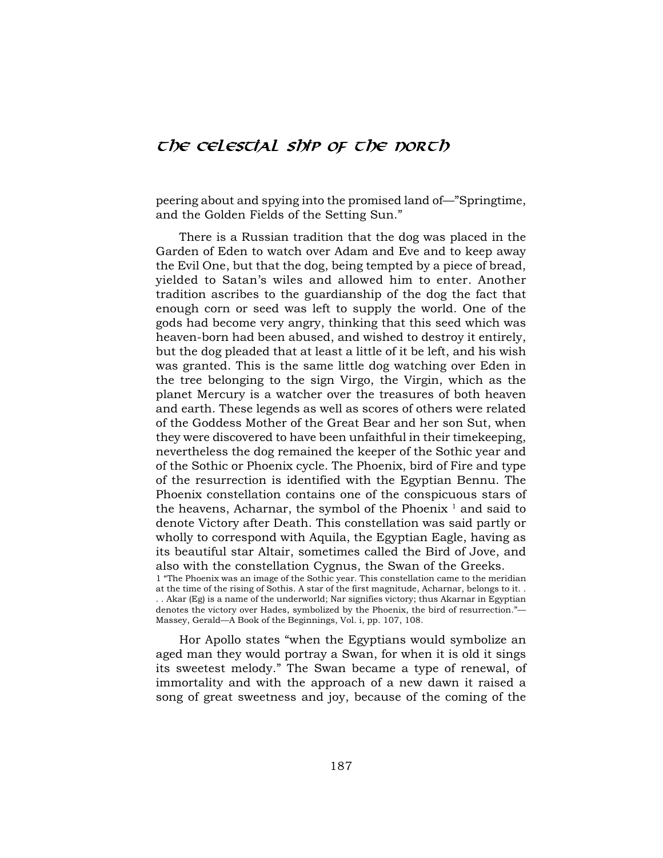peering about and spying into the promised land of—"Springtime, and the Golden Fields of the Setting Sun."

There is a Russian tradition that the dog was placed in the Garden of Eden to watch over Adam and Eve and to keep away the Evil One, but that the dog, being tempted by a piece of bread, yielded to Satan's wiles and allowed him to enter. Another tradition ascribes to the guardianship of the dog the fact that enough corn or seed was left to supply the world. One of the gods had become very angry, thinking that this seed which was heaven-born had been abused, and wished to destroy it entirely, but the dog pleaded that at least a little of it be left, and his wish was granted. This is the same little dog watching over Eden in the tree belonging to the sign Virgo, the Virgin, which as the planet Mercury is a watcher over the treasures of both heaven and earth. These legends as well as scores of others were related of the Goddess Mother of the Great Bear and her son Sut, when they were discovered to have been unfaithful in their time keeping, nevertheless the dog remained the keeper of the Sothic year and of the Sothic or Phoenix cycle. The Phoenix, bird of Fire and type of the resurrection is identified with the Egyptian Bennu. The Phoenix constellation contains one of the conspicuous stars of the heavens, Acharnar, the symbol of the Phoenix<sup>1</sup> and said to denote Victory after Death. This constellation was said partly or wholly to correspond with Aquila, the Egyptian Eagle, having as its beautiful star Altair, sometimes called the Bird of Jove, and also with the constellation Cygnus, the Swan of the Greeks. 1 "The Phoenix was an image of the Sothic year. This constellation came to the meridian

at the time of the rising of Sothis. A star of the first magnitude, Acharnar, belongs to it.. .. Akar (Eg) is a name of the underworld; Nar signifies victory; thus Akarnar in Egyptian denotes the victory over Hades, symbolized by the Phoenix, the bird of resurrection."— Massey, Gerald-A Book of the Beginnings, Vol. i, pp. 107, 108.

Hor Apollo states "when the Egyptians would symbolize an aged man they would portray a Swan, for when it is old it sings its sweetest melody." The Swan became a type of renewal, of immortality and with the approach of a new dawn it raised a song of great sweetness and joy, because of the coming of the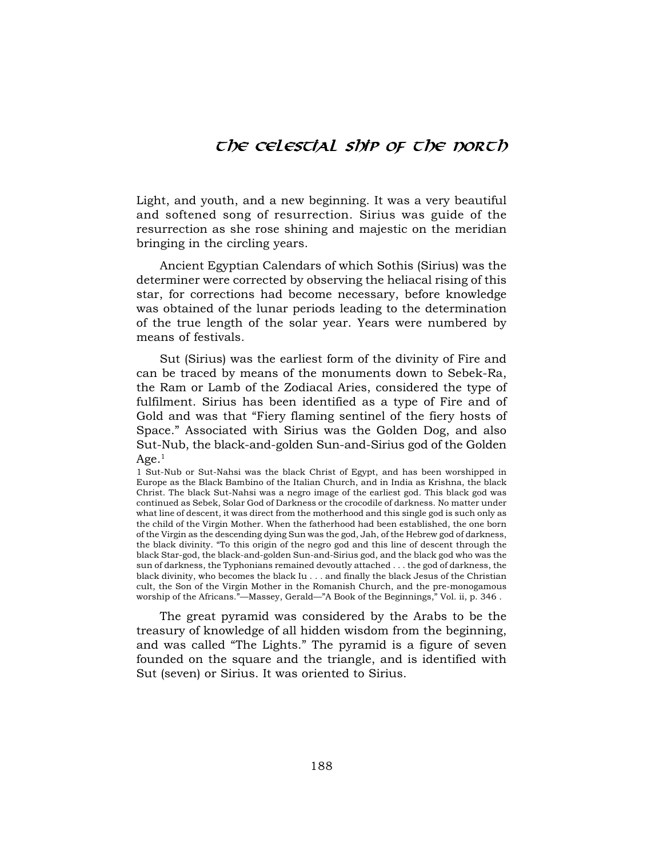Light, and youth, and a new beginning. It was a very beautiful and softened song of resurrection. Sirius was guide of the resurrection as she rose shining and majestic on the meridian bringing in the circling years.

Ancient Egyptian Calendars of which Sothis (Sirius) was the determiner were corrected by observing the heliacal rising of this star, for corrections had become necessary, before knowledge was obtained of the lunar periods leading to the determination of the true length of the solar year. Years were numbered by means of festivals.

Sut (Sirius) was the earliest form of the divinity of Fire and can be traced by means of the monuments down to Sebek-Ra, the Ram or Lamb of the Zodiacal Aries, considered the type of fulfilment. Sirius has been identified as a type of Fire and of Gold and was that "Fiery flaming sentinel of the fiery hosts of Space." Associated with Sirius was the Golden Dog, and also Sut-Nub, the black-and-golden Sun-and-Sirius god of the Golden  $Age.1$ 

1 Sut-Nub or Sut-Nahsi was the black Christ of Egypt, and has been worshipped in Europe as the Black Bambino of the Italian Church, and in India as Krishna, the black Christ. The black Sut-Nahsi was a negro image of the earliest god. This black god was continued as Sebek, Solar God of Darkness or the crocodile of darkness. No matter under what line of descent, it was direct from the motherhood and this single god is such only as the child of the Virgin Mother. When the fatherhood had been established, the one born of the Virgin as the descending dying Sun was the god, Jah, of the Hebrew god of darkness, the black divinity. "To this origin of the negro god and this line of descent through the black Star-god, the black-and-golden Sun-and-Sirius god, and the black god who was the sun of darkness, the Typhonians remained devoutly attached . . . the god of darkness, the black divinity, who becomes the black Iu . . . and finally the black Jesus of the Christian cult, the Son of the Virgin Mother in the Romanish Church, and the pre-monogamous worship of the Africans."—Massey, Gerald—"A Book of the Beginnings," Vol. ii, p. 346.

The great pyramid was considered by the Arabs to be the treasury of knowledge of all hidden wisdom from the beginning, and was called "The Lights." The pyramid is a figure of seven founded on the square and the triangle, and is identified with Sut (seven) or Sirius. It was oriented to Sirius.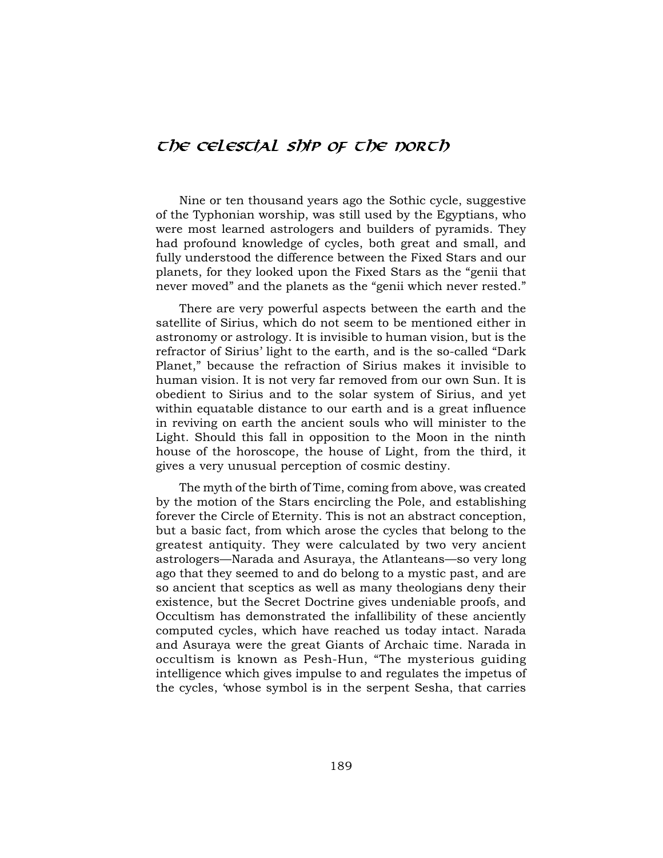Nine or ten thousand years ago the Sothic cycle, suggestive of the Typhonian worship, was still used by the Egyptians, who were most learned astrologers and builders of pyramids. They had profound knowledge of cycles, both great and small, and fully understood the difference between the Fixed Stars and our planets, for they looked upon the Fixed Stars as the "genii that never moved" and the planets as the "genii which never rested."

There are very powerful aspects between the earth and the satellite of Sirius, which do not seem to be mentioned either in astronomy or astrology. It is invisible to human vision, but is the refractor of Sirius' light to the earth, and is the so-called "Dark Planet," because the refraction of Sirius makes it invisible to human vision. It is not very far removed from our own Sun. It is obedient to Sirius and to the solar system of Sirius, and yet within equatable distance to our earth and is a great influence in reviving on earth the ancient souls who will minister to the Light. Should this fall in opposition to the Moon in the ninth house of the horoscope, the house of Light, from the third, it gives a very unusual perception of cosmic destiny.

The myth of the birth of Time, coming from above, was created by the motion of the Stars encircling the Pole, and establishing forever the Circle of Eternity. This is not an abstract conception, but a basic fact, from which arose the cycles that belong to the greatest antiquity. They were calculated by two very ancient astrologers-Narada and Asuraya, the Atlanteans-so very long ago that they seemed to and do belong to a mystic past, and are so ancient that sceptics as well as many theologians deny their existence, but the Secret Doctrine gives undeniable proofs, and Occultism has demonstrated the infallibility of these anciently computed cycles, which have reached us today intact. Narada and Asuraya were the great Giants of Archaic time. Narada in occultism is known as Pesh-Hun, "The mysterious guiding intelligence which gives impulse to and regulates the impetus of the cycles, 'whose symbol is in the serpent Sesha, that carries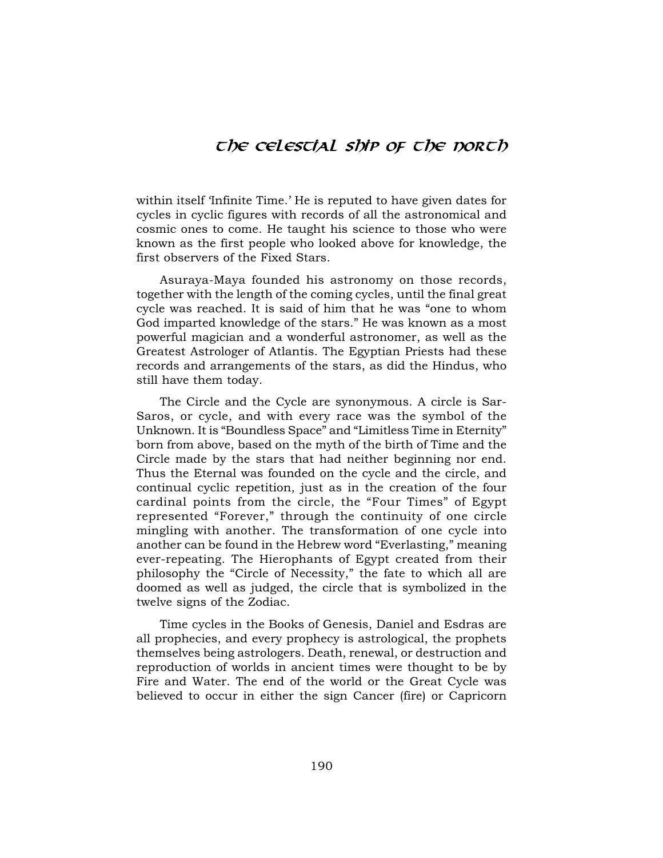within itself 'Infinite Time.' He is reputed to have given dates for cycles in cyclic figures with records of all the astronomical and cosmic ones to come. He taught his science to those who were known as the first people who looked above for knowledge, the first observers of the Fixed Stars.

Asuraya-Maya founded his astronomy on those records, together with the length of the coming cycles, until the final great cycle was reached. It is said of him that he was "one to whom God imparted knowledge of the stars." He was known as a most powerful magician and a wonderful astronomer, as well as the Greatest Astrologer of Atlantis. The Egyptian Priests had these records and arrangements of the stars, as did the Hindus, who still have them today.

The Circle and the Cycle are synonymous. A circle is Sar-Saros, or cycle, and with every race was the symbol of the Unknown. It is "Boundless Space" and "Limitless Time in Eternity" born from above, based on the myth of the birth of Time and the Circle made by the stars that had neither beginning nor end. Thus the Eternal was founded on the cycle and the circle, and continual cyclic repetition, just as in the creation of the four cardinal points from the circle, the "Four Times" of Egypt represented "Forever," through the continuity of one circle mingling with another. The transformation of one cycle into another can be found in the Hebrew word "Everlasting," meaning ever-repeating. The Hierophants of Egypt created from their philosophy the "Circle of Necessity," the fate to which all are doomed as well as judged, the circle that is symbolized in the twelve signs of the Zodiac.

Time cycles in the Books of Genesis, Daniel and Esdras are all prophecies, and every prophecy is astrological, the prophets themselves being astrologers. Death, renewal, or destruction and reproduction of worlds in ancient times were thought to be by Fire and Water. The end of the world or the Great Cycle was believed to occur in either the sign Cancer (fire) or Capricorn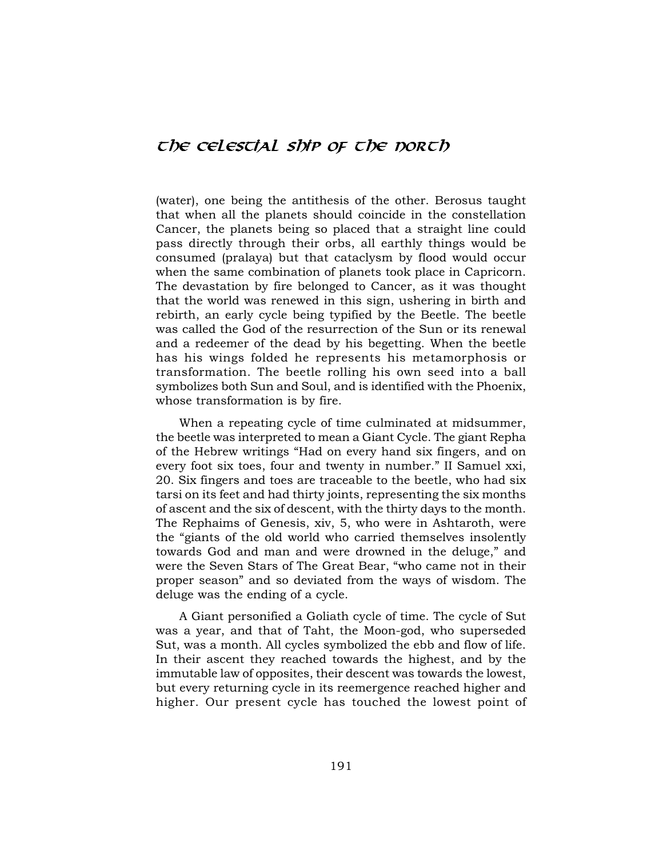(water), one being the antithesis of the other. Berosus taught that when all the planets should coincide in the constellation Cancer, the planets being so placed that a straight line could pass directly through their orbs, all earthly things would be consumed (pralaya) but that cataclysm by flood would occur when the same combination of planets took place in Capricorn. The devastation by fire belonged to Cancer, as it was thought that the world was renewed in this sign, ushering in birth and rebirth, an early cycle being typified by the Beetle. The beetle was called the God of the resurrection of the Sun or its renewal and a redeemer of the dead by his begetting. When the beetle has his wings folded he represents his metamorphosis or transformation. The beetle rolling his own seed into a ball symbolizes both Sun and Soul, and is identified with the Phoenix, whose transformation is by fire.

When a repeating cycle of time culminated at midsummer, the beetle was interpreted to mean a Giant Cycle. The giant Repha of the Hebrew writings "Had on every hand six fingers, and on every foot six toes, four and twenty in number." II Samuel xxi, 20. Six fingers and toes are traceable to the beetle, who had six tarsi on its feet and had thirty joints, representing the six months of ascent and the six of descent, with the thirty days to the month. The Rephaims of Genesis, xiv, 5, who were in Ashtaroth, were the "giants of the old world who carried themselves insolently towards God and man and were drowned in the deluge," and were the Seven Stars of The Great Bear, "who came not in their proper season" and so deviated from the ways of wisdom. The deluge was the ending of a cycle.

A Giant personified a Goliath cycle of time. The cycle of Sut was a year, and that of Taht, the Moon-god, who superseded Sut, was a month. All cycles symbolized the ebb and flow of life. In their ascent they reached towards the highest, and by the immutable law of opposites, their descent was towards the lowest, but every returning cycle in its reemergence reached higher and higher. Our present cycle has touched the lowest point of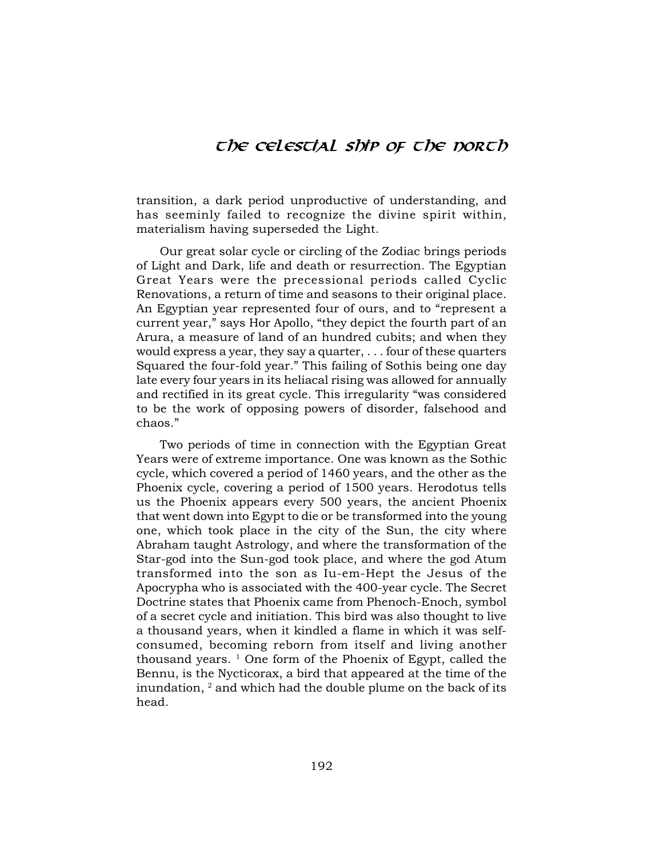transition, a dark period unproductive of understanding, and has seeminly failed to recognize the divine spirit within, materialism having superseded the Light.

Our great solar cycle or circling of the Zodiac brings periods of Light and Dark, life and death or resurrection. The Egyptian Great Years were the precessional periods called Cyclic Renovations, a return of time and seasons to their original place. An Egyptian year represented four of ours, and to "represent a current year," says Hor Apollo, "they depict the fourth part of an Arura, a measure of land of an hundred cubits; and when they would express a year, they say a quarter,  $\ldots$  four of these quarters Squared the four-fold year." This failing of Sothis being one day late every four years in its heliacal rising was allowed for annually and rectified in its great cycle. This irregularity "was considered to be the work of opposing powers of disorder, falsehood and chaos."

Two periods of time in connection with the Egyptian Great Years were of extreme importance. One was known as the Sothic cycle, which covered a period of 1460 years, and the other as the Phoenix cycle, covering a period of 1500 years. Herodotus tells us the Phoenix appears every 500 years, the ancient Phoenix that went down into Egypt to die or be transformed into the young one, which took place in the city of the Sun, the city where Abraham taught Astrology, and where the transformation of the Star-god into the Sun-god took place, and where the god Atum transformed into the son as Iu-em-Hept the Jesus of the Apocrypha who is associated with the 400-year cycle. The Secret Doctrine states that Phoenix came from Phenoch-Enoch, symbol of a secret cycle and initiation. This bird was also thought to live a thousand years, when it kindled a flame in which it was selfconsumed, becoming reborn from itself and living another thousand years.  $\frac{1}{1}$  One form of the Phoenix of Egypt, called the Bennu, is the Nycticorax, a bird that appeared at the time of the inundation, <sup>2</sup> and which had the double plume on the back of its head.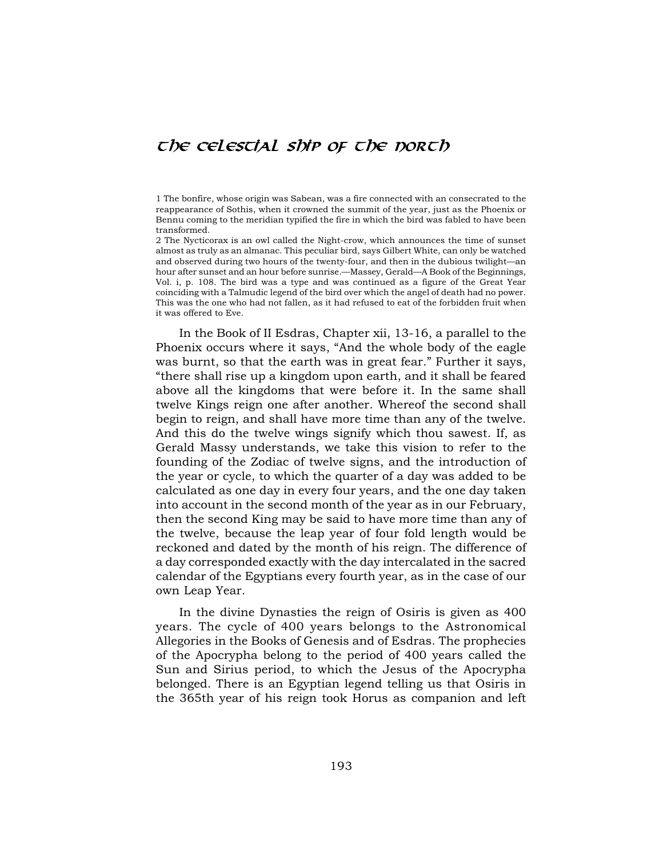1 The bonfire, whose origin was Sabean, was a fire connected with an consecrated to the reappearance of Sothis, when it crowned the summit of the year, just as the Phoenix or Bennu coming to the meridian typified the fire in which the bird was fabled to have been transformed.

2 The Nycticorax is an owl called the Night-crow, which announces the time of sunset almost as truly as an almanac. This peculiar bird, says Gilbert White, can only be watched and observed during two hours of the twenty-four, and then in the dubious twilight-an hour after sunset and an hour before sunrise.—Massey, Gerald—A Book of the Beginnings, Vol. i, p. 108. The bird was a type and was continued as a figure of the Great Year coinciding with a Talmudic legend of the bird over which the angel of death had no power. This was the one who had not fallen, as it had refused to eat of the forbidden fruit when it was offered to Eve

In the Book of II Esdras, Chapter xii, 13-16, a parallel to the Phoenix occurs where it says, "And the whole body of the eagle was burnt, so that the earth was in great fear." Further it says, "there shall rise up a kingdom upon earth, and it shall be feared above all the kingdoms that were before it. In the same shall twelve Kings reign one after another. Whereof the second shall begin to reign, and shall have more time than any of the twelve. And this do the twelve wings signify which thou sawest. If, as Gerald Massy understands, we take this vision to refer to the founding of the Zodiac of twelve signs, and the introduction of the year or cycle, to which the quarter of a day was added to be calculated as one day in every four years, and the one day taken into account in the second month of the year as in our February, then the second King may be said to have more time than any of the twelve, because the leap year of four fold length would be reckoned and dated by the month of his reign. The difference of a day corresponded exactly with the day intercalated in the sacred calendar of the Egyptians every fourth year, as in the case of our own Leap Year.

In the divine Dynasties the reign of Osiris is given as 400 years. The cycle of 400 years belongs to the Astronomical Allegories in the Books of Genesis and of Esdras. The prophecies of the Apocrypha belong to the period of 400 years called the Sun and Sirius period, to which the Jesus of the Apocrypha belonged. There is an Egyptian legend telling us that Osiris in the 365th year of his reign took Horus as companion and left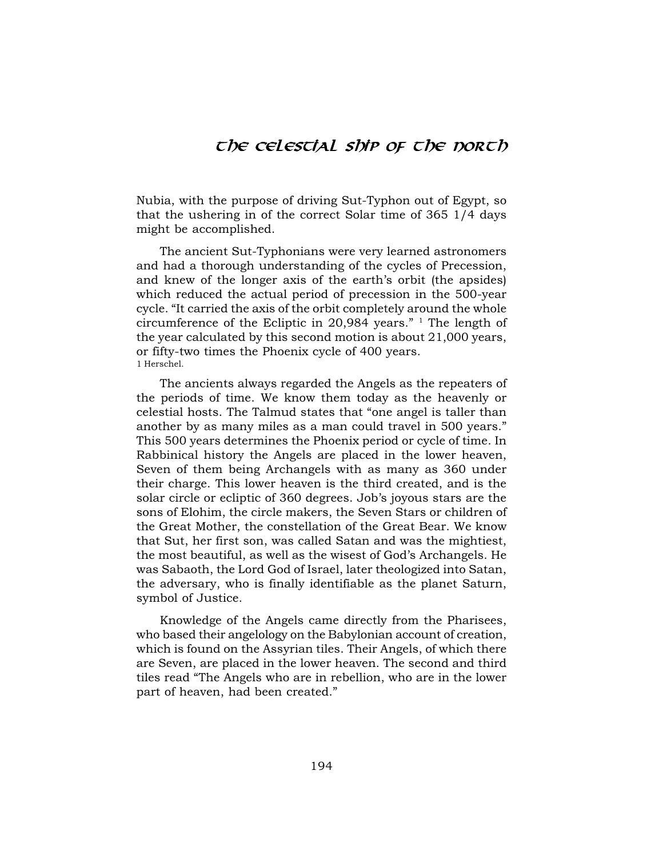Nubia, with the purpose of driving Sut-Typhon out of Egypt, so that the ushering in of the correct Solar time of  $365$  1/4 days might be accomplished.

The ancient Sut-Typhonians were very learned astronomers and had a thorough understanding of the cycles of Precession, and knew of the longer axis of the earth's orbit (the apsides) which reduced the actual period of precession in the 500-year cycle. "It carried the axis of the orbit completely around the whole circumference of the Ecliptic in  $20,984$  years." <sup>1</sup> The length of the year calculated by this second motion is about 21,000 years, or fifty-two times the Phoenix cycle of 400 years. 1 Herschel.

The ancients always regarded the Angels as the repeaters of the periods of time. We know them today as the heavenly or celestial hosts. The Talmud states that "one angel is taller than another by as many miles as a man could travel in 500 years." This 500 years determines the Phoenix period or cycle of time. In Rabbinical history the Angels are placed in the lower heaven, Seven of them being Archangels with as many as 360 under their charge. This lower heaven is the third created, and is the solar circle or ecliptic of 360 degrees. Job's joyous stars are the sons of Elohim, the circle makers, the Seven Stars or children of the Great Mother, the constellation of the Great Bear. We know that Sut, her first son, was called Satan and was the mightiest, the most beautiful, as well as the wisest of God's Archangels. He was Sabaoth, the Lord God of Israel, later theologized into Satan, the adversary, who is finally identifiable as the planet Saturn, symbol of Justice.

Knowledge of the Angels came directly from the Pharisees, who based their angelology on the Babylonian account of creation, which is found on the Assyrian tiles. Their Angels, of which there are Seven, are placed in the lower heaven. The second and third tiles read "The Angels who are in rebellion, who are in the lower part of heaven, had been created."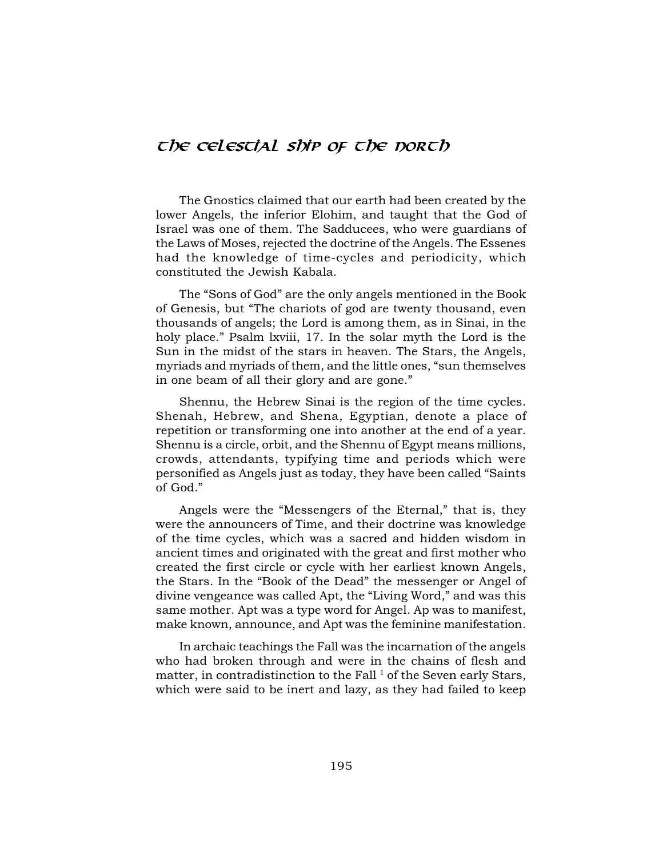The Gnostics claimed that our earth had been created by the lower Angels, the inferior Elohim, and taught that the God of Israel was one of them. The Sadducees, who were guardians of the Laws of Moses, rejected the doctrine of the Angels. The Essenes had the knowledge of time-cycles and periodicity, which constituted the Jewish Kabala.

The "Sons of God" are the only angels mentioned in the Book of Genesis, but "The chariots of god are twenty thousand, even thousands of angels; the Lord is among them, as in Sinai, in the holy place." Psalm lxviii, 17. In the solar myth the Lord is the Sun in the midst of the stars in heaven. The Stars, the Angels, myriads and myriads of them, and the little ones, "sun themselves in one beam of all their glory and are gone."

Shennu, the Hebrew Sinai is the region of the time cycles. Shenah, Hebrew, and Shena, Egyptian, denote a place of repetition or transforming one into another at the end of a year. Shennu is a circle, orbit, and the Shennu of Egypt means millions, crowds, attendants, typifying time and periods which were personified as Angels just as today, they have been called "Saints" of God."

Angels were the "Messengers of the Eternal," that is, they were the announcers of Time, and their doctrine was knowledge of the time cycles, which was a sacred and hidden wisdom in ancient times and originated with the great and first mother who created the first circle or cycle with her earliest known Angels, the Stars. In the "Book of the Dead" the messenger or Angel of divine vengeance was called Apt, the "Living Word," and was this same mother. Apt was a type word for Angel. Ap was to manifest, make known, announce, and Apt was the feminine manifestation.

In archaic teachings the Fall was the incarnation of the angels who had broken through and were in the chains of flesh and matter, in contradistinction to the Fall<sup>1</sup> of the Seven early Stars, which were said to be inert and lazy, as they had failed to keep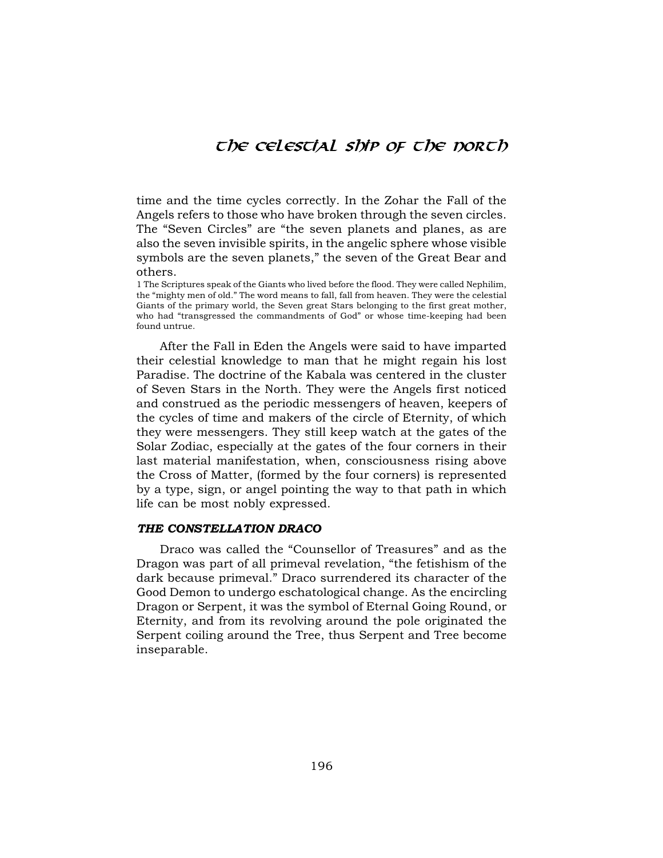time and the time cycles correctly. In the Zohar the Fall of the Angels refers to those who have broken through the seven circles. The "Seven Circles" are "the seven planets and planes, as are also the seven invisible spirits, in the angelic sphere whose visible symbols are the seven planets," the seven of the Great Bear and others.

1 The Scriptures speak of the Giants who lived before the flood. They were called Nephilim, the "mighty men of old." The word means to fall, fall from heaven. They were the celestial Giants of the primary world, the Seven great Stars belonging to the first great mother, who had "transgressed the commandments of God" or whose time-keeping had been found untrue.

After the Fall in Eden the Angels were said to have imparted their celestial knowledge to man that he might regain his lost Paradise. The doctrine of the Kabala was centered in the cluster of Seven Stars in the North. They were the Angels first noticed and construed as the periodic messengers of heaven, keepers of the cycles of time and makers of the circle of Eternity, of which they were messengers. They still keep watch at the gates of the Solar Zodiac, especially at the gates of the four corners in their last material manifestation, when, consciousness rising above the Cross of Matter, (formed by the four corners) is represented by a type, sign, or angel pointing the way to that path in which life can be most nobly expressed.

#### THE CONSTELLATION DRACO

Draco was called the "Counsellor of Treasures" and as the Dragon was part of all primeval revelation, "the fetishism of the dark because primeval." Draco surrendered its character of the Good Demon to undergo eschatological change. As the encircling Dragon or Serpent, it was the symbol of Eternal Going Round, or Eternity, and from its revolving around the pole originated the Serpent coiling around the Tree, thus Serpent and Tree become inseparable.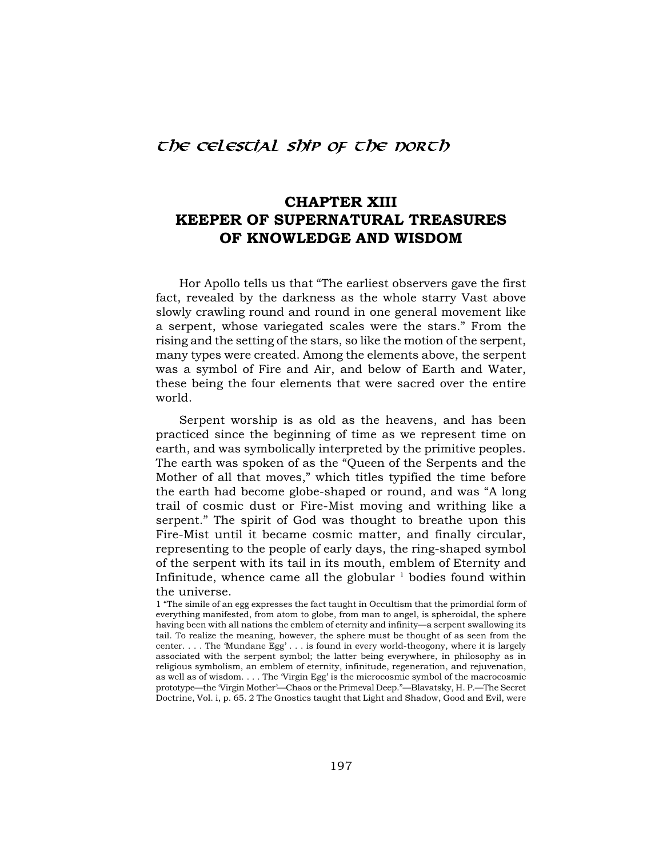#### **CHAPTER XIII KEEPER OF SUPERNATURAL TREASURES** OF KNOWLEDGE AND WISDOM

Hor Apollo tells us that "The earliest observers gave the first fact, revealed by the darkness as the whole starry Vast above slowly crawling round and round in one general movement like a serpent, whose variegated scales were the stars." From the rising and the setting of the stars, so like the motion of the serpent, many types were created. Among the elements above, the serpent was a symbol of Fire and Air, and below of Earth and Water, these being the four elements that were sacred over the entire world.

Serpent worship is as old as the heavens, and has been practiced since the beginning of time as we represent time on earth, and was symbolically interpreted by the primitive peoples. The earth was spoken of as the "Queen of the Serpents and the Mother of all that moves," which titles typified the time before the earth had become globe-shaped or round, and was "A long" trail of cosmic dust or Fire-Mist moving and writhing like a serpent." The spirit of God was thought to breathe upon this Fire-Mist until it became cosmic matter, and finally circular, representing to the people of early days, the ring-shaped symbol of the serpent with its tail in its mouth, emblem of Eternity and Infinitude, whence came all the globular  $\frac{1}{1}$  bodies found within

#### the universe.

1 "The simile of an egg expresses the fact taught in Occultism that the primordial form of everything manifested, from atom to globe, from man to angel, is spheroidal, the sphere having been with all nations the emblem of eternity and infinity—a serpent swallowing its tail. To realize the meaning, however, the sphere must be thought of as seen from the center.... The 'Mundane Egg'... is found in every world-theogony, where it is largely associated with the serpent symbol; the latter being everywhere, in philosophy as in religious symbolism, an emblem of eternity, infinitude, regeneration, and rejuvenation, as well as of wisdom.... The 'Virgin Egg' is the microcosmic symbol of the macrocosmic prototype—the 'Virgin Mother'—Chaos or the Primeval Deep."—Blavatsky, H. P.—The Secret Doctrine, Vol. i, p. 65. 2 The Gnostics taught that Light and Shadow, Good and Evil, were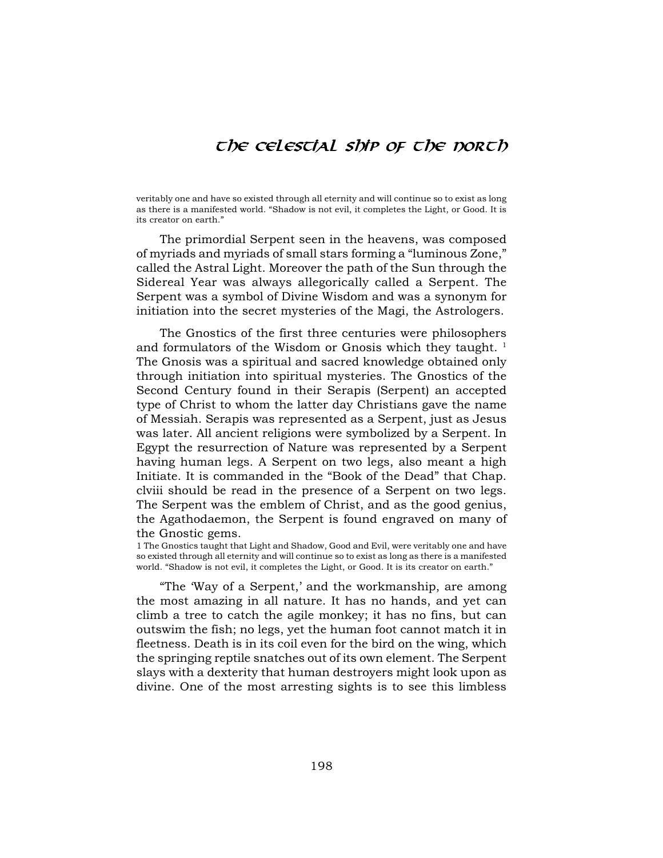veritably one and have so existed through all eternity and will continue so to exist as long as there is a manifested world. "Shadow is not evil, it completes the Light, or Good. It is its creator on earth."

The primordial Serpent seen in the heavens, was composed of myriads and myriads of small stars forming a "luminous Zone," called the Astral Light. Moreover the path of the Sun through the Sidereal Year was always allegorically called a Serpent. The Serpent was a symbol of Divine Wisdom and was a synonym for initiation into the secret mysteries of the Magi, the Astrologers.

The Gnostics of the first three centuries were philosophers and formulators of the Wisdom or Gnosis which they taught.<sup>1</sup> The Gnosis was a spiritual and sacred knowledge obtained only through initiation into spiritual mysteries. The Gnostics of the Second Century found in their Serapis (Serpent) an accepted type of Christ to whom the latter day Christians gave the name of Messiah. Serapis was represented as a Serpent, just as Jesus was later. All ancient religions were symbolized by a Serpent. In Egypt the resurrection of Nature was represented by a Serpent having human legs. A Serpent on two legs, also meant a high Initiate. It is commanded in the "Book of the Dead" that Chap. clviii should be read in the presence of a Serpent on two legs. The Serpent was the emblem of Christ, and as the good genius, the Agathodaemon, the Serpent is found engraved on many of the Gnostic gems.

1 The Gnostics taught that Light and Shadow, Good and Evil, were veritably one and have so existed through all eternity and will continue so to exist as long as there is a manifested world. "Shadow is not evil, it completes the Light, or Good. It is its creator on earth."

"The 'Way of a Serpent,' and the workmanship, are among the most amazing in all nature. It has no hands, and yet can climb a tree to catch the agile monkey; it has no fins, but can outswim the fish; no legs, yet the human foot cannot match it in fleetness. Death is in its coil even for the bird on the wing, which the springing reptile snatches out of its own element. The Serpent slays with a dexterity that human destroyers might look upon as divine. One of the most arresting sights is to see this limbless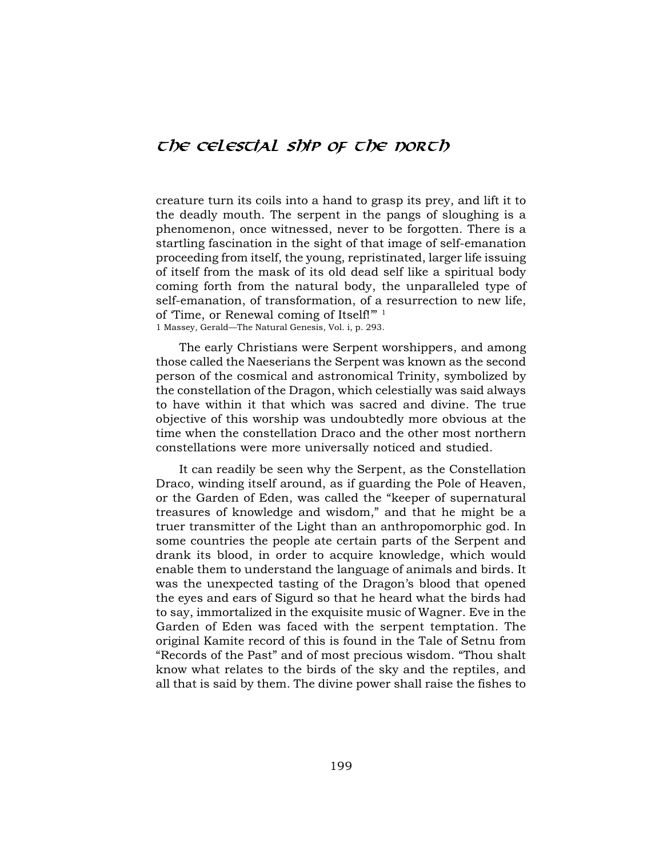creature turn its coils into a hand to grasp its prey, and lift it to the deadly mouth. The serpent in the pangs of sloughing is a phenomenon, once witnessed, never to be forgotten. There is a startling fascination in the sight of that image of self-emanation proceeding from itself, the young, repristinated, larger life issuing of itself from the mask of its old dead self like a spiritual body coming forth from the natural body, the unparalleled type of self-emanation, of transformation, of a resurrection to new life. of Time, or Renewal coming of Itself!" 1

1 Massey, Gerald-The Natural Genesis, Vol. i, p. 293.

The early Christians were Serpent worshippers, and among those called the Naeserians the Serpent was known as the second person of the cosmical and astronomical Trinity, symbolized by the constellation of the Dragon, which celestially was said always to have within it that which was sacred and divine. The true objective of this worship was undoubtedly more obvious at the time when the constellation Draco and the other most northern constellations were more universally noticed and studied.

It can readily be seen why the Serpent, as the Constellation Draco, winding itself around, as if guarding the Pole of Heaven, or the Garden of Eden, was called the "keeper of supernatural treasures of knowledge and wisdom," and that he might be a truer transmitter of the Light than an anthropomorphic god. In some countries the people ate certain parts of the Serpent and drank its blood, in order to acquire knowledge, which would enable them to understand the language of animals and birds. It was the unexpected tasting of the Dragon's blood that opened the eyes and ears of Sigurd so that he heard what the birds had to say, immortalized in the exquisite music of Wagner. Eve in the Garden of Eden was faced with the serpent temptation. The original Kamite record of this is found in the Tale of Setnu from "Records of the Past" and of most precious wisdom. "Thou shalt know what relates to the birds of the sky and the reptiles, and all that is said by them. The divine power shall raise the fishes to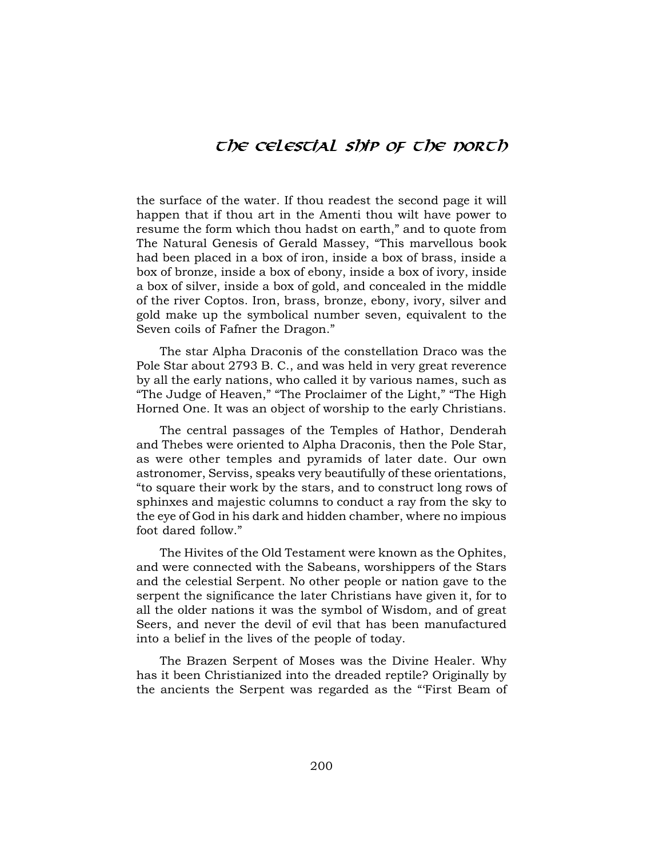the surface of the water. If thou readest the second page it will happen that if thou art in the Amenti thou wilt have power to resume the form which thou hadst on earth," and to quote from The Natural Genesis of Gerald Massey, "This marvellous book had been placed in a box of iron, inside a box of brass, inside a box of bronze, inside a box of ebony, inside a box of ivory, inside a box of silver, inside a box of gold, and concealed in the middle of the river Coptos. Iron, brass, bronze, ebony, ivory, silver and gold make up the symbolical number seven, equivalent to the Seven coils of Fafner the Dragon."

The star Alpha Draconis of the constellation Draco was the Pole Star about 2793 B. C., and was held in very great reverence by all the early nations, who called it by various names, such as "The Judge of Heaven," "The Proclaimer of the Light," "The High Horned One. It was an object of worship to the early Christians.

The central passages of the Temples of Hathor, Denderah and Thebes were oriented to Alpha Draconis, then the Pole Star, as were other temples and pyramids of later date. Our own astronomer, Serviss, speaks very beautifully of these orientations, "to square their work by the stars, and to construct long rows of sphinxes and majestic columns to conduct a ray from the sky to the eye of God in his dark and hidden chamber, where no impious foot dared follow."

The Hivites of the Old Testament were known as the Ophites, and were connected with the Sabeans, worshippers of the Stars and the celestial Serpent. No other people or nation gave to the serpent the significance the later Christians have given it, for to all the older nations it was the symbol of Wisdom, and of great Seers, and never the devil of evil that has been manufactured into a belief in the lives of the people of today.

The Brazen Serpent of Moses was the Divine Healer. Why has it been Christianized into the dreaded reptile? Originally by the ancients the Serpent was regarded as the "First Beam of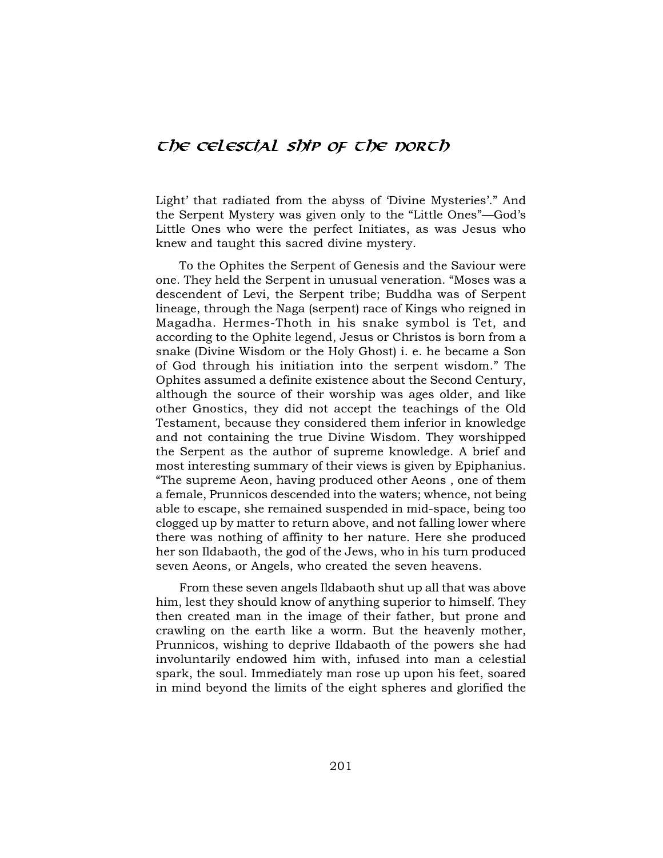Light' that radiated from the abyss of 'Divine Mysteries'." And the Serpent Mystery was given only to the "Little Ones"—God's Little Ones who were the perfect Initiates, as was Jesus who knew and taught this sacred divine mystery.

To the Ophites the Serpent of Genesis and the Saviour were one. They held the Serpent in unusual veneration. "Moses was a descendent of Levi, the Serpent tribe; Buddha was of Serpent lineage, through the Naga (serpent) race of Kings who reigned in Magadha. Hermes-Thoth in his snake symbol is Tet, and according to the Ophite legend, Jesus or Christos is born from a snake (Divine Wisdom or the Holy Ghost) i. e. he became a Son of God through his initiation into the serpent wisdom." The Ophites assumed a definite existence about the Second Century, although the source of their worship was ages older, and like other Gnostics, they did not accept the teachings of the Old Testament, because they considered them inferior in knowledge and not containing the true Divine Wisdom. They worshipped the Serpent as the author of supreme knowledge. A brief and most interesting summary of their views is given by Epiphanius. "The supreme Aeon, having produced other Aeons, one of them a female, Prunnicos descended into the waters; whence, not being able to escape, she remained suspended in mid-space, being too clogged up by matter to return above, and not falling lower where there was nothing of affinity to her nature. Here she produced her son Ildabaoth, the god of the Jews, who in his turn produced seven Aeons, or Angels, who created the seven heavens.

From these seven angels Ildabaoth shut up all that was above him, lest they should know of anything superior to himself. They then created man in the image of their father, but prone and crawling on the earth like a worm. But the heavenly mother, Prunnicos, wishing to deprive Ildabaoth of the powers she had involuntarily endowed him with, infused into man a celestial spark, the soul. Immediately man rose up upon his feet, soared in mind beyond the limits of the eight spheres and glorified the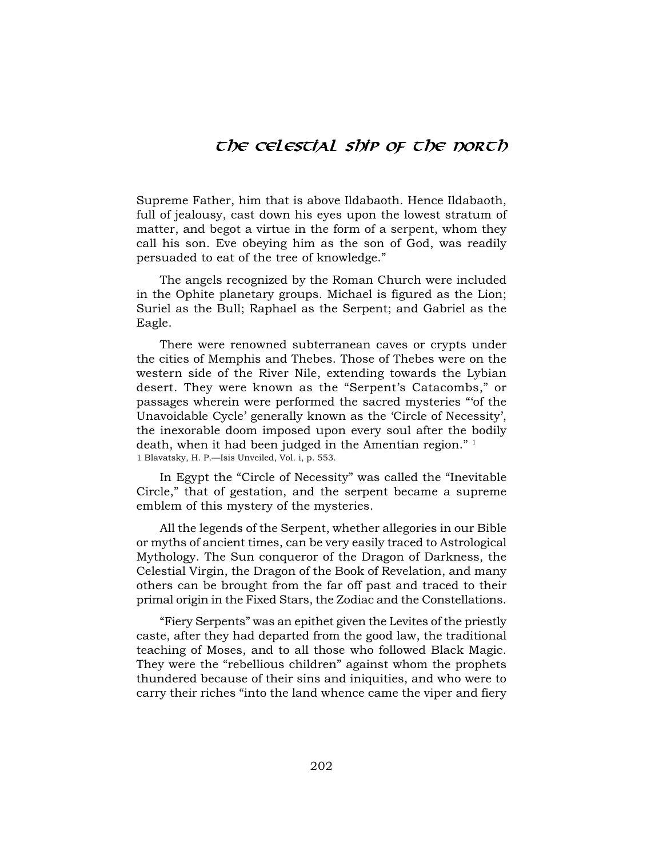Supreme Father, him that is above Ildabaoth. Hence Ildabaoth, full of jealousy, cast down his eyes upon the lowest stratum of matter, and begot a virtue in the form of a serpent, whom they call his son. Eve obeying him as the son of God, was readily persuaded to eat of the tree of knowledge."

The angels recognized by the Roman Church were included in the Ophite planetary groups. Michael is figured as the Lion; Suriel as the Bull; Raphael as the Serpent; and Gabriel as the Eagle.

There were renowned subterranean caves or crypts under the cities of Memphis and Thebes. Those of Thebes were on the western side of the River Nile, extending towards the Lybian desert. They were known as the "Serpent's Catacombs," or passages wherein were performed the sacred mysteries "of the Unavoidable Cycle' generally known as the 'Circle of Necessity', the inexorable doom imposed upon every soul after the bodily death, when it had been judged in the Amentian region." 1 1 Blavatsky, H. P.-Isis Unveiled, Vol. i, p. 553.

In Egypt the "Circle of Necessity" was called the "Inevitable" Circle," that of gestation, and the serpent became a supreme emblem of this mystery of the mysteries.

All the legends of the Serpent, whether allegories in our Bible or myths of ancient times, can be very easily traced to Astrological Mythology. The Sun conqueror of the Dragon of Darkness, the Celestial Virgin, the Dragon of the Book of Revelation, and many others can be brought from the far off past and traced to their primal origin in the Fixed Stars, the Zodiac and the Constellations.

"Fiery Serpents" was an epithet given the Levites of the priestly caste, after they had departed from the good law, the traditional teaching of Moses, and to all those who followed Black Magic. They were the "rebellious children" against whom the prophets thundered because of their sins and iniquities, and who were to carry their riches "into the land whence came the viper and fiery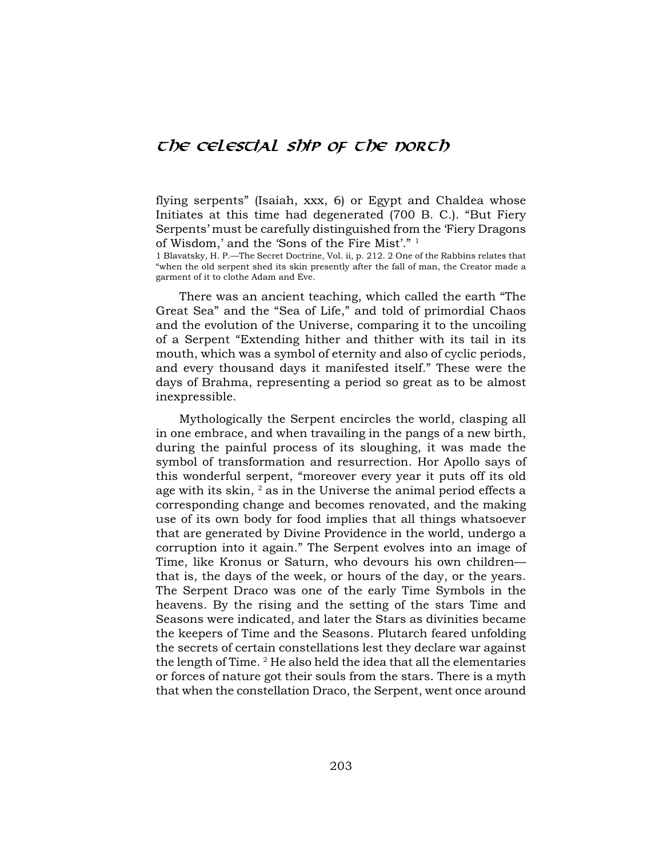flying serpents" (Isaiah, xxx, 6) or Egypt and Chaldea whose Initiates at this time had degenerated (700 B. C.). "But Fiery Serpents' must be carefully distinguished from the 'Fiery Dragons' of Wisdom,' and the 'Sons of the Fire Mist'." 1

1 Blavatsky, H. P.-The Secret Doctrine, Vol. ii, p. 212. 2 One of the Rabbins relates that "when the old serpent shed its skin presently after the fall of man, the Creator made a garment of it to clothe Adam and Eve.

There was an ancient teaching, which called the earth "The Great Sea" and the "Sea of Life," and told of primordial Chaos and the evolution of the Universe, comparing it to the uncoiling of a Serpent "Extending hither and thither with its tail in its mouth, which was a symbol of eternity and also of cyclic periods, and every thousand days it manifested itself." These were the days of Brahma, representing a period so great as to be almost inexpressible.

Mythologically the Serpent encircles the world, clasping all in one embrace, and when travailing in the pangs of a new birth, during the painful process of its sloughing, it was made the symbol of transformation and resurrection. Hor Apollo says of this wonderful serpent, "moreover every year it puts off its old age with its skin,  $2$  as in the Universe the animal period effects a corresponding change and becomes renovated, and the making use of its own body for food implies that all things whatsoever that are generated by Divine Providence in the world, undergo a corruption into it again." The Serpent evolves into an image of Time, like Kronus or Saturn, who devours his own childrenthat is, the days of the week, or hours of the day, or the years. The Serpent Draco was one of the early Time Symbols in the heavens. By the rising and the setting of the stars Time and Seasons were indicated, and later the Stars as divinities became the keepers of Time and the Seasons. Plutarch feared unfolding the secrets of certain constellations lest they declare war against the length of Time.<sup>2</sup> He also held the idea that all the elementaries or forces of nature got their souls from the stars. There is a myth that when the constellation Draco, the Serpent, went once around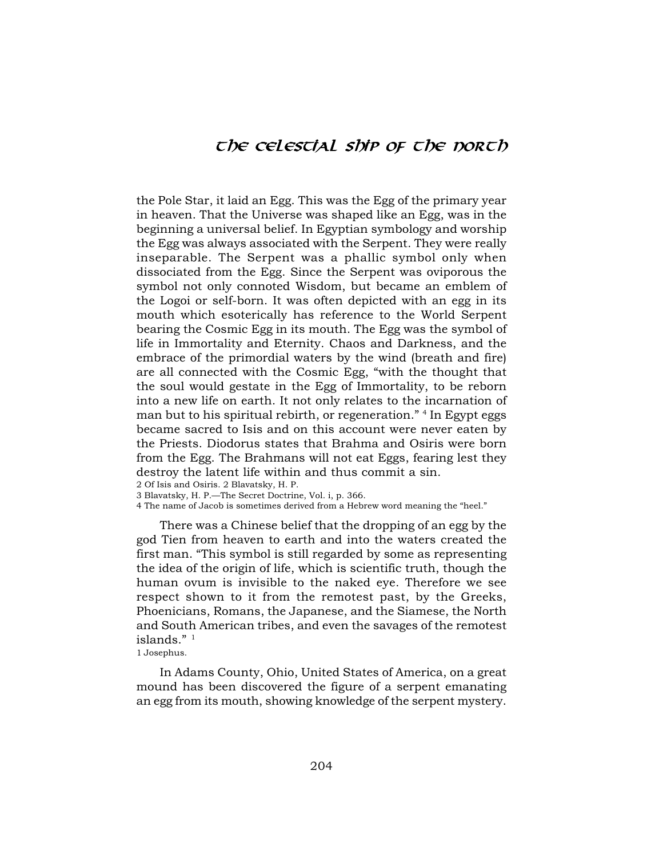the Pole Star, it laid an Egg. This was the Egg of the primary year in heaven. That the Universe was shaped like an Egg, was in the beginning a universal belief. In Egyptian symbology and worship the Egg was always associated with the Serpent. They were really inseparable. The Serpent was a phallic symbol only when dissociated from the Egg. Since the Serpent was oviporous the symbol not only connoted Wisdom, but became an emblem of the Logoi or self-born. It was often depicted with an egg in its mouth which esoterically has reference to the World Serpent bearing the Cosmic Egg in its mouth. The Egg was the symbol of life in Immortality and Eternity. Chaos and Darkness, and the embrace of the primordial waters by the wind (breath and fire) are all connected with the Cosmic Egg, "with the thought that the soul would gestate in the Egg of Immortality, to be reborn into a new life on earth. It not only relates to the incarnation of man but to his spiritual rebirth, or regeneration." <sup>4</sup> In Egypt eggs became sacred to Isis and on this account were never eaten by the Priests. Diodorus states that Brahma and Osiris were born from the Egg. The Brahmans will not eat Eggs, fearing lest they destrov the latent life within and thus commit a sin.

2 Of Isis and Osiris. 2 Blavatsky, H. P.

3 Blavatsky, H. P.-The Secret Doctrine, Vol. i, p. 366.

4 The name of Jacob is sometimes derived from a Hebrew word meaning the "heel."

There was a Chinese belief that the dropping of an egg by the god Tien from heaven to earth and into the waters created the first man. "This symbol is still regarded by some as representing the idea of the origin of life, which is scientific truth, though the human ovum is invisible to the naked eye. Therefore we see respect shown to it from the remotest past, by the Greeks, Phoenicians, Romans, the Japanese, and the Siamese, the North and South American tribes, and even the savages of the remotest islands. $" '$ 

1 Josephus.

In Adams County, Ohio, United States of America, on a great mound has been discovered the figure of a serpent emanating an egg from its mouth, showing knowledge of the serpent mystery.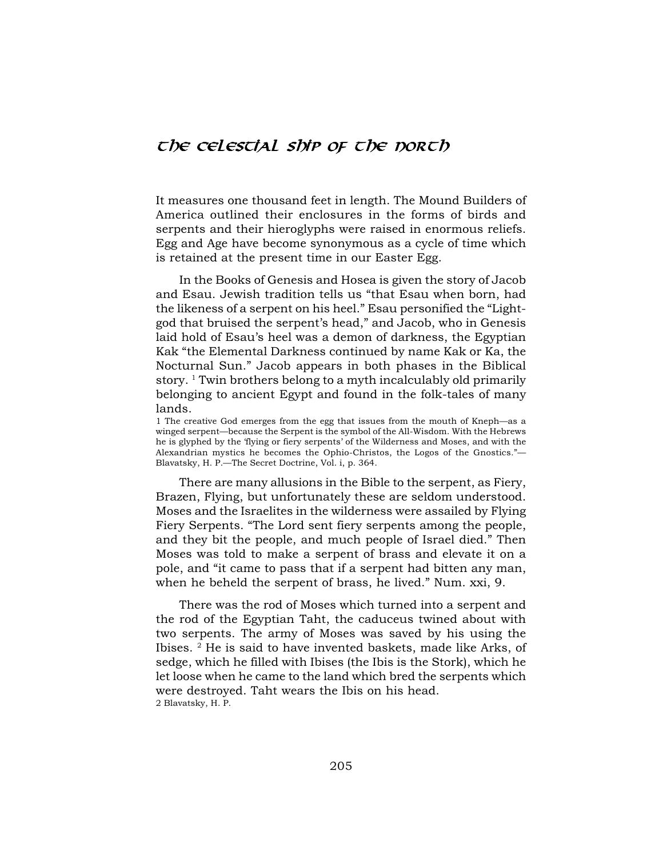It measures one thousand feet in length. The Mound Builders of America outlined their enclosures in the forms of birds and serpents and their hieroglyphs were raised in enormous reliefs. Egg and Age have become synonymous as a cycle of time which is retained at the present time in our Easter Egg.

In the Books of Genesis and Hosea is given the story of Jacob and Esau. Jewish tradition tells us "that Esau when born, had the likeness of a serpent on his heel." Esau personified the "Lightgod that bruised the serpent's head," and Jacob, who in Genesis laid hold of Esau's heel was a demon of darkness, the Egyptian Kak "the Elemental Darkness continued by name Kak or Ka, the Nocturnal Sun." Jacob appears in both phases in the Biblical story. <sup>1</sup> Twin brothers belong to a myth incalculably old primarily belonging to ancient Egypt and found in the folk-tales of many lands.

1 The creative God emerges from the egg that issues from the mouth of Kneph-as a winged serpent—because the Serpent is the symbol of the All-Wisdom. With the Hebrews he is glyphed by the 'flying or fiery serpents' of the Wilderness and Moses, and with the Alexandrian mystics he becomes the Ophio-Christos, the Logos of the Gnostics."-Blavatsky, H. P.-The Secret Doctrine, Vol. i, p. 364.

There are many allusions in the Bible to the serpent, as Fiery, Brazen, Flying, but unfortunately these are seldom understood. Moses and the Israelites in the wilderness were assailed by Flying Fiery Serpents. "The Lord sent fiery serpents among the people, and they bit the people, and much people of Israel died." Then Moses was told to make a serpent of brass and elevate it on a pole, and "it came to pass that if a serpent had bitten any man, when he beheld the serpent of brass, he lived." Num. xxi, 9.

There was the rod of Moses which turned into a serpent and the rod of the Egyptian Taht, the caduceus twined about with two serpents. The army of Moses was saved by his using the Ibises.<sup>2</sup> He is said to have invented baskets, made like Arks, of sedge, which he filled with Ibises (the Ibis is the Stork), which he let loose when he came to the land which bred the serpents which were destroyed. Taht wears the Ibis on his head. 2 Blavatsky, H. P.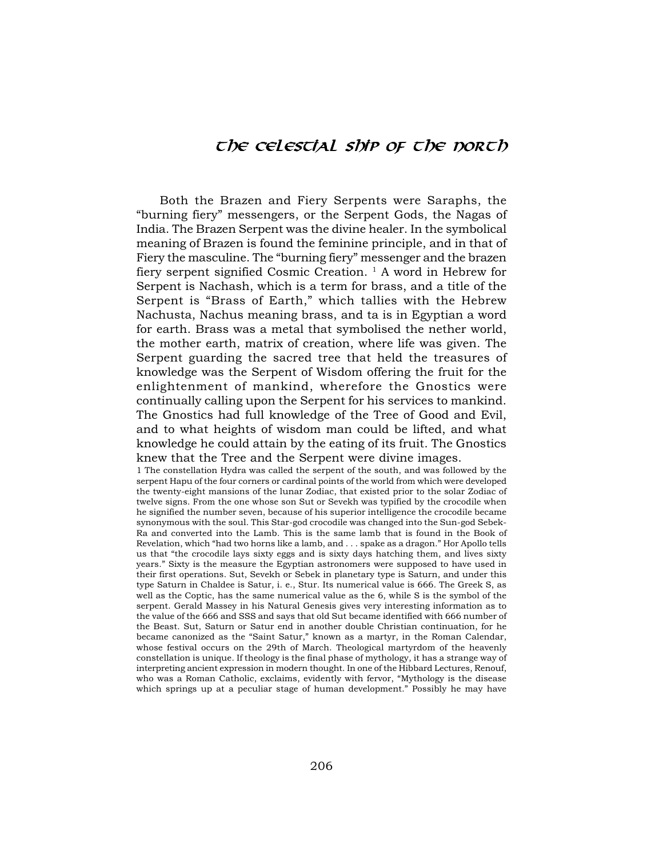Both the Brazen and Fiery Serpents were Saraphs, the "burning fiery" messengers, or the Serpent Gods, the Nagas of India. The Brazen Serpent was the divine healer. In the symbolical meaning of Brazen is found the feminine principle, and in that of Fiery the masculine. The "burning fiery" messenger and the brazen fiery serpent signified Cosmic Creation. <sup>1</sup> A word in Hebrew for Serpent is Nachash, which is a term for brass, and a title of the Serpent is "Brass of Earth," which tallies with the Hebrew Nachusta, Nachus meaning brass, and ta is in Egyptian a word for earth. Brass was a metal that symbolised the nether world, the mother earth, matrix of creation, where life was given. The Serpent guarding the sacred tree that held the treasures of knowledge was the Serpent of Wisdom offering the fruit for the enlightenment of mankind, wherefore the Gnostics were continually calling upon the Serpent for his services to mankind. The Gnostics had full knowledge of the Tree of Good and Evil, and to what heights of wisdom man could be lifted, and what knowledge he could attain by the eating of its fruit. The Gnostics knew that the Tree and the Serpent were divine images.

1 The constellation Hydra was called the serpent of the south, and was followed by the serpent Hapu of the four corners or cardinal points of the world from which were developed the twenty-eight mansions of the lunar Zodiac, that existed prior to the solar Zodiac of twelve signs. From the one whose son Sut or Sevekh was typified by the crocodile when he signified the number seven, because of his superior intelligence the crocodile became synonymous with the soul. This Star-god crocodile was changed into the Sun-god Sebek-Ra and converted into the Lamb. This is the same lamb that is found in the Book of Revelation, which "had two horns like a lamb, and . . . spake as a dragon." Hor Apollo tells us that "the crocodile lays sixty eggs and is sixty days hatching them, and lives sixty years." Sixty is the measure the Egyptian astronomers were supposed to have used in their first operations. Sut, Sevekh or Sebek in planetary type is Saturn, and under this type Saturn in Chaldee is Satur, i. e., Stur. Its numerical value is 666. The Greek S, as well as the Coptic, has the same numerical value as the 6, while S is the symbol of the serpent. Gerald Massey in his Natural Genesis gives very interesting information as to the value of the 666 and SSS and says that old Sut became identified with 666 number of the Beast. Sut, Saturn or Satur end in another double Christian continuation, for he became canonized as the "Saint Satur," known as a martyr, in the Roman Calendar, whose festival occurs on the 29th of March. Theological martyrdom of the heavenly constellation is unique. If theology is the final phase of mythology, it has a strange way of interpreting ancient expression in modern thought. In one of the Hibbard Lectures, Renouf, who was a Roman Catholic, exclaims, evidently with fervor, "Mythology is the disease which springs up at a peculiar stage of human development." Possibly he may have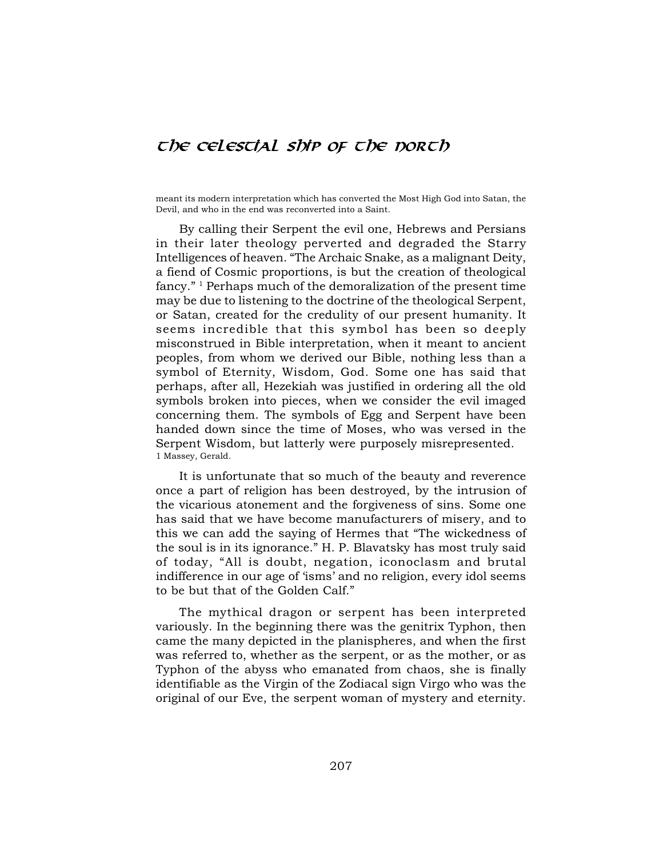meant its modern interpretation which has converted the Most High God into Satan, the Devil, and who in the end was reconverted into a Saint.

By calling their Serpent the evil one, Hebrews and Persians in their later theology perverted and degraded the Starry Intelligences of heaven. "The Archaic Snake, as a malignant Deity, a fiend of Cosmic proportions, is but the creation of theological fancy."  $\frac{1}{1}$  Perhaps much of the demoralization of the present time may be due to listening to the doctrine of the theological Serpent, or Satan, created for the credulity of our present humanity. It seems incredible that this symbol has been so deeply misconstrued in Bible interpretation, when it meant to ancient peoples, from whom we derived our Bible, nothing less than a symbol of Eternity, Wisdom, God. Some one has said that perhaps, after all, Hezekiah was justified in ordering all the old symbols broken into pieces, when we consider the evil imaged concerning them. The symbols of Egg and Serpent have been handed down since the time of Moses, who was versed in the Serpent Wisdom, but latterly were purposely misrepresented. 1 Massey, Gerald.

It is unfortunate that so much of the beauty and reverence once a part of religion has been destroved, by the intrusion of the vicarious atonement and the forgiveness of sins. Some one has said that we have become manufacturers of misery, and to this we can add the saying of Hermes that "The wickedness of the soul is in its ignorance." H. P. Blavatsky has most truly said of today, "All is doubt, negation, iconoclasm and brutal indifference in our age of 'isms' and no religion, every idol seems to be but that of the Golden Calf."

The mythical dragon or serpent has been interpreted variously. In the beginning there was the genitrix Typhon, then came the many depicted in the planispheres, and when the first was referred to, whether as the serpent, or as the mother, or as Typhon of the abyss who emanated from chaos, she is finally identifiable as the Virgin of the Zodiacal sign Virgo who was the original of our Eve, the serpent woman of mystery and eternity.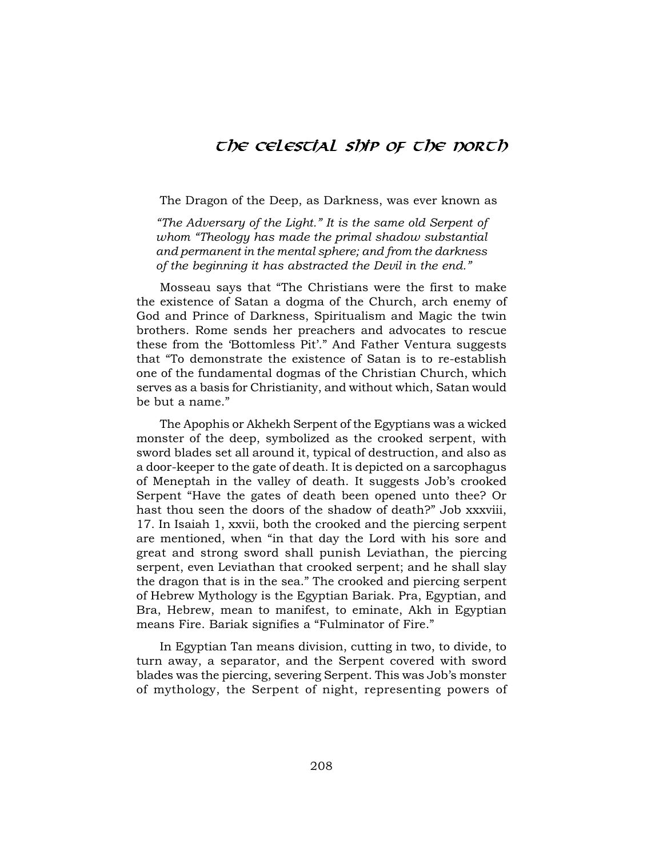The Dragon of the Deep, as Darkness, was ever known as

"The Adversary of the Light." It is the same old Serpent of whom "Theology has made the primal shadow substantial and permanent in the mental sphere; and from the darkness of the beginning it has abstracted the Devil in the end."

Mosseau says that "The Christians were the first to make the existence of Satan a dogma of the Church, arch enemy of God and Prince of Darkness, Spiritualism and Magic the twin brothers. Rome sends her preachers and advocates to rescue these from the 'Bottomless Pit'." And Father Ventura suggests that "To demonstrate the existence of Satan is to re-establish one of the fundamental dogmas of the Christian Church, which serves as a basis for Christianity, and without which, Satan would be but a name."

The Apophis or Akhekh Serpent of the Egyptians was a wicked monster of the deep, symbolized as the crooked serpent, with sword blades set all around it, typical of destruction, and also as a door-keeper to the gate of death. It is depicted on a sarcophagus of Meneptah in the valley of death. It suggests Job's crooked Serpent "Have the gates of death been opened unto thee? Or hast thou seen the doors of the shadow of death?" Job xxxviii, 17. In Isaiah 1, xxvii, both the crooked and the piercing serpent are mentioned, when "in that day the Lord with his sore and great and strong sword shall punish Leviathan, the piercing serpent, even Leviathan that crooked serpent; and he shall slay the dragon that is in the sea." The crooked and piercing serpent of Hebrew Mythology is the Egyptian Bariak. Pra, Egyptian, and Bra, Hebrew, mean to manifest, to eminate, Akh in Egyptian means Fire. Bariak signifies a "Fulminator of Fire."

In Egyptian Tan means division, cutting in two, to divide, to turn away, a separator, and the Serpent covered with sword blades was the piercing, severing Serpent. This was Job's monster of mythology, the Serpent of night, representing powers of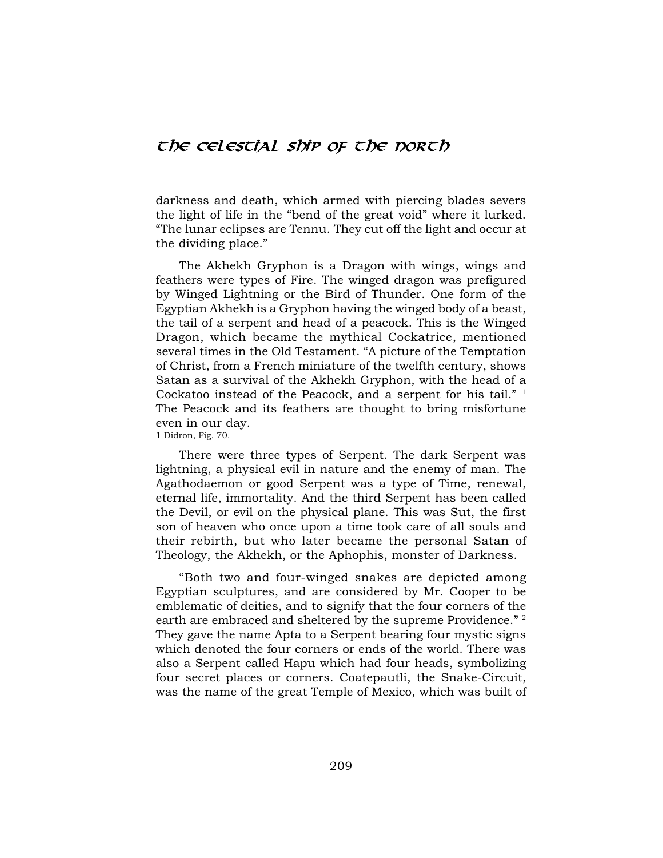darkness and death, which armed with piercing blades severs the light of life in the "bend of the great void" where it lurked. "The lunar eclipses are Tennu. They cut off the light and occur at the dividing place."

The Akhekh Gryphon is a Dragon with wings, wings and feathers were types of Fire. The winged dragon was prefigured by Winged Lightning or the Bird of Thunder. One form of the Egyptian Akhekh is a Gryphon having the winged body of a beast, the tail of a serpent and head of a peacock. This is the Winged Dragon, which became the mythical Cockatrice, mentioned several times in the Old Testament. "A picture of the Temptation of Christ, from a French miniature of the twelfth century, shows Satan as a survival of the Akhekh Gryphon, with the head of a Cockatoo instead of the Peacock, and a serpent for his tail." 1 The Peacock and its feathers are thought to bring misfortune even in our day. 1 Didron, Fig. 70.

There were three types of Serpent. The dark Serpent was lightning, a physical evil in nature and the enemy of man. The Agathodaemon or good Serpent was a type of Time, renewal, eternal life, immortality. And the third Serpent has been called the Devil, or evil on the physical plane. This was Sut, the first son of heaven who once upon a time took care of all souls and their rebirth, but who later became the personal Satan of Theology, the Akhekh, or the Aphophis, monster of Darkness.

"Both two and four-winged snakes are depicted among Egyptian sculptures, and are considered by Mr. Cooper to be emblematic of deities, and to signify that the four corners of the earth are embraced and sheltered by the supreme Providence." 2 They gave the name Apta to a Serpent bearing four mystic signs which denoted the four corners or ends of the world. There was also a Serpent called Hapu which had four heads, symbolizing four secret places or corners. Coatepautli, the Snake-Circuit, was the name of the great Temple of Mexico, which was built of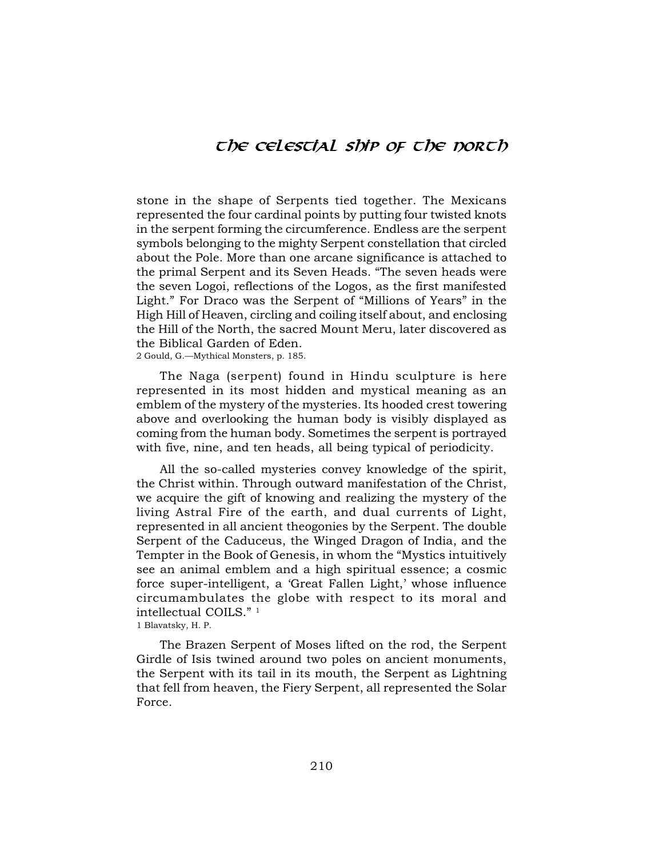stone in the shape of Serpents tied together. The Mexicans represented the four cardinal points by putting four twisted knots in the serpent forming the circumference. Endless are the serpent symbols belonging to the mighty Serpent constellation that circled about the Pole. More than one arcane significance is attached to the primal Serpent and its Seven Heads. "The seven heads were the seven Logoi, reflections of the Logos, as the first manifested Light." For Draco was the Serpent of "Millions of Years" in the High Hill of Heaven, circling and coiling itself about, and enclosing the Hill of the North, the sacred Mount Meru, later discovered as the Biblical Garden of Eden.

2 Gould, G.-Mythical Monsters, p. 185.

The Naga (serpent) found in Hindu sculpture is here represented in its most hidden and mystical meaning as an emblem of the mystery of the mysteries. Its hooded crest towering above and overlooking the human body is visibly displayed as coming from the human body. Sometimes the serpent is portrayed with five, nine, and ten heads, all being typical of periodicity.

All the so-called mysteries convey knowledge of the spirit, the Christ within. Through outward manifestation of the Christ, we acquire the gift of knowing and realizing the mystery of the living Astral Fire of the earth, and dual currents of Light, represented in all ancient theogonies by the Serpent. The double Serpent of the Caduceus, the Winged Dragon of India, and the Tempter in the Book of Genesis, in whom the "Mystics intuitively see an animal emblem and a high spiritual essence; a cosmic force super-intelligent, a 'Great Fallen Light,' whose influence circumambulates the globe with respect to its moral and intellectual COILS."<sup>1</sup> 1 Blavatsky, H. P.

The Brazen Serpent of Moses lifted on the rod, the Serpent Girdle of Isis twined around two poles on ancient monuments, the Serpent with its tail in its mouth, the Serpent as Lightning that fell from heaven, the Fiery Serpent, all represented the Solar Force.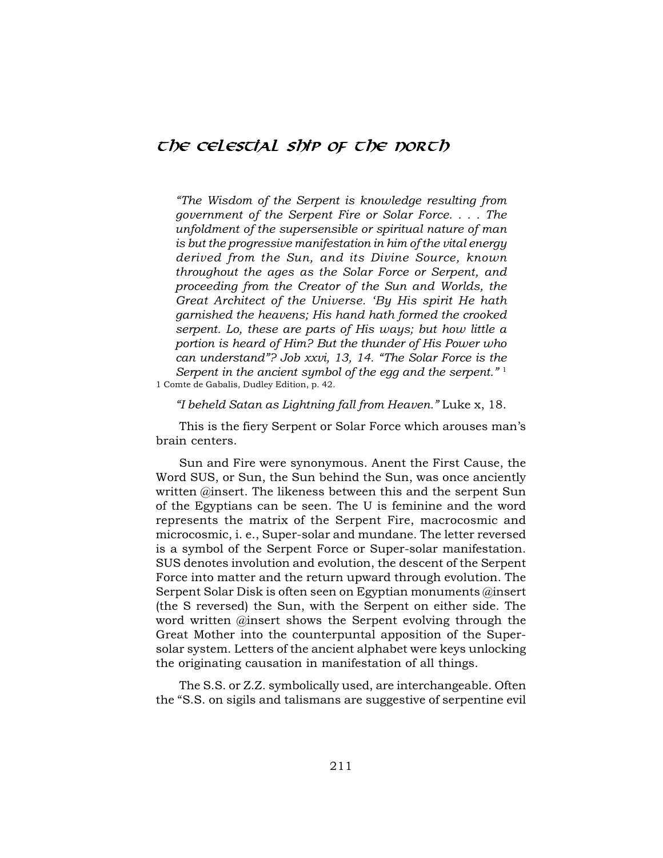"The Wisdom of the Serpent is knowledge resulting from government of the Serpent Fire or Solar Force. . . . The unfoldment of the supersensible or spiritual nature of man is but the progressive manifestation in him of the vital energy derived from the Sun, and its Divine Source, known throughout the ages as the Solar Force or Serpent, and proceeding from the Creator of the Sun and Worlds, the Great Architect of the Universe. 'By His spirit He hath garnished the heavens; His hand hath formed the crooked serpent. Lo, these are parts of His ways; but how little a portion is heard of Him? But the thunder of His Power who can understand"? Job xxvi, 13, 14. "The Solar Force is the Serpent in the ancient symbol of the egg and the serpent."  $\frac{1}{1}$ 1 Comte de Gabalis, Dudley Edition, p. 42.

"I beheld Satan as Lightning fall from Heaven." Luke x, 18.

This is the fiery Serpent or Solar Force which arouses man's brain centers.

Sun and Fire were synonymous. Anent the First Cause, the Word SUS, or Sun, the Sun behind the Sun, was once anciently written @insert. The likeness between this and the serpent Sun of the Egyptians can be seen. The U is feminine and the word represents the matrix of the Serpent Fire, macrocosmic and microcosmic, i. e., Super-solar and mundane. The letter reversed is a symbol of the Serpent Force or Super-solar manifestation. SUS denotes involution and evolution, the descent of the Serpent Force into matter and the return upward through evolution. The Serpent Solar Disk is often seen on Egyptian monuments @insert (the S reversed) the Sun, with the Serpent on either side. The word written @insert shows the Serpent evolving through the Great Mother into the counterpuntal apposition of the Supersolar system. Letters of the ancient alphabet were keys unlocking the originating causation in manifestation of all things.

The S.S. or Z.Z. symbolically used, are interchangeable. Often the "S.S. on sigils and talismans are suggestive of serpentine evil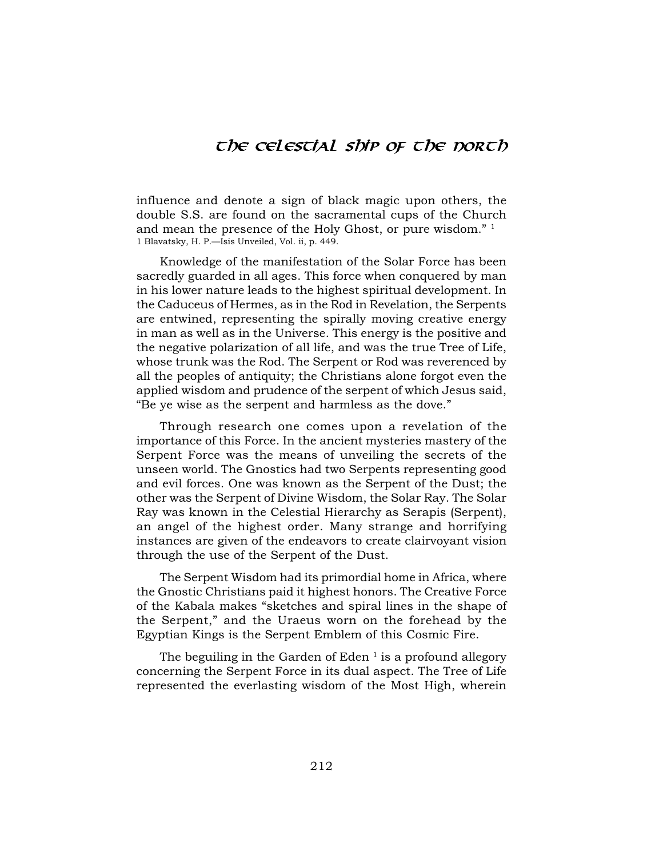influence and denote a sign of black magic upon others, the double S.S. are found on the sacramental cups of the Church and mean the presence of the Holy Ghost, or pure wisdom." 1 1 Blavatsky, H. P.-Isis Unveiled, Vol. ii, p. 449.

Knowledge of the manifestation of the Solar Force has been sacredly guarded in all ages. This force when conquered by man in his lower nature leads to the highest spiritual development. In the Caduceus of Hermes, as in the Rod in Revelation, the Serpents are entwined, representing the spirally moving creative energy in man as well as in the Universe. This energy is the positive and the negative polarization of all life, and was the true Tree of Life, whose trunk was the Rod. The Serpent or Rod was reverenced by all the peoples of antiquity; the Christians alone forgot even the applied wisdom and prudence of the serpent of which Jesus said, "Be ye wise as the serpent and harmless as the dove."

Through research one comes upon a revelation of the importance of this Force. In the ancient mysteries mastery of the Serpent Force was the means of unveiling the secrets of the unseen world. The Gnostics had two Serpents representing good and evil forces. One was known as the Serpent of the Dust; the other was the Serpent of Divine Wisdom, the Solar Ray. The Solar Ray was known in the Celestial Hierarchy as Serapis (Serpent), an angel of the highest order. Many strange and horrifying instances are given of the endeavors to create clairvoyant vision through the use of the Serpent of the Dust.

The Serpent Wisdom had its primordial home in Africa, where the Gnostic Christians paid it highest honors. The Creative Force of the Kabala makes "sketches and spiral lines in the shape of the Serpent," and the Uraeus worn on the forehead by the Egyptian Kings is the Serpent Emblem of this Cosmic Fire.

The beguiling in the Garden of Eden  $\frac{1}{1}$  is a profound allegory concerning the Serpent Force in its dual aspect. The Tree of Life represented the everlasting wisdom of the Most High, wherein